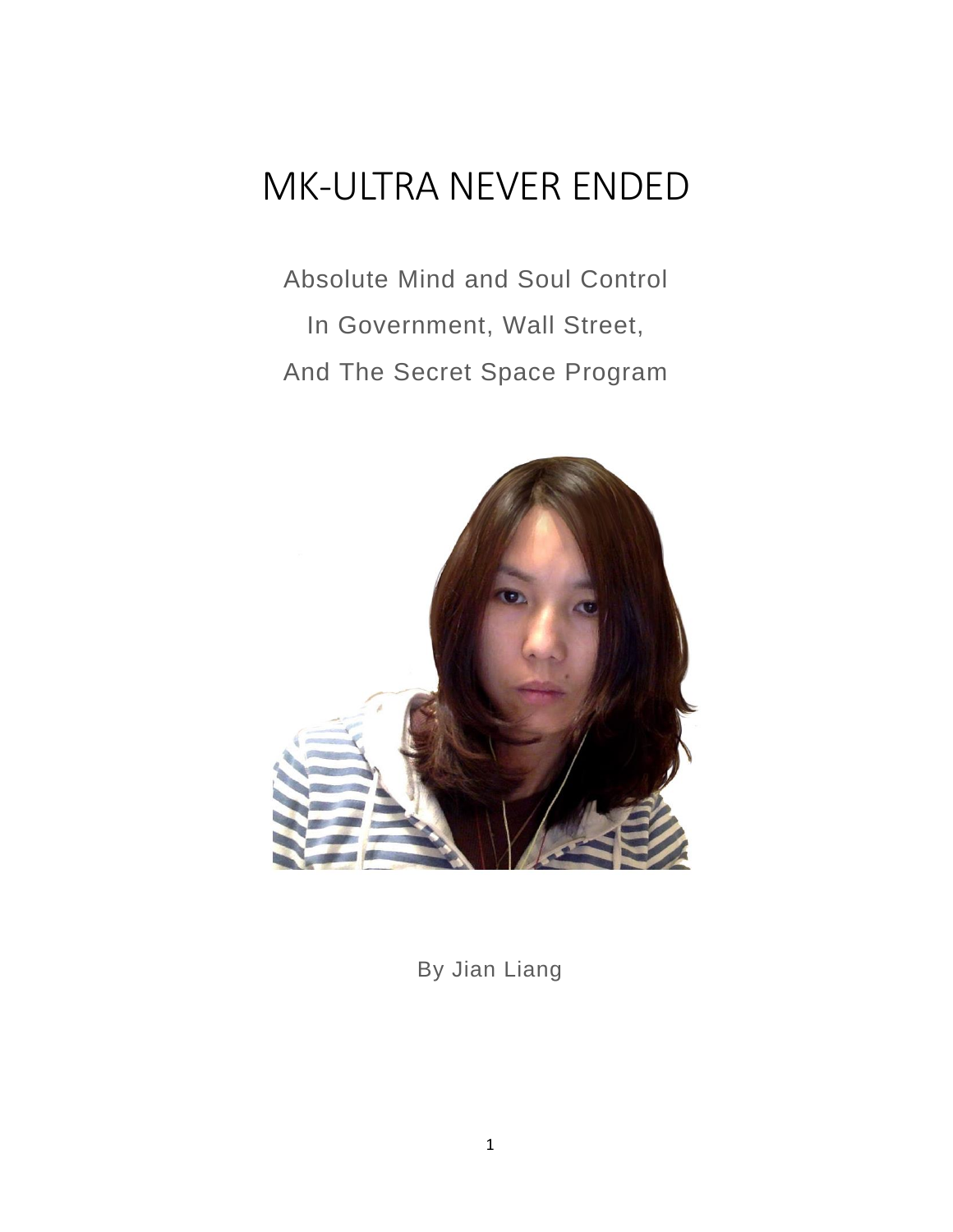# MK-ULTRA NEVER ENDED

Absolute Mind and Soul Control In Government, Wall Street, And The Secret Space Program



By Jian Liang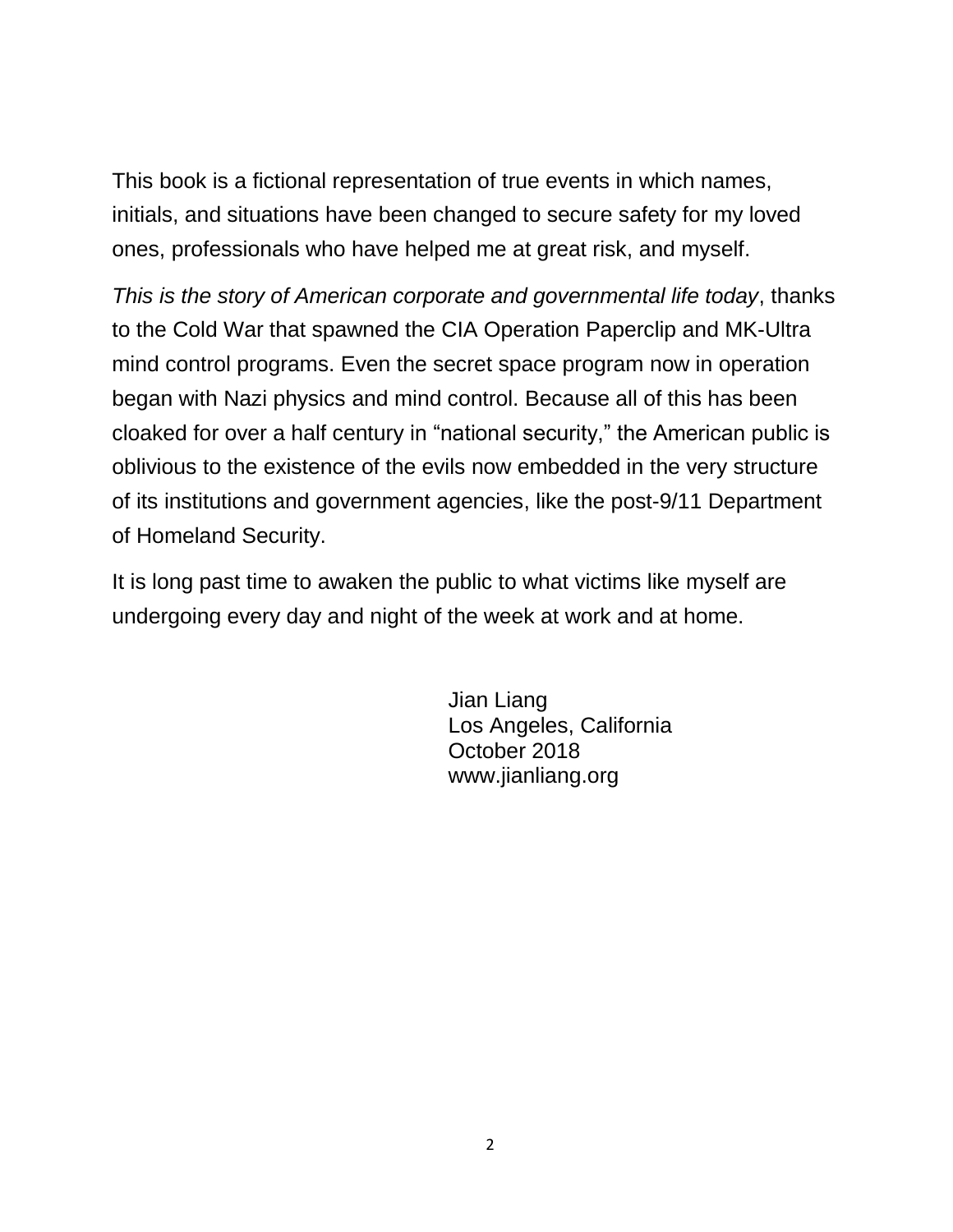This book is a fictional representation of true events in which names, initials, and situations have been changed to secure safety for my loved ones, professionals who have helped me at great risk, and myself.

*This is the story of American corporate and governmental life today*, thanks to the Cold War that spawned the CIA Operation Paperclip and MK-Ultra mind control programs. Even the secret space program now in operation began with Nazi physics and mind control. Because all of this has been cloaked for over a half century in "national security," the American public is oblivious to the existence of the evils now embedded in the very structure of its institutions and government agencies, like the post-9/11 Department of Homeland Security.

It is long past time to awaken the public to what victims like myself are undergoing every day and night of the week at work and at home.

> Jian Liang Los Angeles, California October 2018 www.jianliang.org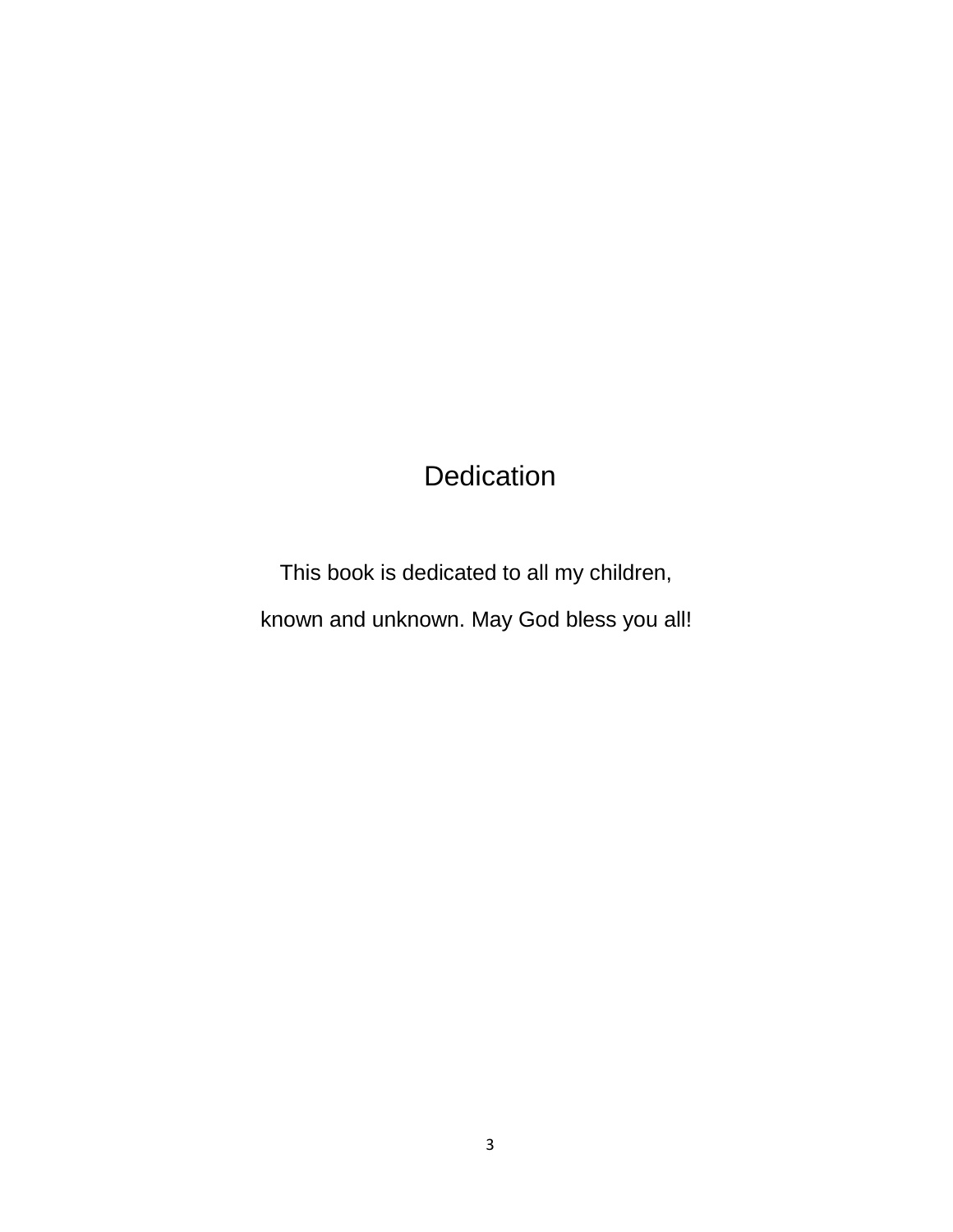# **Dedication**

This book is dedicated to all my children, known and unknown. May God bless you all!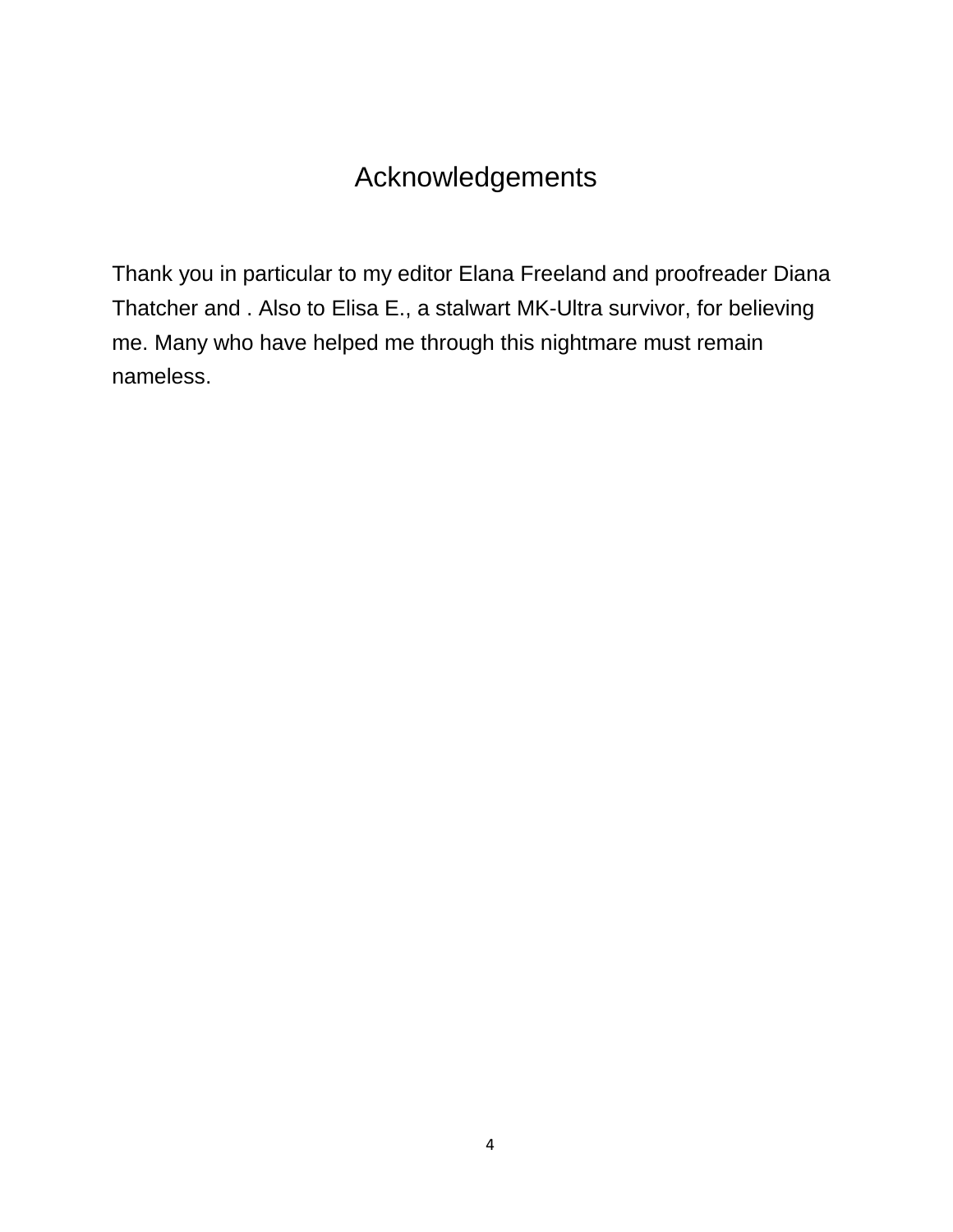# Acknowledgements

Thank you in particular to my editor Elana Freeland and proofreader Diana Thatcher and . Also to Elisa E., a stalwart MK-Ultra survivor, for believing me. Many who have helped me through this nightmare must remain nameless.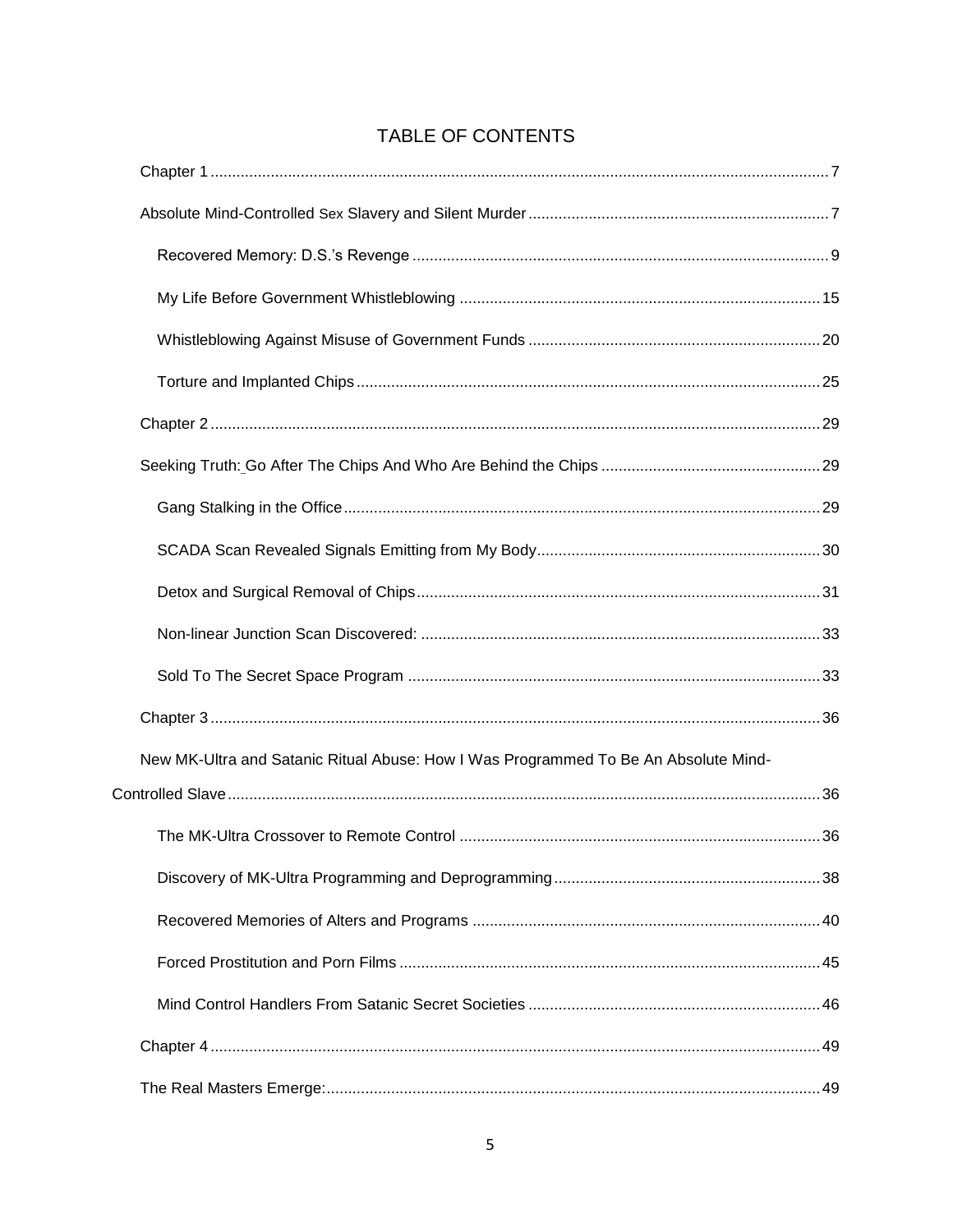### TABLE OF CONTENTS

| New MK-Ultra and Satanic Ritual Abuse: How I Was Programmed To Be An Absolute Mind- |  |
|-------------------------------------------------------------------------------------|--|
|                                                                                     |  |
|                                                                                     |  |
|                                                                                     |  |
|                                                                                     |  |
|                                                                                     |  |
|                                                                                     |  |
|                                                                                     |  |
|                                                                                     |  |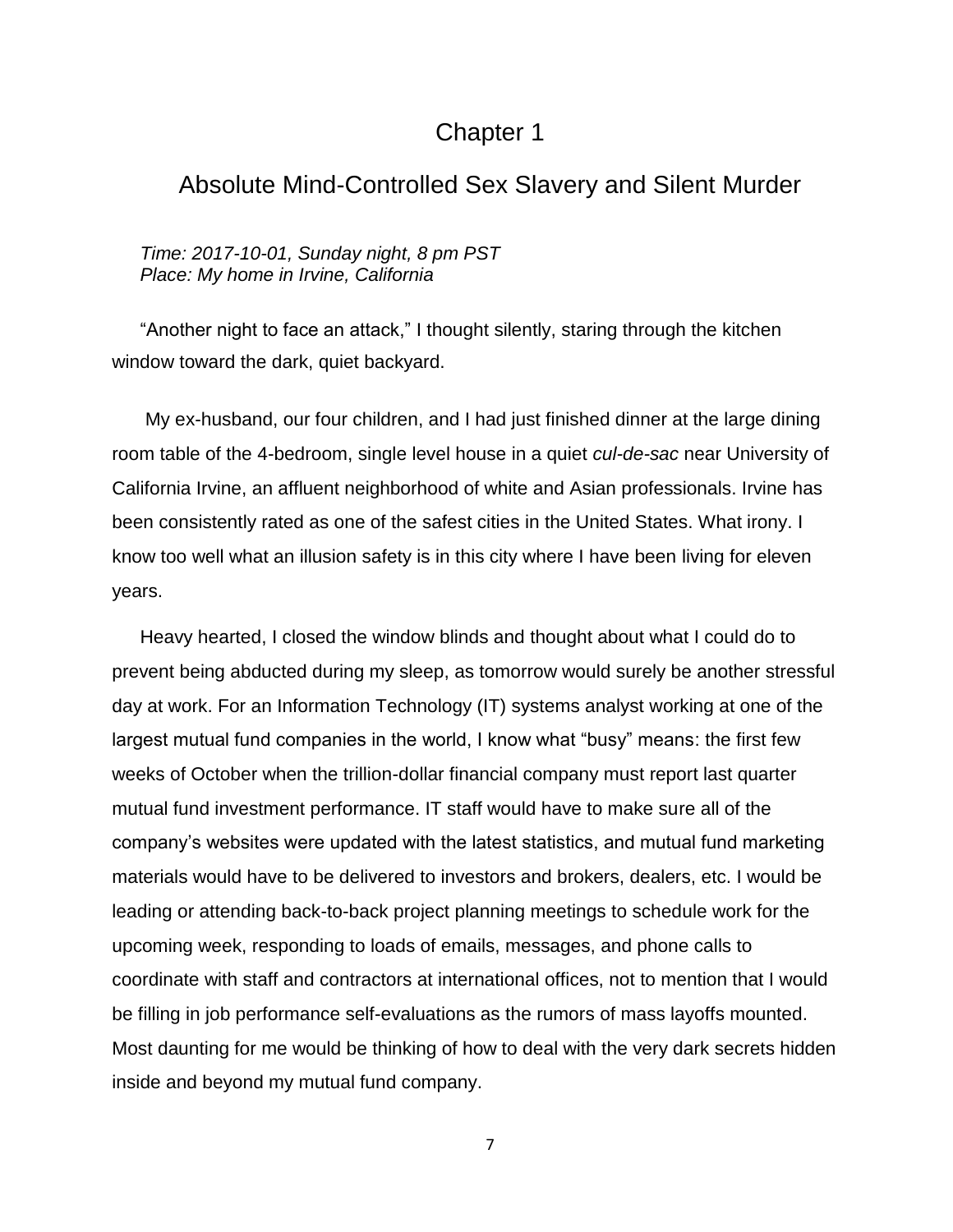# Chapter 1

# <span id="page-6-1"></span><span id="page-6-0"></span>Absolute Mind-Controlled Sex Slavery and Silent Murder

*Time: 2017-10-01, Sunday night, 8 pm PST Place: My home in Irvine, California*

"Another night to face an attack," I thought silently, staring through the kitchen window toward the dark, quiet backyard.

My ex-husband, our four children, and I had just finished dinner at the large dining room table of the 4-bedroom, single level house in a quiet *cul-de-sac* near University of California Irvine, an affluent neighborhood of white and Asian professionals. Irvine has been consistently rated as one of the safest cities in the United States. What irony. I know too well what an illusion safety is in this city where I have been living for eleven years.

Heavy hearted, I closed the window blinds and thought about what I could do to prevent being abducted during my sleep, as tomorrow would surely be another stressful day at work. For an Information Technology (IT) systems analyst working at one of the largest mutual fund companies in the world, I know what "busy" means: the first few weeks of October when the trillion-dollar financial company must report last quarter mutual fund investment performance. IT staff would have to make sure all of the company's websites were updated with the latest statistics, and mutual fund marketing materials would have to be delivered to investors and brokers, dealers, etc. I would be leading or attending back-to-back project planning meetings to schedule work for the upcoming week, responding to loads of emails, messages, and phone calls to coordinate with staff and contractors at international offices, not to mention that I would be filling in job performance self-evaluations as the rumors of mass layoffs mounted. Most daunting for me would be thinking of how to deal with the very dark secrets hidden inside and beyond my mutual fund company.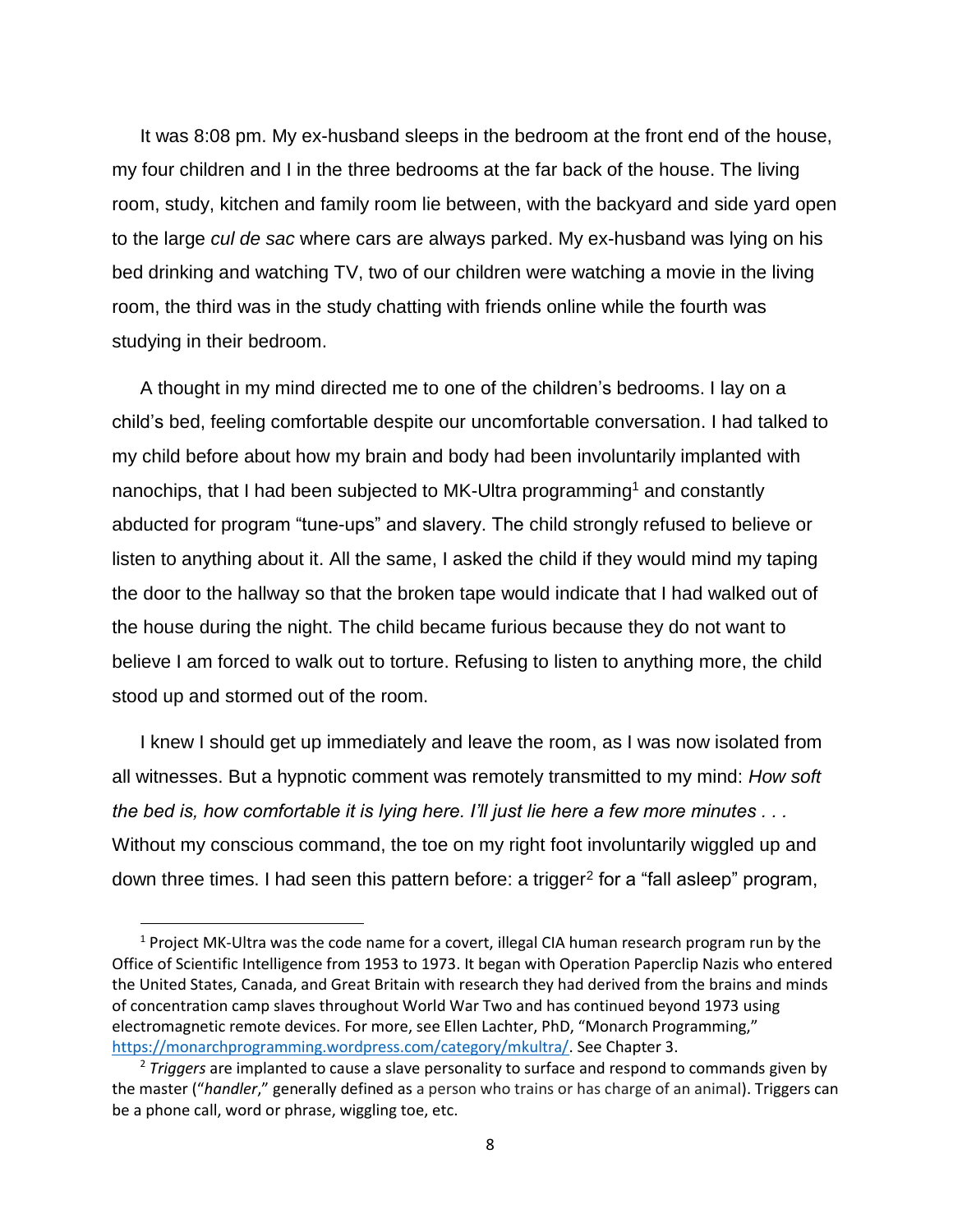It was 8:08 pm. My ex-husband sleeps in the bedroom at the front end of the house, my four children and I in the three bedrooms at the far back of the house. The living room, study, kitchen and family room lie between, with the backyard and side yard open to the large *cul de sac* where cars are always parked. My ex-husband was lying on his bed drinking and watching TV, two of our children were watching a movie in the living room, the third was in the study chatting with friends online while the fourth was studying in their bedroom.

A thought in my mind directed me to one of the children's bedrooms. I lay on a child's bed, feeling comfortable despite our uncomfortable conversation. I had talked to my child before about how my brain and body had been involuntarily implanted with nanochips, that I had been subjected to MK-Ultra programming<sup>1</sup> and constantly abducted for program "tune-ups" and slavery. The child strongly refused to believe or listen to anything about it. All the same, I asked the child if they would mind my taping the door to the hallway so that the broken tape would indicate that I had walked out of the house during the night. The child became furious because they do not want to believe I am forced to walk out to torture. Refusing to listen to anything more, the child stood up and stormed out of the room.

I knew I should get up immediately and leave the room, as I was now isolated from all witnesses. But a hypnotic comment was remotely transmitted to my mind: *How soft the bed is, how comfortable it is lying here. I'll just lie here a few more minutes . . .*  Without my conscious command, the toe on my right foot involuntarily wiggled up and down three times. I had seen this pattern before: a trigger<sup>2</sup> for a "fall asleep" program,

l

 $1$  Project MK-Ultra was the code name for a covert, illegal CIA human research program run by the Office of Scientific Intelligence from 1953 to 1973. It began with Operation Paperclip Nazis who entered the United States, Canada, and Great Britain with research they had derived from the brains and minds of concentration camp slaves throughout World War Two and has continued beyond 1973 using electromagnetic remote devices. For more, see Ellen Lachter, PhD, "Monarch Programming," [https://monarchprogramming.wordpress.com/category/mkultra/.](https://monarchprogramming.wordpress.com/category/mkultra/) See Chapter 3.

<sup>2</sup> *Triggers* are implanted to cause a slave personality to surface and respond to commands given by the master ("*handler*," generally defined as a person who trains or has charge of an animal). Triggers can be a phone call, word or phrase, wiggling toe, etc.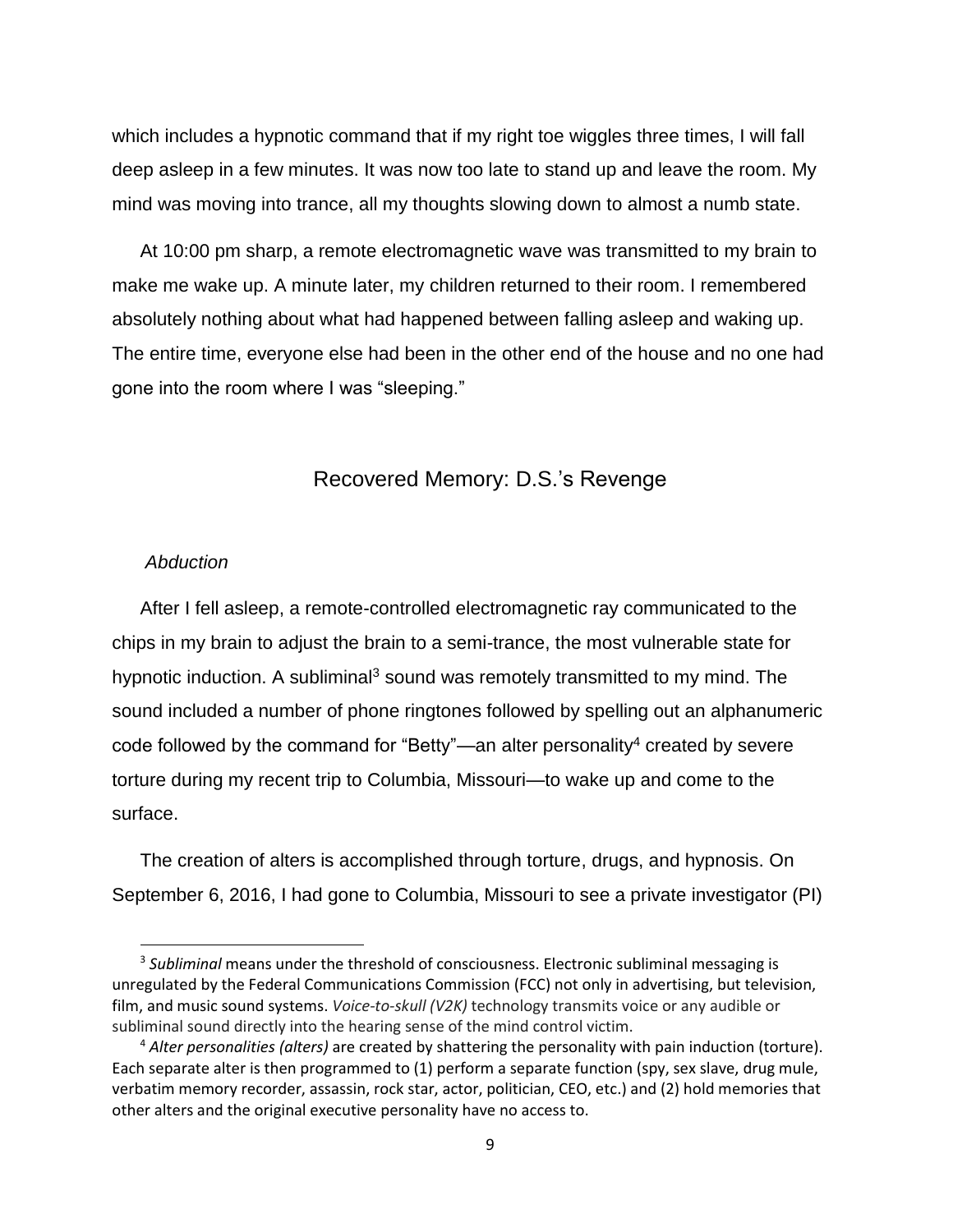which includes a hypnotic command that if my right toe wiggles three times, I will fall deep asleep in a few minutes. It was now too late to stand up and leave the room. My mind was moving into trance, all my thoughts slowing down to almost a numb state.

At 10:00 pm sharp, a remote electromagnetic wave was transmitted to my brain to make me wake up. A minute later, my children returned to their room. I remembered absolutely nothing about what had happened between falling asleep and waking up. The entire time, everyone else had been in the other end of the house and no one had gone into the room where I was "sleeping."

### Recovered Memory: D.S.'s Revenge

#### <span id="page-8-0"></span>*Abduction*

 $\overline{a}$ 

After I fell asleep, a remote-controlled electromagnetic ray communicated to the chips in my brain to adjust the brain to a semi-trance, the most vulnerable state for hypnotic induction. A subliminal<sup>3</sup> sound was remotely transmitted to my mind. The sound included a number of phone ringtones followed by spelling out an alphanumeric code followed by the command for "Betty"—an alter personality<sup>4</sup> created by severe torture during my recent trip to Columbia, Missouri—to wake up and come to the surface.

The creation of alters is accomplished through torture, drugs, and hypnosis. On September 6, 2016, I had gone to Columbia, Missouri to see a private investigator (PI)

<sup>3</sup> *Subliminal* means under the threshold of consciousness. Electronic subliminal messaging is unregulated by the Federal Communications Commission (FCC) not only in advertising, but television, film, and music sound systems. *Voice-to-skull (V2K)* technology transmits voice or any audible or subliminal sound directly into the hearing sense of the mind control victim.

<sup>4</sup> *Alter personalities (alters)* are created by shattering the personality with pain induction (torture). Each separate alter is then programmed to (1) perform a separate function (spy, sex slave, drug mule, verbatim memory recorder, assassin, rock star, actor, politician, CEO, etc.) and (2) hold memories that other alters and the original executive personality have no access to.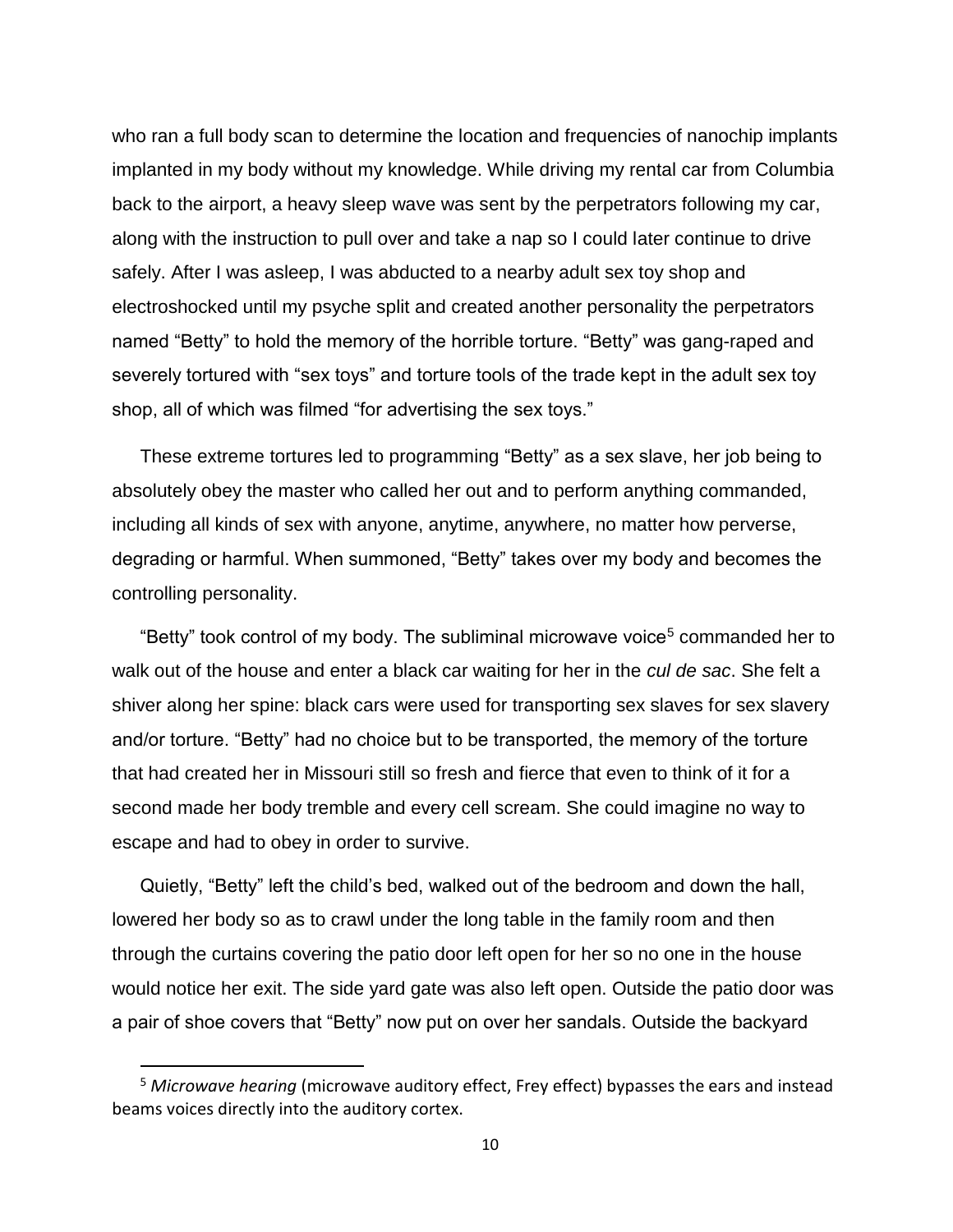who ran a full body scan to determine the location and frequencies of nanochip implants implanted in my body without my knowledge. While driving my rental car from Columbia back to the airport, a heavy sleep wave was sent by the perpetrators following my car, along with the instruction to pull over and take a nap so I could later continue to drive safely. After I was asleep, I was abducted to a nearby adult sex toy shop and electroshocked until my psyche split and created another personality the perpetrators named "Betty" to hold the memory of the horrible torture. "Betty" was gang-raped and severely tortured with "sex toys" and torture tools of the trade kept in the adult sex toy shop, all of which was filmed "for advertising the sex toys."

These extreme tortures led to programming "Betty" as a sex slave, her job being to absolutely obey the master who called her out and to perform anything commanded, including all kinds of sex with anyone, anytime, anywhere, no matter how perverse, degrading or harmful. When summoned, "Betty" takes over my body and becomes the controlling personality.

"Betty" took control of my body. The subliminal microwave voice<sup>5</sup> commanded her to walk out of the house and enter a black car waiting for her in the *cul de sac*. She felt a shiver along her spine: black cars were used for transporting sex slaves for sex slavery and/or torture. "Betty" had no choice but to be transported, the memory of the torture that had created her in Missouri still so fresh and fierce that even to think of it for a second made her body tremble and every cell scream. She could imagine no way to escape and had to obey in order to survive.

Quietly, "Betty" left the child's bed, walked out of the bedroom and down the hall, lowered her body so as to crawl under the long table in the family room and then through the curtains covering the patio door left open for her so no one in the house would notice her exit. The side yard gate was also left open. Outside the patio door was a pair of shoe covers that "Betty" now put on over her sandals. Outside the backyard

<sup>5</sup> *Microwave hearing* (microwave auditory effect, Frey effect) bypasses the ears and instead beams voices directly into the auditory cortex.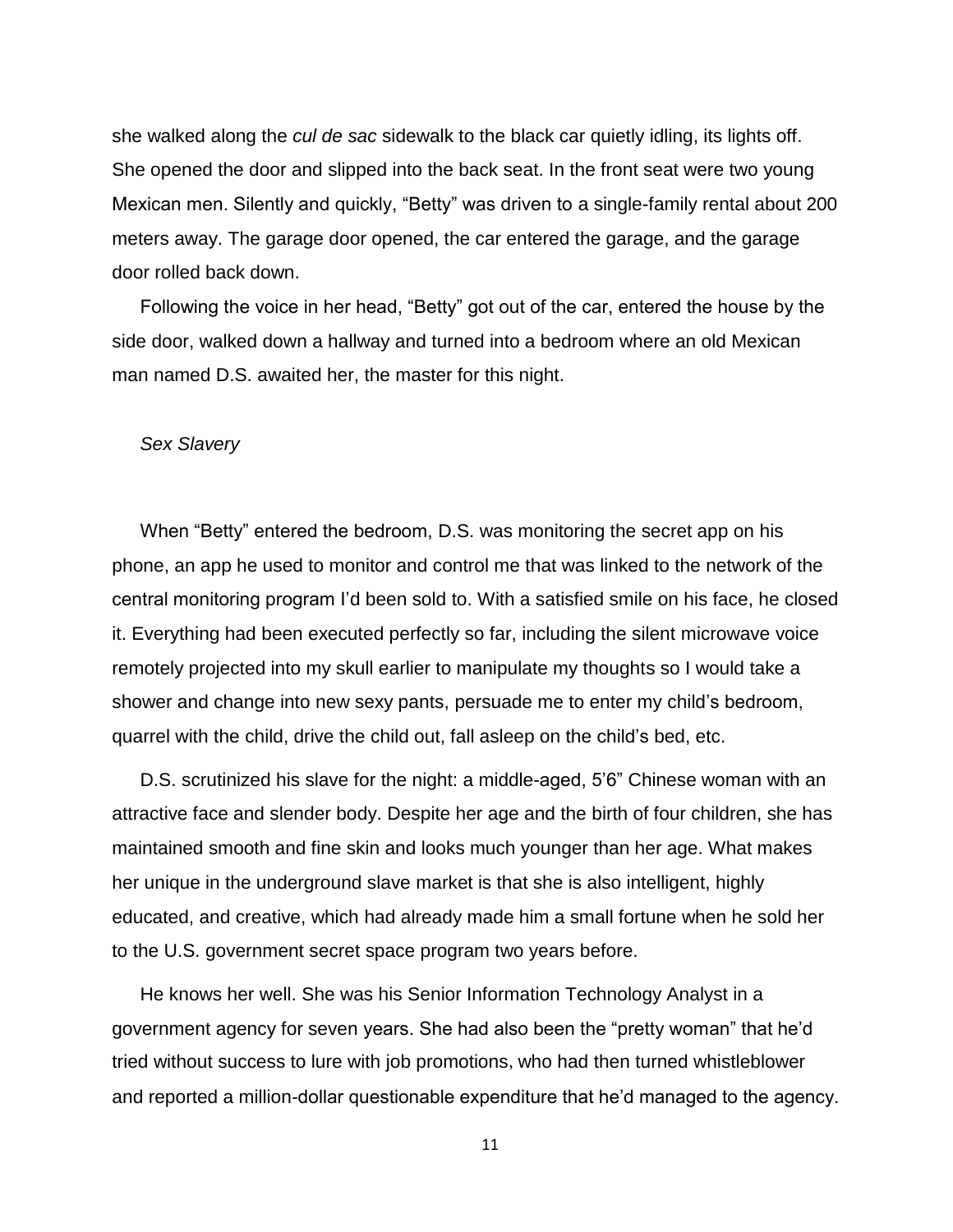she walked along the *cul de sac* sidewalk to the black car quietly idling, its lights off. She opened the door and slipped into the back seat. In the front seat were two young Mexican men. Silently and quickly, "Betty" was driven to a single-family rental about 200 meters away. The garage door opened, the car entered the garage, and the garage door rolled back down.

Following the voice in her head, "Betty" got out of the car, entered the house by the side door, walked down a hallway and turned into a bedroom where an old Mexican man named D.S. awaited her, the master for this night.

#### *Sex Slavery*

When "Betty" entered the bedroom, D.S. was monitoring the secret app on his phone, an app he used to monitor and control me that was linked to the network of the central monitoring program I'd been sold to. With a satisfied smile on his face, he closed it. Everything had been executed perfectly so far, including the silent microwave voice remotely projected into my skull earlier to manipulate my thoughts so I would take a shower and change into new sexy pants, persuade me to enter my child's bedroom, quarrel with the child, drive the child out, fall asleep on the child's bed, etc.

D.S. scrutinized his slave for the night: a middle-aged, 5'6" Chinese woman with an attractive face and slender body. Despite her age and the birth of four children, she has maintained smooth and fine skin and looks much younger than her age. What makes her unique in the underground slave market is that she is also intelligent, highly educated, and creative, which had already made him a small fortune when he sold her to the U.S. government secret space program two years before.

He knows her well. She was his Senior Information Technology Analyst in a government agency for seven years. She had also been the "pretty woman" that he'd tried without success to lure with job promotions,who had then turned whistleblower and reported a million-dollar questionable expenditure that he'd managed to the agency.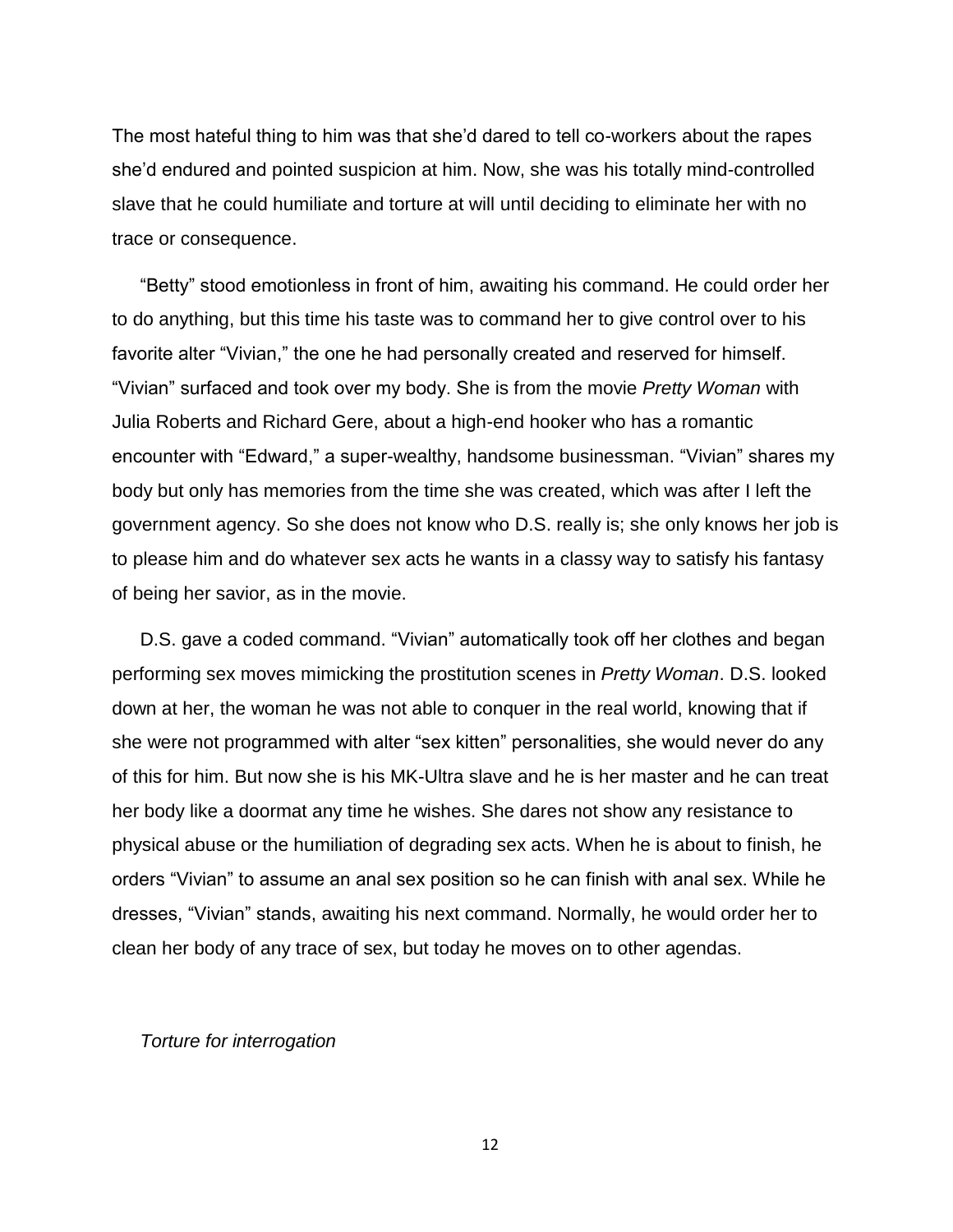The most hateful thing to him was that she'd dared to tell co-workers about the rapes she'd endured and pointed suspicion at him. Now, she was his totally mind-controlled slave that he could humiliate and torture at will until deciding to eliminate her with no trace or consequence.

"Betty" stood emotionless in front of him, awaiting his command. He could order her to do anything, but this time his taste was to command her to give control over to his favorite alter "Vivian," the one he had personally created and reserved for himself. "Vivian" surfaced and took over my body. She is from the movie *Pretty Woman* with Julia Roberts and Richard Gere, about a high-end hooker who has a romantic encounter with "Edward," a super-wealthy, handsome businessman. "Vivian" shares my body but only has memories from the time she was created, which was after I left the government agency. So she does not know who D.S. really is; she only knows her job is to please him and do whatever sex acts he wants in a classy way to satisfy his fantasy of being her savior, as in the movie.

D.S. gave a coded command. "Vivian" automatically took off her clothes and began performing sex moves mimicking the prostitution scenes in *Pretty Woman*. D.S. looked down at her, the woman he was not able to conquer in the real world, knowing that if she were not programmed with alter "sex kitten" personalities, she would never do any of this for him. But now she is his MK-Ultra slave and he is her master and he can treat her body like a doormat any time he wishes. She dares not show any resistance to physical abuse or the humiliation of degrading sex acts. When he is about to finish, he orders "Vivian" to assume an anal sex position so he can finish with anal sex. While he dresses, "Vivian" stands, awaiting his next command. Normally, he would order her to clean her body of any trace of sex, but today he moves on to other agendas.

#### *Torture for interrogation*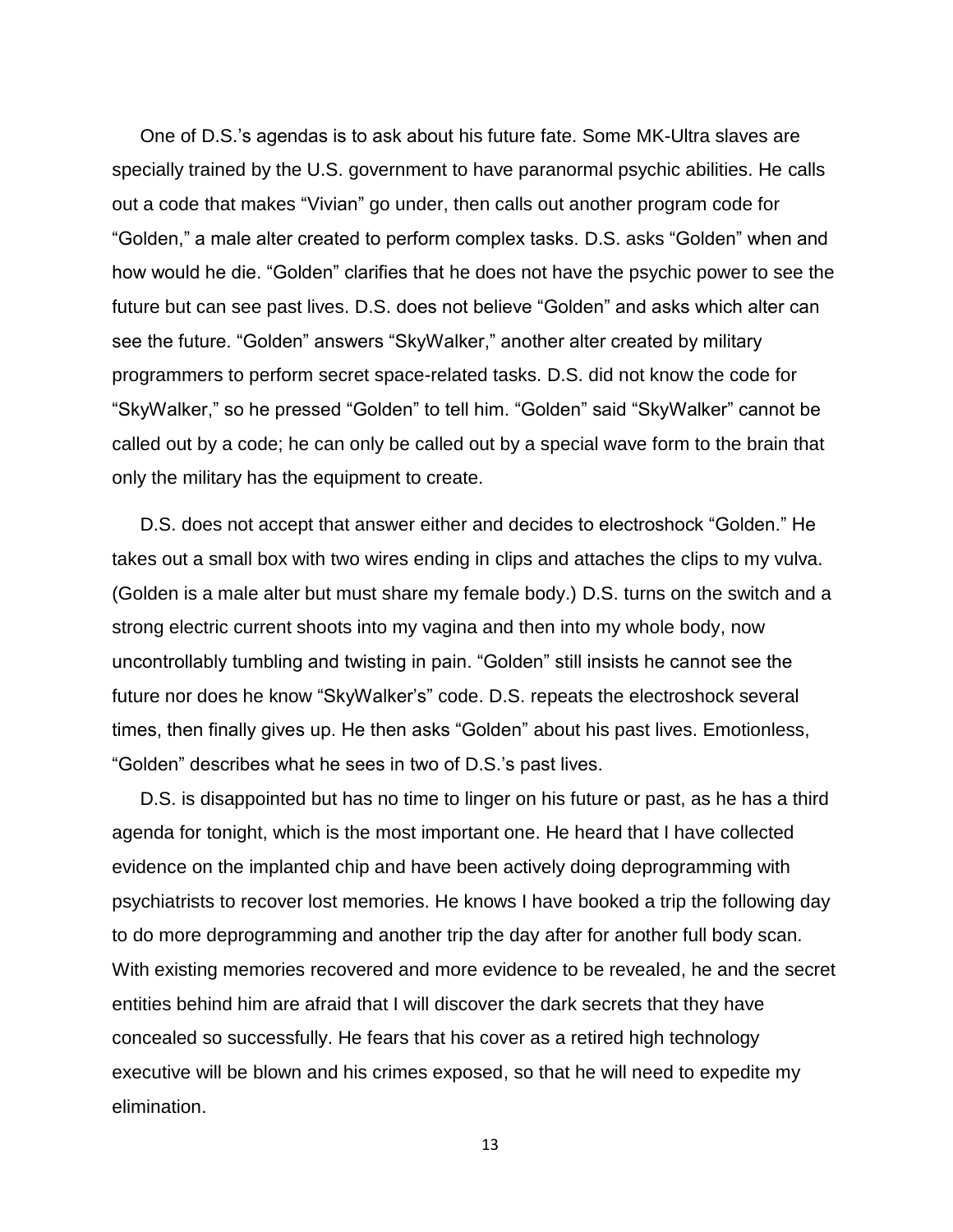One of D.S.'s agendas is to ask about his future fate. Some MK-Ultra slaves are specially trained by the U.S. government to have paranormal psychic abilities. He calls out a code that makes "Vivian" go under, then calls out another program code for "Golden," a male alter created to perform complex tasks. D.S. asks "Golden" when and how would he die. "Golden" clarifies that he does not have the psychic power to see the future but can see past lives. D.S. does not believe "Golden" and asks which alter can see the future. "Golden" answers "SkyWalker," another alter created by military programmers to perform secret space-related tasks. D.S. did not know the code for "SkyWalker," so he pressed "Golden" to tell him. "Golden" said "SkyWalker" cannot be called out by a code; he can only be called out by a special wave form to the brain that only the military has the equipment to create.

D.S. does not accept that answer either and decides to electroshock "Golden." He takes out a small box with two wires ending in clips and attaches the clips to my vulva. (Golden is a male alter but must share my female body.) D.S. turns on the switch and a strong electric current shoots into my vagina and then into my whole body, now uncontrollably tumbling and twisting in pain. "Golden" still insists he cannot see the future nor does he know "SkyWalker's" code. D.S. repeats the electroshock several times, then finally gives up. He then asks "Golden" about his past lives. Emotionless, "Golden" describes what he sees in two of D.S.'s past lives.

D.S. is disappointed but has no time to linger on his future or past, as he has a third agenda for tonight, which is the most important one. He heard that I have collected evidence on the implanted chip and have been actively doing deprogramming with psychiatrists to recover lost memories. He knows I have booked a trip the following day to do more deprogramming and another trip the day after for another full body scan. With existing memories recovered and more evidence to be revealed, he and the secret entities behind him are afraid that I will discover the dark secrets that they have concealed so successfully. He fears that his cover as a retired high technology executive will be blown and his crimes exposed, so that he will need to expedite my elimination.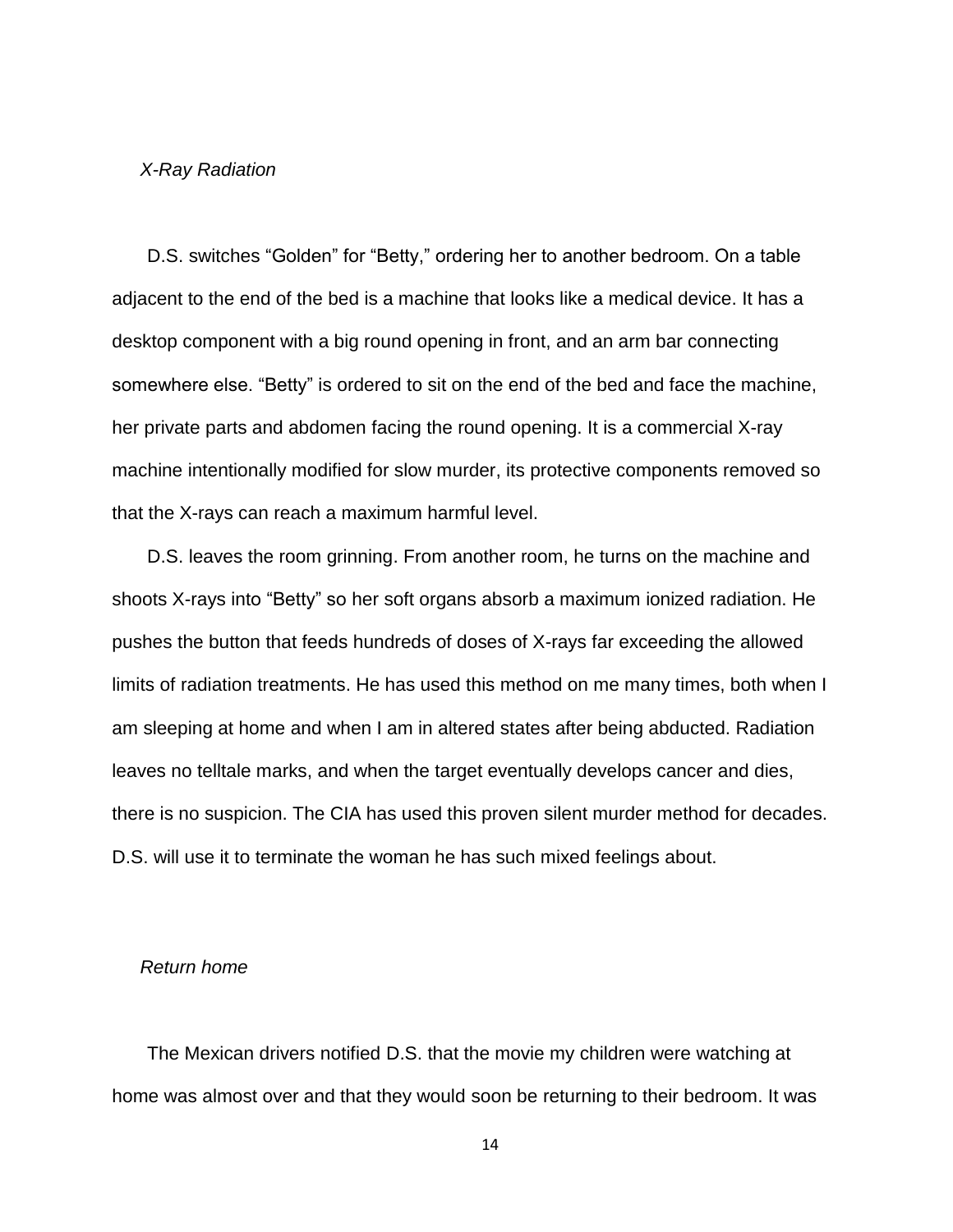#### *X-Ray Radiation*

D.S. switches "Golden" for "Betty," ordering her to another bedroom. On a table adjacent to the end of the bed is a machine that looks like a medical device. It has a desktop component with a big round opening in front, and an arm bar connecting somewhere else. "Betty" is ordered to sit on the end of the bed and face the machine, her private parts and abdomen facing the round opening. It is a commercial X-ray machine intentionally modified for slow murder, its protective components removed so that the X-rays can reach a maximum harmful level.

D.S. leaves the room grinning. From another room, he turns on the machine and shoots X-rays into "Betty" so her soft organs absorb a maximum ionized radiation. He pushes the button that feeds hundreds of doses of X-rays far exceeding the allowed limits of radiation treatments. He has used this method on me many times, both when I am sleeping at home and when I am in altered states after being abducted. Radiation leaves no telltale marks, and when the target eventually develops cancer and dies, there is no suspicion. The CIA has used this proven silent murder method for decades. D.S. will use it to terminate the woman he has such mixed feelings about.

#### *Return home*

The Mexican drivers notified D.S. that the movie my children were watching at home was almost over and that they would soon be returning to their bedroom. It was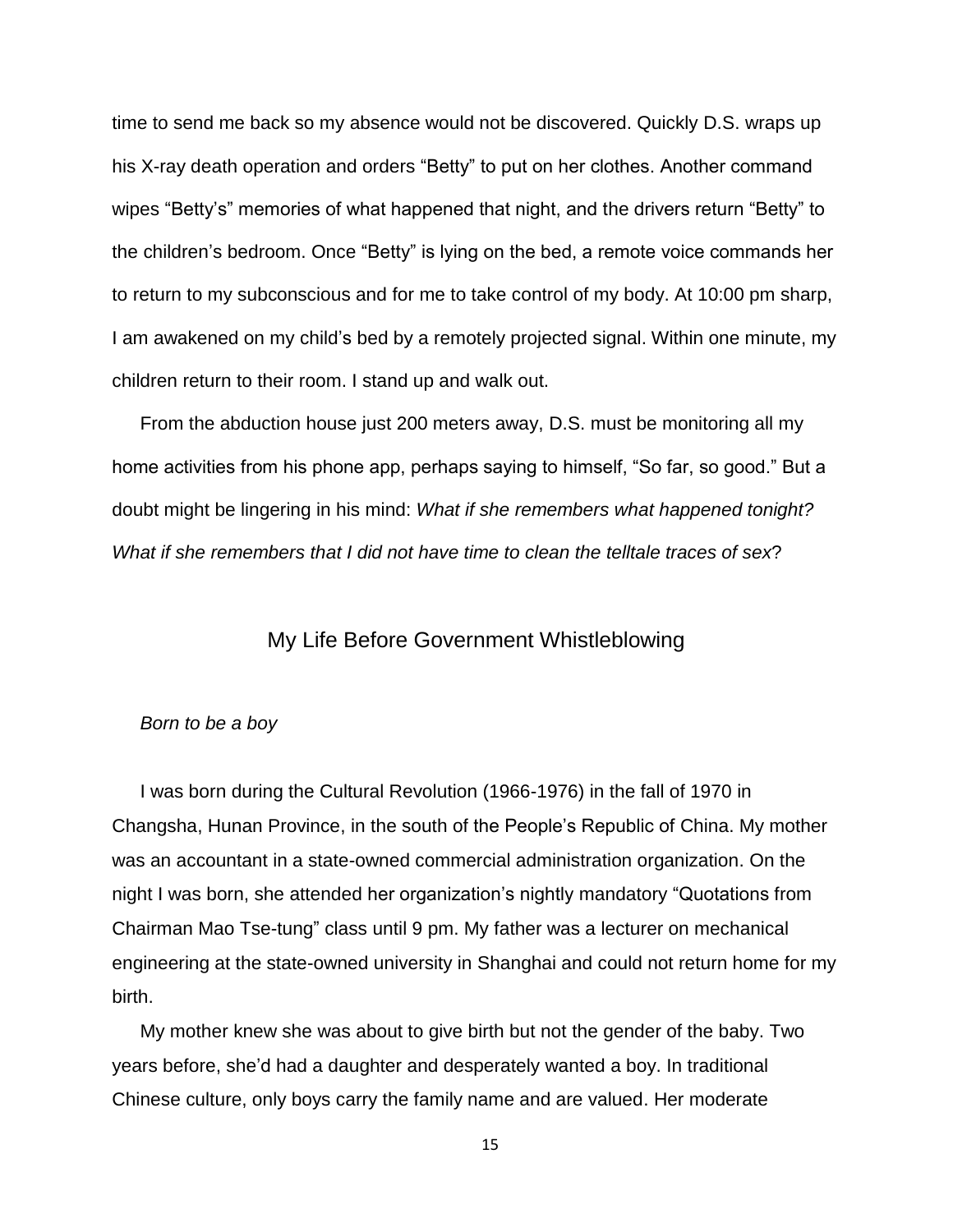time to send me back so my absence would not be discovered. Quickly D.S. wraps up his X-ray death operation and orders "Betty" to put on her clothes. Another command wipes "Betty's" memories of what happened that night, and the drivers return "Betty" to the children's bedroom. Once "Betty" is lying on the bed, a remote voice commands her to return to my subconscious and for me to take control of my body. At 10:00 pm sharp, I am awakened on my child's bed by a remotely projected signal. Within one minute, my children return to their room. I stand up and walk out.

From the abduction house just 200 meters away, D.S. must be monitoring all my home activities from his phone app, perhaps saying to himself, "So far, so good." But a doubt might be lingering in his mind: *What if she remembers what happened tonight? What if she remembers that I did not have time to clean the telltale traces of sex*?

### My Life Before Government Whistleblowing

#### <span id="page-14-0"></span>*Born to be a boy*

I was born during the Cultural Revolution (1966-1976) in the fall of 1970 in Changsha, Hunan Province, in the south of the People's Republic of China. My mother was an accountant in a state-owned commercial administration organization. On the night I was born, she attended her organization's nightly mandatory "Quotations from Chairman Mao Tse-tung" class until 9 pm. My father was a lecturer on mechanical engineering at the state-owned university in Shanghai and could not return home for my birth.

My mother knew she was about to give birth but not the gender of the baby. Two years before, she'd had a daughter and desperately wanted a boy. In traditional Chinese culture, only boys carry the family name and are valued. Her moderate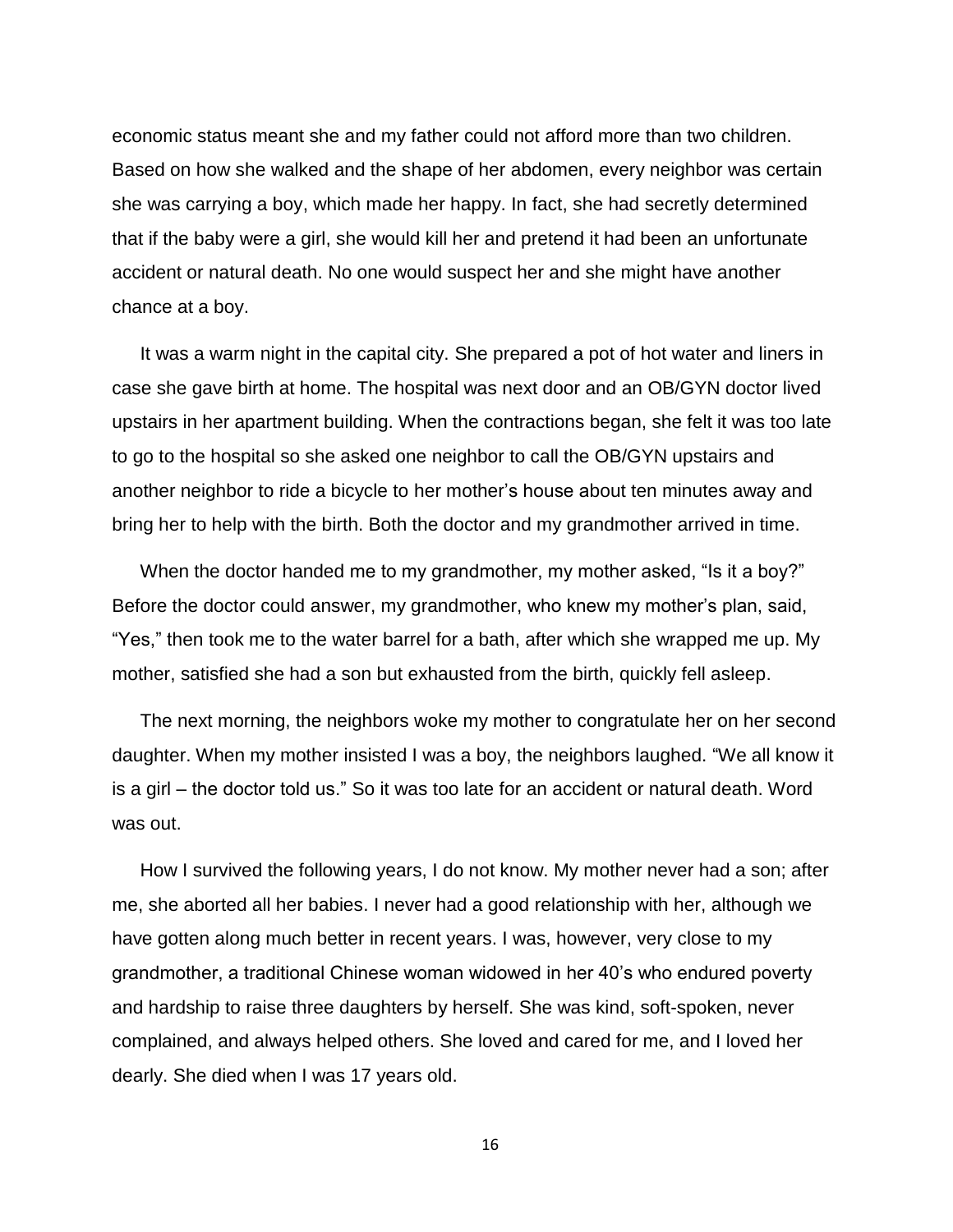economic status meant she and my father could not afford more than two children. Based on how she walked and the shape of her abdomen, every neighbor was certain she was carrying a boy, which made her happy. In fact, she had secretly determined that if the baby were a girl, she would kill her and pretend it had been an unfortunate accident or natural death. No one would suspect her and she might have another chance at a boy.

It was a warm night in the capital city. She prepared a pot of hot water and liners in case she gave birth at home. The hospital was next door and an OB/GYN doctor lived upstairs in her apartment building. When the contractions began, she felt it was too late to go to the hospital so she asked one neighbor to call the OB/GYN upstairs and another neighbor to ride a bicycle to her mother's house about ten minutes away and bring her to help with the birth. Both the doctor and my grandmother arrived in time.

When the doctor handed me to my grandmother, my mother asked, "Is it a boy?" Before the doctor could answer, my grandmother, who knew my mother's plan, said, "Yes," then took me to the water barrel for a bath, after which she wrapped me up. My mother, satisfied she had a son but exhausted from the birth, quickly fell asleep.

The next morning, the neighbors woke my mother to congratulate her on her second daughter. When my mother insisted I was a boy, the neighbors laughed. "We all know it is a girl – the doctor told us." So it was too late for an accident or natural death. Word was out.

How I survived the following years, I do not know. My mother never had a son; after me, she aborted all her babies. I never had a good relationship with her, although we have gotten along much better in recent years. I was, however, very close to my grandmother, a traditional Chinese woman widowed in her 40's who endured poverty and hardship to raise three daughters by herself. She was kind, soft-spoken, never complained, and always helped others. She loved and cared for me, and I loved her dearly. She died when I was 17 years old.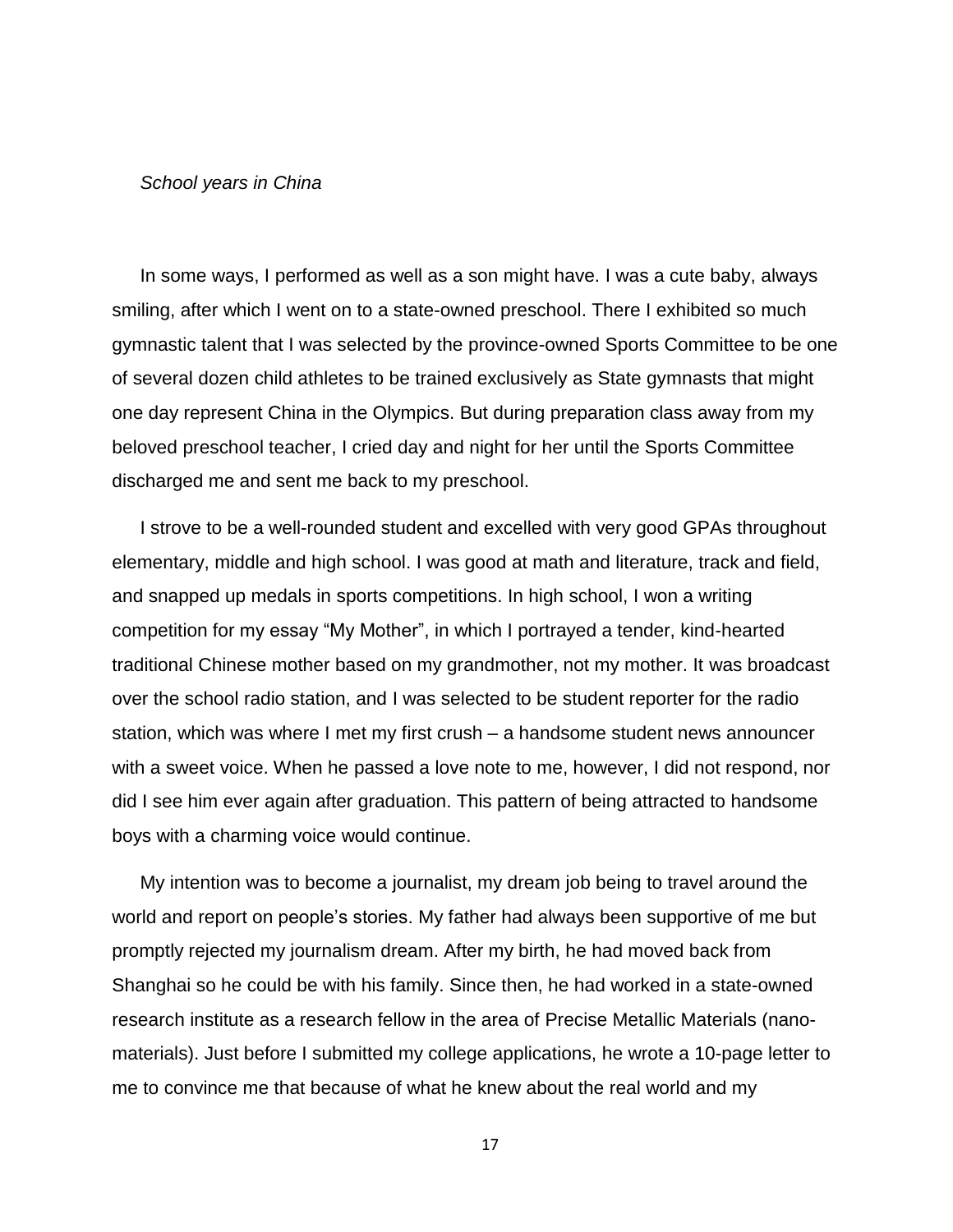#### *School years in China*

In some ways, I performed as well as a son might have. I was a cute baby, always smiling, after which I went on to a state-owned preschool. There I exhibited so much gymnastic talent that I was selected by the province-owned Sports Committee to be one of several dozen child athletes to be trained exclusively as State gymnasts that might one day represent China in the Olympics. But during preparation class away from my beloved preschool teacher, I cried day and night for her until the Sports Committee discharged me and sent me back to my preschool.

I strove to be a well-rounded student and excelled with very good GPAs throughout elementary, middle and high school. I was good at math and literature, track and field, and snapped up medals in sports competitions. In high school, I won a writing competition for my essay "My Mother", in which I portrayed a tender, kind-hearted traditional Chinese mother based on my grandmother, not my mother. It was broadcast over the school radio station, and I was selected to be student reporter for the radio station, which was where I met my first crush – a handsome student news announcer with a sweet voice. When he passed a love note to me, however, I did not respond, nor did I see him ever again after graduation. This pattern of being attracted to handsome boys with a charming voice would continue.

My intention was to become a journalist, my dream job being to travel around the world and report on people's stories. My father had always been supportive of me but promptly rejected my journalism dream. After my birth, he had moved back from Shanghai so he could be with his family. Since then, he had worked in a state-owned research institute as a research fellow in the area of Precise Metallic Materials (nanomaterials). Just before I submitted my college applications, he wrote a 10-page letter to me to convince me that because of what he knew about the real world and my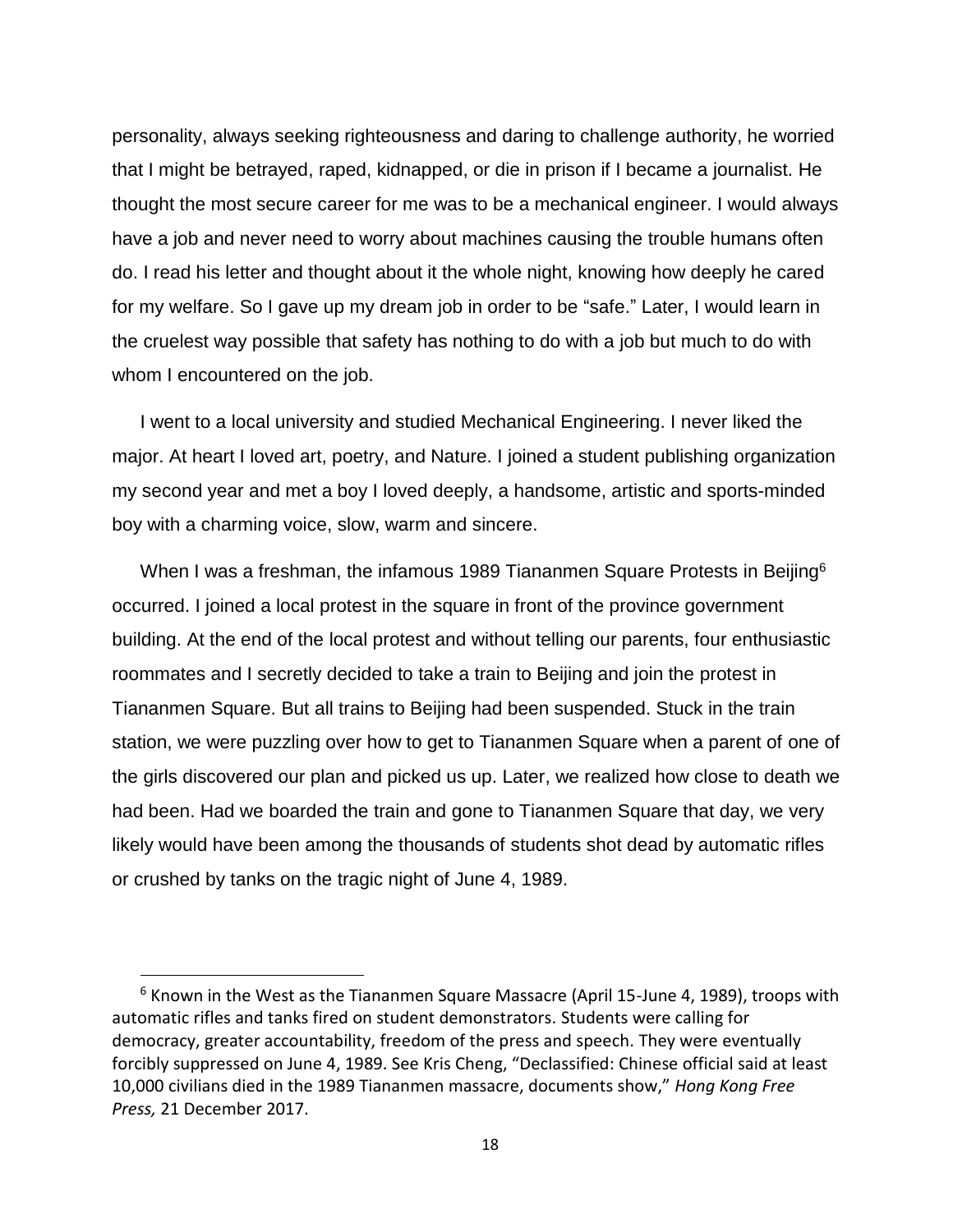personality, always seeking righteousness and daring to challenge authority, he worried that I might be betrayed, raped, kidnapped, or die in prison if I became a journalist. He thought the most secure career for me was to be a mechanical engineer. I would always have a job and never need to worry about machines causing the trouble humans often do. I read his letter and thought about it the whole night, knowing how deeply he cared for my welfare. So I gave up my dream job in order to be "safe." Later, I would learn in the cruelest way possible that safety has nothing to do with a job but much to do with whom I encountered on the job.

I went to a local university and studied Mechanical Engineering. I never liked the major. At heart I loved art, poetry, and Nature. I joined a student publishing organization my second year and met a boy I loved deeply, a handsome, artistic and sports-minded boy with a charming voice, slow, warm and sincere.

When I was a freshman, the infamous 1989 Tiananmen Square Protests in Beijing<sup>6</sup> occurred. I joined a local protest in the square in front of the province government building. At the end of the local protest and without telling our parents, four enthusiastic roommates and I secretly decided to take a train to Beijing and join the protest in Tiananmen Square. But all trains to Beijing had been suspended. Stuck in the train station, we were puzzling over how to get to Tiananmen Square when a parent of one of the girls discovered our plan and picked us up. Later, we realized how close to death we had been. Had we boarded the train and gone to Tiananmen Square that day, we very likely would have been among the thousands of students shot dead by automatic rifles or crushed by tanks on the tragic night of June 4, 1989.

l

 $6$  Known in the West as the Tiananmen Square Massacre (April 15-June 4, 1989), troops with automatic rifles and tanks fired on student demonstrators. Students were calling for democracy, greater accountability, freedom of the press and speech. They were eventually forcibly suppressed on June 4, 1989. See Kris Cheng, "Declassified: Chinese official said at least 10,000 civilians died in the 1989 Tiananmen massacre, documents show," *Hong Kong Free Press,* 21 December 2017.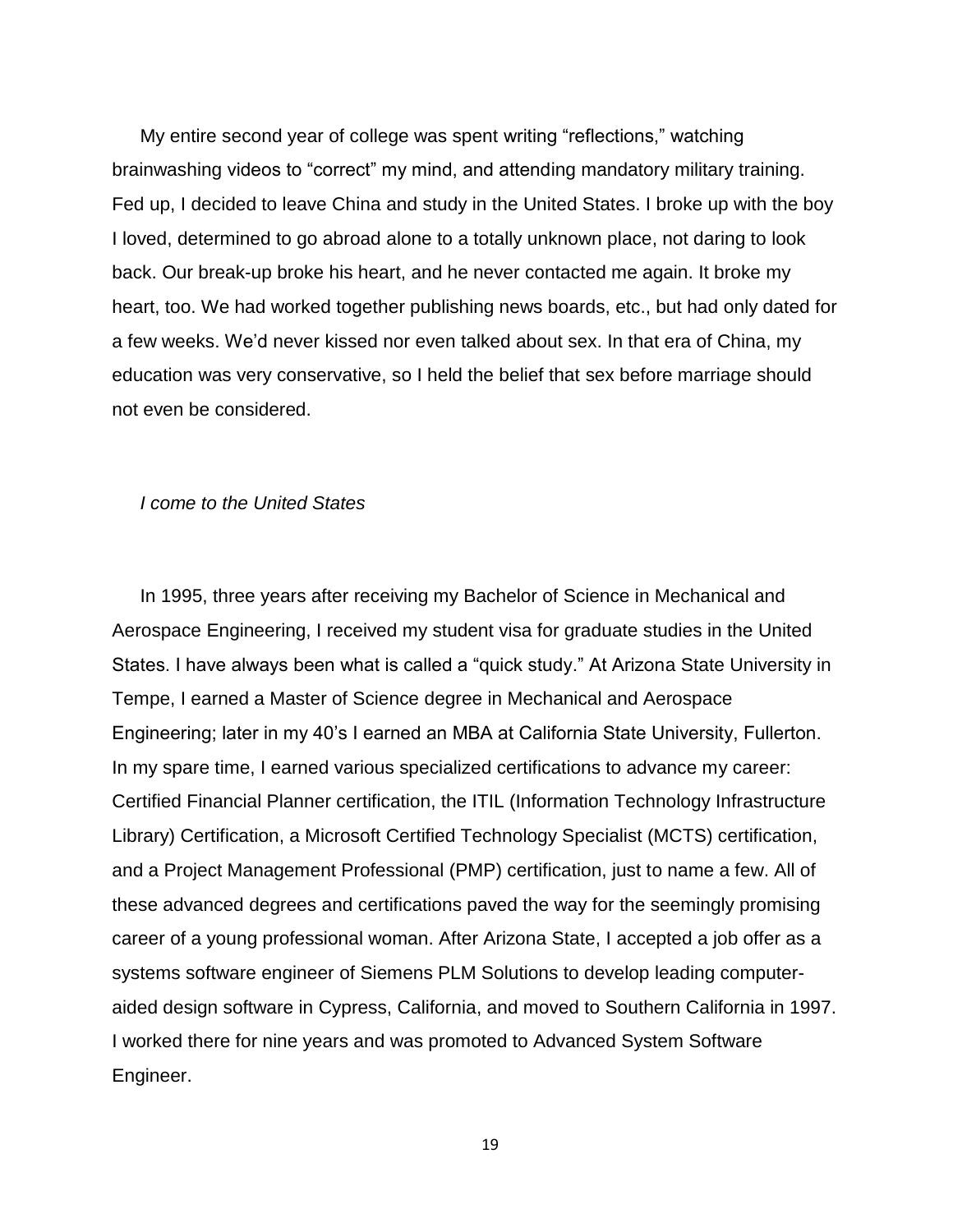My entire second year of college was spent writing "reflections," watching brainwashing videos to "correct" my mind, and attending mandatory military training. Fed up, I decided to leave China and study in the United States. I broke up with the boy I loved, determined to go abroad alone to a totally unknown place, not daring to look back. Our break-up broke his heart, and he never contacted me again. It broke my heart, too. We had worked together publishing news boards, etc., but had only dated for a few weeks. We'd never kissed nor even talked about sex. In that era of China, my education was very conservative, so I held the belief that sex before marriage should not even be considered.

#### *I come to the United States*

In 1995, three years after receiving my Bachelor of Science in Mechanical and Aerospace Engineering, I received my student visa for graduate studies in the United States. I have always been what is called a "quick study." At Arizona State University in Tempe, I earned a Master of Science degree in Mechanical and Aerospace Engineering; later in my 40's I earned an MBA at California State University, Fullerton. In my spare time, I earned various specialized certifications to advance my career: Certified Financial Planner certification, the ITIL (Information Technology Infrastructure Library) Certification, a Microsoft Certified Technology Specialist (MCTS) certification, and a Project Management Professional (PMP) certification, just to name a few. All of these advanced degrees and certifications paved the way for the seemingly promising career of a young professional woman. After Arizona State, I accepted a job offer as a systems software engineer of Siemens PLM Solutions to develop leading computeraided design software in Cypress, California, and moved to Southern California in 1997. I worked there for nine years and was promoted to Advanced System Software Engineer.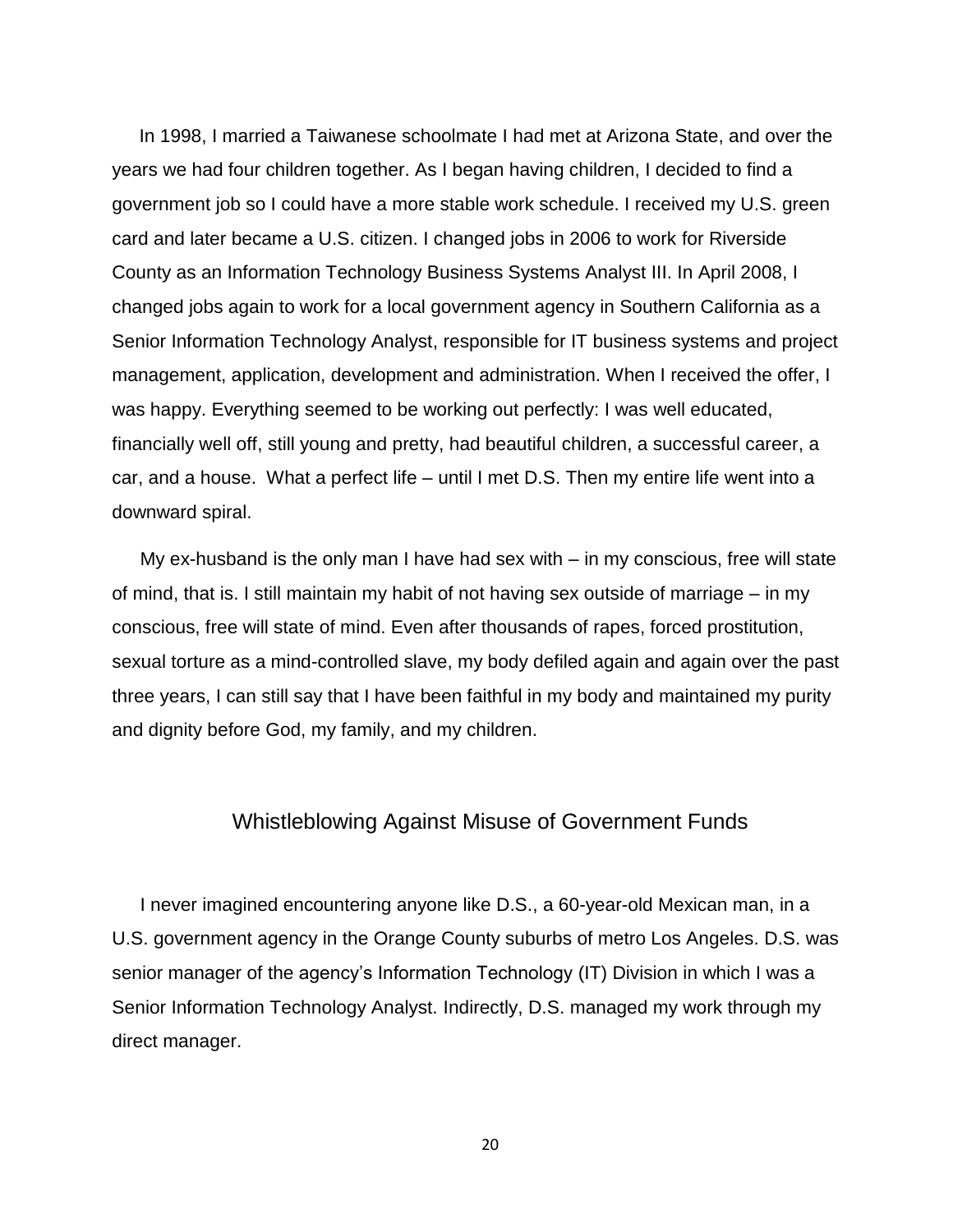In 1998, I married a Taiwanese schoolmate I had met at Arizona State, and over the years we had four children together. As I began having children, I decided to find a government job so I could have a more stable work schedule. I received my U.S. green card and later became a U.S. citizen. I changed jobs in 2006 to work for Riverside County as an Information Technology Business Systems Analyst III. In April 2008, I changed jobs again to work for a local government agency in Southern California as a Senior Information Technology Analyst, responsible for IT business systems and project management, application, development and administration. When I received the offer, I was happy. Everything seemed to be working out perfectly: I was well educated, financially well off, still young and pretty, had beautiful children, a successful career, a car, and a house. What a perfect life – until I met D.S. Then my entire life went into a downward spiral.

My ex-husband is the only man I have had sex with – in my conscious, free will state of mind, that is. I still maintain my habit of not having sex outside of marriage – in my conscious, free will state of mind. Even after thousands of rapes, forced prostitution, sexual torture as a mind-controlled slave, my body defiled again and again over the past three years, I can still say that I have been faithful in my body and maintained my purity and dignity before God, my family, and my children.

### Whistleblowing Against Misuse of Government Funds

<span id="page-19-0"></span>I never imagined encountering anyone like D.S., a 60-year-old Mexican man, in a U.S. government agency in the Orange County suburbs of metro Los Angeles. D.S. was senior manager of the agency's Information Technology (IT) Division in which I was a Senior Information Technology Analyst. Indirectly, D.S. managed my work through my direct manager.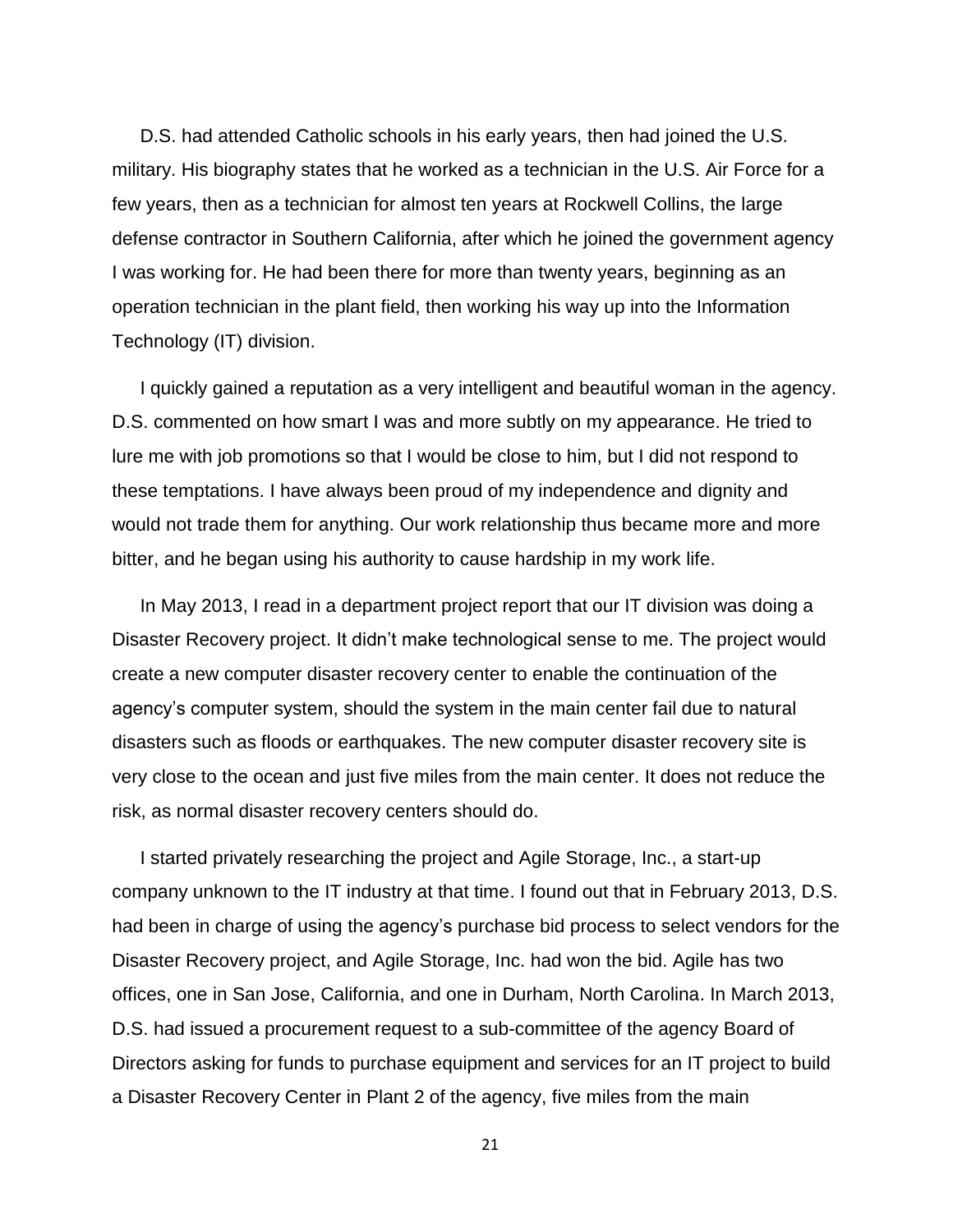D.S. had attended Catholic schools in his early years, then had joined the U.S. military. His biography states that he worked as a technician in the U.S. Air Force for a few years, then as a technician for almost ten years at Rockwell Collins, the large defense contractor in Southern California, after which he joined the government agency I was working for. He had been there for more than twenty years, beginning as an operation technician in the plant field, then working his way up into the Information Technology (IT) division.

I quickly gained a reputation as a very intelligent and beautiful woman in the agency. D.S. commented on how smart I was and more subtly on my appearance. He tried to lure me with job promotions so that I would be close to him, but I did not respond to these temptations. I have always been proud of my independence and dignity and would not trade them for anything. Our work relationship thus became more and more bitter, and he began using his authority to cause hardship in my work life.

In May 2013, I read in a department project report that our IT division was doing a Disaster Recovery project. It didn't make technological sense to me. The project would create a new computer disaster recovery center to enable the continuation of the agency's computer system, should the system in the main center fail due to natural disasters such as floods or earthquakes. The new computer disaster recovery site is very close to the ocean and just five miles from the main center. It does not reduce the risk, as normal disaster recovery centers should do.

I started privately researching the project and Agile Storage, Inc., a start-up company unknown to the IT industry at that time. I found out that in February 2013, D.S. had been in charge of using the agency's purchase bid process to select vendors for the Disaster Recovery project, and Agile Storage, Inc. had won the bid. Agile has two offices, one in San Jose, California, and one in Durham, North Carolina. In March 2013, D.S. had issued a procurement request to a sub-committee of the agency Board of Directors asking for funds to purchase equipment and services for an IT project to build a Disaster Recovery Center in Plant 2 of the agency, five miles from the main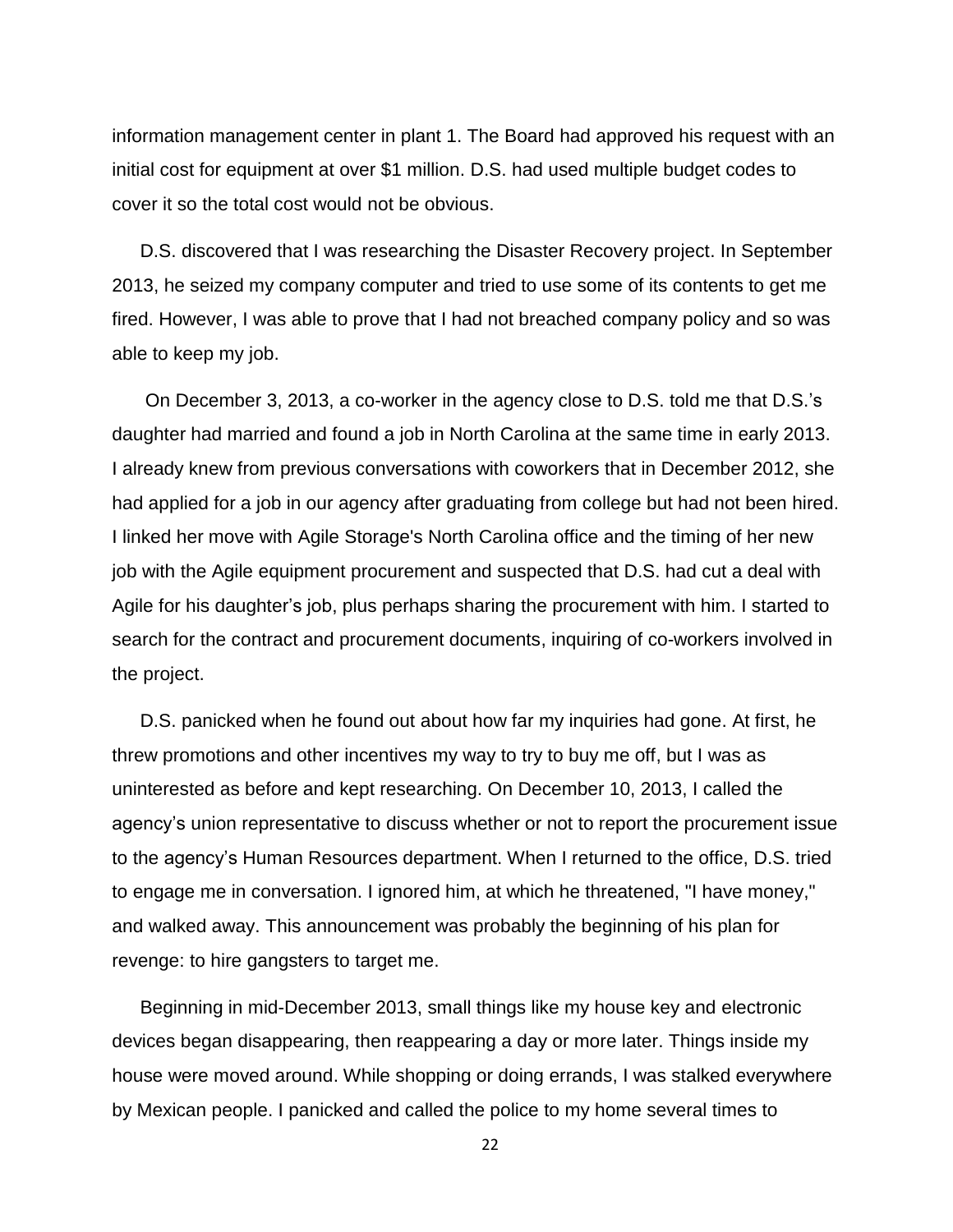information management center in plant 1. The Board had approved his request with an initial cost for equipment at over \$1 million. D.S. had used multiple budget codes to cover it so the total cost would not be obvious.

D.S. discovered that I was researching the Disaster Recovery project. In September 2013, he seized my company computer and tried to use some of its contents to get me fired. However, I was able to prove that I had not breached company policy and so was able to keep my job.

On December 3, 2013, a co-worker in the agency close to D.S. told me that D.S.'s daughter had married and found a job in North Carolina at the same time in early 2013. I already knew from previous conversations with coworkers that in December 2012, she had applied for a job in our agency after graduating from college but had not been hired. I linked her move with Agile Storage's North Carolina office and the timing of her new job with the Agile equipment procurement and suspected that D.S. had cut a deal with Agile for his daughter's job, plus perhaps sharing the procurement with him. I started to search for the contract and procurement documents, inquiring of co-workers involved in the project.

D.S. panicked when he found out about how far my inquiries had gone. At first, he threw promotions and other incentives my way to try to buy me off, but I was as uninterested as before and kept researching. On December 10, 2013, I called the agency's union representative to discuss whether or not to report the procurement issue to the agency's Human Resources department. When I returned to the office, D.S. tried to engage me in conversation. I ignored him, at which he threatened, "I have money," and walked away. This announcement was probably the beginning of his plan for revenge: to hire gangsters to target me.

Beginning in mid-December 2013, small things like my house key and electronic devices began disappearing, then reappearing a day or more later. Things inside my house were moved around. While shopping or doing errands, I was stalked everywhere by Mexican people. I panicked and called the police to my home several times to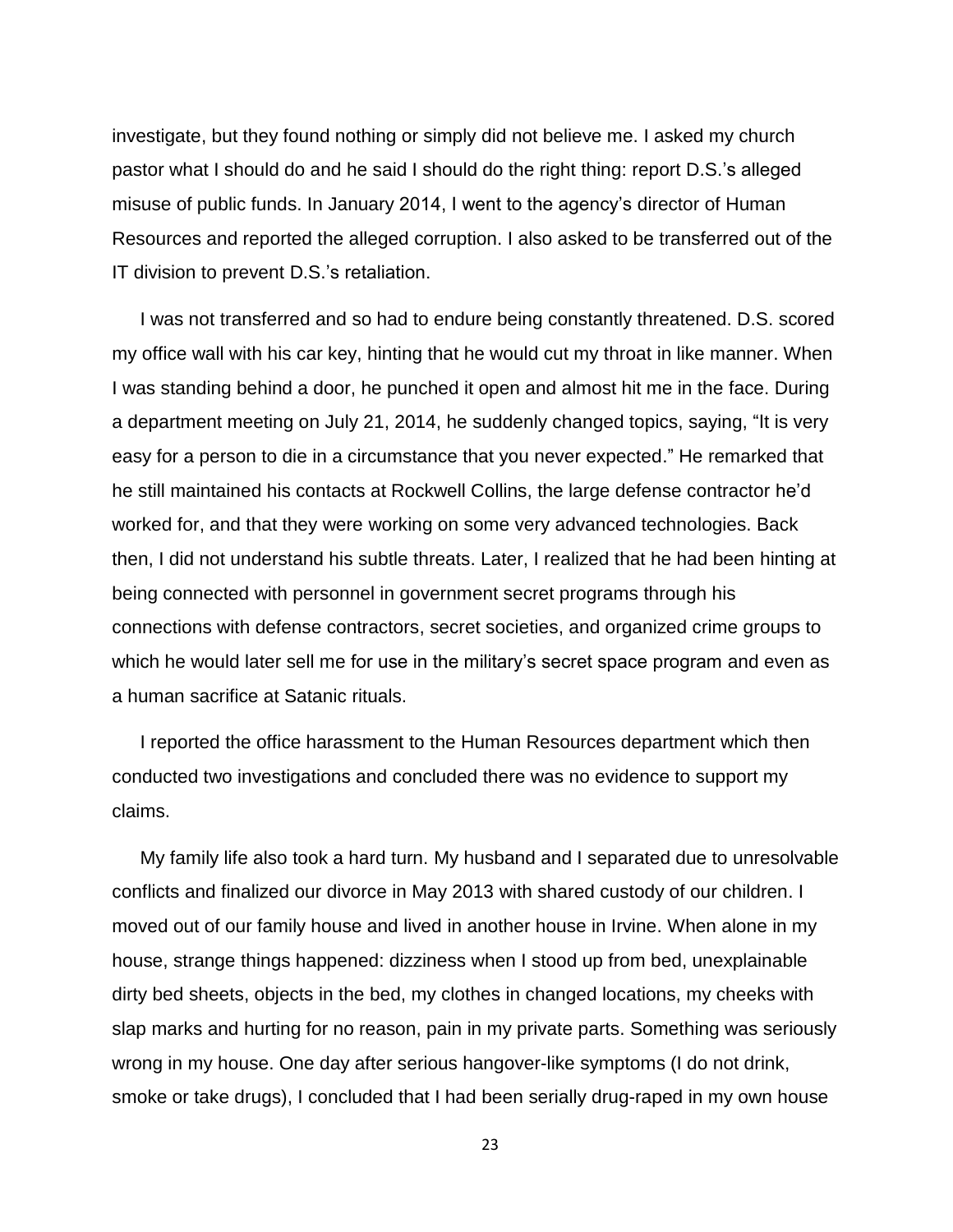investigate, but they found nothing or simply did not believe me. I asked my church pastor what I should do and he said I should do the right thing: report D.S.'s alleged misuse of public funds. In January 2014, I went to the agency's director of Human Resources and reported the alleged corruption. I also asked to be transferred out of the IT division to prevent D.S.'s retaliation.

I was not transferred and so had to endure being constantly threatened. D.S. scored my office wall with his car key, hinting that he would cut my throat in like manner. When I was standing behind a door, he punched it open and almost hit me in the face. During a department meeting on July 21, 2014, he suddenly changed topics, saying, "It is very easy for a person to die in a circumstance that you never expected." He remarked that he still maintained his contacts at Rockwell Collins, the large defense contractor he'd worked for, and that they were working on some very advanced technologies. Back then, I did not understand his subtle threats. Later, I realized that he had been hinting at being connected with personnel in government secret programs through his connections with defense contractors, secret societies, and organized crime groups to which he would later sell me for use in the military's secret space program and even as a human sacrifice at Satanic rituals.

I reported the office harassment to the Human Resources department which then conducted two investigations and concluded there was no evidence to support my claims.

My family life also took a hard turn. My husband and I separated due to unresolvable conflicts and finalized our divorce in May 2013 with shared custody of our children. I moved out of our family house and lived in another house in Irvine. When alone in my house, strange things happened: dizziness when I stood up from bed, unexplainable dirty bed sheets, objects in the bed, my clothes in changed locations, my cheeks with slap marks and hurting for no reason, pain in my private parts. Something was seriously wrong in my house. One day after serious hangover-like symptoms (I do not drink, smoke or take drugs), I concluded that I had been serially drug-raped in my own house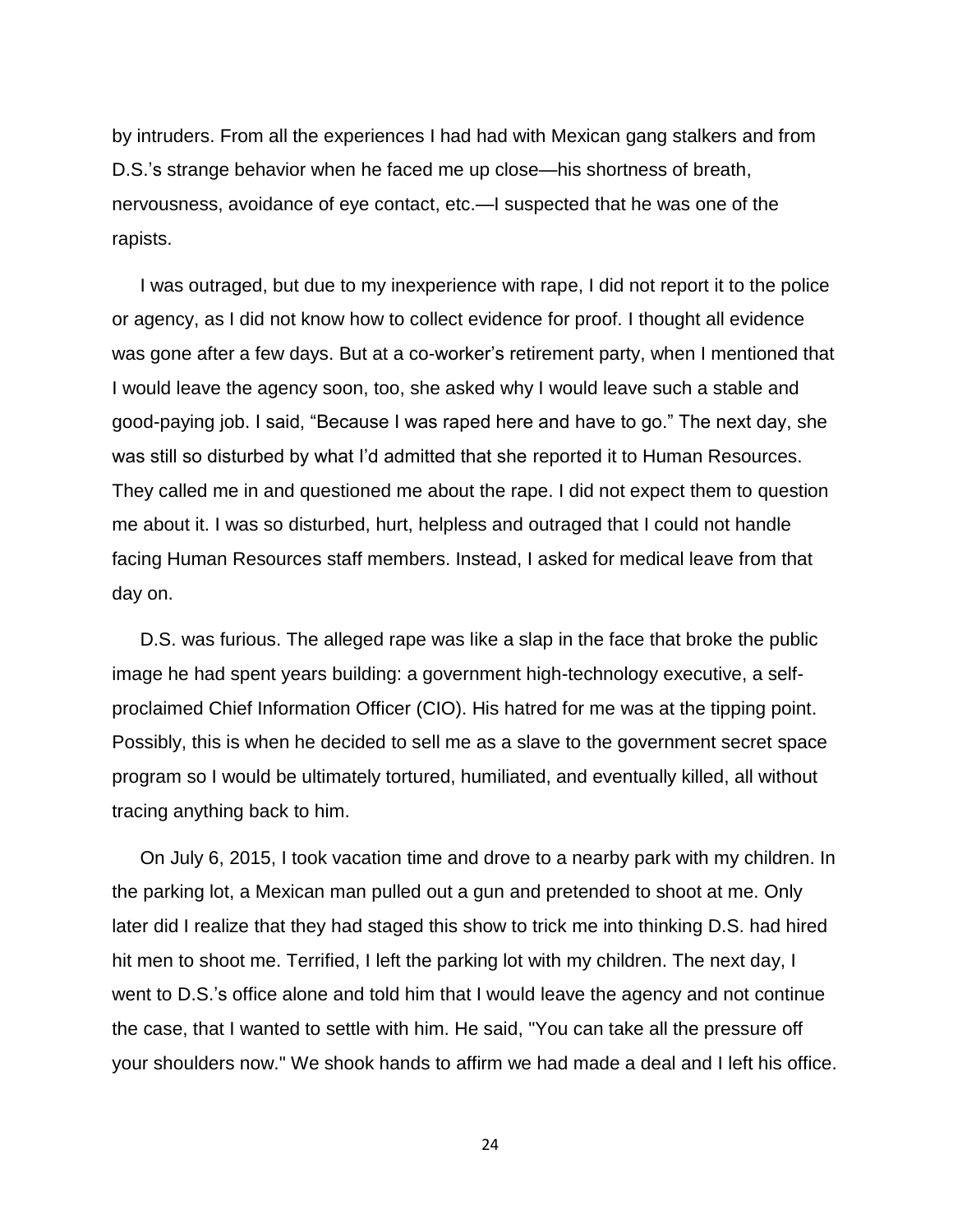by intruders. From all the experiences I had had with Mexican gang stalkers and from D.S.'s strange behavior when he faced me up close—his shortness of breath, nervousness, avoidance of eye contact, etc.—I suspected that he was one of the rapists.

I was outraged, but due to my inexperience with rape, I did not report it to the police or agency, as I did not know how to collect evidence for proof. I thought all evidence was gone after a few days. But at a co-worker's retirement party, when I mentioned that I would leave the agency soon, too, she asked why I would leave such a stable and good-paying job. I said, "Because I was raped here and have to go." The next day, she was still so disturbed by what I'd admitted that she reported it to Human Resources. They called me in and questioned me about the rape. I did not expect them to question me about it. I was so disturbed, hurt, helpless and outraged that I could not handle facing Human Resources staff members. Instead, I asked for medical leave from that day on.

D.S. was furious. The alleged rape was like a slap in the face that broke the public image he had spent years building: a government high-technology executive, a selfproclaimed Chief Information Officer (CIO). His hatred for me was at the tipping point. Possibly, this is when he decided to sell me as a slave to the government secret space program so I would be ultimately tortured, humiliated, and eventually killed, all without tracing anything back to him.

On July 6, 2015, I took vacation time and drove to a nearby park with my children. In the parking lot, a Mexican man pulled out a gun and pretended to shoot at me. Only later did I realize that they had staged this show to trick me into thinking D.S. had hired hit men to shoot me. Terrified, I left the parking lot with my children. The next day, I went to D.S.'s office alone and told him that I would leave the agency and not continue the case, that I wanted to settle with him. He said, "You can take all the pressure off your shoulders now." We shook hands to affirm we had made a deal and I left his office.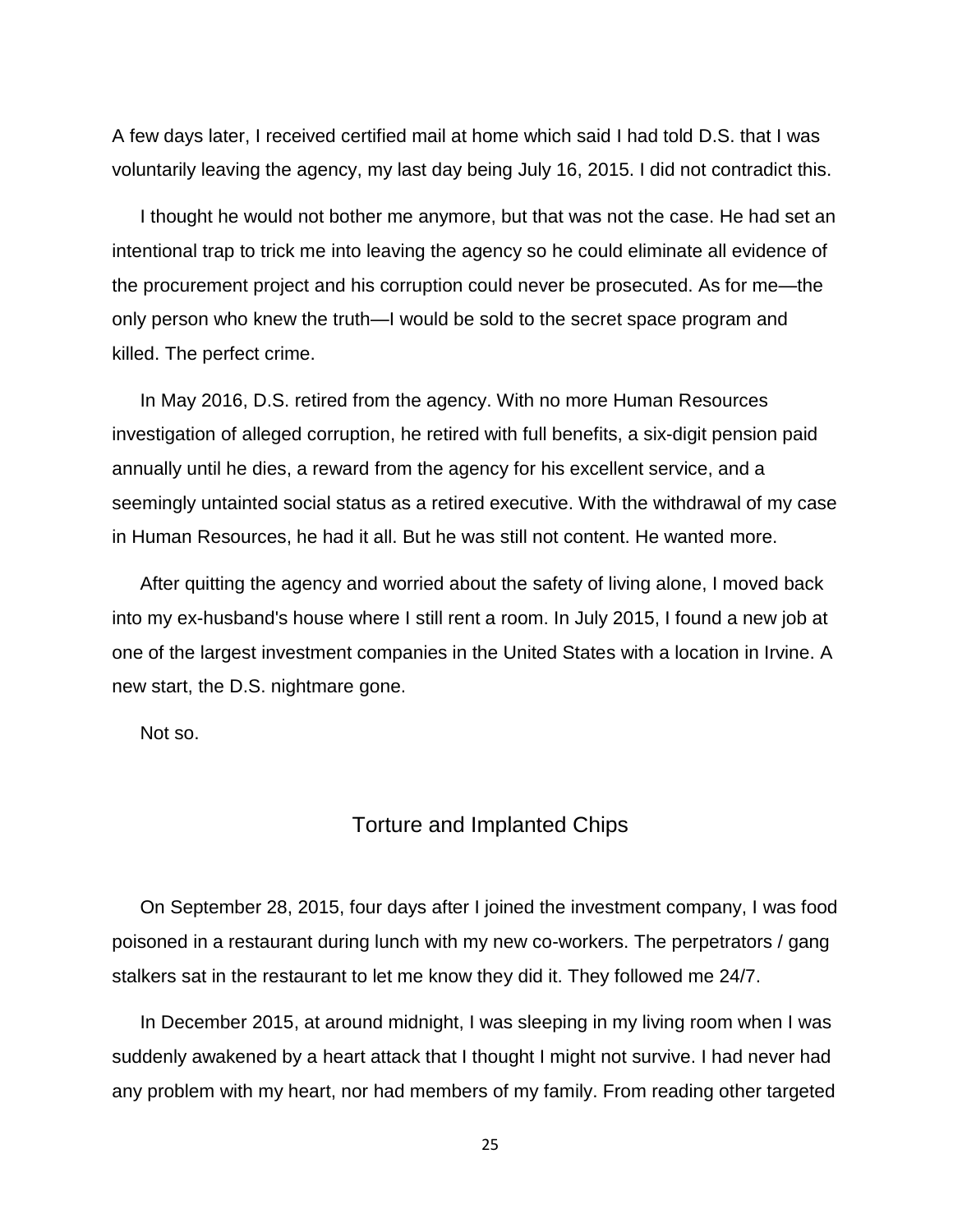A few days later, I received certified mail at home which said I had told D.S. that I was voluntarily leaving the agency, my last day being July 16, 2015. I did not contradict this.

I thought he would not bother me anymore, but that was not the case. He had set an intentional trap to trick me into leaving the agency so he could eliminate all evidence of the procurement project and his corruption could never be prosecuted. As for me—the only person who knew the truth—I would be sold to the secret space program and killed. The perfect crime.

In May 2016, D.S. retired from the agency. With no more Human Resources investigation of alleged corruption, he retired with full benefits, a six-digit pension paid annually until he dies, a reward from the agency for his excellent service, and a seemingly untainted social status as a retired executive. With the withdrawal of my case in Human Resources, he had it all. But he was still not content. He wanted more.

After quitting the agency and worried about the safety of living alone, I moved back into my ex-husband's house where I still rent a room. In July 2015, I found a new job at one of the largest investment companies in the United States with a location in Irvine. A new start, the D.S. nightmare gone.

<span id="page-24-0"></span>Not so.

### Torture and Implanted Chips

On September 28, 2015, four days after I joined the investment company, I was food poisoned in a restaurant during lunch with my new co-workers. The perpetrators / gang stalkers sat in the restaurant to let me know they did it. They followed me 24/7.

In December 2015, at around midnight, I was sleeping in my living room when I was suddenly awakened by a heart attack that I thought I might not survive. I had never had any problem with my heart, nor had members of my family. From reading other targeted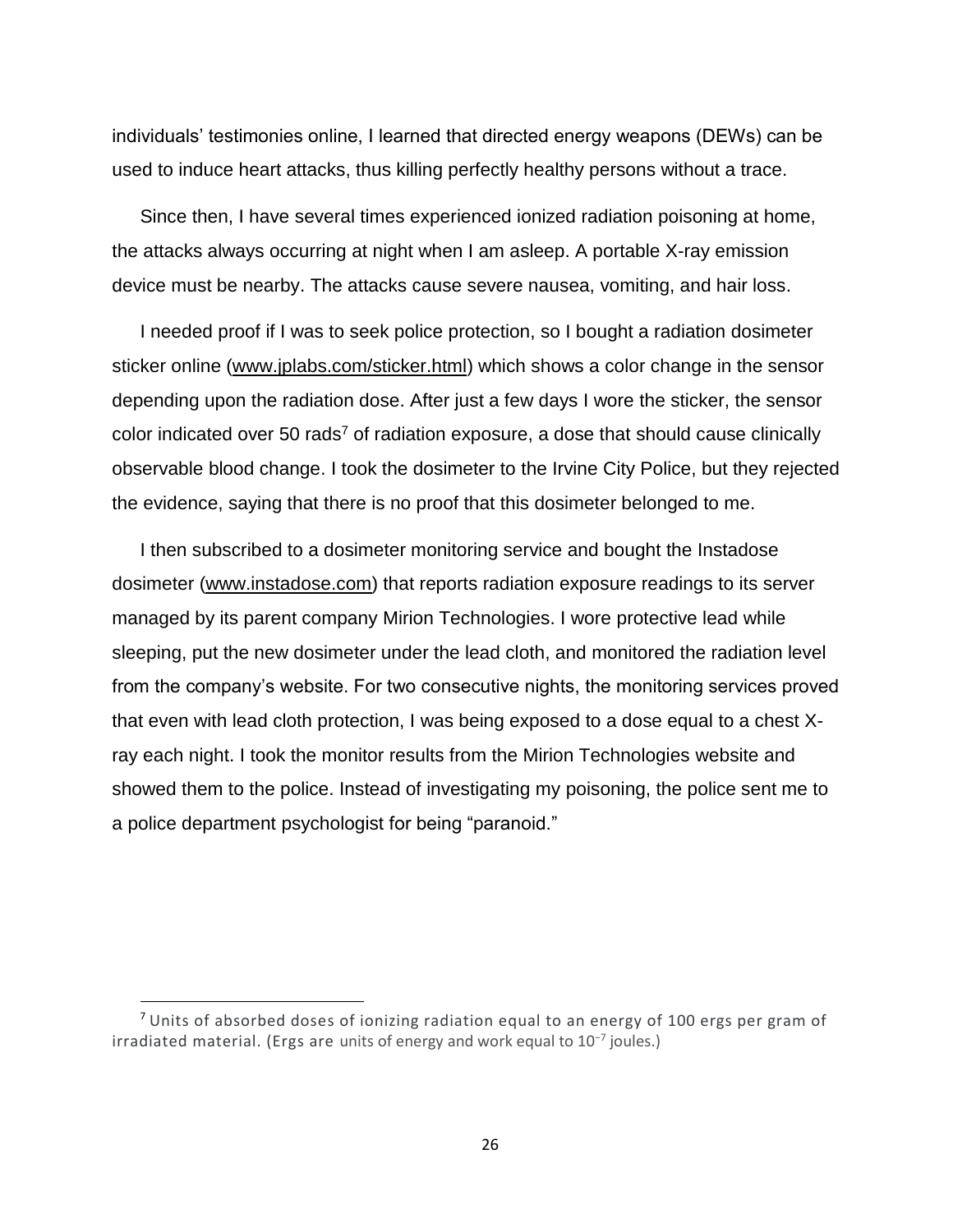individuals' testimonies online, I learned that directed energy weapons (DEWs) can be used to induce heart attacks, thus killing perfectly healthy persons without a trace.

Since then, I have several times experienced ionized radiation poisoning at home, the attacks always occurring at night when I am asleep. A portable X-ray emission device must be nearby. The attacks cause severe nausea, vomiting, and hair loss.

I needed proof if I was to seek police protection, so I bought a radiation dosimeter sticker online [\(www.jplabs.com/sticker.html\)](http://www.jplabs.com/sticker.html) which shows a color change in the sensor depending upon the radiation dose. After just a few days I wore the sticker, the sensor color indicated over 50 rads<sup>7</sup> of radiation exposure, a dose that should cause clinically observable blood change. I took the dosimeter to the Irvine City Police, but they rejected the evidence, saying that there is no proof that this dosimeter belonged to me.

I then subscribed to a dosimeter monitoring service and bought the Instadose dosimeter [\(www.instadose.com\)](http://www.instadose.com/) that reports radiation exposure readings to its server managed by its parent company Mirion Technologies. I wore protective lead while sleeping, put the new dosimeter under the lead cloth, and monitored the radiation level from the company's website. For two consecutive nights, the monitoring services proved that even with lead cloth protection, I was being exposed to a dose equal to a chest Xray each night. I took the monitor results from the Mirion Technologies website and showed them to the police. Instead of investigating my poisoning, the police sent me to a police department psychologist for being "paranoid."

 $<sup>7</sup>$  Units of absorbed doses of ionizing radiation equal to an energy of 100 ergs per gram of</sup> irradiated material. (Ergs are units of energy and work equal to 10−7 joules.)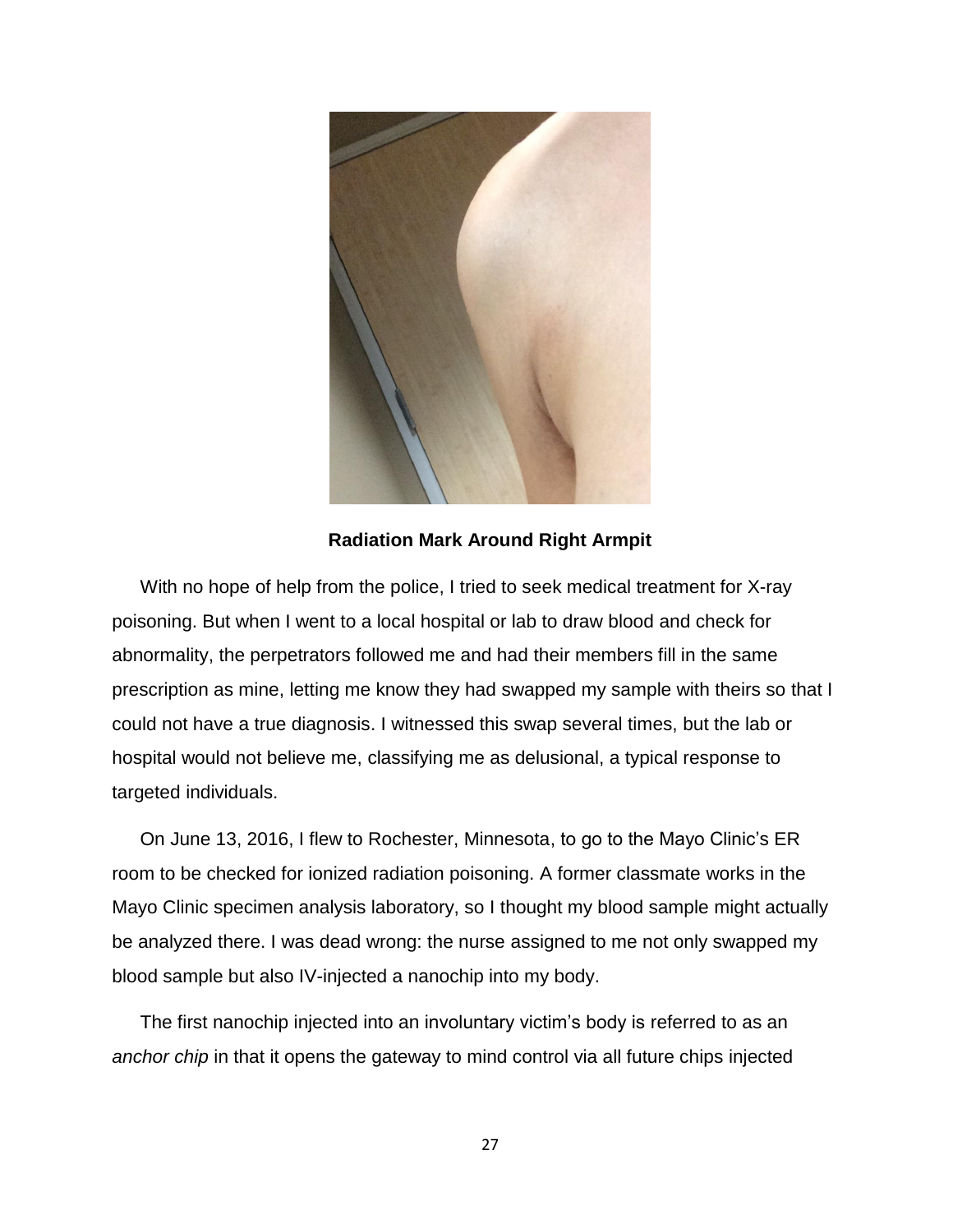

### **Radiation Mark Around Right Armpit**

With no hope of help from the police, I tried to seek medical treatment for X-ray poisoning. But when I went to a local hospital or lab to draw blood and check for abnormality, the perpetrators followed me and had their members fill in the same prescription as mine, letting me know they had swapped my sample with theirs so that I could not have a true diagnosis. I witnessed this swap several times, but the lab or hospital would not believe me, classifying me as delusional, a typical response to targeted individuals.

On June 13, 2016, I flew to Rochester, Minnesota, to go to the Mayo Clinic's ER room to be checked for ionized radiation poisoning. A former classmate works in the Mayo Clinic specimen analysis laboratory, so I thought my blood sample might actually be analyzed there. I was dead wrong: the nurse assigned to me not only swapped my blood sample but also IV-injected a nanochip into my body.

The first nanochip injected into an involuntary victim's body is referred to as an *anchor chip* in that it opens the gateway to mind control via all future chips injected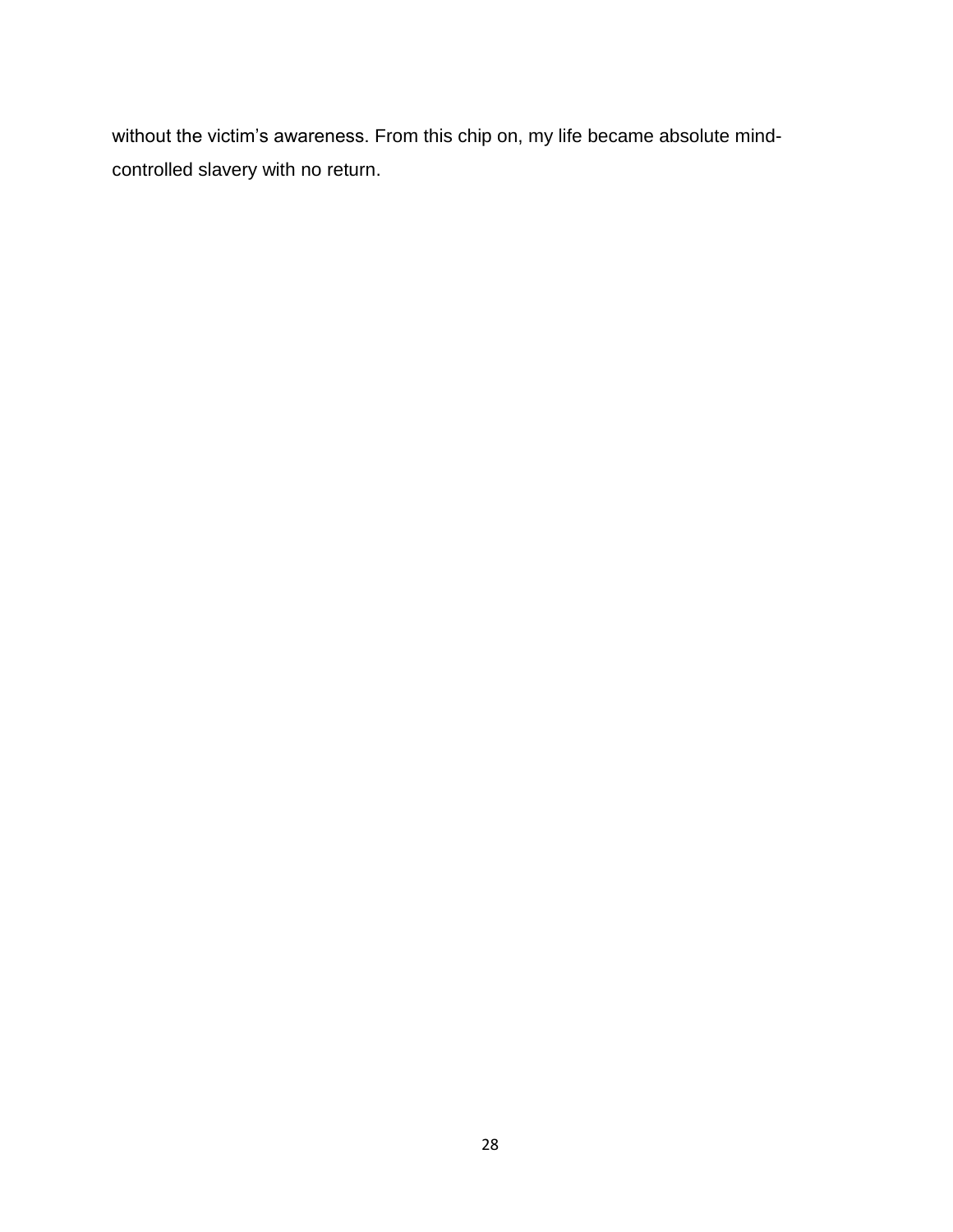without the victim's awareness. From this chip on, my life became absolute mindcontrolled slavery with no return.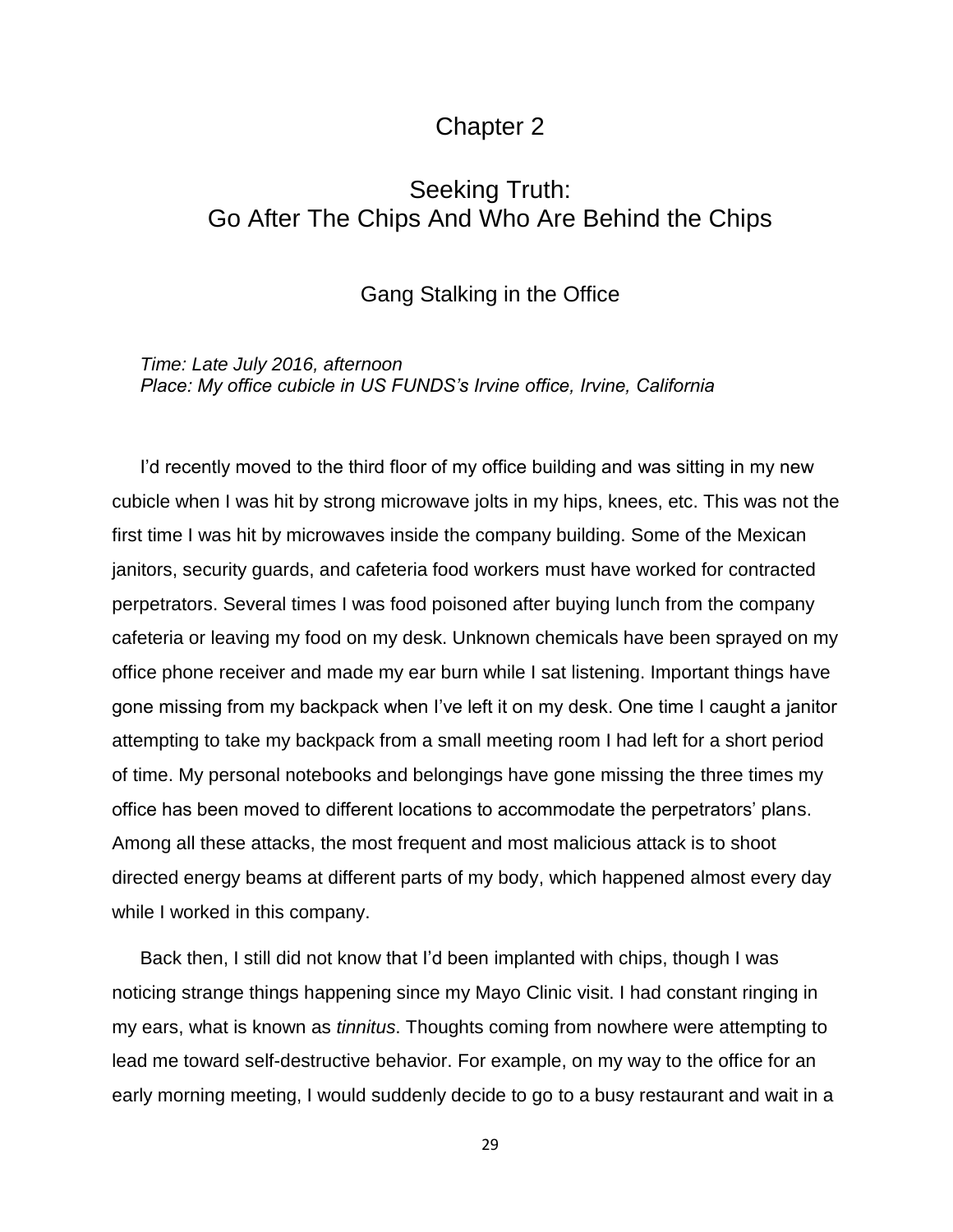## Chapter 2

# <span id="page-28-2"></span><span id="page-28-1"></span><span id="page-28-0"></span>Seeking Truth: Go After The Chips And Who Are Behind the Chips

### Gang Stalking in the Office

<span id="page-28-3"></span>*Time: Late July 2016, afternoon Place: My office cubicle in US FUNDS's Irvine office, Irvine, California*

I'd recently moved to the third floor of my office building and was sitting in my new cubicle when I was hit by strong microwave jolts in my hips, knees, etc. This was not the first time I was hit by microwaves inside the company building. Some of the Mexican janitors, security guards, and cafeteria food workers must have worked for contracted perpetrators. Several times I was food poisoned after buying lunch from the company cafeteria or leaving my food on my desk. Unknown chemicals have been sprayed on my office phone receiver and made my ear burn while I sat listening. Important things have gone missing from my backpack when I've left it on my desk. One time I caught a janitor attempting to take my backpack from a small meeting room I had left for a short period of time. My personal notebooks and belongings have gone missing the three times my office has been moved to different locations to accommodate the perpetrators' plans. Among all these attacks, the most frequent and most malicious attack is to shoot directed energy beams at different parts of my body, which happened almost every day while I worked in this company.

Back then, I still did not know that I'd been implanted with chips, though I was noticing strange things happening since my Mayo Clinic visit. I had constant ringing in my ears, what is known as *tinnitus*. Thoughts coming from nowhere were attempting to lead me toward self-destructive behavior. For example, on my way to the office for an early morning meeting, I would suddenly decide to go to a busy restaurant and wait in a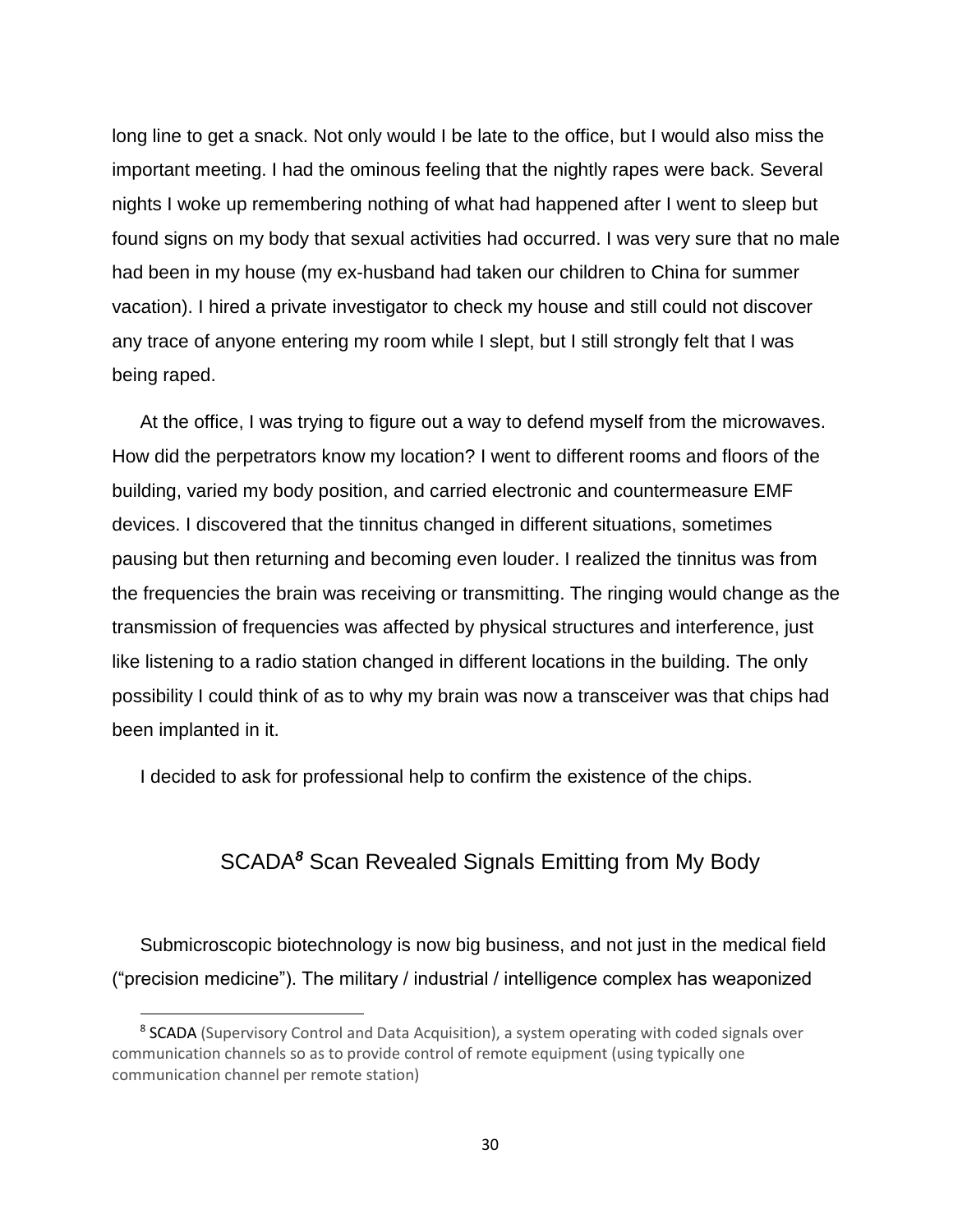long line to get a snack. Not only would I be late to the office, but I would also miss the important meeting. I had the ominous feeling that the nightly rapes were back. Several nights I woke up remembering nothing of what had happened after I went to sleep but found signs on my body that sexual activities had occurred. I was very sure that no male had been in my house (my ex-husband had taken our children to China for summer vacation). I hired a private investigator to check my house and still could not discover any trace of anyone entering my room while I slept, but I still strongly felt that I was being raped.

At the office, I was trying to figure out a way to defend myself from the microwaves. How did the perpetrators know my location? I went to different rooms and floors of the building, varied my body position, and carried electronic and countermeasure EMF devices. I discovered that the tinnitus changed in different situations, sometimes pausing but then returning and becoming even louder. I realized the tinnitus was from the frequencies the brain was receiving or transmitting. The ringing would change as the transmission of frequencies was affected by physical structures and interference, just like listening to a radio station changed in different locations in the building. The only possibility I could think of as to why my brain was now a transceiver was that chips had been implanted in it.

<span id="page-29-0"></span>I decided to ask for professional help to confirm the existence of the chips.

## SCADA*<sup>8</sup>* Scan Revealed Signals Emitting from My Body

Submicroscopic biotechnology is now big business, and not just in the medical field ("precision medicine"). The military / industrial / intelligence complex has weaponized

<sup>&</sup>lt;sup>8</sup> SCADA (Supervisory Control and Data Acquisition), a system operating with coded signals over communication channels so as to provide control of remote equipment (using typically one communication channel per remote station)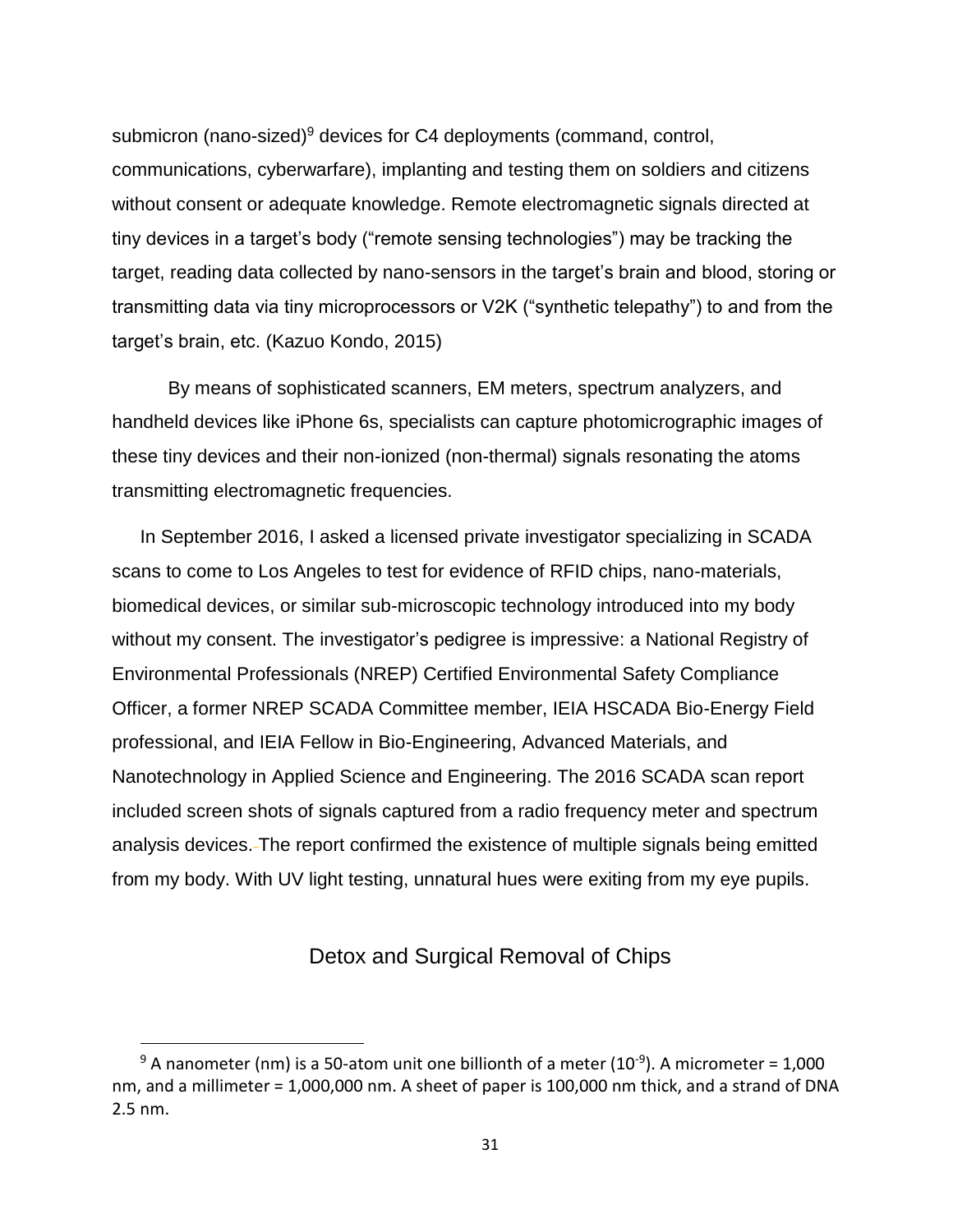submicron (nano-sized) $9$  devices for C4 deployments (command, control, communications, cyberwarfare), implanting and testing them on soldiers and citizens without consent or adequate knowledge. Remote electromagnetic signals directed at tiny devices in a target's body ("remote sensing technologies") may be tracking the target, reading data collected by nano-sensors in the target's brain and blood, storing or transmitting data via tiny microprocessors or V2K ("synthetic telepathy") to and from the target's brain, etc. (Kazuo Kondo, 2015)

By means of sophisticated scanners, EM meters, spectrum analyzers, and handheld devices like iPhone 6s, specialists can capture photomicrographic images of these tiny devices and their non-ionized (non-thermal) signals resonating the atoms transmitting electromagnetic frequencies.

In September 2016, I asked a licensed private investigator specializing in SCADA scans to come to Los Angeles to test for evidence of RFID chips, nano-materials, biomedical devices, or similar sub-microscopic technology introduced into my body without my consent. The investigator's pedigree is impressive: a National Registry of Environmental Professionals (NREP) Certified Environmental Safety Compliance Officer, a former NREP SCADA Committee member, IEIA HSCADA Bio-Energy Field professional, and IEIA Fellow in Bio-Engineering, Advanced Materials, and Nanotechnology in Applied Science and Engineering. The 2016 SCADA scan report included screen shots of signals captured from a radio frequency meter and spectrum analysis devices. The report confirmed the existence of multiple signals being emitted from my body. With UV light testing, unnatural hues were exiting from my eye pupils.

### Detox and Surgical Removal of Chips

<span id="page-30-0"></span><sup>&</sup>lt;sup>9</sup> A nanometer (nm) is a 50-atom unit one billionth of a meter (10<sup>-9</sup>). A micrometer = 1,000 nm, and a millimeter = 1,000,000 nm. A sheet of paper is 100,000 nm thick, and a strand of DNA 2.5 nm.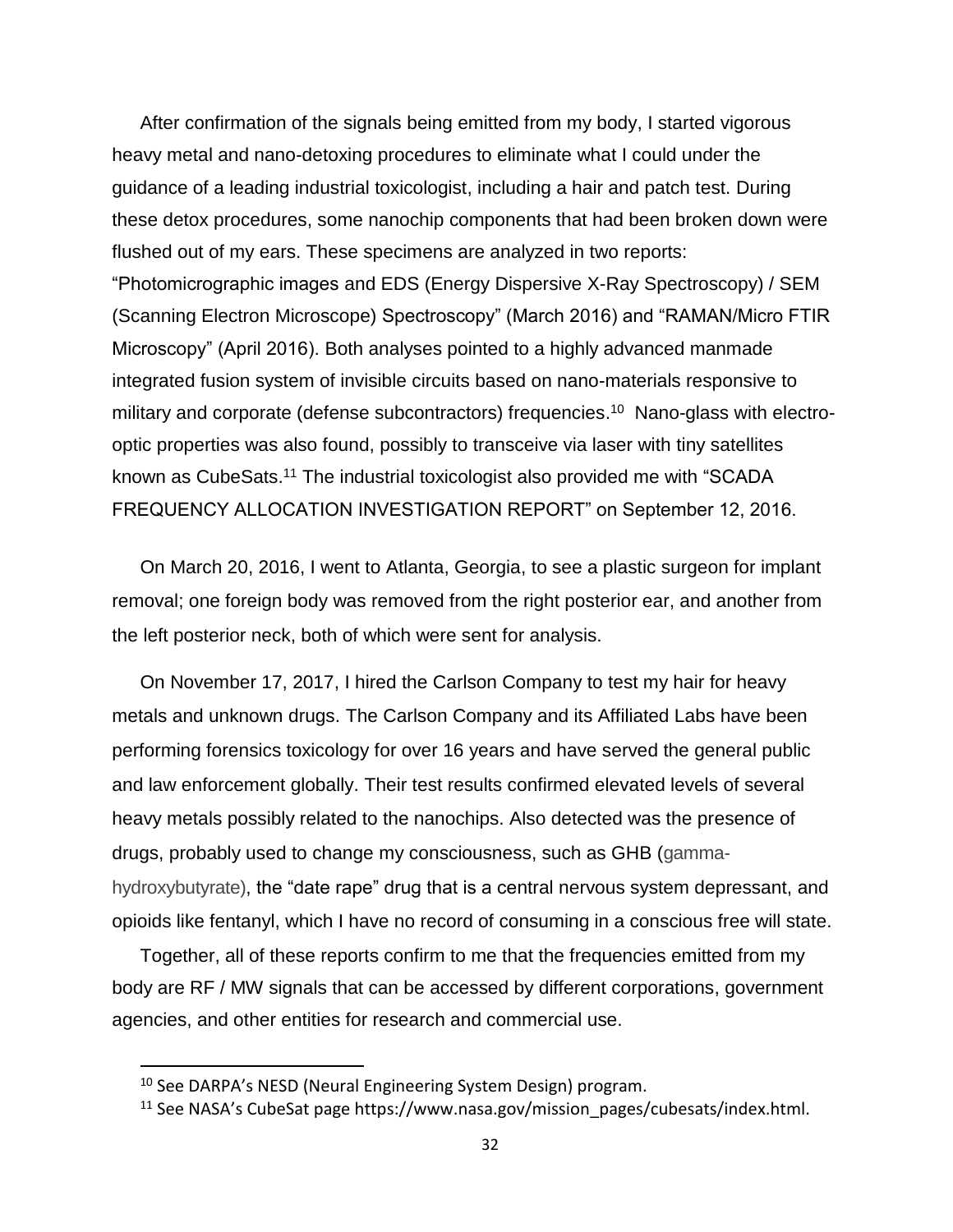After confirmation of the signals being emitted from my body, I started vigorous heavy metal and nano-detoxing procedures to eliminate what I could under the guidance of a leading industrial toxicologist, including a hair and patch test. During these detox procedures, some nanochip components that had been broken down were flushed out of my ears. These specimens are analyzed in two reports: "Photomicrographic images and EDS (Energy Dispersive X-Ray Spectroscopy) / SEM (Scanning Electron Microscope) Spectroscopy" (March 2016) and "RAMAN/Micro FTIR Microscopy" (April 2016). Both analyses pointed to a highly advanced manmade integrated fusion system of invisible circuits based on nano-materials responsive to military and corporate (defense subcontractors) frequencies.<sup>10</sup> Nano-glass with electrooptic properties was also found, possibly to transceive via laser with tiny satellites known as CubeSats.<sup>11</sup> The industrial toxicologist also provided me with "SCADA FREQUENCY ALLOCATION INVESTIGATION REPORT" on September 12, 2016.

On March 20, 2016, I went to Atlanta, Georgia, to see a plastic surgeon for implant removal; one foreign body was removed from the right posterior ear, and another from the left posterior neck, both of which were sent for analysis.

On November 17, 2017, I hired the Carlson Company to test my hair for heavy metals and unknown drugs. The Carlson Company and its Affiliated Labs have been performing forensics toxicology for over 16 years and have served the general public and law enforcement globally. Their test results confirmed elevated levels of several heavy metals possibly related to the nanochips. Also detected was the presence of drugs, probably used to change my consciousness, such as GHB (gammahydroxybutyrate), the "date rape" drug that is a central nervous system depressant, and opioids like fentanyl, which I have no record of consuming in a conscious free will state.

Together, all of these reports confirm to me that the frequencies emitted from my body are RF / MW signals that can be accessed by different corporations, government agencies, and other entities for research and commercial use.

<sup>&</sup>lt;sup>10</sup> See DARPA's NESD (Neural Engineering System Design) program.

<sup>11</sup> See NASA's CubeSat page https://www.nasa.gov/mission\_pages/cubesats/index.html.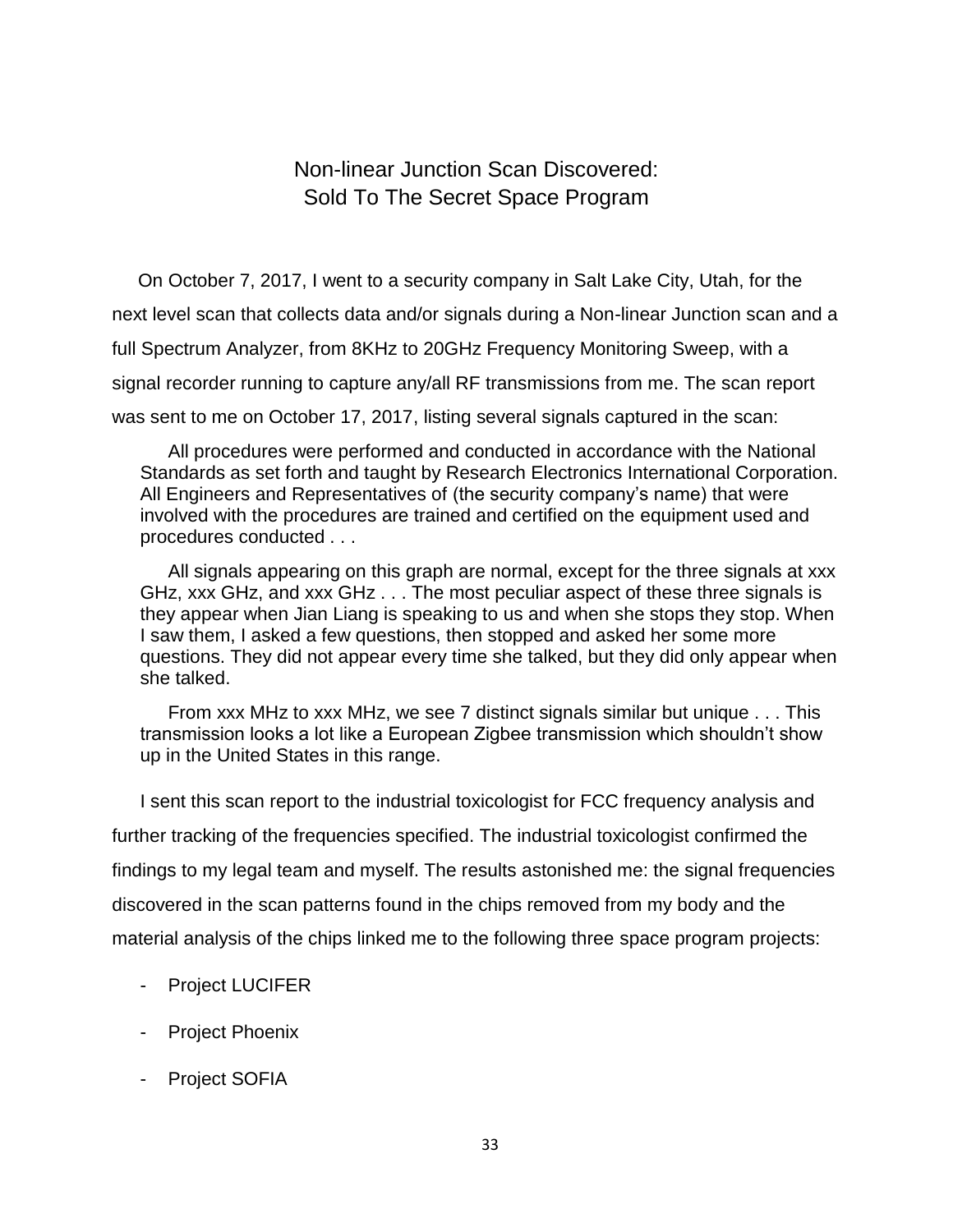## Non-linear Junction Scan Discovered: Sold To The Secret Space Program

<span id="page-32-1"></span><span id="page-32-0"></span> On October 7, 2017, I went to a security company in Salt Lake City, Utah, for the next level scan that collects data and/or signals during a Non-linear Junction scan and a full Spectrum Analyzer, from 8KHz to 20GHz Frequency Monitoring Sweep, with a signal recorder running to capture any/all RF transmissions from me. The scan report was sent to me on October 17, 2017, listing several signals captured in the scan:

All procedures were performed and conducted in accordance with the National Standards as set forth and taught by Research Electronics International Corporation. All Engineers and Representatives of (the security company's name) that were involved with the procedures are trained and certified on the equipment used and procedures conducted . . .

All signals appearing on this graph are normal, except for the three signals at xxx GHz, xxx GHz, and xxx GHz . . . The most peculiar aspect of these three signals is they appear when Jian Liang is speaking to us and when she stops they stop. When I saw them, I asked a few questions, then stopped and asked her some more questions. They did not appear every time she talked, but they did only appear when she talked.

From xxx MHz to xxx MHz, we see 7 distinct signals similar but unique . . . This transmission looks a lot like a European Zigbee transmission which shouldn't show up in the United States in this range.

I sent this scan report to the industrial toxicologist for FCC frequency analysis and further tracking of the frequencies specified. The industrial toxicologist confirmed the findings to my legal team and myself. The results astonished me: the signal frequencies discovered in the scan patterns found in the chips removed from my body and the material analysis of the chips linked me to the following three space program projects:

- Project LUCIFER
- Project Phoenix
- Project SOFIA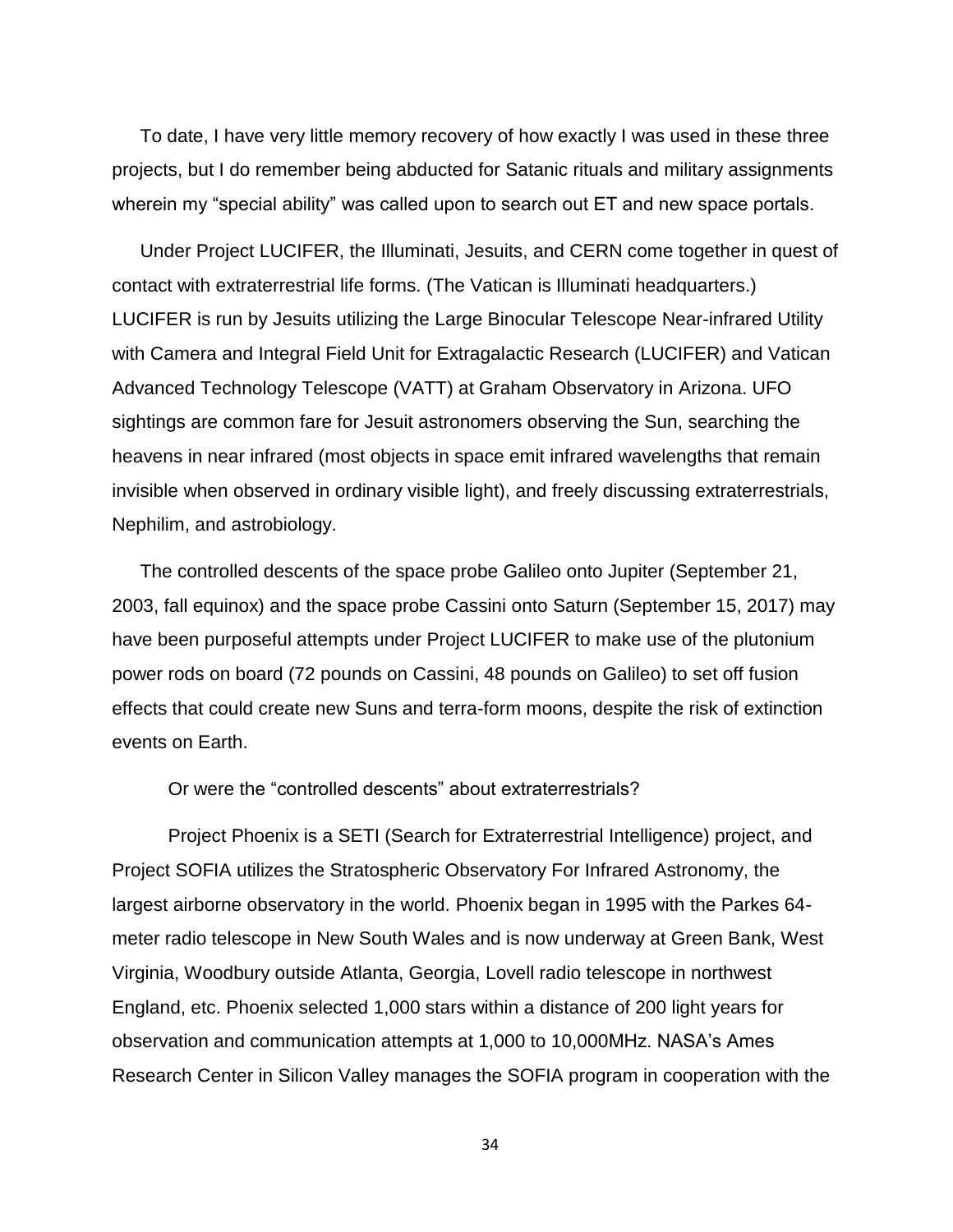To date, I have very little memory recovery of how exactly I was used in these three projects, but I do remember being abducted for Satanic rituals and military assignments wherein my "special ability" was called upon to search out ET and new space portals.

Under Project LUCIFER, the Illuminati, Jesuits, and CERN come together in quest of contact with extraterrestrial life forms. (The Vatican is Illuminati headquarters.) LUCIFER is run by Jesuits utilizing the Large Binocular Telescope Near-infrared Utility with Camera and Integral Field Unit for Extragalactic Research (LUCIFER) and Vatican Advanced Technology Telescope (VATT) at Graham Observatory in Arizona. UFO sightings are common fare for Jesuit astronomers observing the Sun, searching the heavens in near infrared (most objects in space emit infrared wavelengths that remain invisible when observed in ordinary visible light), and freely discussing extraterrestrials, Nephilim, and astrobiology.

The controlled descents of the space probe Galileo onto Jupiter (September 21, 2003, fall equinox) and the space probe Cassini onto Saturn (September 15, 2017) may have been purposeful attempts under Project LUCIFER to make use of the plutonium power rods on board (72 pounds on Cassini, 48 pounds on Galileo) to set off fusion effects that could create new Suns and terra-form moons, despite the risk of extinction events on Earth.

Or were the "controlled descents" about extraterrestrials?

Project Phoenix is a SETI (Search for Extraterrestrial Intelligence) project, and Project SOFIA utilizes the Stratospheric Observatory For Infrared Astronomy, the largest airborne observatory in the world. Phoenix began in 1995 with the Parkes 64 meter radio telescope in New South Wales and is now underway at Green Bank, West Virginia, Woodbury outside Atlanta, Georgia, Lovell radio telescope in northwest England, etc. Phoenix selected 1,000 stars within a distance of 200 light years for observation and communication attempts at 1,000 to 10,000MHz. NASA's Ames Research Center in Silicon Valley manages the SOFIA program in cooperation with the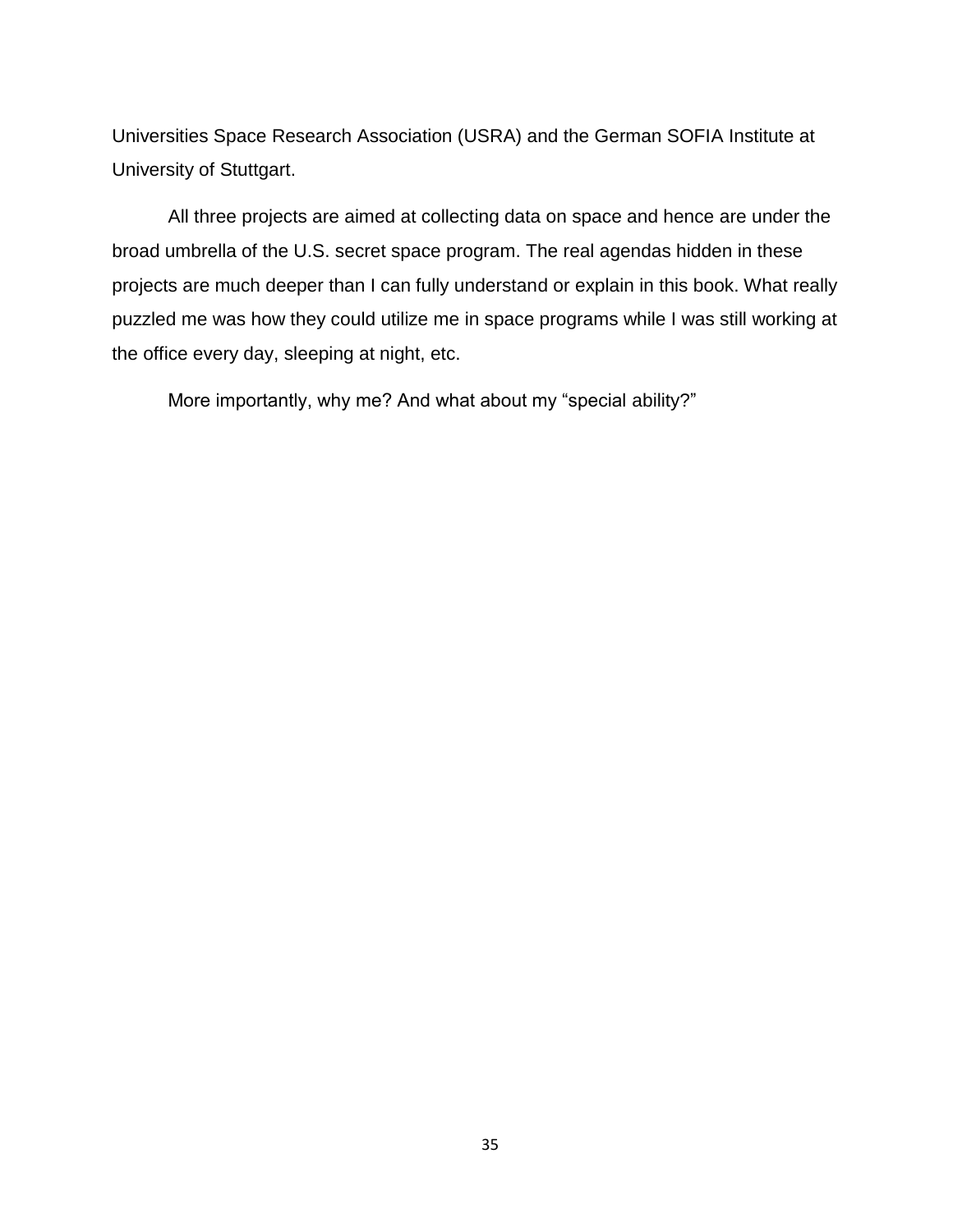Universities Space Research Association (USRA) and the German SOFIA Institute at University of Stuttgart.

All three projects are aimed at collecting data on space and hence are under the broad umbrella of the U.S. secret space program. The real agendas hidden in these projects are much deeper than I can fully understand or explain in this book. What really puzzled me was how they could utilize me in space programs while I was still working at the office every day, sleeping at night, etc.

More importantly, why me? And what about my "special ability?"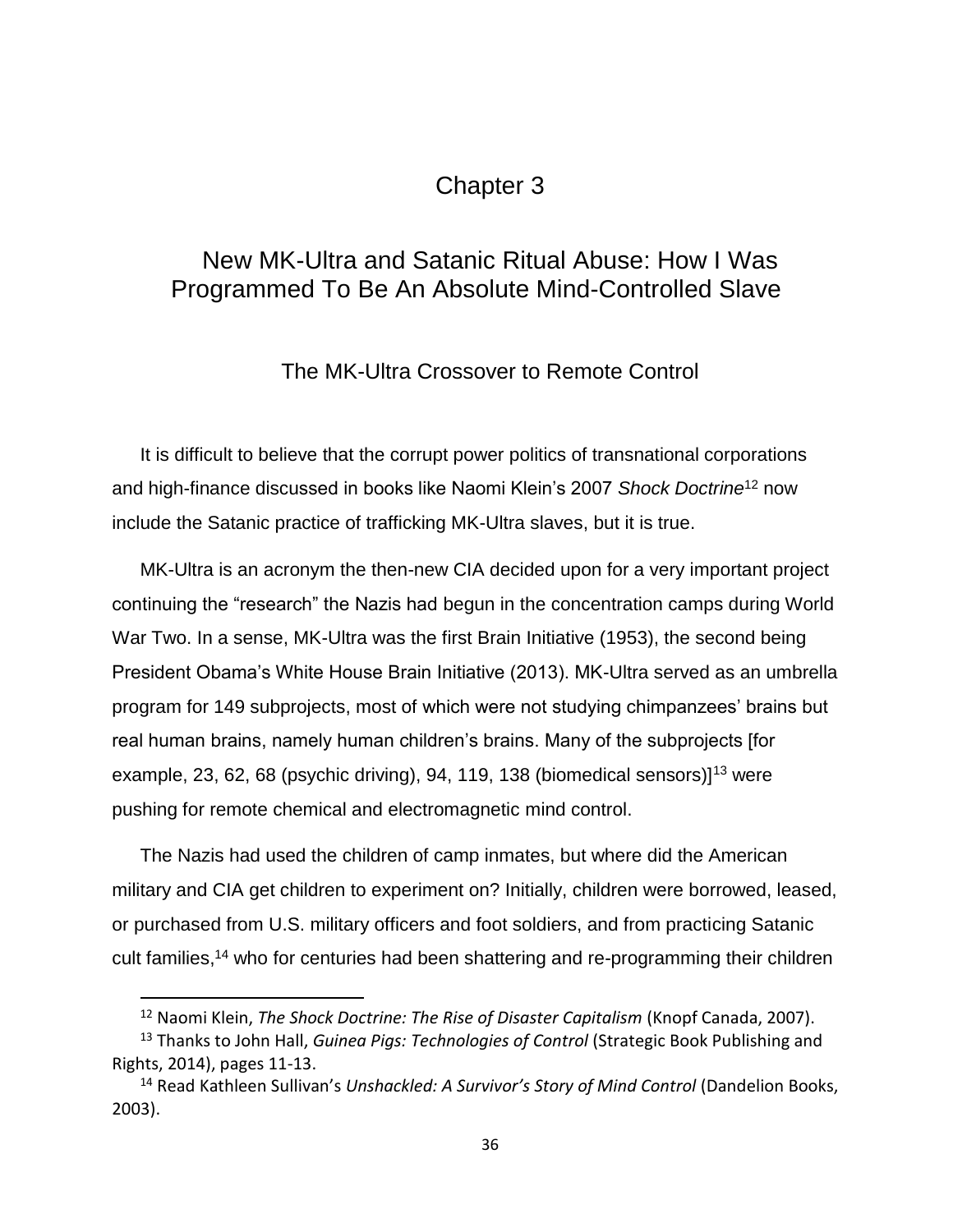# Chapter 3

# <span id="page-35-1"></span><span id="page-35-0"></span>New MK-Ultra and Satanic Ritual Abuse: How I Was Programmed To Be An Absolute Mind-Controlled Slave

The MK-Ultra Crossover to Remote Control

<span id="page-35-2"></span>It is difficult to believe that the corrupt power politics of transnational corporations and high-finance discussed in books like Naomi Klein's 2007 *Shock Doctrine*<sup>12</sup> now include the Satanic practice of trafficking MK-Ultra slaves, but it is true.

MK-Ultra is an acronym the then-new CIA decided upon for a very important project continuing the "research" the Nazis had begun in the concentration camps during World War Two. In a sense, MK-Ultra was the first Brain Initiative (1953), the second being President Obama's White House Brain Initiative (2013). MK-Ultra served as an umbrella program for 149 subprojects, most of which were not studying chimpanzees' brains but real human brains, namely human children's brains. Many of the subprojects [for example, 23, 62, 68 (psychic driving), 94, 119, 138 (biomedical sensors) $]^{13}$  were pushing for remote chemical and electromagnetic mind control.

The Nazis had used the children of camp inmates, but where did the American military and CIA get children to experiment on? Initially, children were borrowed, leased, or purchased from U.S. military officers and foot soldiers, and from practicing Satanic cult families, <sup>14</sup> who for centuries had been shattering and re-programming their children

l

<sup>&</sup>lt;sup>12</sup> Naomi Klein, *The Shock Doctrine: The Rise of Disaster Capitalism* (Knopf Canada, 2007).

<sup>13</sup> Thanks to John Hall, *Guinea Pigs: Technologies of Control* (Strategic Book Publishing and Rights, 2014), pages 11-13.

<sup>14</sup> Read Kathleen Sullivan's *Unshackled: A Survivor's Story of Mind Control* (Dandelion Books, 2003).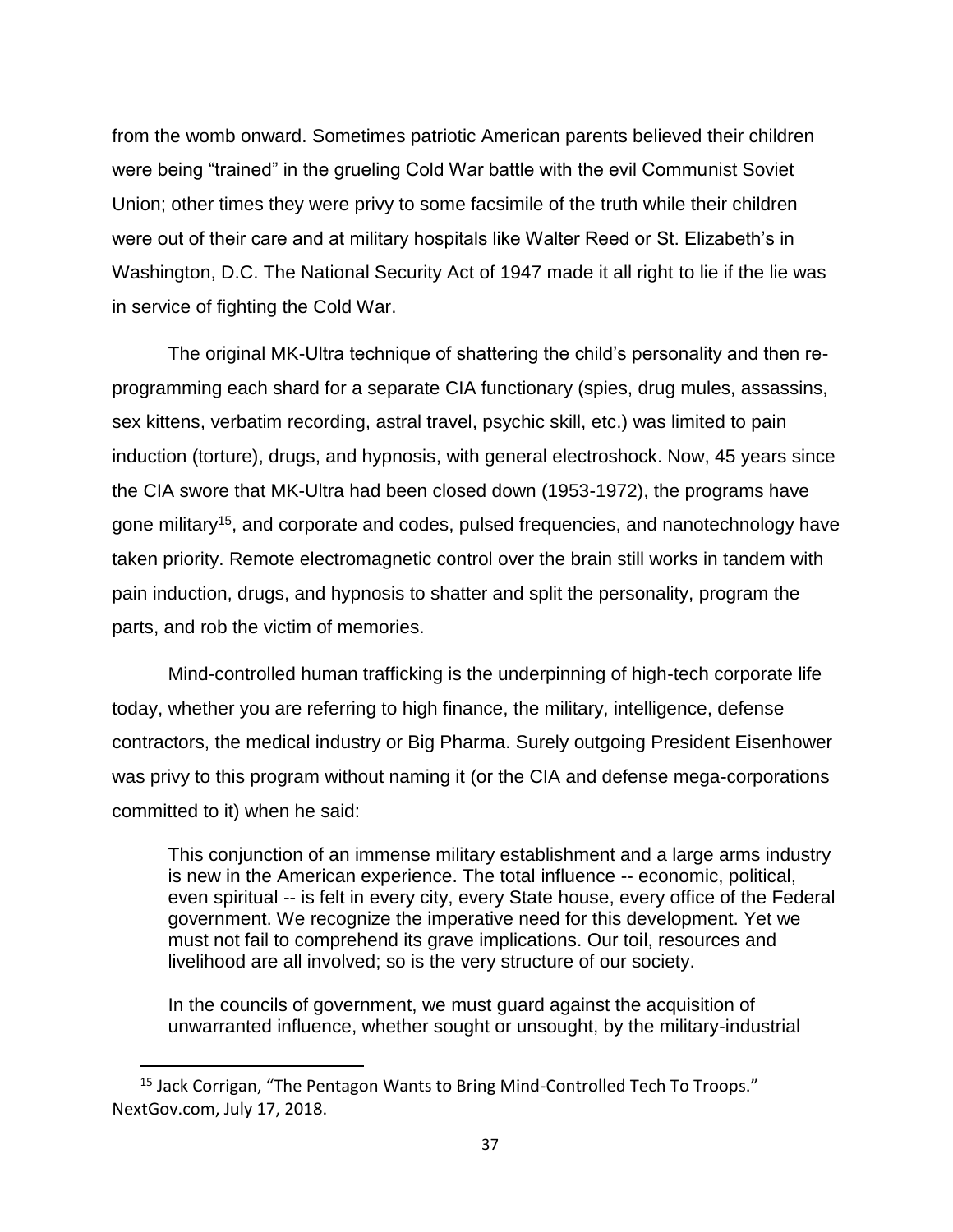from the womb onward. Sometimes patriotic American parents believed their children were being "trained" in the grueling Cold War battle with the evil Communist Soviet Union; other times they were privy to some facsimile of the truth while their children were out of their care and at military hospitals like Walter Reed or St. Elizabeth's in Washington, D.C. The National Security Act of 1947 made it all right to lie if the lie was in service of fighting the Cold War.

The original MK-Ultra technique of shattering the child's personality and then reprogramming each shard for a separate CIA functionary (spies, drug mules, assassins, sex kittens, verbatim recording, astral travel, psychic skill, etc.) was limited to pain induction (torture), drugs, and hypnosis, with general electroshock. Now, 45 years since the CIA swore that MK-Ultra had been closed down (1953-1972), the programs have gone military<sup>15</sup>, and corporate and codes, pulsed frequencies, and nanotechnology have taken priority. Remote electromagnetic control over the brain still works in tandem with pain induction, drugs, and hypnosis to shatter and split the personality, program the parts, and rob the victim of memories.

Mind-controlled human trafficking is the underpinning of high-tech corporate life today, whether you are referring to high finance, the military, intelligence, defense contractors, the medical industry or Big Pharma. Surely outgoing President Eisenhower was privy to this program without naming it (or the CIA and defense mega-corporations committed to it) when he said:

This conjunction of an immense military establishment and a large arms industry is new in the American experience. The total influence -- economic, political, even spiritual -- is felt in every city, every State house, every office of the Federal government. We recognize the imperative need for this development. Yet we must not fail to comprehend its grave implications. Our toil, resources and livelihood are all involved; so is the very structure of our society.

In the councils of government, we must guard against the acquisition of unwarranted influence, whether sought or unsought, by the military-industrial

<sup>&</sup>lt;sup>15</sup> Jack Corrigan, "The Pentagon Wants to Bring Mind-Controlled Tech To Troops." NextGov.com, July 17, 2018.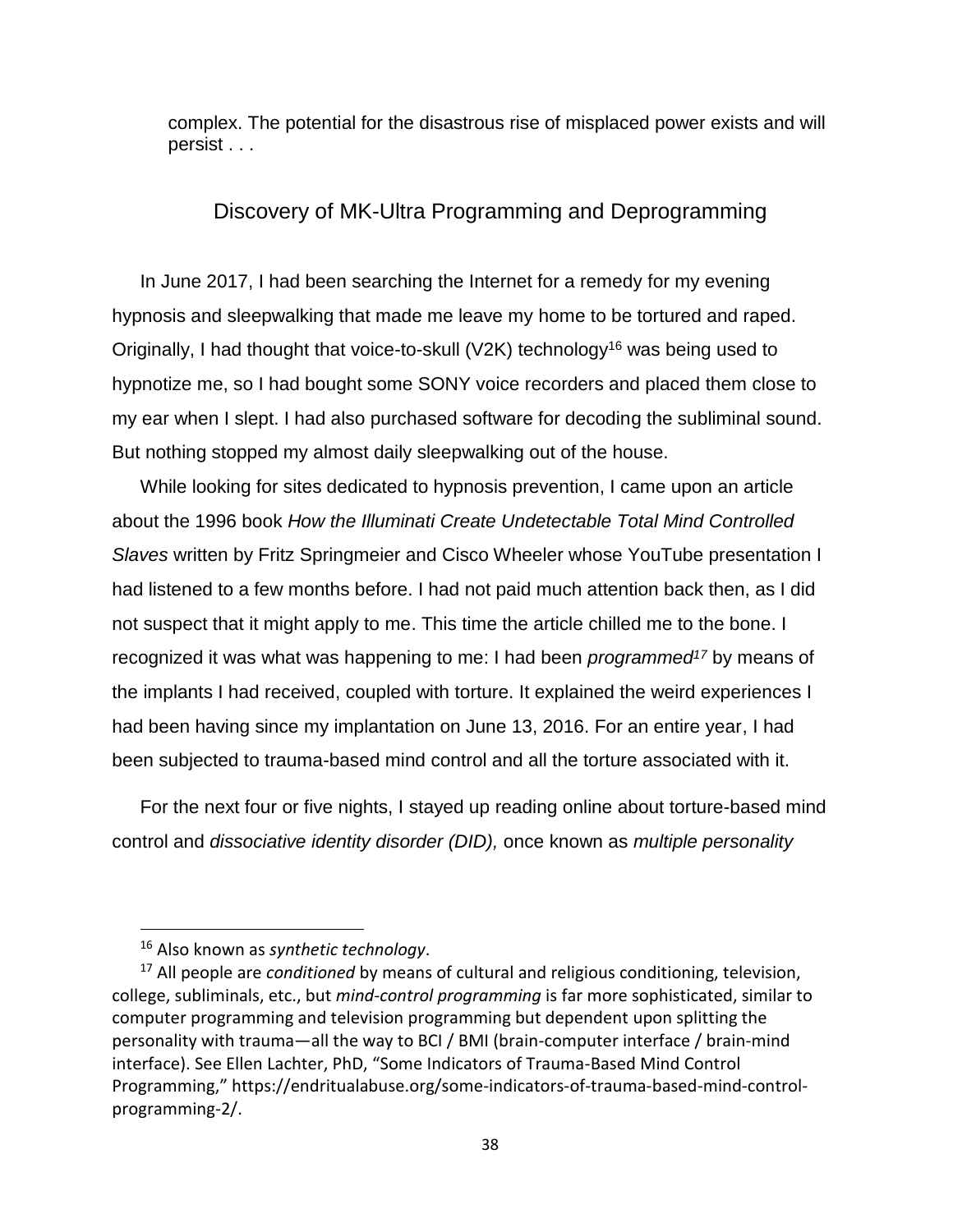complex. The potential for the disastrous rise of misplaced power exists and will persist . . .

# Discovery of MK-Ultra Programming and Deprogramming

In June 2017, I had been searching the Internet for a remedy for my evening hypnosis and sleepwalking that made me leave my home to be tortured and raped. Originally, I had thought that voice-to-skull (V2K) technology<sup>16</sup> was being used to hypnotize me, so I had bought some SONY voice recorders and placed them close to my ear when I slept. I had also purchased software for decoding the subliminal sound. But nothing stopped my almost daily sleepwalking out of the house.

While looking for sites dedicated to hypnosis prevention, I came upon an article about the 1996 book *How the Illuminati Create Undetectable Total Mind Controlled Slaves* written by Fritz Springmeier and Cisco Wheeler whose YouTube presentation I had listened to a few months before. I had not paid much attention back then, as I did not suspect that it might apply to me. This time the article chilled me to the bone. I recognized it was what was happening to me: I had been *programmed<sup>17</sup>* by means of the implants I had received, coupled with torture. It explained the weird experiences I had been having since my implantation on June 13, 2016. For an entire year, I had been subjected to trauma-based mind control and all the torture associated with it.

For the next four or five nights, I stayed up reading online about torture-based mind control and *dissociative identity disorder (DID),* once known as *multiple personality* 

<sup>16</sup> Also known as *synthetic technology*.

<sup>17</sup> All people are *conditioned* by means of cultural and religious conditioning, television, college, subliminals, etc., but *mind-control programming* is far more sophisticated, similar to computer programming and television programming but dependent upon splitting the personality with trauma—all the way to BCI / BMI (brain-computer interface / brain-mind interface). See Ellen Lachter, PhD, "Some Indicators of Trauma-Based Mind Control Programming," https://endritualabuse.org/some-indicators-of-trauma-based-mind-controlprogramming-2/.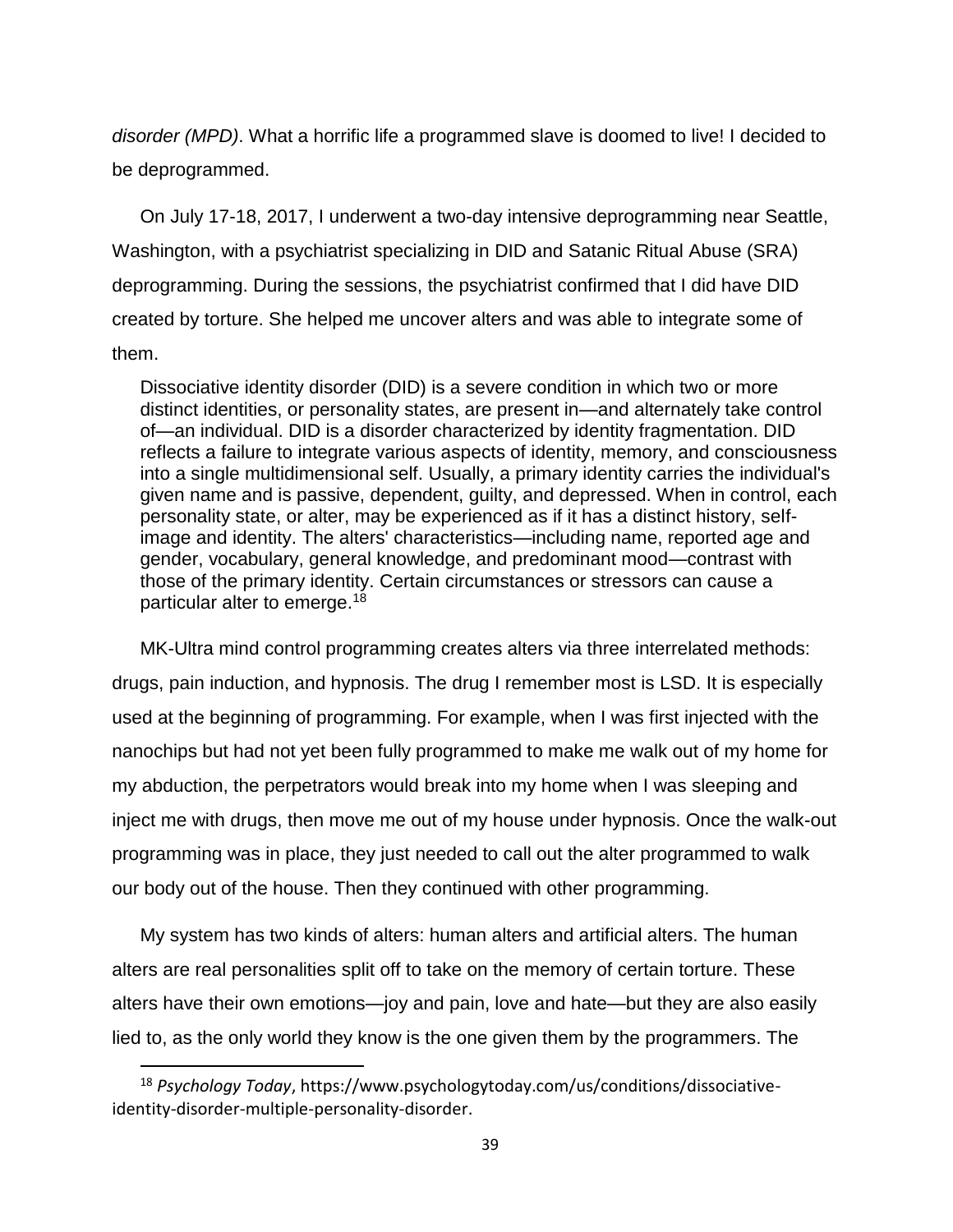*disorder (MPD)*. What a horrific life a programmed slave is doomed to live! I decided to be deprogrammed.

On July 17-18, 2017, I underwent a two-day intensive deprogramming near Seattle, Washington, with a psychiatrist specializing in DID and Satanic Ritual Abuse (SRA) deprogramming. During the sessions, the psychiatrist confirmed that I did have DID created by torture. She helped me uncover alters and was able to integrate some of them.

Dissociative identity disorder (DID) is a severe condition in which two or more distinct identities, or personality states, are present in—and alternately take control of—an individual. DID is a disorder characterized by identity fragmentation. DID reflects a failure to integrate various aspects of identity, memory, and consciousness into a single multidimensional self. Usually, a primary identity carries the individual's given name and is passive, dependent, guilty, and depressed. When in control, each personality state, or alter, may be experienced as if it has a distinct history, selfimage and identity. The alters' characteristics—including name, reported age and gender, vocabulary, general knowledge, and predominant mood—contrast with those of the primary identity. Certain circumstances or stressors can cause a particular alter to emerge.<sup>18</sup>

MK-Ultra mind control programming creates alters via three interrelated methods: drugs, pain induction, and hypnosis. The drug I remember most is LSD. It is especially used at the beginning of programming. For example, when I was first injected with the nanochips but had not yet been fully programmed to make me walk out of my home for my abduction, the perpetrators would break into my home when I was sleeping and inject me with drugs, then move me out of my house under hypnosis. Once the walk-out programming was in place, they just needed to call out the alter programmed to walk our body out of the house. Then they continued with other programming.

My system has two kinds of alters: human alters and artificial alters. The human alters are real personalities split off to take on the memory of certain torture. These alters have their own emotions—joy and pain, love and hate—but they are also easily lied to, as the only world they know is the one given them by the programmers. The

<sup>18</sup> *Psychology Today*, https://www.psychologytoday.com/us/conditions/dissociativeidentity-disorder-multiple-personality-disorder.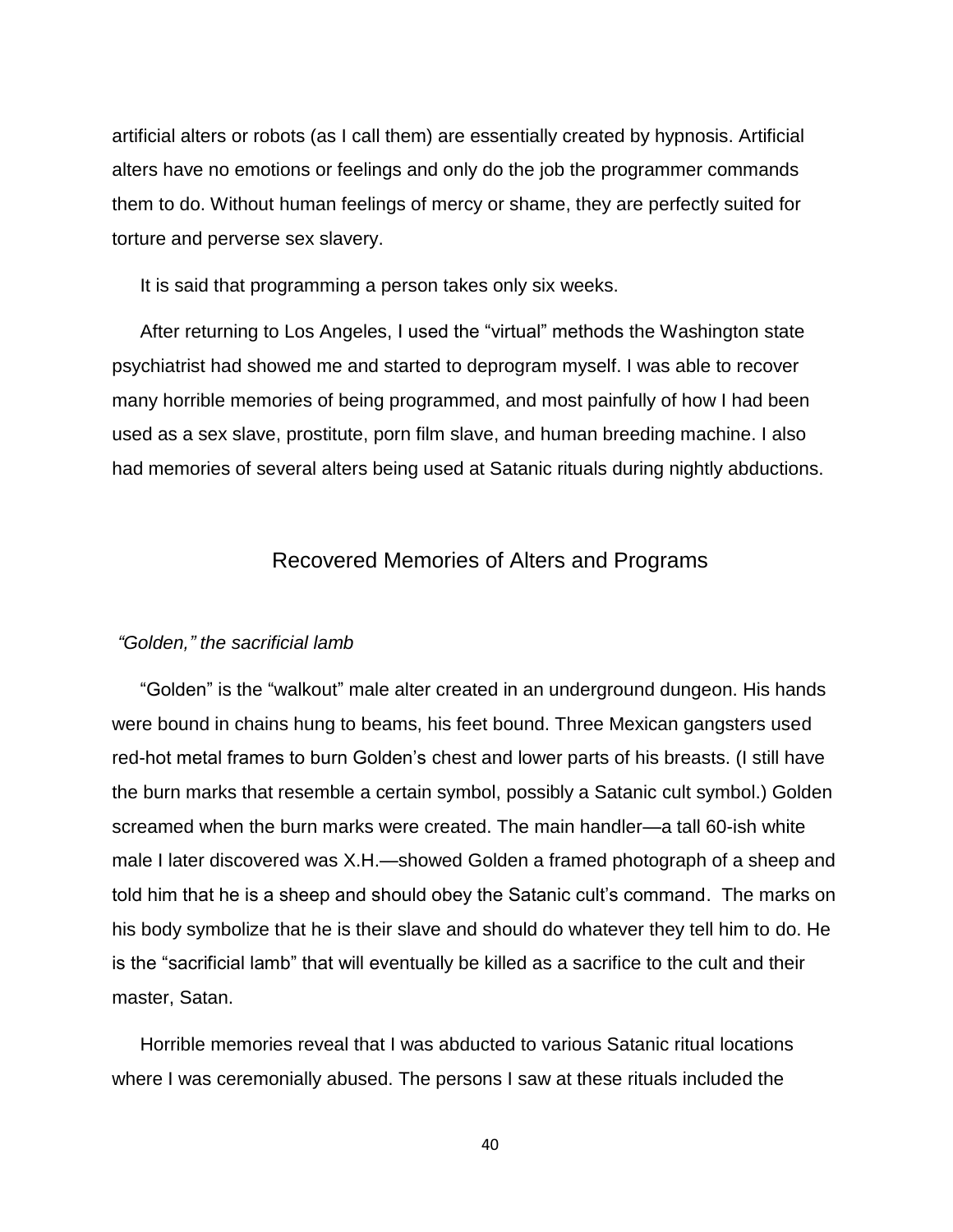artificial alters or robots (as I call them) are essentially created by hypnosis. Artificial alters have no emotions or feelings and only do the job the programmer commands them to do. Without human feelings of mercy or shame, they are perfectly suited for torture and perverse sex slavery.

It is said that programming a person takes only six weeks.

After returning to Los Angeles, I used the "virtual" methods the Washington state psychiatrist had showed me and started to deprogram myself. I was able to recover many horrible memories of being programmed, and most painfully of how I had been used as a sex slave, prostitute, porn film slave, and human breeding machine. I also had memories of several alters being used at Satanic rituals during nightly abductions.

## Recovered Memories of Alters and Programs

### *"Golden," the sacrificial lamb*

"Golden" is the "walkout" male alter created in an underground dungeon. His hands were bound in chains hung to beams, his feet bound. Three Mexican gangsters used red-hot metal frames to burn Golden's chest and lower parts of his breasts. (I still have the burn marks that resemble a certain symbol, possibly a Satanic cult symbol.) Golden screamed when the burn marks were created. The main handler—a tall 60-ish white male I later discovered was X.H.—showed Golden a framed photograph of a sheep and told him that he is a sheep and should obey the Satanic cult's command. The marks on his body symbolize that he is their slave and should do whatever they tell him to do. He is the "sacrificial lamb" that will eventually be killed as a sacrifice to the cult and their master, Satan.

Horrible memories reveal that I was abducted to various Satanic ritual locations where I was ceremonially abused. The persons I saw at these rituals included the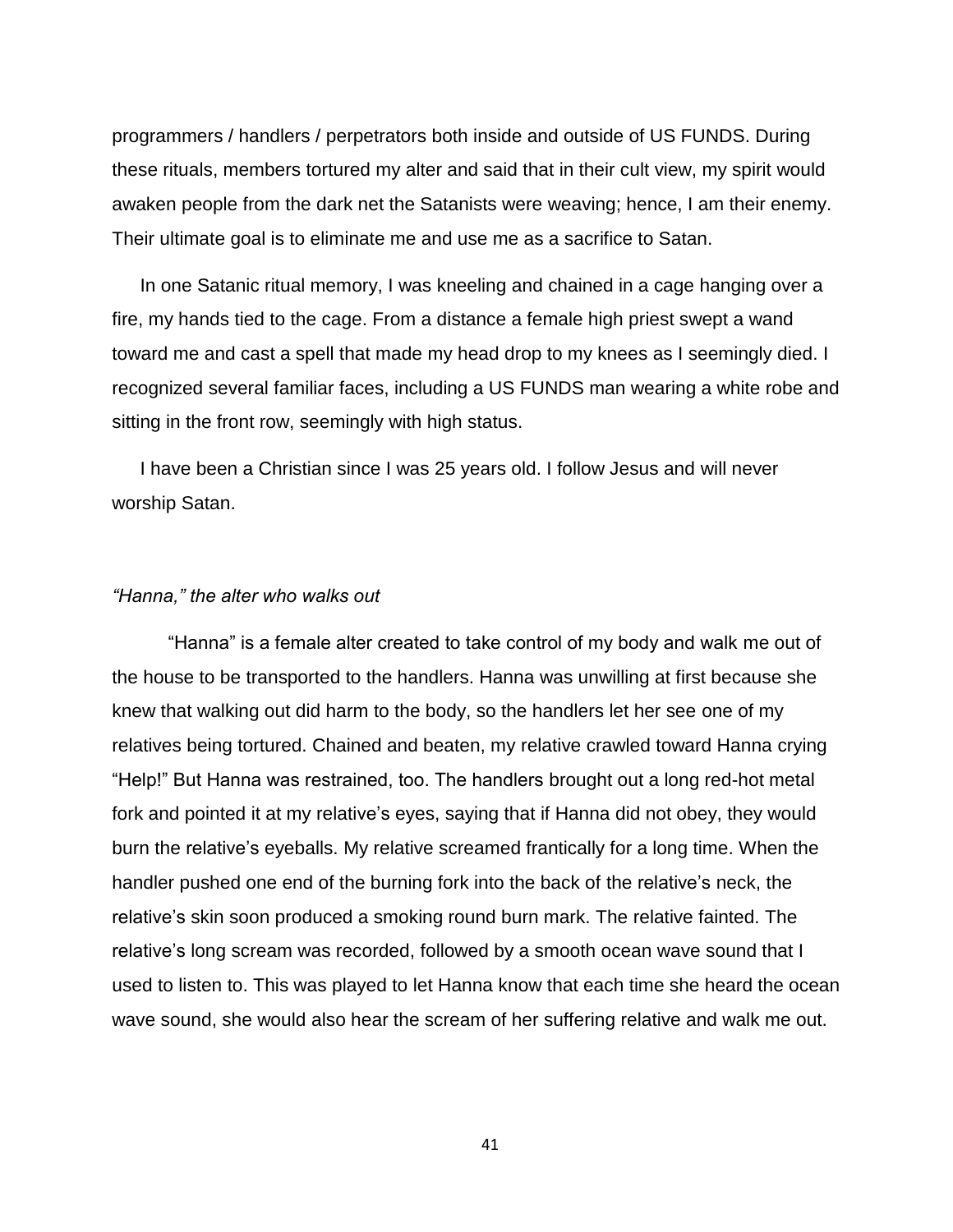programmers / handlers / perpetrators both inside and outside of US FUNDS. During these rituals, members tortured my alter and said that in their cult view, my spirit would awaken people from the dark net the Satanists were weaving; hence, I am their enemy. Their ultimate goal is to eliminate me and use me as a sacrifice to Satan.

In one Satanic ritual memory, I was kneeling and chained in a cage hanging over a fire, my hands tied to the cage. From a distance a female high priest swept a wand toward me and cast a spell that made my head drop to my knees as I seemingly died. I recognized several familiar faces, including a US FUNDS man wearing a white robe and sitting in the front row, seemingly with high status.

I have been a Christian since I was 25 years old. I follow Jesus and will never worship Satan.

#### *"Hanna," the alter who walks out*

"Hanna" is a female alter created to take control of my body and walk me out of the house to be transported to the handlers. Hanna was unwilling at first because she knew that walking out did harm to the body, so the handlers let her see one of my relatives being tortured. Chained and beaten, my relative crawled toward Hanna crying "Help!" But Hanna was restrained, too. The handlers brought out a long red-hot metal fork and pointed it at my relative's eyes, saying that if Hanna did not obey, they would burn the relative's eyeballs. My relative screamed frantically for a long time. When the handler pushed one end of the burning fork into the back of the relative's neck, the relative's skin soon produced a smoking round burn mark. The relative fainted. The relative's long scream was recorded, followed by a smooth ocean wave sound that I used to listen to. This was played to let Hanna know that each time she heard the ocean wave sound, she would also hear the scream of her suffering relative and walk me out.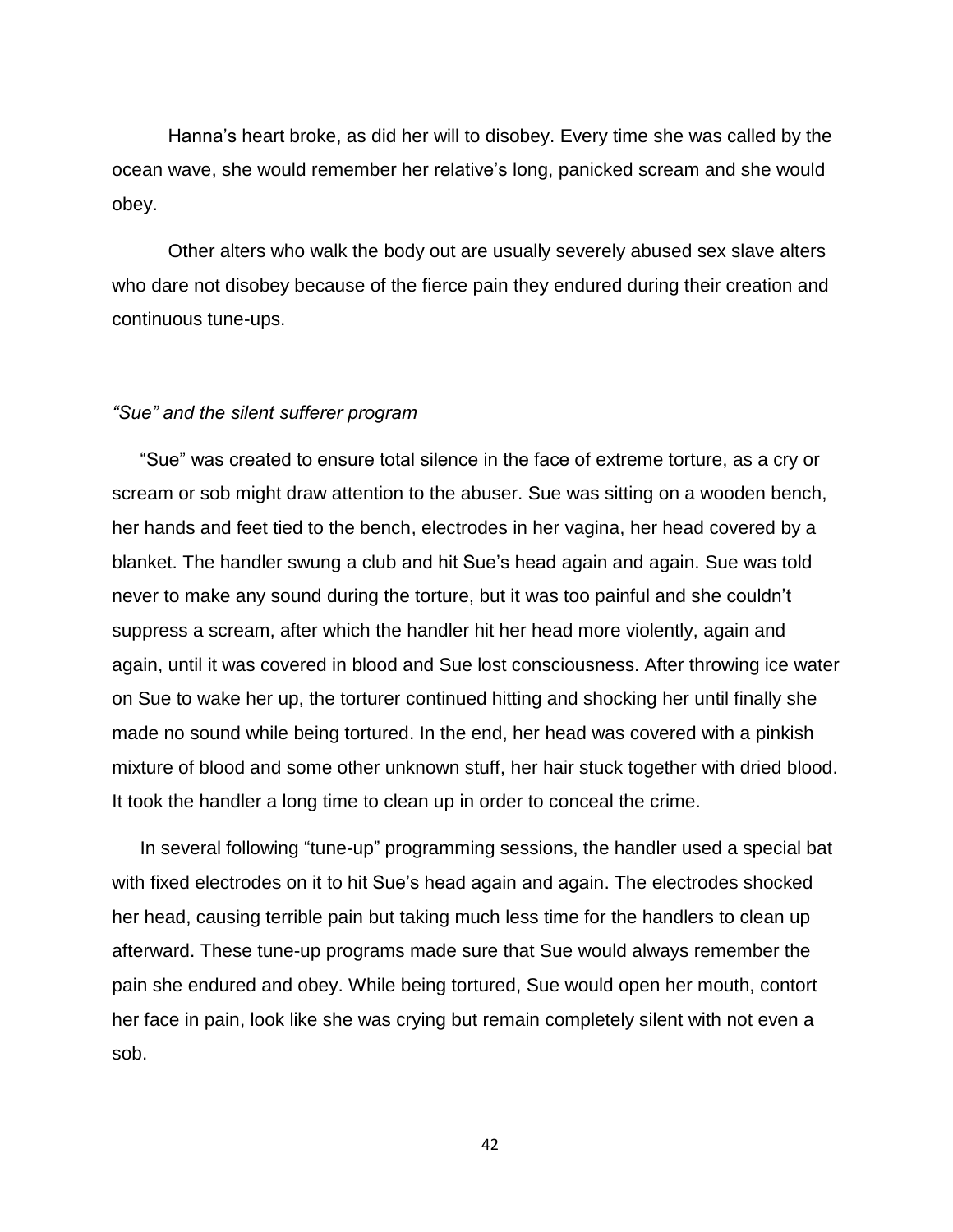Hanna's heart broke, as did her will to disobey. Every time she was called by the ocean wave, she would remember her relative's long, panicked scream and she would obey.

Other alters who walk the body out are usually severely abused sex slave alters who dare not disobey because of the fierce pain they endured during their creation and continuous tune-ups.

## *"Sue" and the silent sufferer program*

"Sue" was created to ensure total silence in the face of extreme torture, as a cry or scream or sob might draw attention to the abuser. Sue was sitting on a wooden bench, her hands and feet tied to the bench, electrodes in her vagina, her head covered by a blanket. The handler swung a club and hit Sue's head again and again. Sue was told never to make any sound during the torture, but it was too painful and she couldn't suppress a scream, after which the handler hit her head more violently, again and again, until it was covered in blood and Sue lost consciousness. After throwing ice water on Sue to wake her up, the torturer continued hitting and shocking her until finally she made no sound while being tortured. In the end, her head was covered with a pinkish mixture of blood and some other unknown stuff, her hair stuck together with dried blood. It took the handler a long time to clean up in order to conceal the crime.

In several following "tune-up" programming sessions, the handler used a special bat with fixed electrodes on it to hit Sue's head again and again. The electrodes shocked her head, causing terrible pain but taking much less time for the handlers to clean up afterward. These tune-up programs made sure that Sue would always remember the pain she endured and obey. While being tortured, Sue would open her mouth, contort her face in pain, look like she was crying but remain completely silent with not even a sob.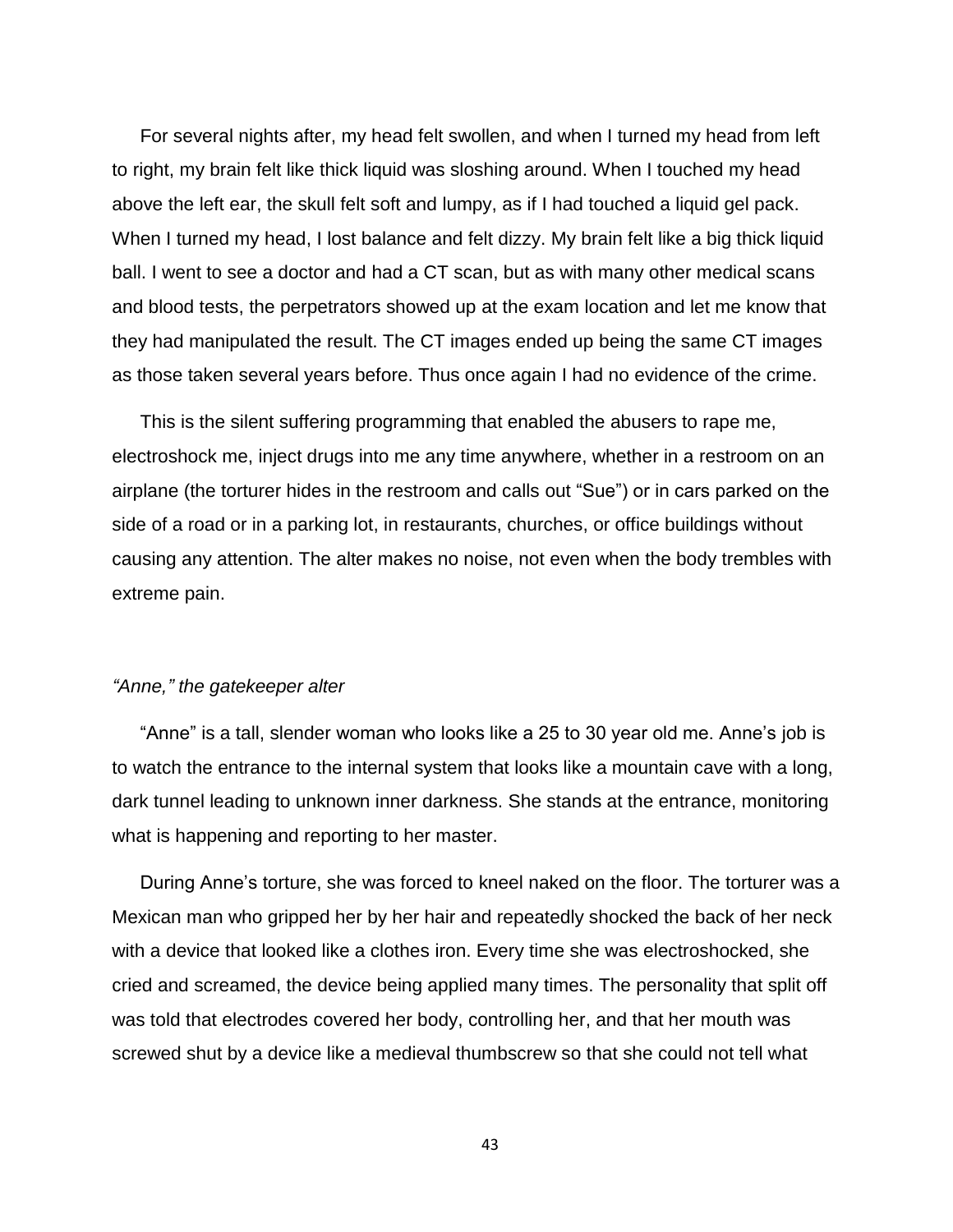For several nights after, my head felt swollen, and when I turned my head from left to right, my brain felt like thick liquid was sloshing around. When I touched my head above the left ear, the skull felt soft and lumpy, as if I had touched a liquid gel pack. When I turned my head, I lost balance and felt dizzy. My brain felt like a big thick liquid ball. I went to see a doctor and had a CT scan, but as with many other medical scans and blood tests, the perpetrators showed up at the exam location and let me know that they had manipulated the result. The CT images ended up being the same CT images as those taken several years before. Thus once again I had no evidence of the crime.

This is the silent suffering programming that enabled the abusers to rape me, electroshock me, inject drugs into me any time anywhere, whether in a restroom on an airplane (the torturer hides in the restroom and calls out "Sue") or in cars parked on the side of a road or in a parking lot, in restaurants, churches, or office buildings without causing any attention. The alter makes no noise, not even when the body trembles with extreme pain.

## *"Anne," the gatekeeper alter*

"Anne" is a tall, slender woman who looks like a 25 to 30 year old me. Anne's job is to watch the entrance to the internal system that looks like a mountain cave with a long, dark tunnel leading to unknown inner darkness. She stands at the entrance, monitoring what is happening and reporting to her master.

During Anne's torture, she was forced to kneel naked on the floor. The torturer was a Mexican man who gripped her by her hair and repeatedly shocked the back of her neck with a device that looked like a clothes iron. Every time she was electroshocked, she cried and screamed, the device being applied many times. The personality that split off was told that electrodes covered her body, controlling her, and that her mouth was screwed shut by a device like a medieval thumbscrew so that she could not tell what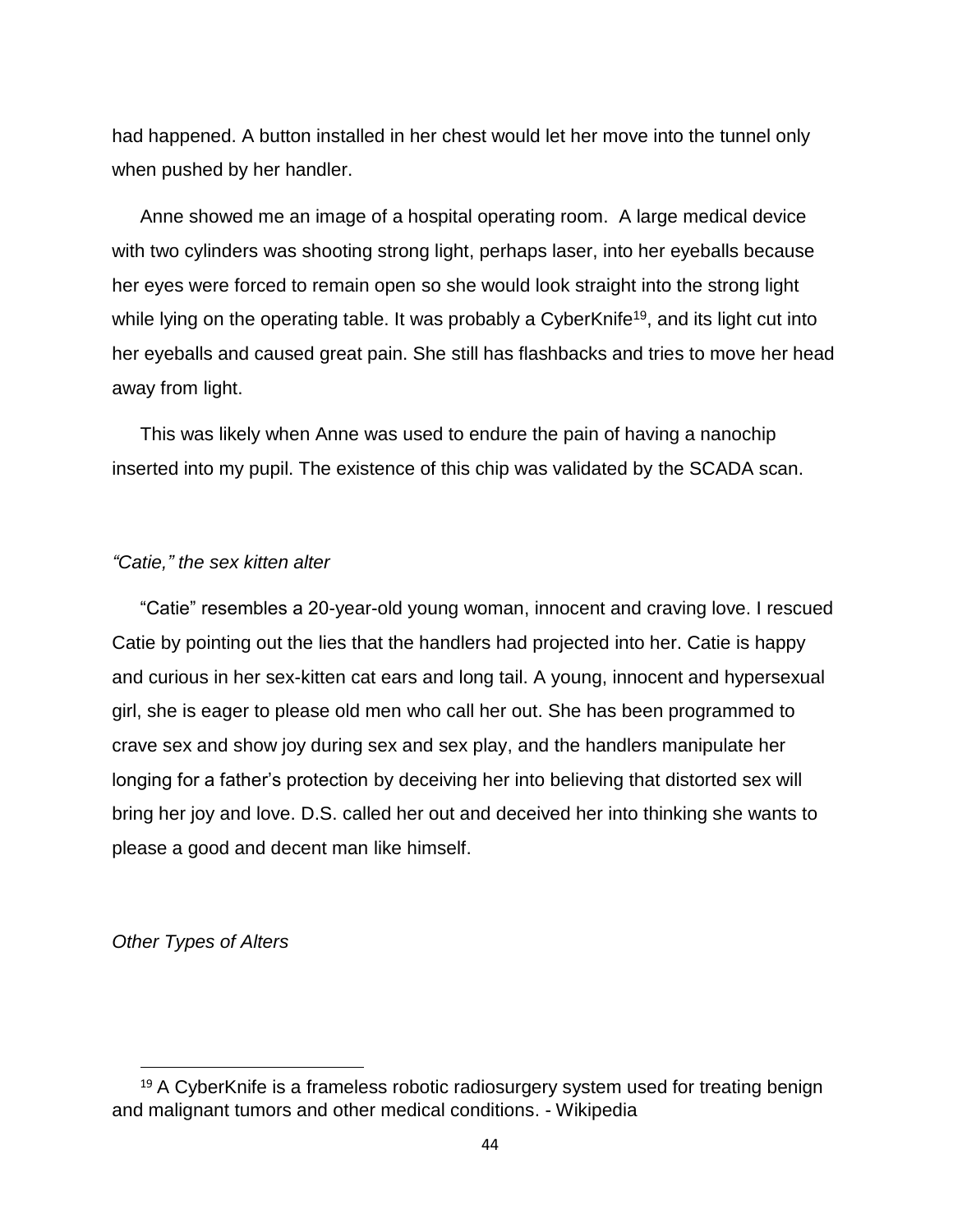had happened. A button installed in her chest would let her move into the tunnel only when pushed by her handler.

Anne showed me an image of a hospital operating room. A large medical device with two cylinders was shooting strong light, perhaps laser, into her eyeballs because her eyes were forced to remain open so she would look straight into the strong light while lying on the operating table. It was probably a CyberKnife<sup>19</sup>, and its light cut into her eyeballs and caused great pain. She still has flashbacks and tries to move her head away from light.

This was likely when Anne was used to endure the pain of having a nanochip inserted into my pupil. The existence of this chip was validated by the SCADA scan.

### *"Catie," the sex kitten alter*

"Catie" resembles a 20-year-old young woman, innocent and craving love. I rescued Catie by pointing out the lies that the handlers had projected into her. Catie is happy and curious in her sex-kitten cat ears and long tail. A young, innocent and hypersexual girl, she is eager to please old men who call her out. She has been programmed to crave sex and show joy during sex and sex play, and the handlers manipulate her longing for a father's protection by deceiving her into believing that distorted sex will bring her joy and love. D.S. called her out and deceived her into thinking she wants to please a good and decent man like himself.

*Other Types of Alters*

<sup>&</sup>lt;sup>19</sup> A CyberKnife is a frameless robotic radiosurgery system used for treating benign and malignant tumors and other medical conditions. - Wikipedia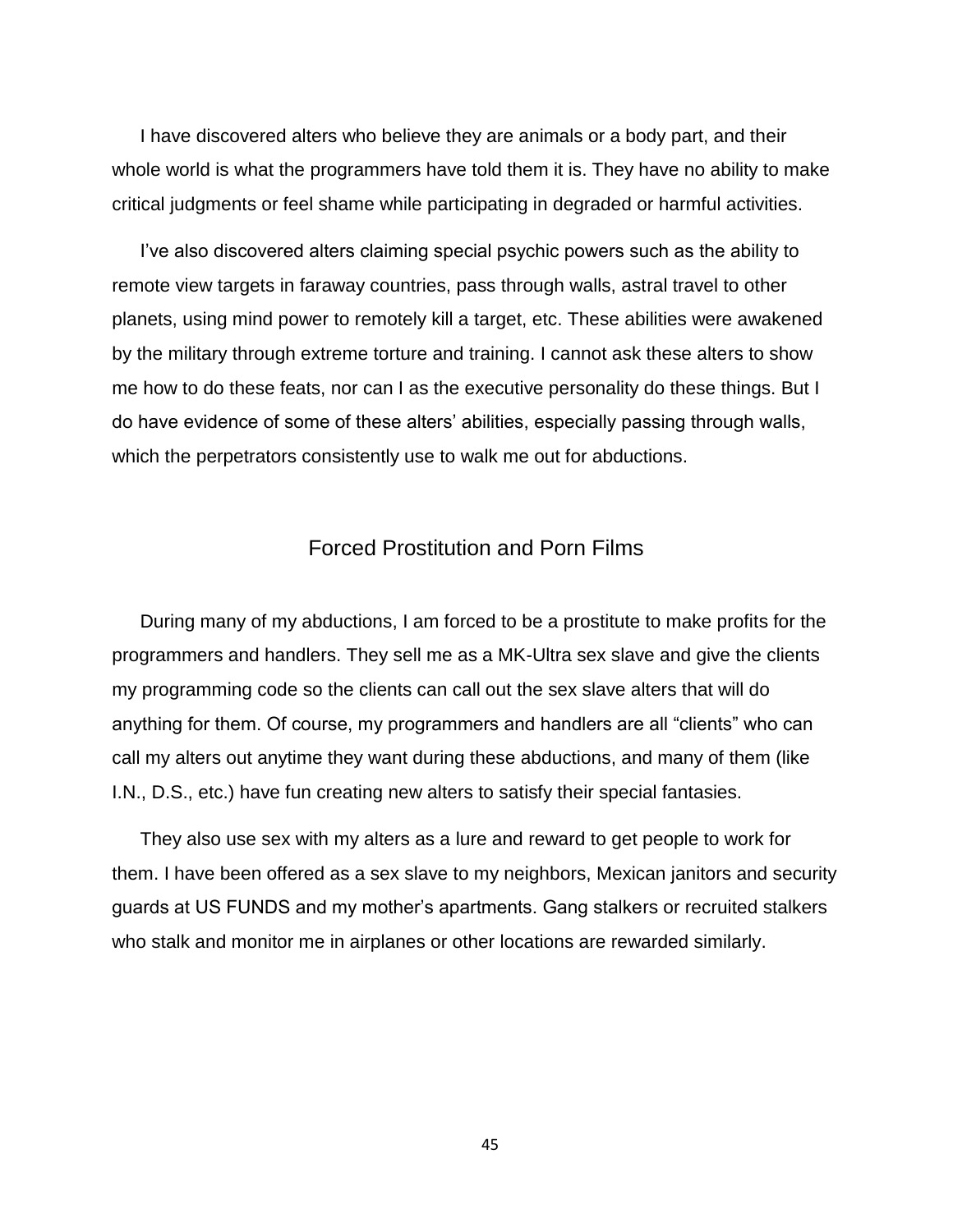I have discovered alters who believe they are animals or a body part, and their whole world is what the programmers have told them it is. They have no ability to make critical judgments or feel shame while participating in degraded or harmful activities.

I've also discovered alters claiming special psychic powers such as the ability to remote view targets in faraway countries, pass through walls, astral travel to other planets, using mind power to remotely kill a target, etc. These abilities were awakened by the military through extreme torture and training. I cannot ask these alters to show me how to do these feats, nor can I as the executive personality do these things. But I do have evidence of some of these alters' abilities, especially passing through walls, which the perpetrators consistently use to walk me out for abductions.

## Forced Prostitution and Porn Films

During many of my abductions, I am forced to be a prostitute to make profits for the programmers and handlers. They sell me as a MK-Ultra sex slave and give the clients my programming code so the clients can call out the sex slave alters that will do anything for them. Of course, my programmers and handlers are all "clients" who can call my alters out anytime they want during these abductions, and many of them (like I.N., D.S., etc.) have fun creating new alters to satisfy their special fantasies.

They also use sex with my alters as a lure and reward to get people to work for them. I have been offered as a sex slave to my neighbors, Mexican janitors and security guards at US FUNDS and my mother's apartments. Gang stalkers or recruited stalkers who stalk and monitor me in airplanes or other locations are rewarded similarly.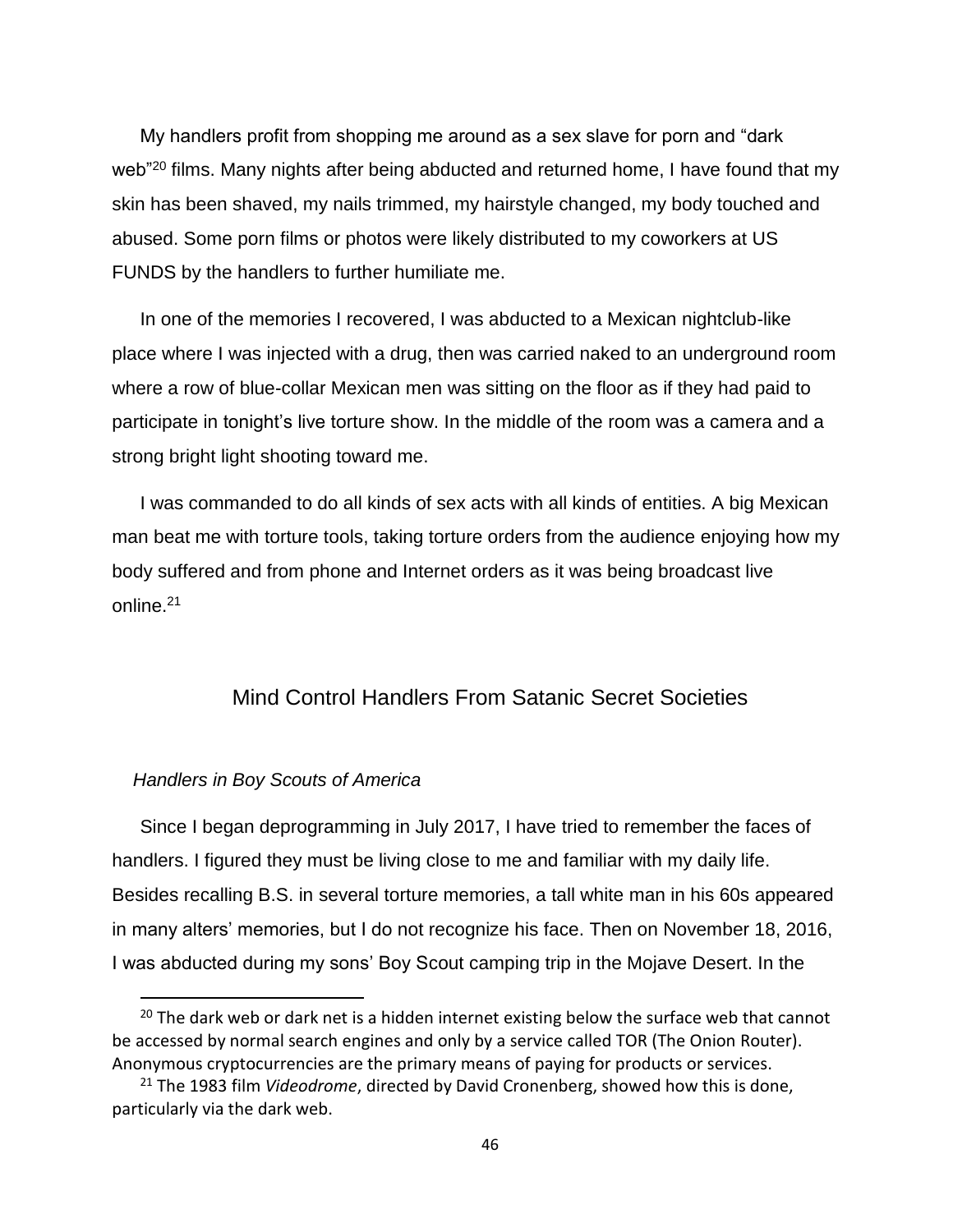My handlers profit from shopping me around as a sex slave for porn and "dark web<sup>"20</sup> films. Many nights after being abducted and returned home, I have found that my skin has been shaved, my nails trimmed, my hairstyle changed, my body touched and abused. Some porn films or photos were likely distributed to my coworkers at US FUNDS by the handlers to further humiliate me.

In one of the memories I recovered, I was abducted to a Mexican nightclub-like place where I was injected with a drug, then was carried naked to an underground room where a row of blue-collar Mexican men was sitting on the floor as if they had paid to participate in tonight's live torture show. In the middle of the room was a camera and a strong bright light shooting toward me.

I was commanded to do all kinds of sex acts with all kinds of entities. A big Mexican man beat me with torture tools, taking torture orders from the audience enjoying how my body suffered and from phone and Internet orders as it was being broadcast live online.<sup>21</sup>

## Mind Control Handlers From Satanic Secret Societies

### *Handlers in Boy Scouts of America*

l

Since I began deprogramming in July 2017, I have tried to remember the faces of handlers. I figured they must be living close to me and familiar with my daily life. Besides recalling B.S. in several torture memories, a tall white man in his 60s appeared in many alters' memories, but I do not recognize his face. Then on November 18, 2016, I was abducted during my sons' Boy Scout camping trip in the Mojave Desert. In the

<sup>&</sup>lt;sup>20</sup> The dark web or dark net is a hidden internet existing below the surface web that cannot be accessed by normal search engines and only by a service called TOR (The Onion Router). Anonymous cryptocurrencies are the primary means of paying for products or services.

<sup>21</sup> The 1983 film *Videodrome*, directed by David Cronenberg, showed how this is done, particularly via the dark web.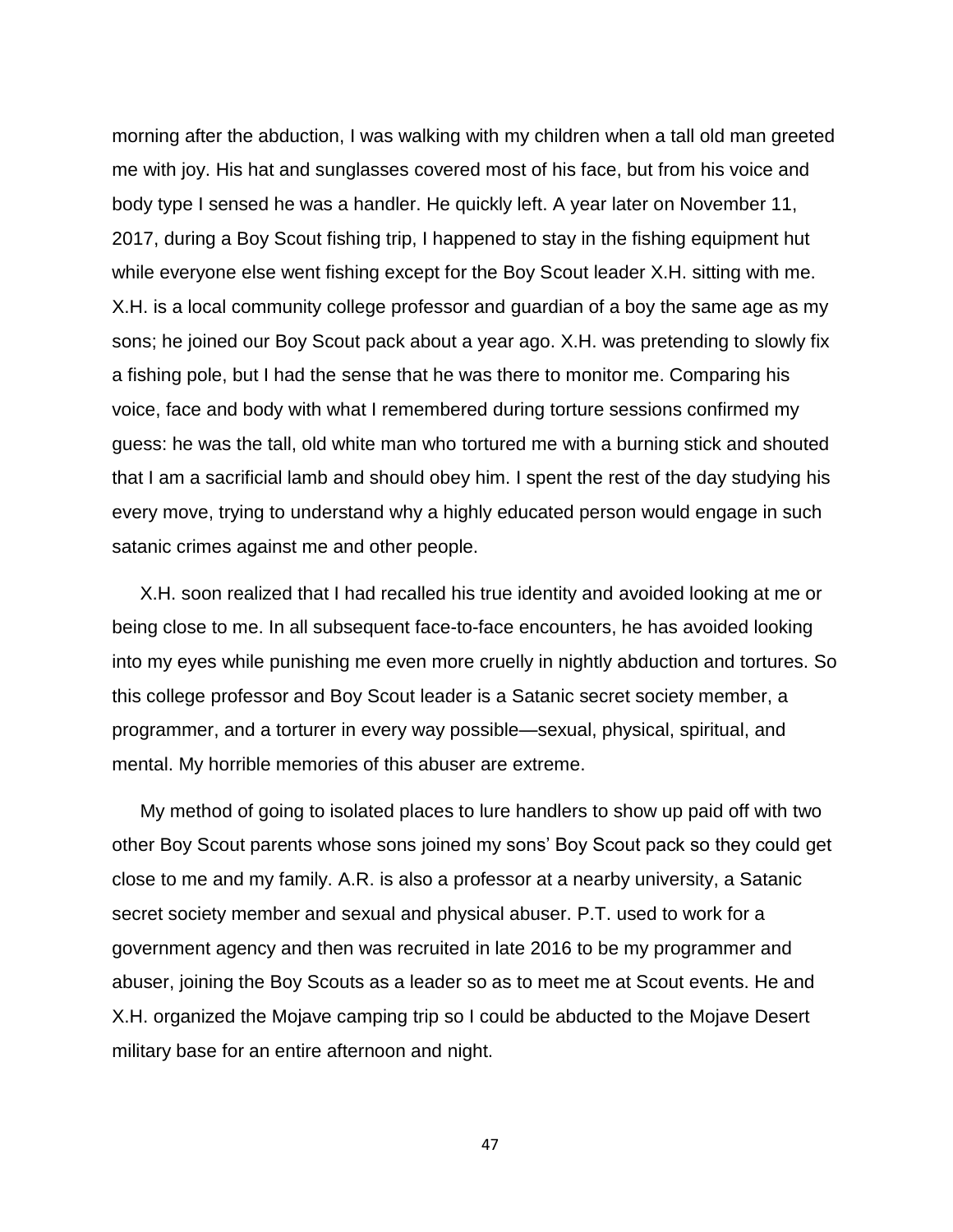morning after the abduction, I was walking with my children when a tall old man greeted me with joy. His hat and sunglasses covered most of his face, but from his voice and body type I sensed he was a handler. He quickly left. A year later on November 11, 2017, during a Boy Scout fishing trip, I happened to stay in the fishing equipment hut while everyone else went fishing except for the Boy Scout leader X.H. sitting with me. X.H. is a local community college professor and guardian of a boy the same age as my sons; he joined our Boy Scout pack about a year ago. X.H. was pretending to slowly fix a fishing pole, but I had the sense that he was there to monitor me. Comparing his voice, face and body with what I remembered during torture sessions confirmed my guess: he was the tall, old white man who tortured me with a burning stick and shouted that I am a sacrificial lamb and should obey him. I spent the rest of the day studying his every move, trying to understand why a highly educated person would engage in such satanic crimes against me and other people.

X.H. soon realized that I had recalled his true identity and avoided looking at me or being close to me. In all subsequent face-to-face encounters, he has avoided looking into my eyes while punishing me even more cruelly in nightly abduction and tortures. So this college professor and Boy Scout leader is a Satanic secret society member, a programmer, and a torturer in every way possible—sexual, physical, spiritual, and mental. My horrible memories of this abuser are extreme.

My method of going to isolated places to lure handlers to show up paid off with two other Boy Scout parents whose sons joined my sons' Boy Scout pack so they could get close to me and my family. A.R. is also a professor at a nearby university, a Satanic secret society member and sexual and physical abuser. P.T. used to work for a government agency and then was recruited in late 2016 to be my programmer and abuser, joining the Boy Scouts as a leader so as to meet me at Scout events. He and X.H. organized the Mojave camping trip so I could be abducted to the Mojave Desert military base for an entire afternoon and night.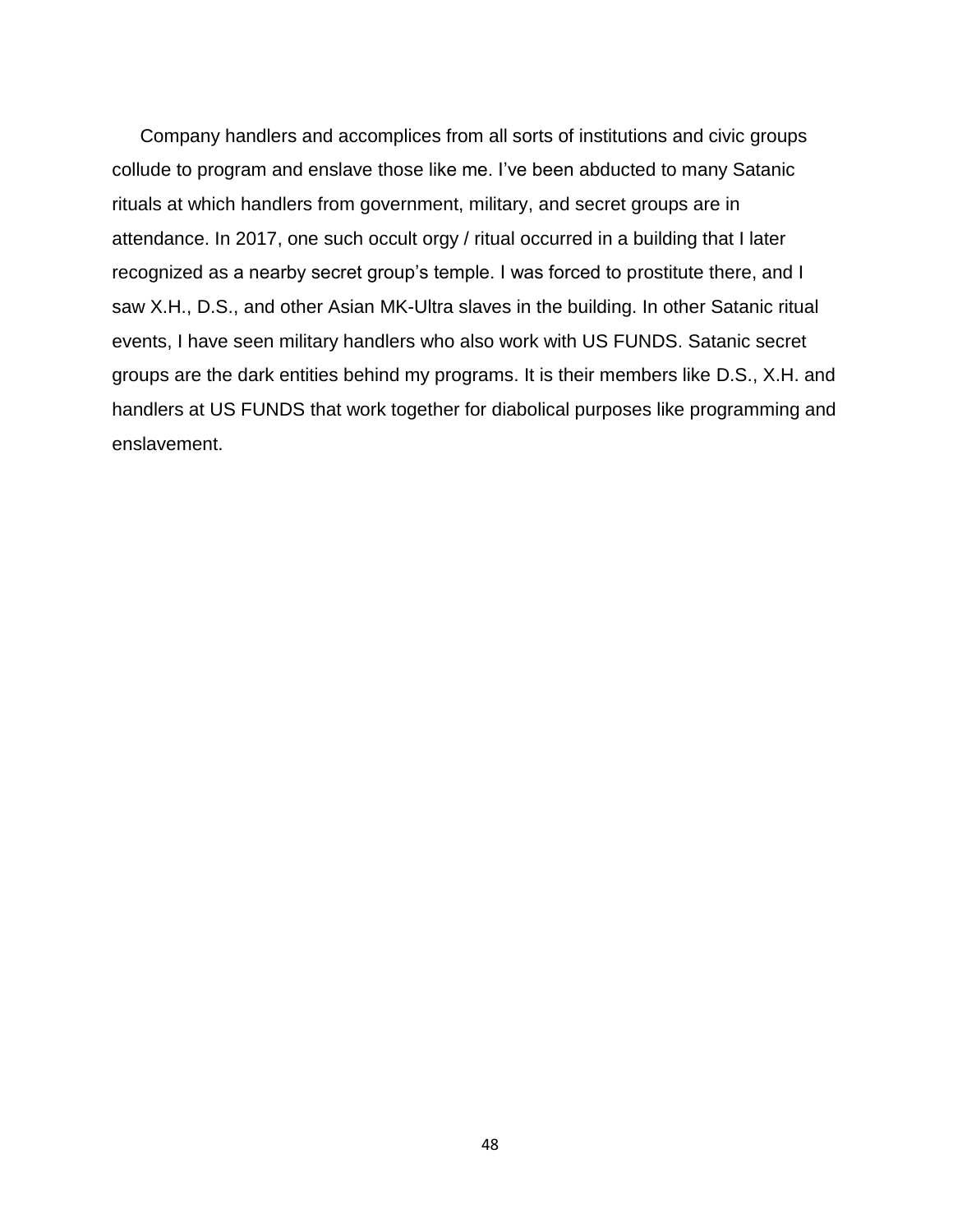Company handlers and accomplices from all sorts of institutions and civic groups collude to program and enslave those like me. I've been abducted to many Satanic rituals at which handlers from government, military, and secret groups are in attendance. In 2017, one such occult orgy / ritual occurred in a building that I later recognized as a nearby secret group's temple. I was forced to prostitute there, and I saw X.H., D.S., and other Asian MK-Ultra slaves in the building. In other Satanic ritual events, I have seen military handlers who also work with US FUNDS. Satanic secret groups are the dark entities behind my programs. It is their members like D.S., X.H. and handlers at US FUNDS that work together for diabolical purposes like programming and enslavement.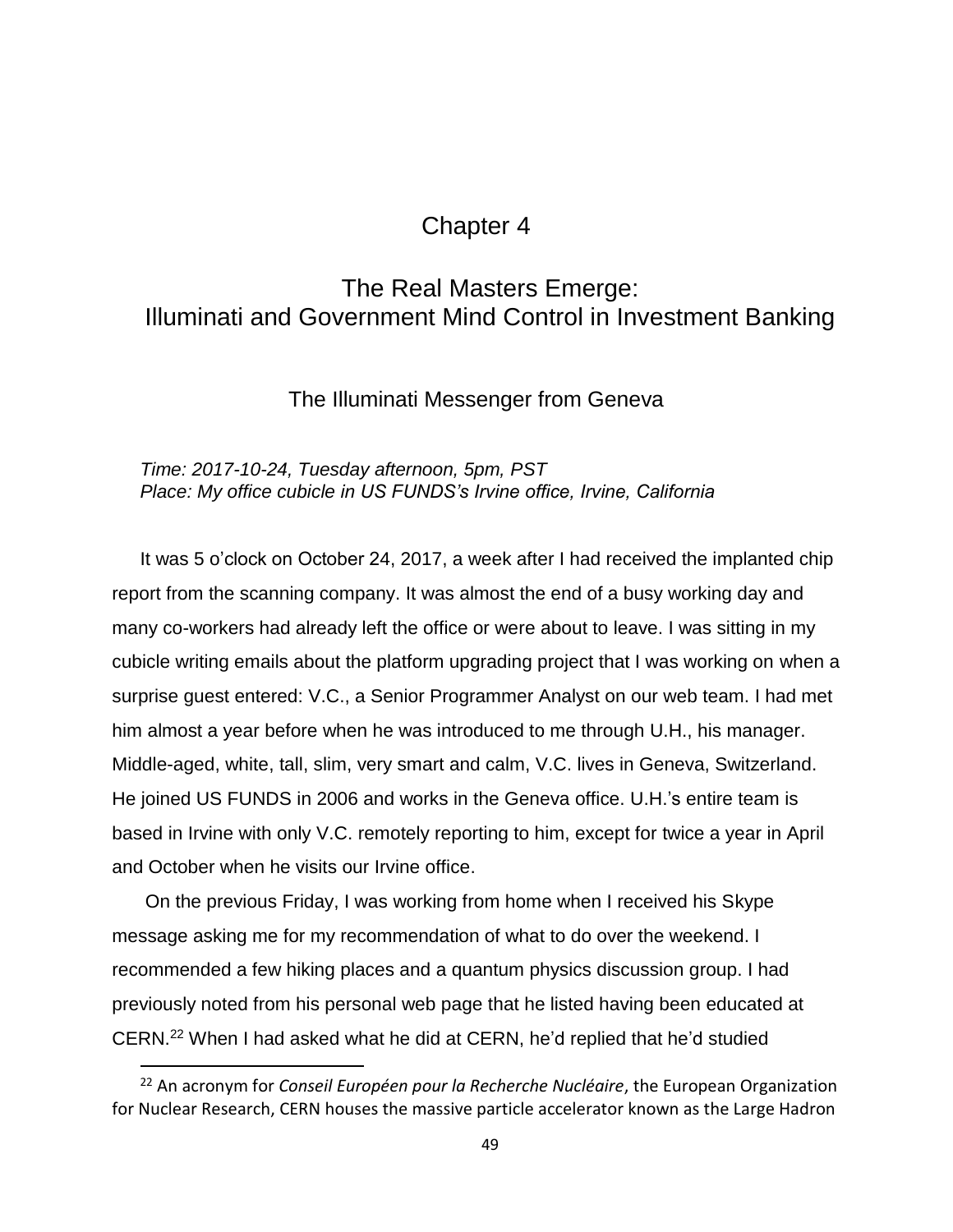# Chapter 4

# The Real Masters Emerge: Illuminati and Government Mind Control in Investment Banking

The Illuminati Messenger from Geneva

## *Time: 2017-10-24, Tuesday afternoon, 5pm, PST Place: My office cubicle in US FUNDS's Irvine office, Irvine, California*

It was 5 o'clock on October 24, 2017, a week after I had received the implanted chip report from the scanning company. It was almost the end of a busy working day and many co-workers had already left the office or were about to leave. I was sitting in my cubicle writing emails about the platform upgrading project that I was working on when a surprise guest entered: V.C., a Senior Programmer Analyst on our web team. I had met him almost a year before when he was introduced to me through U.H., his manager. Middle-aged, white, tall, slim, very smart and calm, V.C. lives in Geneva, Switzerland. He joined US FUNDS in 2006 and works in the Geneva office. U.H.'s entire team is based in Irvine with only V.C. remotely reporting to him, except for twice a year in April and October when he visits our Irvine office.

On the previous Friday, I was working from home when I received his Skype message asking me for my recommendation of what to do over the weekend. I recommended a few hiking places and a quantum physics discussion group. I had previously noted from his personal web page that he listed having been educated at CERN.<sup>22</sup> When I had asked what he did at CERN, he'd replied that he'd studied

<sup>22</sup> An acronym for *Conseil Européen pour la Recherche Nucléaire*, the European Organization for Nuclear Research, CERN houses the massive particle accelerator known as the Large Hadron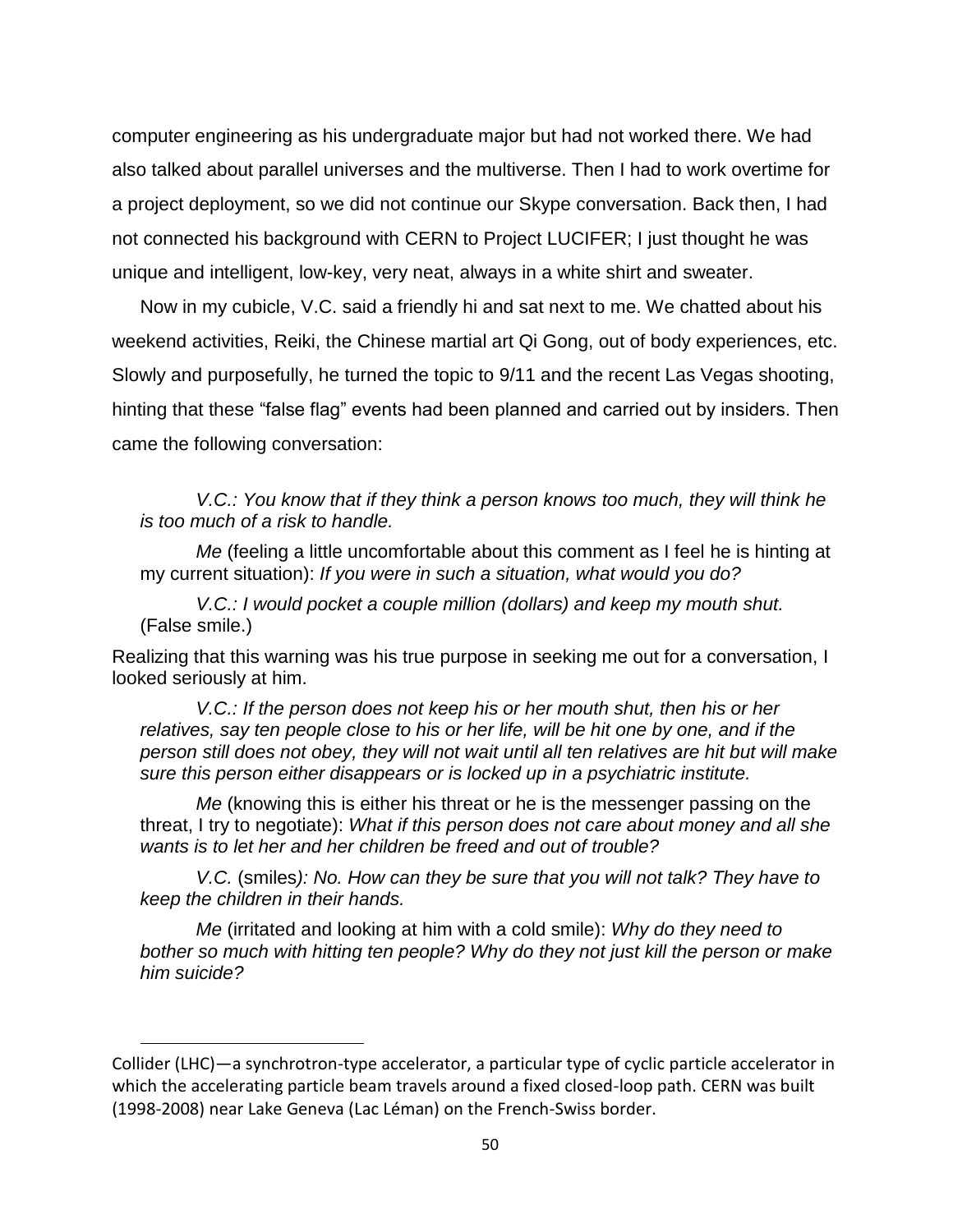computer engineering as his undergraduate major but had not worked there. We had also talked about parallel universes and the multiverse. Then I had to work overtime for a project deployment, so we did not continue our Skype conversation. Back then, I had not connected his background with CERN to Project LUCIFER; I just thought he was unique and intelligent, low-key, very neat, always in a white shirt and sweater.

Now in my cubicle, V.C. said a friendly hi and sat next to me. We chatted about his weekend activities, Reiki, the Chinese martial art Qi Gong, out of body experiences, etc. Slowly and purposefully, he turned the topic to 9/11 and the recent Las Vegas shooting, hinting that these "false flag" events had been planned and carried out by insiders. Then came the following conversation:

*V.C.: You know that if they think a person knows too much, they will think he is too much of a risk to handle.*

*Me* (feeling a little uncomfortable about this comment as I feel he is hinting at my current situation): *If you were in such a situation, what would you do?*

*V.C.: I would pocket a couple million (dollars) and keep my mouth shut.*  (False smile.)

Realizing that this warning was his true purpose in seeking me out for a conversation, I looked seriously at him.

*V.C.: If the person does not keep his or her mouth shut, then his or her relatives, say ten people close to his or her life, will be hit one by one, and if the person still does not obey, they will not wait until all ten relatives are hit but will make sure this person either disappears or is locked up in a psychiatric institute.*

*Me* (knowing this is either his threat or he is the messenger passing on the threat, I try to negotiate): *What if this person does not care about money and all she wants is to let her and her children be freed and out of trouble?*

*V.C.* (smiles*): No. How can they be sure that you will not talk? They have to keep the children in their hands.*

*Me* (irritated and looking at him with a cold smile): *Why do they need to bother so much with hitting ten people? Why do they not just kill the person or make him suicide?*

Collider (LHC)—a synchrotron-type accelerator, a particular type of cyclic [particle accelerator](https://en.wikipedia.org/wiki/Particle_accelerator) in which the accelerating particle beam travels around a fixed closed-loop path. CERN was built (1998-2008) near Lake Geneva (Lac Léman) on the French-Swiss border.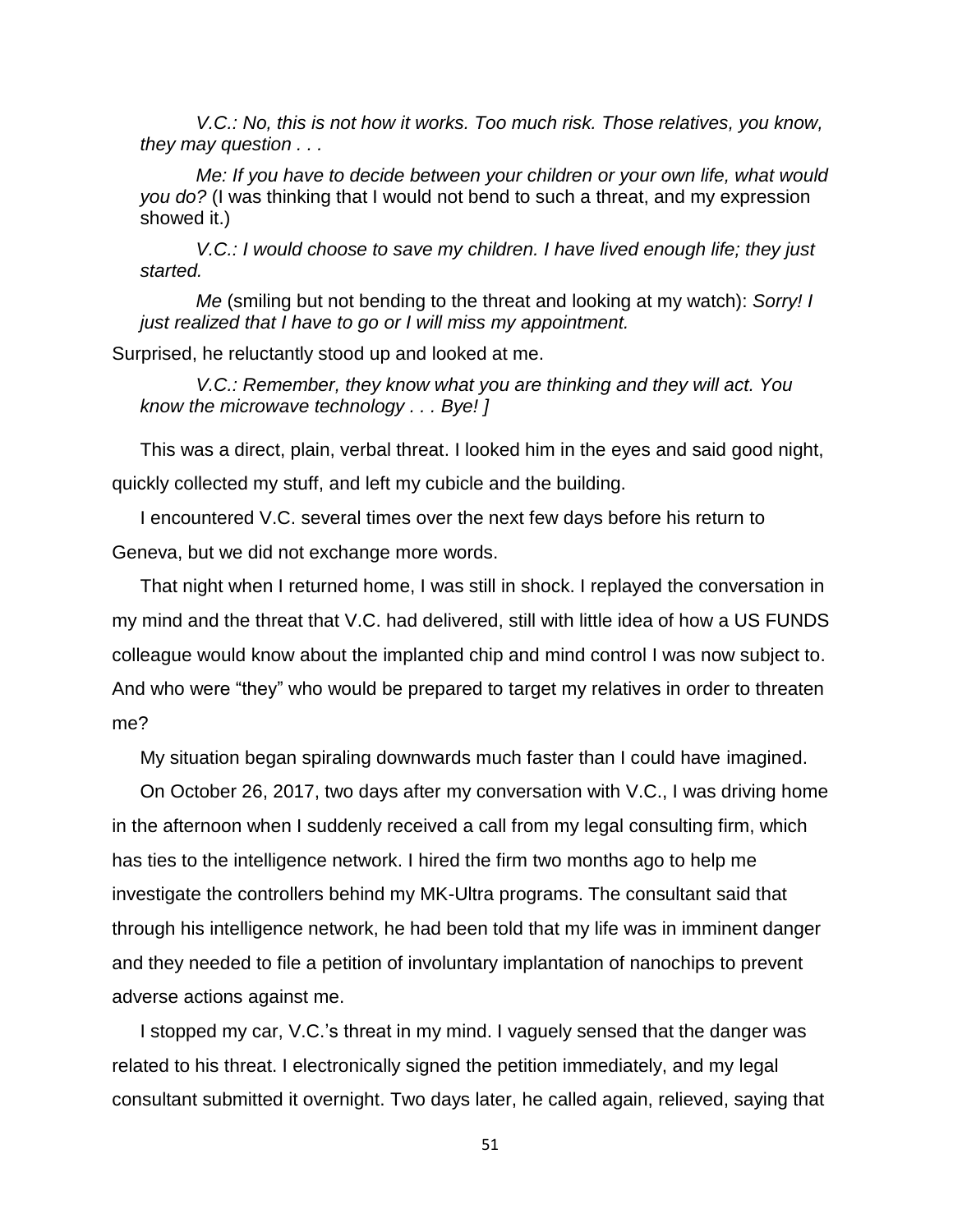*V.C.: No, this is not how it works. Too much risk. Those relatives, you know, they may question . . .*

*Me: If you have to decide between your children or your own life, what would you do?* (I was thinking that I would not bend to such a threat, and my expression showed it.)

*V.C.: I would choose to save my children. I have lived enough life; they just started.*

*Me* (smiling but not bending to the threat and looking at my watch): *Sorry! I just realized that I have to go or I will miss my appointment.*

Surprised, he reluctantly stood up and looked at me.

*V.C.: Remember, they know what you are thinking and they will act. You know the microwave technology . . . Bye! ]*

This was a direct, plain, verbal threat. I looked him in the eyes and said good night, quickly collected my stuff, and left my cubicle and the building.

I encountered V.C. several times over the next few days before his return to Geneva, but we did not exchange more words.

That night when I returned home, I was still in shock. I replayed the conversation in my mind and the threat that V.C. had delivered, still with little idea of how a US FUNDS colleague would know about the implanted chip and mind control I was now subject to. And who were "they" who would be prepared to target my relatives in order to threaten me?

My situation began spiraling downwards much faster than I could have imagined.

On October 26, 2017, two days after my conversation with V.C., I was driving home in the afternoon when I suddenly received a call from my legal consulting firm, which has ties to the intelligence network. I hired the firm two months ago to help me investigate the controllers behind my MK-Ultra programs. The consultant said that through his intelligence network, he had been told that my life was in imminent danger and they needed to file a petition of involuntary implantation of nanochips to prevent adverse actions against me.

I stopped my car, V.C.'s threat in my mind. I vaguely sensed that the danger was related to his threat. I electronically signed the petition immediately, and my legal consultant submitted it overnight. Two days later, he called again, relieved, saying that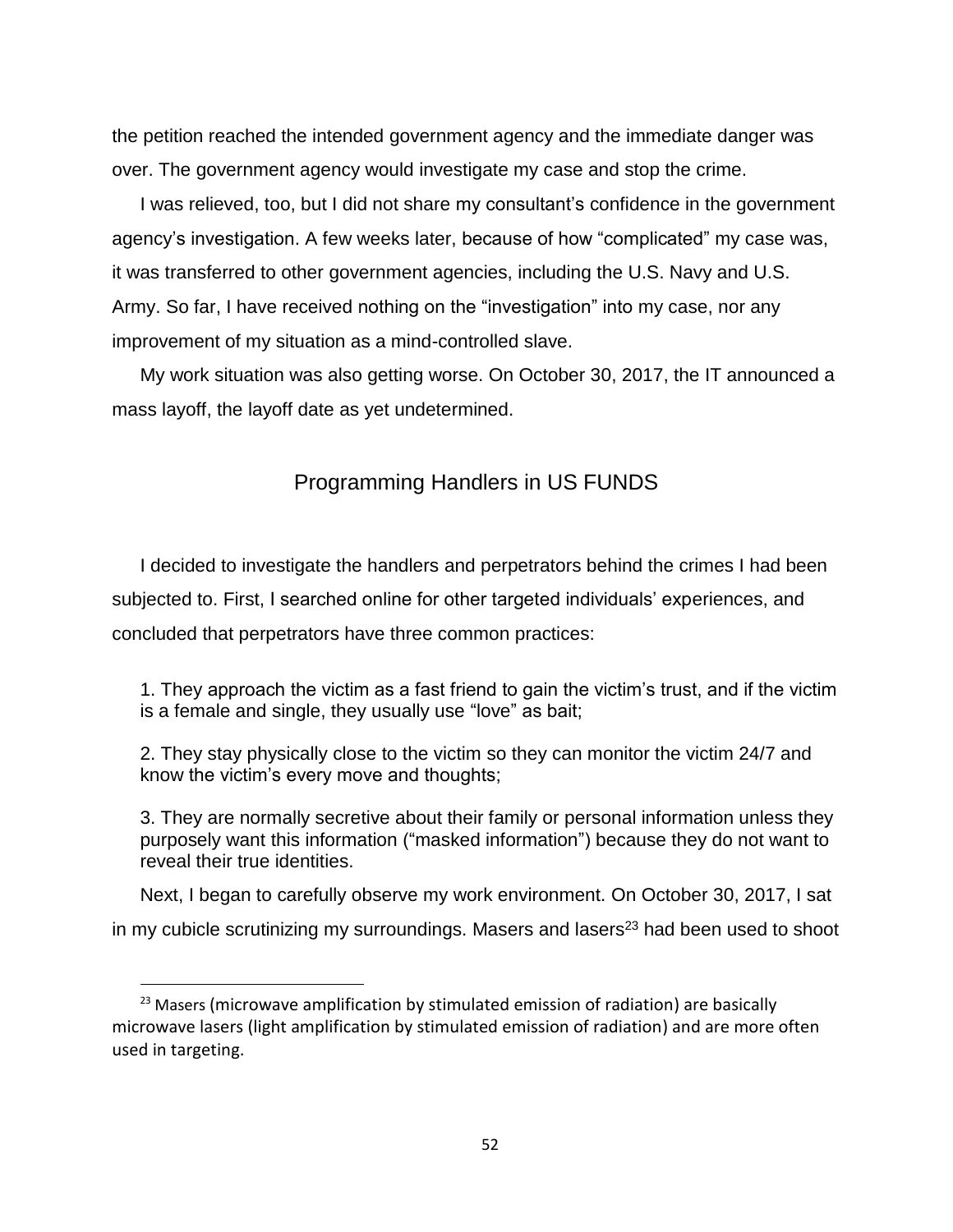the petition reached the intended government agency and the immediate danger was over. The government agency would investigate my case and stop the crime.

I was relieved, too, but I did not share my consultant's confidence in the government agency's investigation. A few weeks later, because of how "complicated" my case was, it was transferred to other government agencies, including the U.S. Navy and U.S. Army. So far, I have received nothing on the "investigation" into my case, nor any improvement of my situation as a mind-controlled slave.

My work situation was also getting worse. On October 30, 2017, the IT announced a mass layoff, the layoff date as yet undetermined.

# Programming Handlers in US FUNDS

I decided to investigate the handlers and perpetrators behind the crimes I had been subjected to. First, I searched online for other targeted individuals' experiences, and concluded that perpetrators have three common practices:

1. They approach the victim as a fast friend to gain the victim's trust, and if the victim is a female and single, they usually use "love" as bait;

2. They stay physically close to the victim so they can monitor the victim 24/7 and know the victim's every move and thoughts;

3. They are normally secretive about their family or personal information unless they purposely want this information ("masked information") because they do not want to reveal their true identities.

Next, I began to carefully observe my work environment. On October 30, 2017, I sat in my cubicle scrutinizing my surroundings. Masers and lasers $23$  had been used to shoot

 $\overline{a}$ 

 $23$  Masers (microwave amplification by stimulated emission of radiation) are basically microwave lasers (light amplification by stimulated emission of radiation) and are more often used in targeting.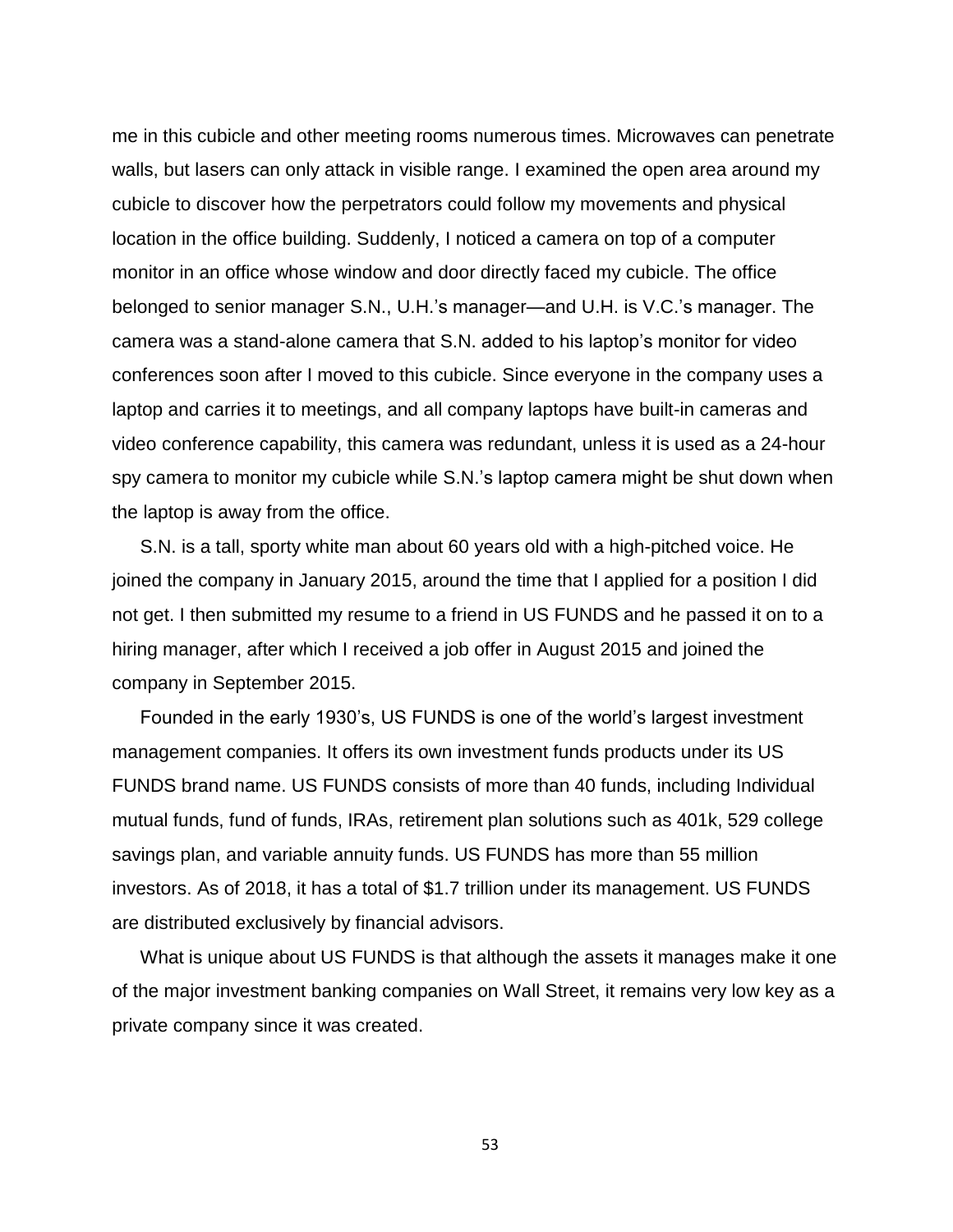me in this cubicle and other meeting rooms numerous times. Microwaves can penetrate walls, but lasers can only attack in visible range. I examined the open area around my cubicle to discover how the perpetrators could follow my movements and physical location in the office building. Suddenly, I noticed a camera on top of a computer monitor in an office whose window and door directly faced my cubicle. The office belonged to senior manager S.N., U.H.'s manager—and U.H. is V.C.'s manager. The camera was a stand-alone camera that S.N. added to his laptop's monitor for video conferences soon after I moved to this cubicle. Since everyone in the company uses a laptop and carries it to meetings, and all company laptops have built-in cameras and video conference capability, this camera was redundant, unless it is used as a 24-hour spy camera to monitor my cubicle while S.N.'s laptop camera might be shut down when the laptop is away from the office.

S.N. is a tall, sporty white man about 60 years old with a high-pitched voice. He joined the company in January 2015, around the time that I applied for a position I did not get. I then submitted my resume to a friend in US FUNDS and he passed it on to a hiring manager, after which I received a job offer in August 2015 and joined the company in September 2015.

Founded in the early 1930's, US FUNDS is one of the world's largest investment management companies. It offers its own investment funds products under its US FUNDS brand name. US FUNDS consists of more than 40 funds, including Individual mutual funds, fund of funds, IRAs, retirement plan solutions such as 401k, 529 college savings plan, and variable annuity funds. US FUNDS has more than 55 million investors. As of 2018, it has a total of \$1.7 trillion under its management. US FUNDS are distributed exclusively by financial advisors.

What is unique about US FUNDS is that although the assets it manages make it one of the major investment banking companies on Wall Street, it remains very low key as a private company since it was created.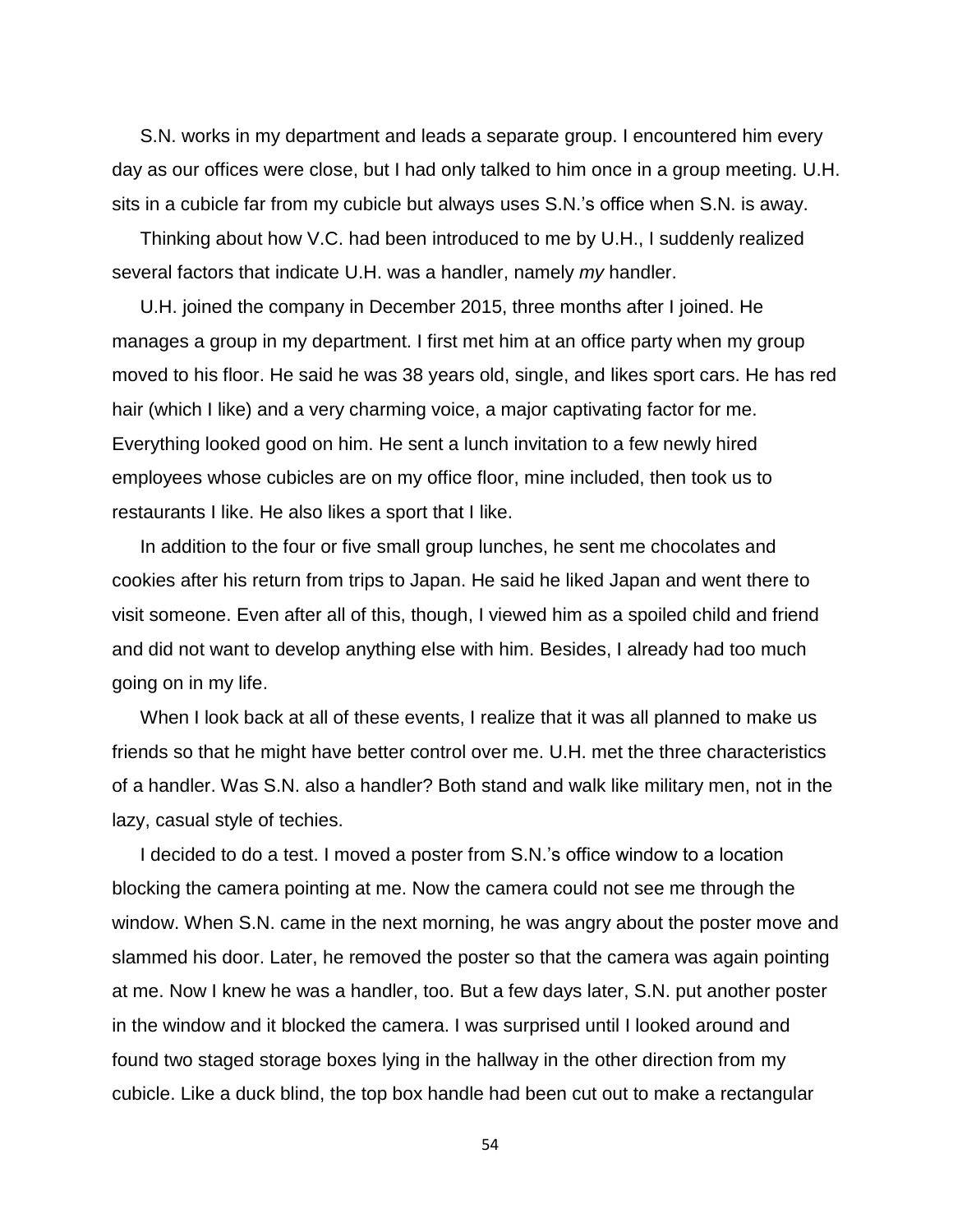S.N. works in my department and leads a separate group. I encountered him every day as our offices were close, but I had only talked to him once in a group meeting. U.H. sits in a cubicle far from my cubicle but always uses S.N.'s office when S.N. is away.

Thinking about how V.C. had been introduced to me by U.H., I suddenly realized several factors that indicate U.H. was a handler, namely *my* handler.

U.H. joined the company in December 2015, three months after I joined. He manages a group in my department. I first met him at an office party when my group moved to his floor. He said he was 38 years old, single, and likes sport cars. He has red hair (which I like) and a very charming voice, a major captivating factor for me. Everything looked good on him. He sent a lunch invitation to a few newly hired employees whose cubicles are on my office floor, mine included, then took us to restaurants I like. He also likes a sport that I like.

In addition to the four or five small group lunches, he sent me chocolates and cookies after his return from trips to Japan. He said he liked Japan and went there to visit someone. Even after all of this, though, I viewed him as a spoiled child and friend and did not want to develop anything else with him. Besides, I already had too much going on in my life.

When I look back at all of these events, I realize that it was all planned to make us friends so that he might have better control over me. U.H. met the three characteristics of a handler. Was S.N. also a handler? Both stand and walk like military men, not in the lazy, casual style of techies.

I decided to do a test. I moved a poster from S.N.'s office window to a location blocking the camera pointing at me. Now the camera could not see me through the window. When S.N. came in the next morning, he was angry about the poster move and slammed his door. Later, he removed the poster so that the camera was again pointing at me. Now I knew he was a handler, too. But a few days later, S.N. put another poster in the window and it blocked the camera. I was surprised until I looked around and found two staged storage boxes lying in the hallway in the other direction from my cubicle. Like a duck blind, the top box handle had been cut out to make a rectangular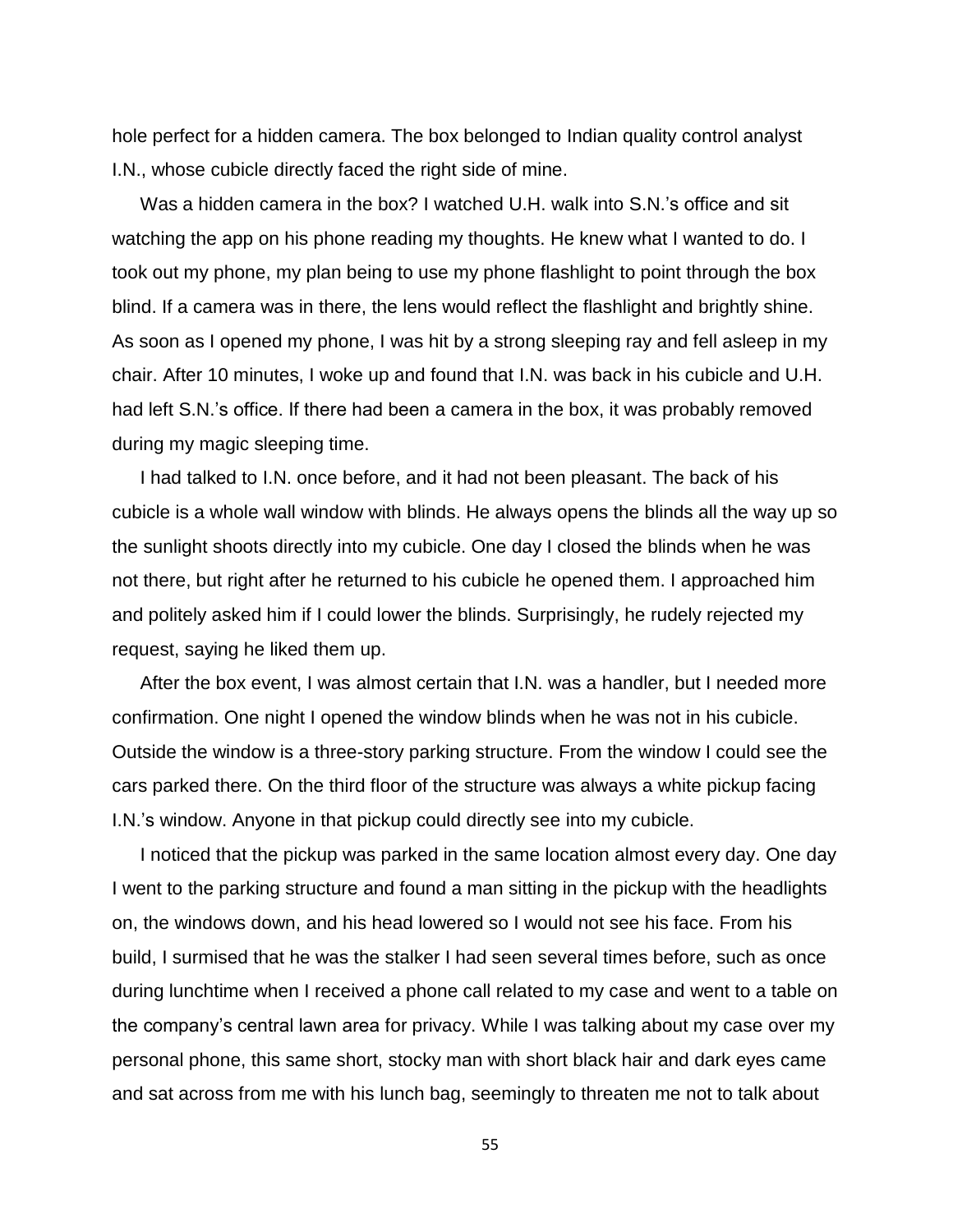hole perfect for a hidden camera. The box belonged to Indian quality control analyst I.N., whose cubicle directly faced the right side of mine.

Was a hidden camera in the box? I watched U.H. walk into S.N.'s office and sit watching the app on his phone reading my thoughts. He knew what I wanted to do. I took out my phone, my plan being to use my phone flashlight to point through the box blind. If a camera was in there, the lens would reflect the flashlight and brightly shine. As soon as I opened my phone, I was hit by a strong sleeping ray and fell asleep in my chair. After 10 minutes, I woke up and found that I.N. was back in his cubicle and U.H. had left S.N.'s office. If there had been a camera in the box, it was probably removed during my magic sleeping time.

I had talked to I.N. once before, and it had not been pleasant. The back of his cubicle is a whole wall window with blinds. He always opens the blinds all the way up so the sunlight shoots directly into my cubicle. One day I closed the blinds when he was not there, but right after he returned to his cubicle he opened them. I approached him and politely asked him if I could lower the blinds. Surprisingly, he rudely rejected my request, saying he liked them up.

After the box event, I was almost certain that I.N. was a handler, but I needed more confirmation. One night I opened the window blinds when he was not in his cubicle. Outside the window is a three-story parking structure. From the window I could see the cars parked there. On the third floor of the structure was always a white pickup facing I.N.'s window. Anyone in that pickup could directly see into my cubicle.

I noticed that the pickup was parked in the same location almost every day. One day I went to the parking structure and found a man sitting in the pickup with the headlights on, the windows down, and his head lowered so I would not see his face. From his build, I surmised that he was the stalker I had seen several times before, such as once during lunchtime when I received a phone call related to my case and went to a table on the company's central lawn area for privacy. While I was talking about my case over my personal phone, this same short, stocky man with short black hair and dark eyes came and sat across from me with his lunch bag, seemingly to threaten me not to talk about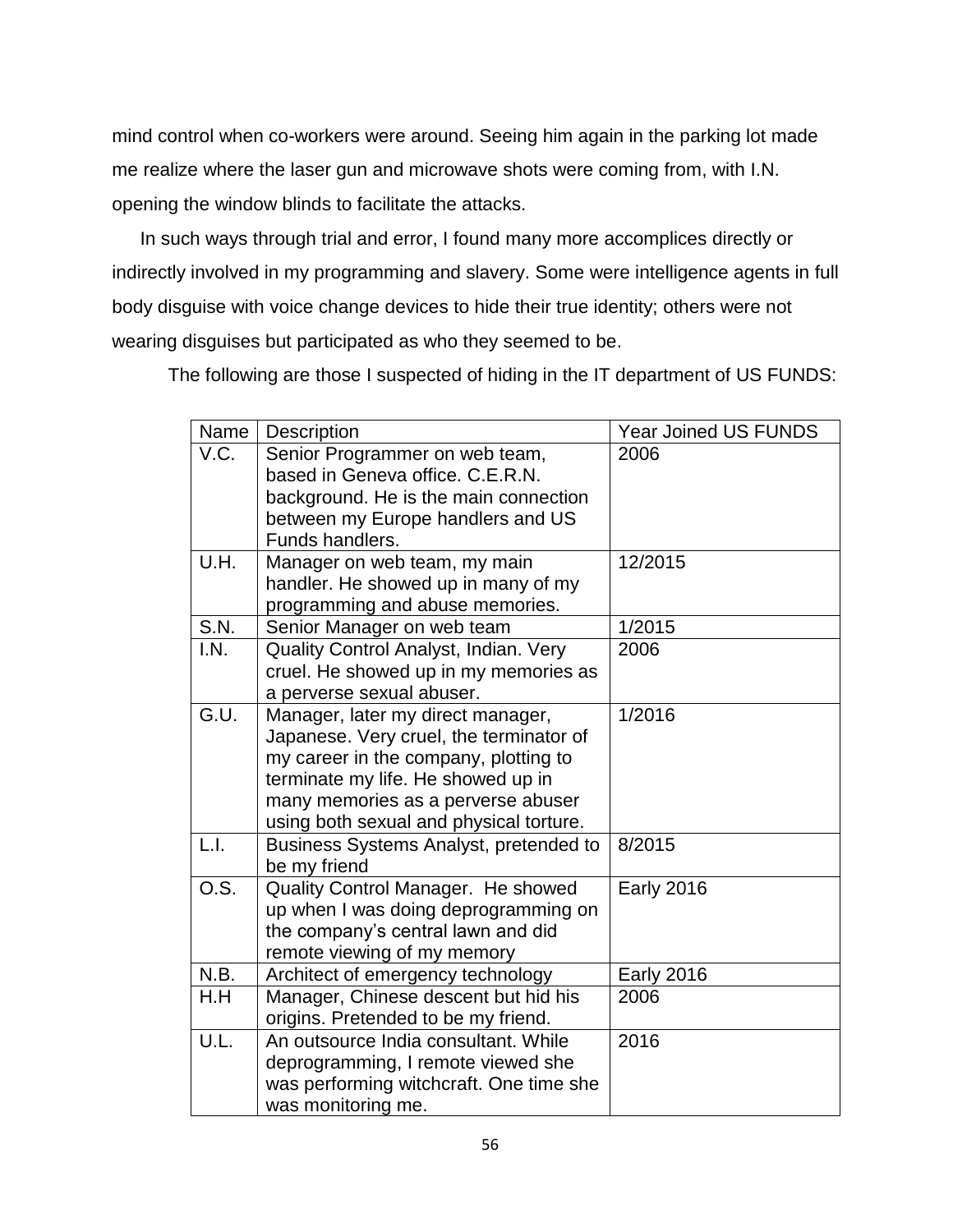mind control when co-workers were around. Seeing him again in the parking lot made me realize where the laser gun and microwave shots were coming from, with I.N. opening the window blinds to facilitate the attacks.

In such ways through trial and error, I found many more accomplices directly or indirectly involved in my programming and slavery. Some were intelligence agents in full body disguise with voice change devices to hide their true identity; others were not wearing disguises but participated as who they seemed to be.

The following are those I suspected of hiding in the IT department of US FUNDS:

| Name              | Description                                                                                                                                                                                                                                  | <b>Year Joined US FUNDS</b> |
|-------------------|----------------------------------------------------------------------------------------------------------------------------------------------------------------------------------------------------------------------------------------------|-----------------------------|
| V.C.              | Senior Programmer on web team,<br>based in Geneva office, C.E.R.N.<br>background. He is the main connection<br>between my Europe handlers and US<br>Funds handlers.                                                                          | 2006                        |
| U.H.              | Manager on web team, my main<br>handler. He showed up in many of my<br>programming and abuse memories.                                                                                                                                       | 12/2015                     |
| S.N.              | Senior Manager on web team                                                                                                                                                                                                                   | 1/2015                      |
| I.N.              | Quality Control Analyst, Indian. Very<br>cruel. He showed up in my memories as<br>a perverse sexual abuser.                                                                                                                                  | 2006                        |
| $\overline{G.U.}$ | Manager, later my direct manager,<br>Japanese. Very cruel, the terminator of<br>my career in the company, plotting to<br>terminate my life. He showed up in<br>many memories as a perverse abuser<br>using both sexual and physical torture. | 1/2016                      |
| L.I.              | Business Systems Analyst, pretended to<br>be my friend                                                                                                                                                                                       | 8/2015                      |
| O.S.              | Quality Control Manager. He showed<br>up when I was doing deprogramming on<br>the company's central lawn and did<br>remote viewing of my memory                                                                                              | <b>Early 2016</b>           |
| N.B.              | Architect of emergency technology                                                                                                                                                                                                            | <b>Early 2016</b>           |
| H.H               | Manager, Chinese descent but hid his<br>origins. Pretended to be my friend.                                                                                                                                                                  | 2006                        |
| U.L.              | An outsource India consultant. While<br>deprogramming, I remote viewed she<br>was performing witchcraft. One time she<br>was monitoring me.                                                                                                  | 2016                        |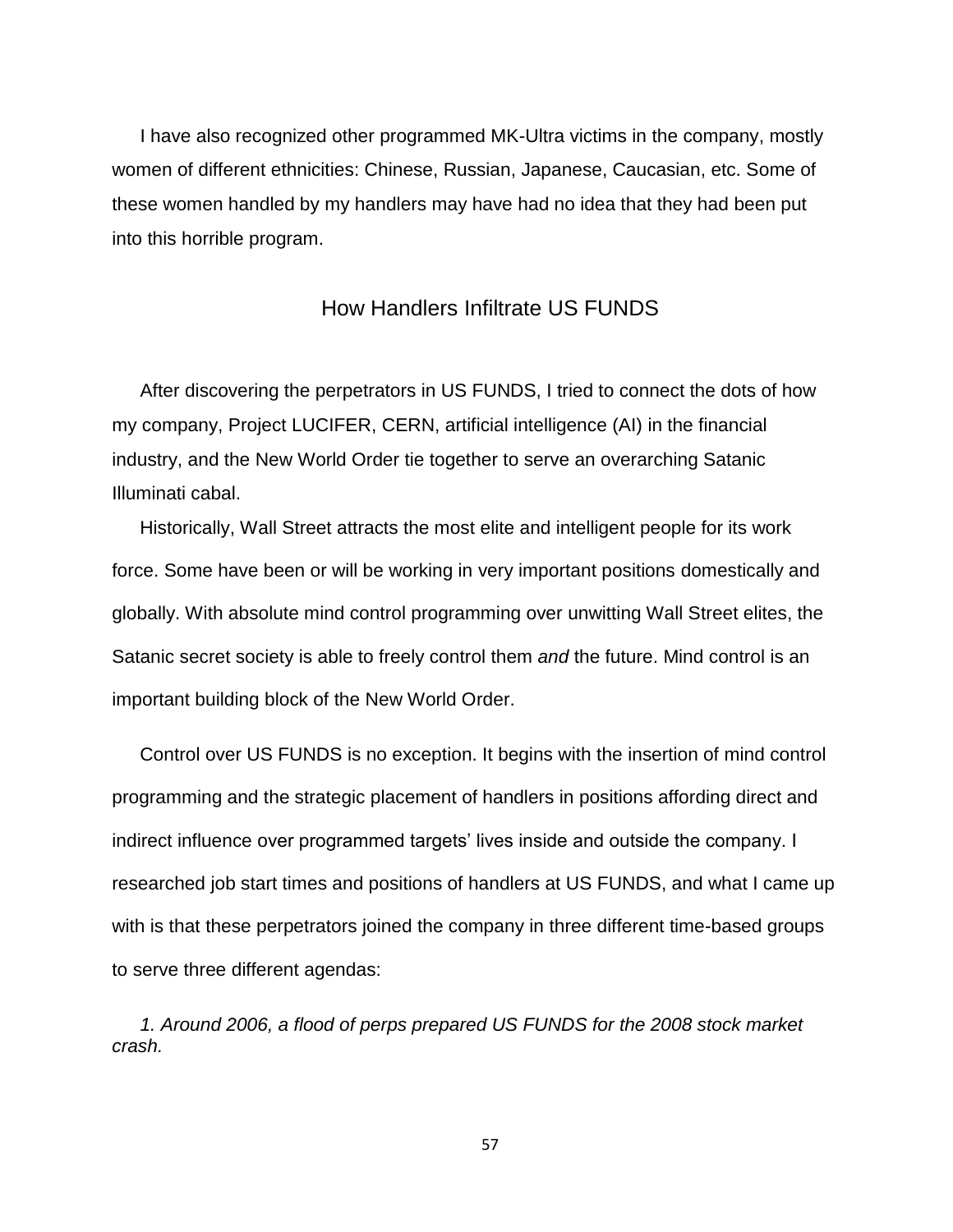I have also recognized other programmed MK-Ultra victims in the company, mostly women of different ethnicities: Chinese, Russian, Japanese, Caucasian, etc. Some of these women handled by my handlers may have had no idea that they had been put into this horrible program.

## How Handlers Infiltrate US FUNDS

After discovering the perpetrators in US FUNDS, I tried to connect the dots of how my company, Project LUCIFER, CERN, artificial intelligence (AI) in the financial industry, and the New World Order tie together to serve an overarching Satanic Illuminati cabal.

Historically, Wall Street attracts the most elite and intelligent people for its work force. Some have been or will be working in very important positions domestically and globally. With absolute mind control programming over unwitting Wall Street elites, the Satanic secret society is able to freely control them *and* the future. Mind control is an important building block of the New World Order.

Control over US FUNDS is no exception. It begins with the insertion of mind control programming and the strategic placement of handlers in positions affording direct and indirect influence over programmed targets' lives inside and outside the company. I researched job start times and positions of handlers at US FUNDS, and what I came up with is that these perpetrators joined the company in three different time-based groups to serve three different agendas:

*1. Around 2006, a flood of perps prepared US FUNDS for the 2008 stock market crash.*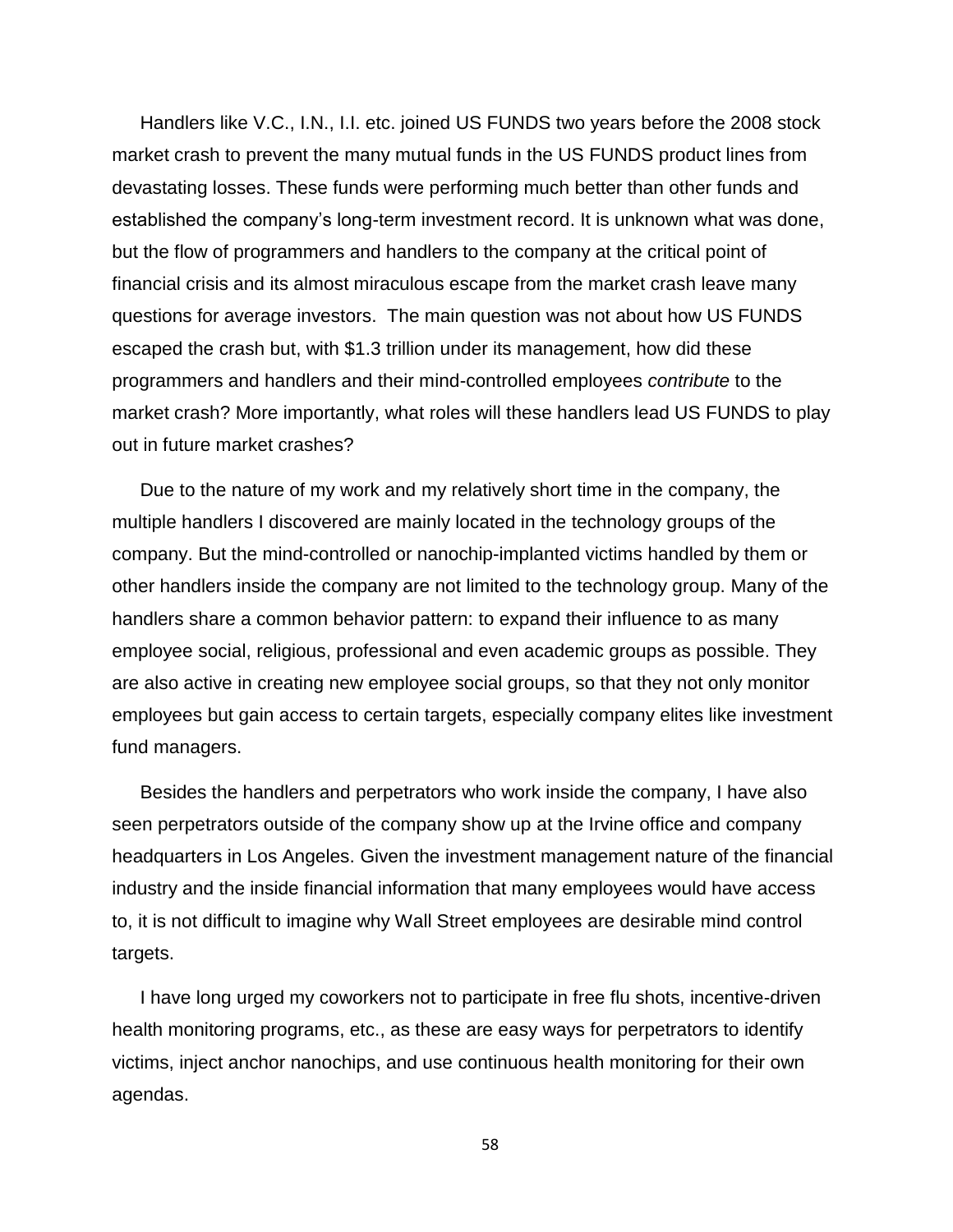Handlers like V.C., I.N., I.I. etc. joined US FUNDS two years before the 2008 stock market crash to prevent the many mutual funds in the US FUNDS product lines from devastating losses. These funds were performing much better than other funds and established the company's long-term investment record. It is unknown what was done, but the flow of programmers and handlers to the company at the critical point of financial crisis and its almost miraculous escape from the market crash leave many questions for average investors. The main question was not about how US FUNDS escaped the crash but, with \$1.3 trillion under its management, how did these programmers and handlers and their mind-controlled employees *contribute* to the market crash? More importantly, what roles will these handlers lead US FUNDS to play out in future market crashes?

Due to the nature of my work and my relatively short time in the company, the multiple handlers I discovered are mainly located in the technology groups of the company. But the mind-controlled or nanochip-implanted victims handled by them or other handlers inside the company are not limited to the technology group. Many of the handlers share a common behavior pattern: to expand their influence to as many employee social, religious, professional and even academic groups as possible. They are also active in creating new employee social groups, so that they not only monitor employees but gain access to certain targets, especially company elites like investment fund managers.

Besides the handlers and perpetrators who work inside the company, I have also seen perpetrators outside of the company show up at the Irvine office and company headquarters in Los Angeles. Given the investment management nature of the financial industry and the inside financial information that many employees would have access to, it is not difficult to imagine why Wall Street employees are desirable mind control targets.

I have long urged my coworkers not to participate in free flu shots, incentive-driven health monitoring programs, etc., as these are easy ways for perpetrators to identify victims, inject anchor nanochips, and use continuous health monitoring for their own agendas.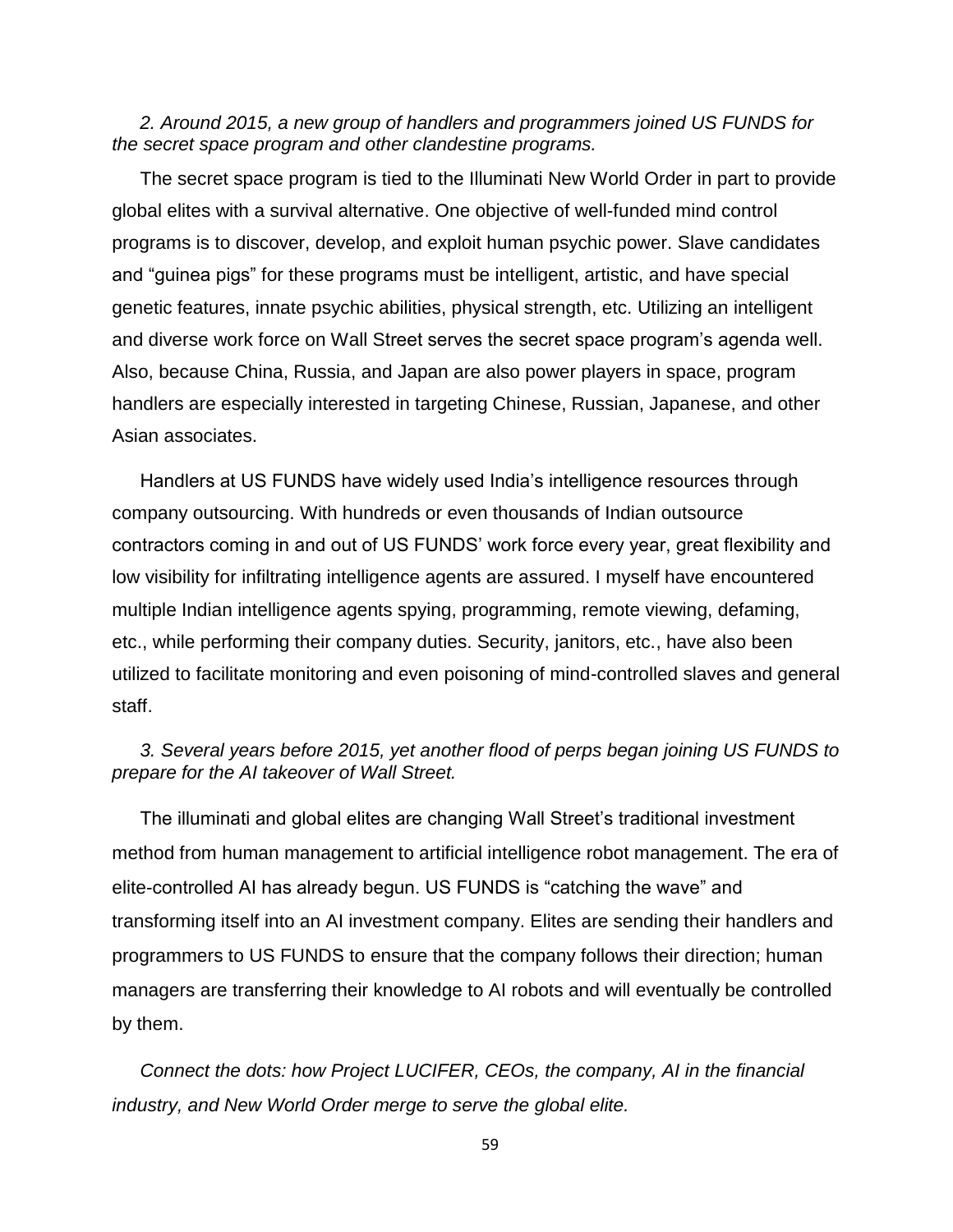## *2. Around 2015, a new group of handlers and programmers joined US FUNDS for the secret space program and other clandestine programs.*

The secret space program is tied to the Illuminati New World Order in part to provide global elites with a survival alternative. One objective of well-funded mind control programs is to discover, develop, and exploit human psychic power. Slave candidates and "guinea pigs" for these programs must be intelligent, artistic, and have special genetic features, innate psychic abilities, physical strength, etc. Utilizing an intelligent and diverse work force on Wall Street serves the secret space program's agenda well. Also, because China, Russia, and Japan are also power players in space, program handlers are especially interested in targeting Chinese, Russian, Japanese, and other Asian associates.

Handlers at US FUNDS have widely used India's intelligence resources through company outsourcing. With hundreds or even thousands of Indian outsource contractors coming in and out of US FUNDS' work force every year, great flexibility and low visibility for infiltrating intelligence agents are assured. I myself have encountered multiple Indian intelligence agents spying, programming, remote viewing, defaming, etc., while performing their company duties. Security, janitors, etc., have also been utilized to facilitate monitoring and even poisoning of mind-controlled slaves and general staff.

## *3. Several years before 2015, yet another flood of perps began joining US FUNDS to prepare for the AI takeover of Wall Street.*

The illuminati and global elites are changing Wall Street's traditional investment method from human management to artificial intelligence robot management. The era of elite-controlled AI has already begun. US FUNDS is "catching the wave" and transforming itself into an AI investment company. Elites are sending their handlers and programmers to US FUNDS to ensure that the company follows their direction; human managers are transferring their knowledge to AI robots and will eventually be controlled by them.

*Connect the dots: how Project LUCIFER, CEOs, the company, AI in the financial industry, and New World Order merge to serve the global elite.*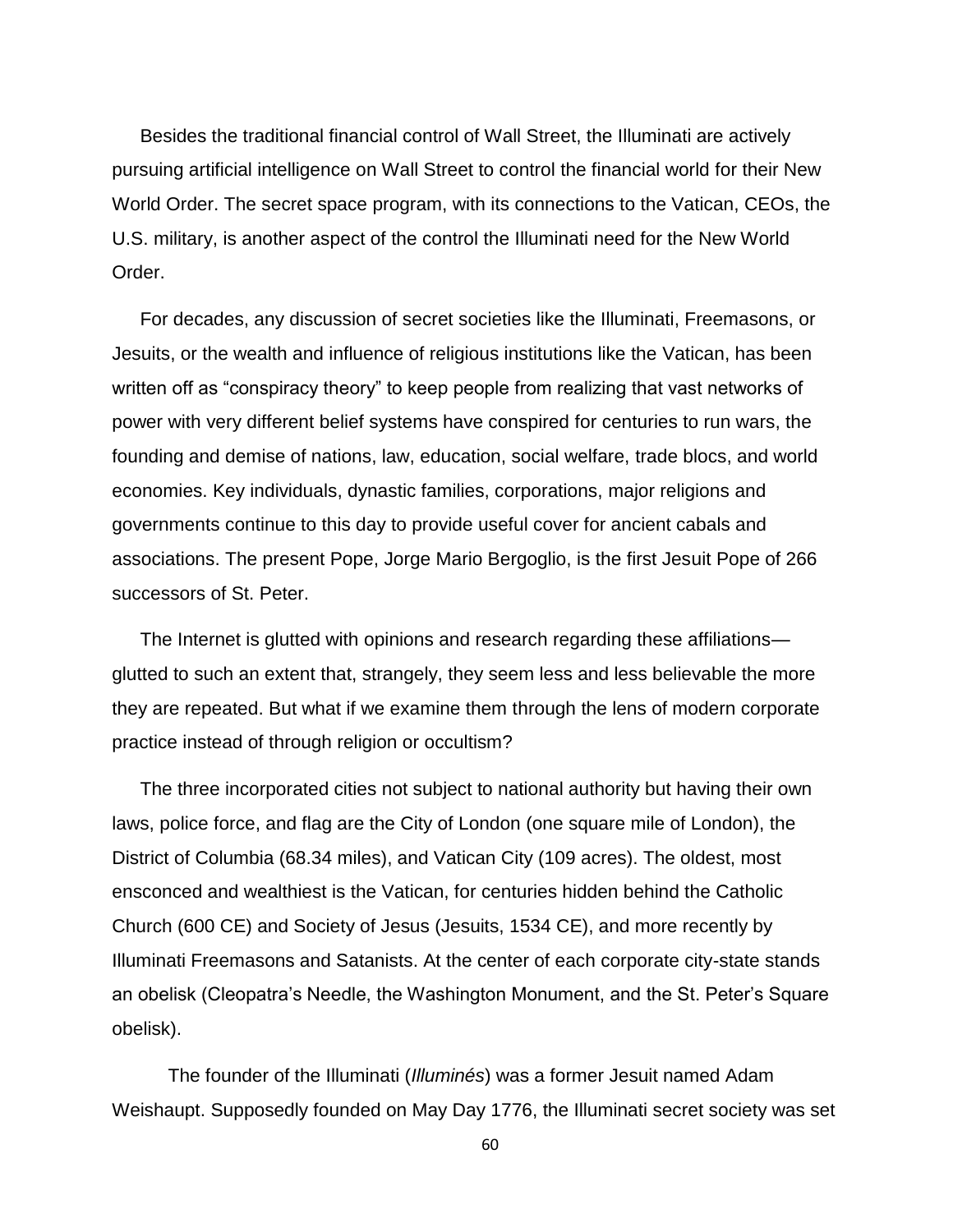Besides the traditional financial control of Wall Street, the Illuminati are actively pursuing artificial intelligence on Wall Street to control the financial world for their New World Order. The secret space program, with its connections to the Vatican, CEOs, the U.S. military, is another aspect of the control the Illuminati need for the New World Order.

For decades, any discussion of secret societies like the Illuminati, Freemasons, or Jesuits, or the wealth and influence of religious institutions like the Vatican, has been written off as "conspiracy theory" to keep people from realizing that vast networks of power with very different belief systems have conspired for centuries to run wars, the founding and demise of nations, law, education, social welfare, trade blocs, and world economies. Key individuals, dynastic families, corporations, major religions and governments continue to this day to provide useful cover for ancient cabals and associations. The present Pope, Jorge Mario Bergoglio, is the first Jesuit Pope of 266 successors of St. Peter.

The Internet is glutted with opinions and research regarding these affiliations glutted to such an extent that, strangely, they seem less and less believable the more they are repeated. But what if we examine them through the lens of modern corporate practice instead of through religion or occultism?

The three incorporated cities not subject to national authority but having their own laws, police force, and flag are the City of London (one square mile of London), the District of Columbia (68.34 miles), and Vatican City (109 acres). The oldest, most ensconced and wealthiest is the Vatican, for centuries hidden behind the Catholic Church (600 CE) and Society of Jesus (Jesuits, 1534 CE), and more recently by Illuminati Freemasons and Satanists. At the center of each corporate city-state stands an obelisk (Cleopatra's Needle, the Washington Monument, and the St. Peter's Square obelisk).

The founder of the Illuminati (*Illuminés*) was a former Jesuit named Adam Weishaupt. Supposedly founded on May Day 1776, the Illuminati secret society was set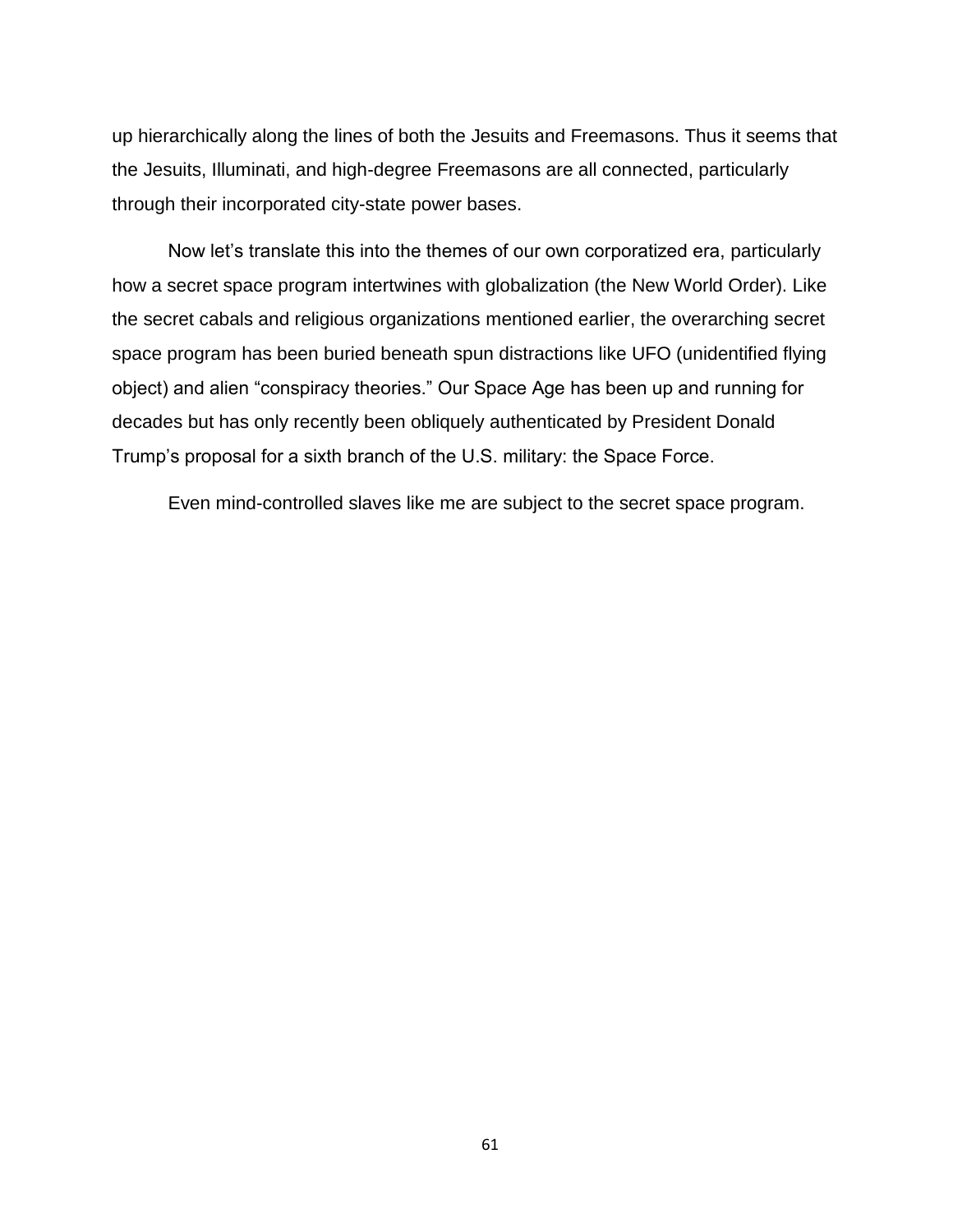up hierarchically along the lines of both the Jesuits and Freemasons. Thus it seems that the Jesuits, Illuminati, and high-degree Freemasons are all connected, particularly through their incorporated city-state power bases.

Now let's translate this into the themes of our own corporatized era, particularly how a secret space program intertwines with globalization (the New World Order). Like the secret cabals and religious organizations mentioned earlier, the overarching secret space program has been buried beneath spun distractions like UFO (unidentified flying object) and alien "conspiracy theories." Our Space Age has been up and running for decades but has only recently been obliquely authenticated by President Donald Trump's proposal for a sixth branch of the U.S. military: the Space Force.

Even mind-controlled slaves like me are subject to the secret space program.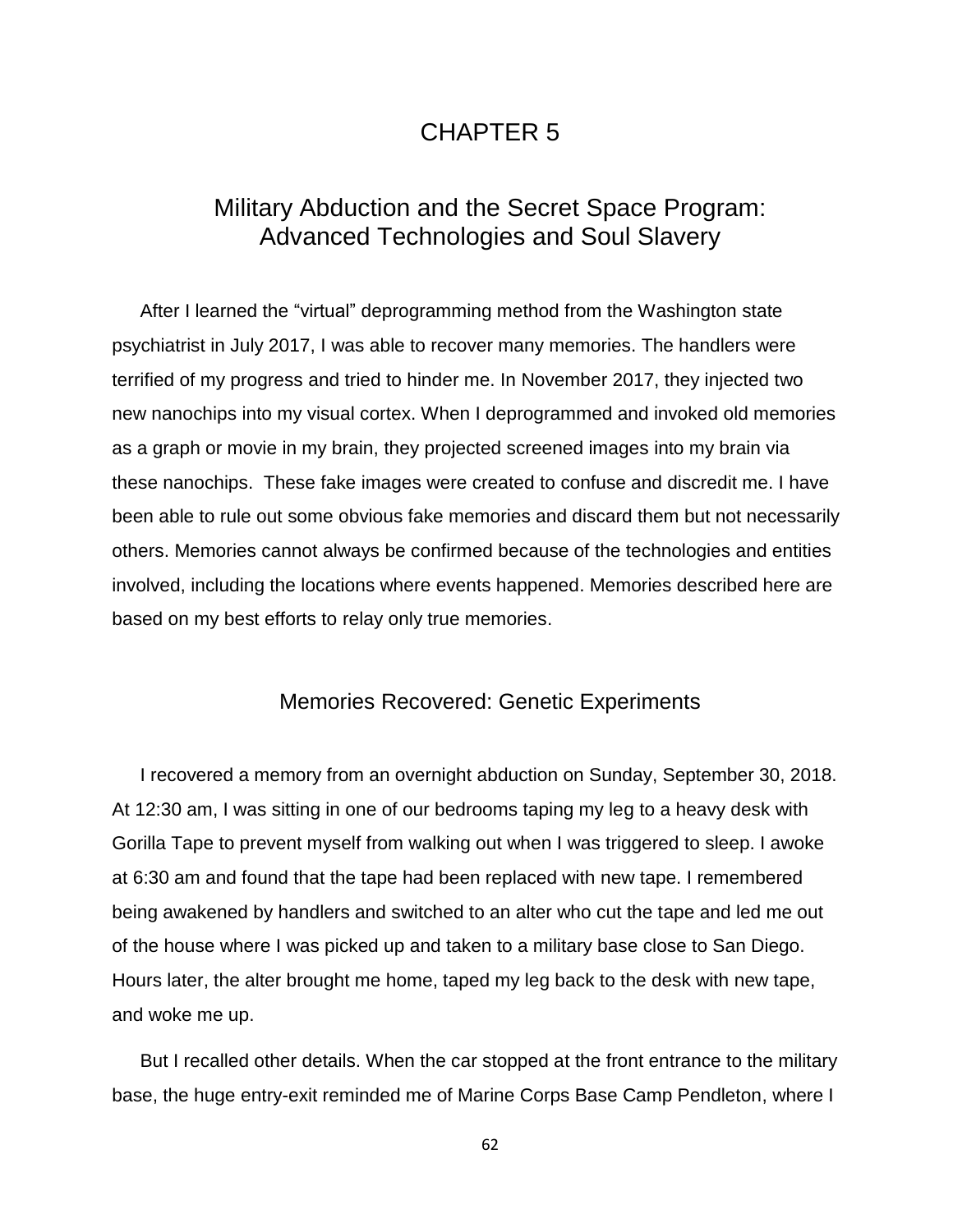# CHAPTER 5

# Military Abduction and the Secret Space Program: Advanced Technologies and Soul Slavery

After I learned the "virtual" deprogramming method from the Washington state psychiatrist in July 2017, I was able to recover many memories. The handlers were terrified of my progress and tried to hinder me. In November 2017, they injected two new nanochips into my visual cortex. When I deprogrammed and invoked old memories as a graph or movie in my brain, they projected screened images into my brain via these nanochips. These fake images were created to confuse and discredit me. I have been able to rule out some obvious fake memories and discard them but not necessarily others. Memories cannot always be confirmed because of the technologies and entities involved, including the locations where events happened. Memories described here are based on my best efforts to relay only true memories.

## Memories Recovered: Genetic Experiments

I recovered a memory from an overnight abduction on Sunday, September 30, 2018. At 12:30 am, I was sitting in one of our bedrooms taping my leg to a heavy desk with Gorilla Tape to prevent myself from walking out when I was triggered to sleep. I awoke at 6:30 am and found that the tape had been replaced with new tape. I remembered being awakened by handlers and switched to an alter who cut the tape and led me out of the house where I was picked up and taken to a military base close to San Diego. Hours later, the alter brought me home, taped my leg back to the desk with new tape, and woke me up.

But I recalled other details. When the car stopped at the front entrance to the military base, the huge entry-exit reminded me of Marine Corps Base Camp Pendleton, where I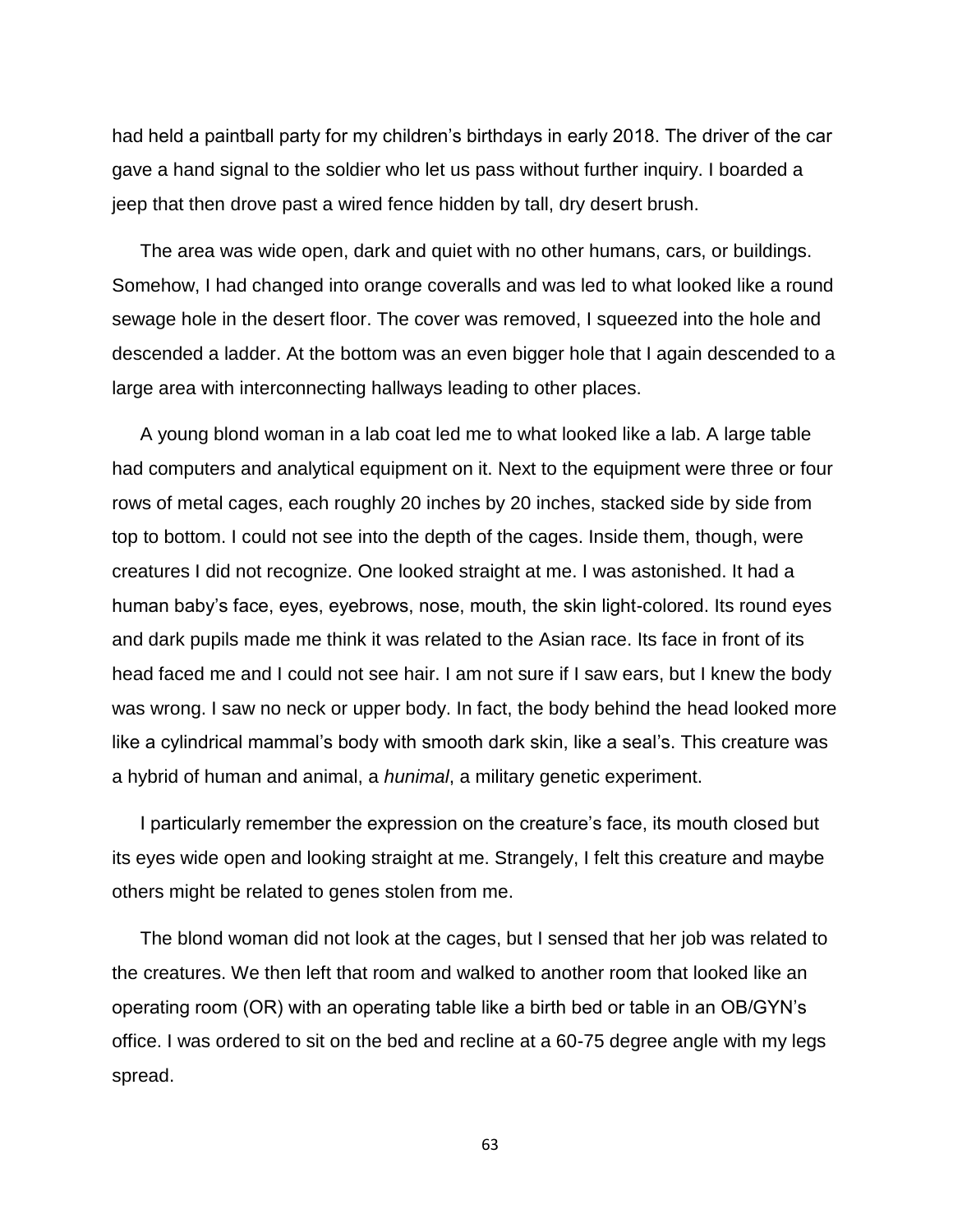had held a paintball party for my children's birthdays in early 2018. The driver of the car gave a hand signal to the soldier who let us pass without further inquiry. I boarded a jeep that then drove past a wired fence hidden by tall, dry desert brush.

The area was wide open, dark and quiet with no other humans, cars, or buildings. Somehow, I had changed into orange coveralls and was led to what looked like a round sewage hole in the desert floor. The cover was removed, I squeezed into the hole and descended a ladder. At the bottom was an even bigger hole that I again descended to a large area with interconnecting hallways leading to other places.

A young blond woman in a lab coat led me to what looked like a lab. A large table had computers and analytical equipment on it. Next to the equipment were three or four rows of metal cages, each roughly 20 inches by 20 inches, stacked side by side from top to bottom. I could not see into the depth of the cages. Inside them, though, were creatures I did not recognize. One looked straight at me. I was astonished. It had a human baby's face, eyes, eyebrows, nose, mouth, the skin light-colored. Its round eyes and dark pupils made me think it was related to the Asian race. Its face in front of its head faced me and I could not see hair. I am not sure if I saw ears, but I knew the body was wrong. I saw no neck or upper body. In fact, the body behind the head looked more like a cylindrical mammal's body with smooth dark skin, like a seal's. This creature was a hybrid of human and animal, a *hunimal*, a military genetic experiment.

I particularly remember the expression on the creature's face, its mouth closed but its eyes wide open and looking straight at me. Strangely, I felt this creature and maybe others might be related to genes stolen from me.

The blond woman did not look at the cages, but I sensed that her job was related to the creatures. We then left that room and walked to another room that looked like an operating room (OR) with an operating table like a birth bed or table in an OB/GYN's office. I was ordered to sit on the bed and recline at a 60-75 degree angle with my legs spread.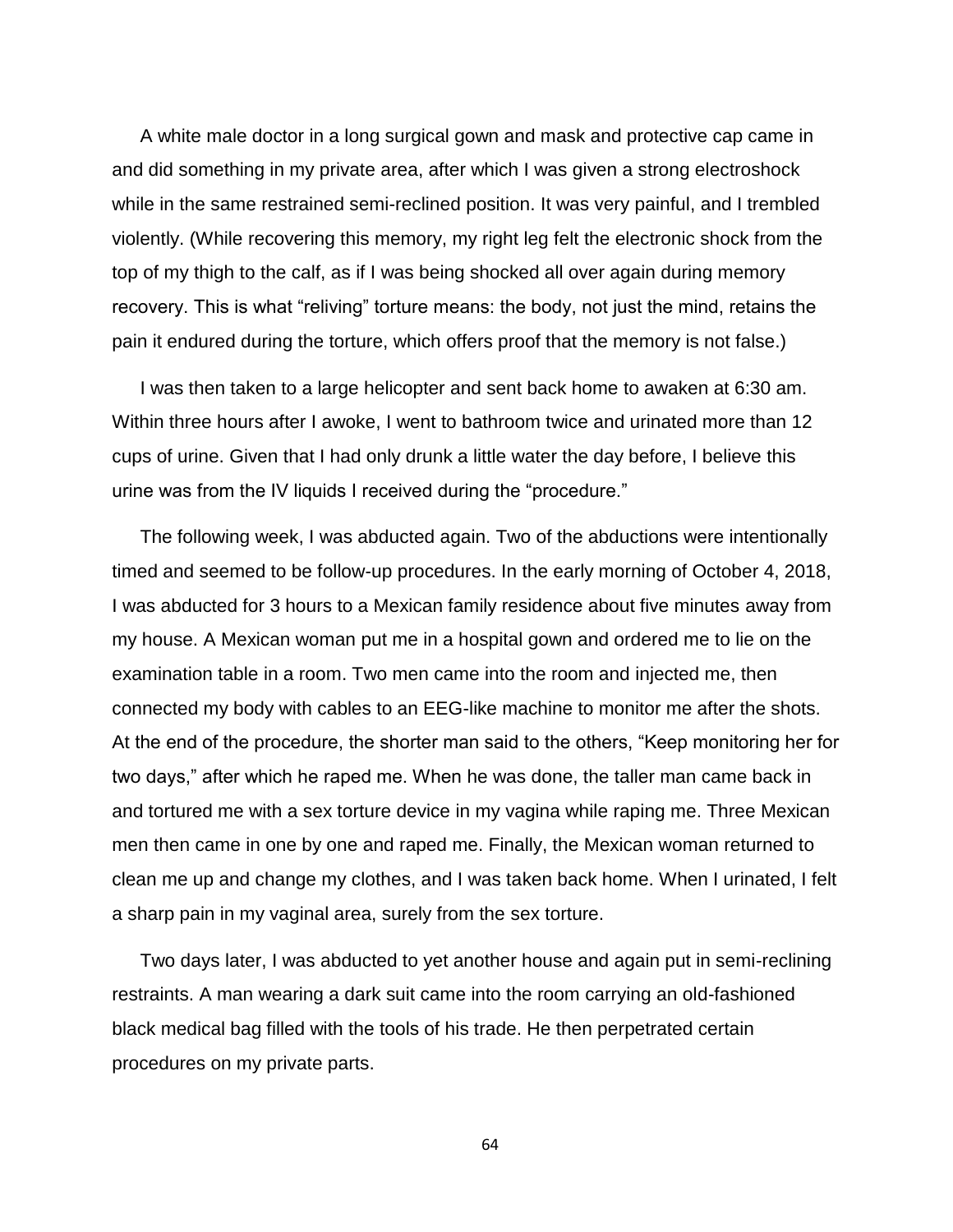A white male doctor in a long surgical gown and mask and protective cap came in and did something in my private area, after which I was given a strong electroshock while in the same restrained semi-reclined position. It was very painful, and I trembled violently. (While recovering this memory, my right leg felt the electronic shock from the top of my thigh to the calf, as if I was being shocked all over again during memory recovery. This is what "reliving" torture means: the body, not just the mind, retains the pain it endured during the torture, which offers proof that the memory is not false.)

I was then taken to a large helicopter and sent back home to awaken at 6:30 am. Within three hours after I awoke, I went to bathroom twice and urinated more than 12 cups of urine. Given that I had only drunk a little water the day before, I believe this urine was from the IV liquids I received during the "procedure."

The following week, I was abducted again. Two of the abductions were intentionally timed and seemed to be follow-up procedures. In the early morning of October 4, 2018, I was abducted for 3 hours to a Mexican family residence about five minutes away from my house. A Mexican woman put me in a hospital gown and ordered me to lie on the examination table in a room. Two men came into the room and injected me, then connected my body with cables to an EEG-like machine to monitor me after the shots. At the end of the procedure, the shorter man said to the others, "Keep monitoring her for two days," after which he raped me. When he was done, the taller man came back in and tortured me with a sex torture device in my vagina while raping me. Three Mexican men then came in one by one and raped me. Finally, the Mexican woman returned to clean me up and change my clothes, and I was taken back home. When I urinated, I felt a sharp pain in my vaginal area, surely from the sex torture.

Two days later, I was abducted to yet another house and again put in semi-reclining restraints. A man wearing a dark suit came into the room carrying an old-fashioned black medical bag filled with the tools of his trade. He then perpetrated certain procedures on my private parts.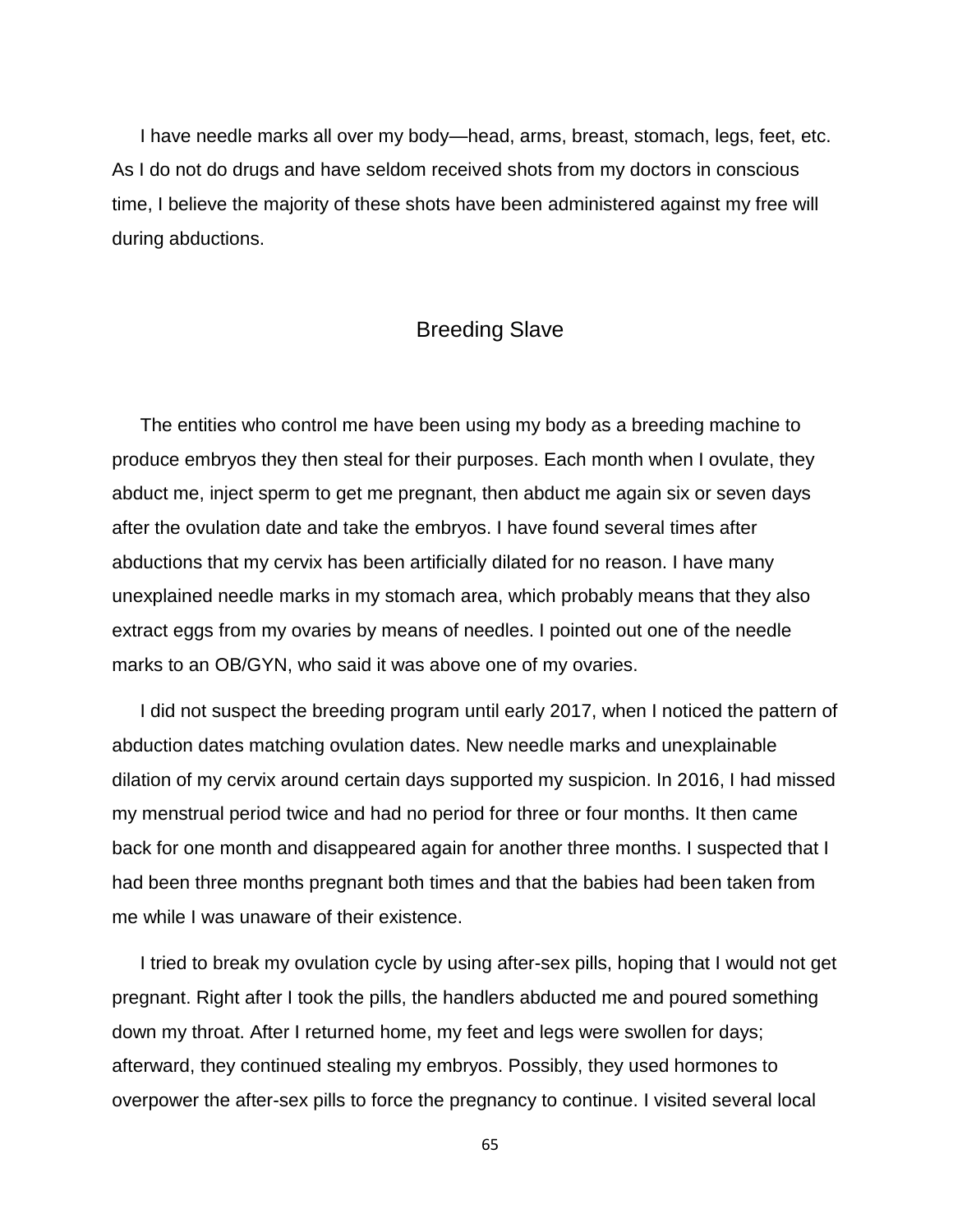I have needle marks all over my body—head, arms, breast, stomach, legs, feet, etc. As I do not do drugs and have seldom received shots from my doctors in conscious time, I believe the majority of these shots have been administered against my free will during abductions.

## Breeding Slave

The entities who control me have been using my body as a breeding machine to produce embryos they then steal for their purposes. Each month when I ovulate, they abduct me, inject sperm to get me pregnant, then abduct me again six or seven days after the ovulation date and take the embryos. I have found several times after abductions that my cervix has been artificially dilated for no reason. I have many unexplained needle marks in my stomach area, which probably means that they also extract eggs from my ovaries by means of needles. I pointed out one of the needle marks to an OB/GYN, who said it was above one of my ovaries.

I did not suspect the breeding program until early 2017, when I noticed the pattern of abduction dates matching ovulation dates. New needle marks and unexplainable dilation of my cervix around certain days supported my suspicion. In 2016, I had missed my menstrual period twice and had no period for three or four months. It then came back for one month and disappeared again for another three months. I suspected that I had been three months pregnant both times and that the babies had been taken from me while I was unaware of their existence.

I tried to break my ovulation cycle by using after-sex pills, hoping that I would not get pregnant. Right after I took the pills, the handlers abducted me and poured something down my throat. After I returned home, my feet and legs were swollen for days; afterward, they continued stealing my embryos. Possibly, they used hormones to overpower the after-sex pills to force the pregnancy to continue. I visited several local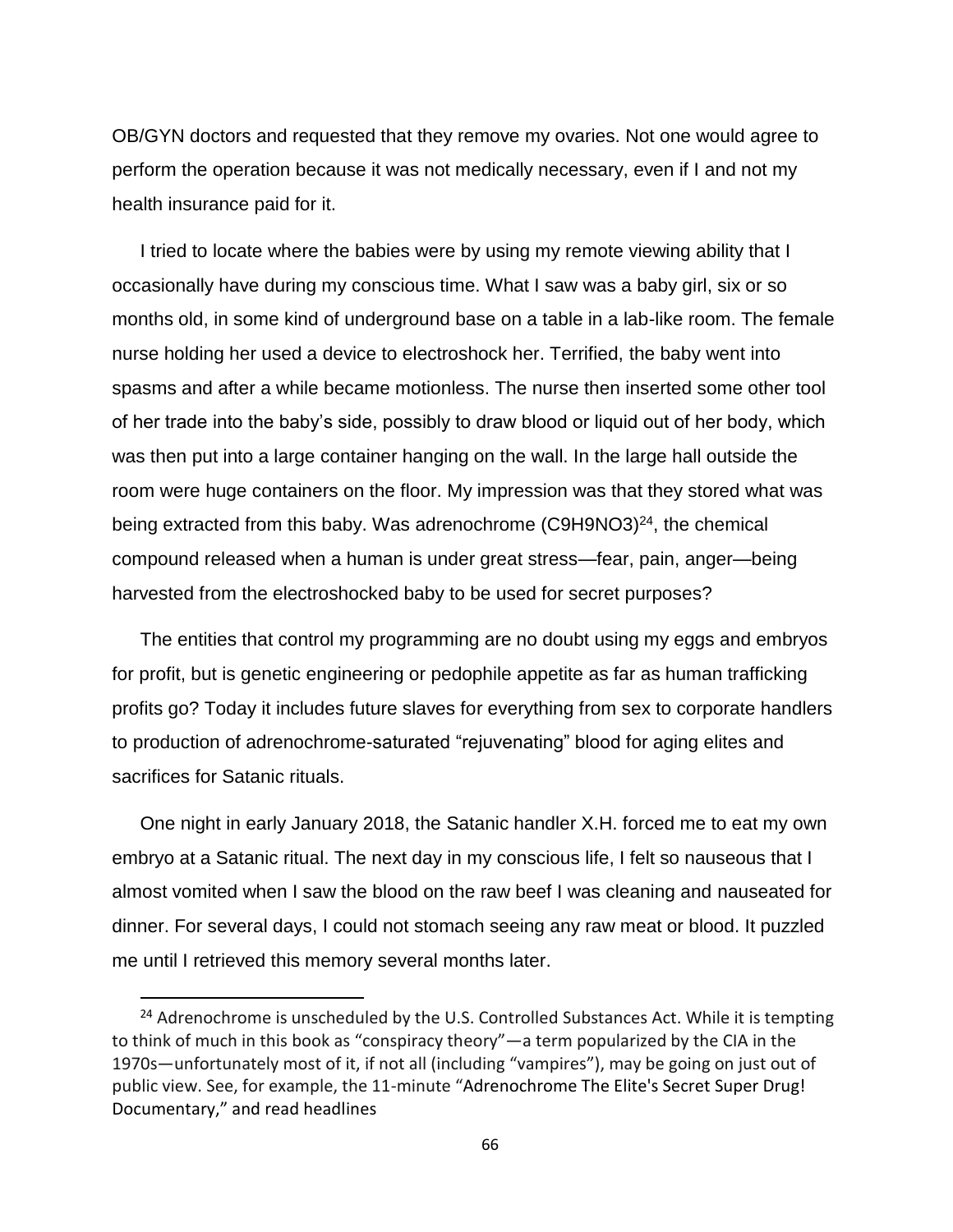OB/GYN doctors and requested that they remove my ovaries. Not one would agree to perform the operation because it was not medically necessary, even if I and not my health insurance paid for it.

I tried to locate where the babies were by using my remote viewing ability that I occasionally have during my conscious time. What I saw was a baby girl, six or so months old, in some kind of underground base on a table in a lab-like room. The female nurse holding her used a device to electroshock her. Terrified, the baby went into spasms and after a while became motionless. The nurse then inserted some other tool of her trade into the baby's side, possibly to draw blood or liquid out of her body, which was then put into a large container hanging on the wall. In the large hall outside the room were huge containers on the floor. My impression was that they stored what was being extracted from this baby. Was adrenochrome (C9H9NO3)<sup>24</sup>, the chemical compound released when a human is under great stress—fear, pain, anger—being harvested from the electroshocked baby to be used for secret purposes?

The entities that control my programming are no doubt using my eggs and embryos for profit, but is genetic engineering or pedophile appetite as far as human trafficking profits go? Today it includes future slaves for everything from sex to corporate handlers to production of adrenochrome-saturated "rejuvenating" blood for aging elites and sacrifices for Satanic rituals.

One night in early January 2018, the Satanic handler X.H. forced me to eat my own embryo at a Satanic ritual. The next day in my conscious life, I felt so nauseous that I almost vomited when I saw the blood on the raw beef I was cleaning and nauseated for dinner. For several days, I could not stomach seeing any raw meat or blood. It puzzled me until I retrieved this memory several months later.

l

<sup>&</sup>lt;sup>24</sup> Adrenochrome is unscheduled by the U.S. Controlled Substances Act. While it is tempting to think of much in this book as "conspiracy theory"—a term popularized by the CIA in the 1970s—unfortunately most of it, if not all (including "vampires"), may be going on just out of public view. See, for example, the 11-minute "Adrenochrome The Elite's Secret Super Drug! Documentary," and read headlines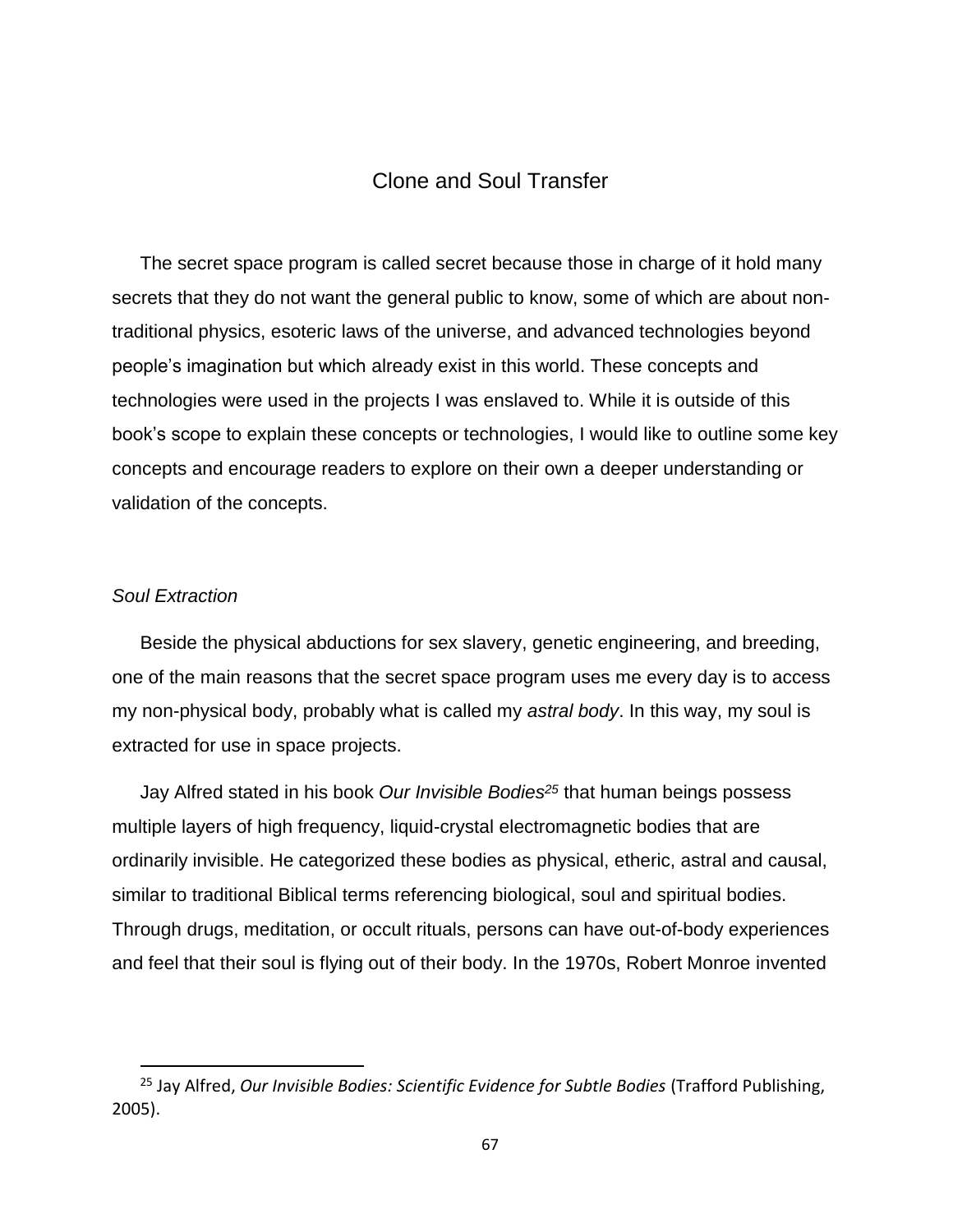# Clone and Soul Transfer

The secret space program is called secret because those in charge of it hold many secrets that they do not want the general public to know, some of which are about nontraditional physics, esoteric laws of the universe, and advanced technologies beyond people's imagination but which already exist in this world. These concepts and technologies were used in the projects I was enslaved to. While it is outside of this book's scope to explain these concepts or technologies, I would like to outline some key concepts and encourage readers to explore on their own a deeper understanding or validation of the concepts.

### *Soul Extraction*

 $\overline{\phantom{a}}$ 

Beside the physical abductions for sex slavery, genetic engineering, and breeding, one of the main reasons that the secret space program uses me every day is to access my non-physical body, probably what is called my *astral body*. In this way, my soul is extracted for use in space projects.

Jay Alfred stated in his book *Our Invisible Bodies<sup>25</sup>* that human beings possess multiple layers of high frequency, liquid-crystal electromagnetic bodies that are ordinarily invisible. He categorized these bodies as physical, etheric, astral and causal, similar to traditional Biblical terms referencing biological, soul and spiritual bodies. Through drugs, meditation, or occult rituals, persons can have out-of-body experiences and feel that their soul is flying out of their body. In the 1970s, Robert Monroe invented

<sup>25</sup> Jay Alfred, *Our Invisible Bodies: Scientific Evidence for Subtle Bodies* (Trafford Publishing, 2005).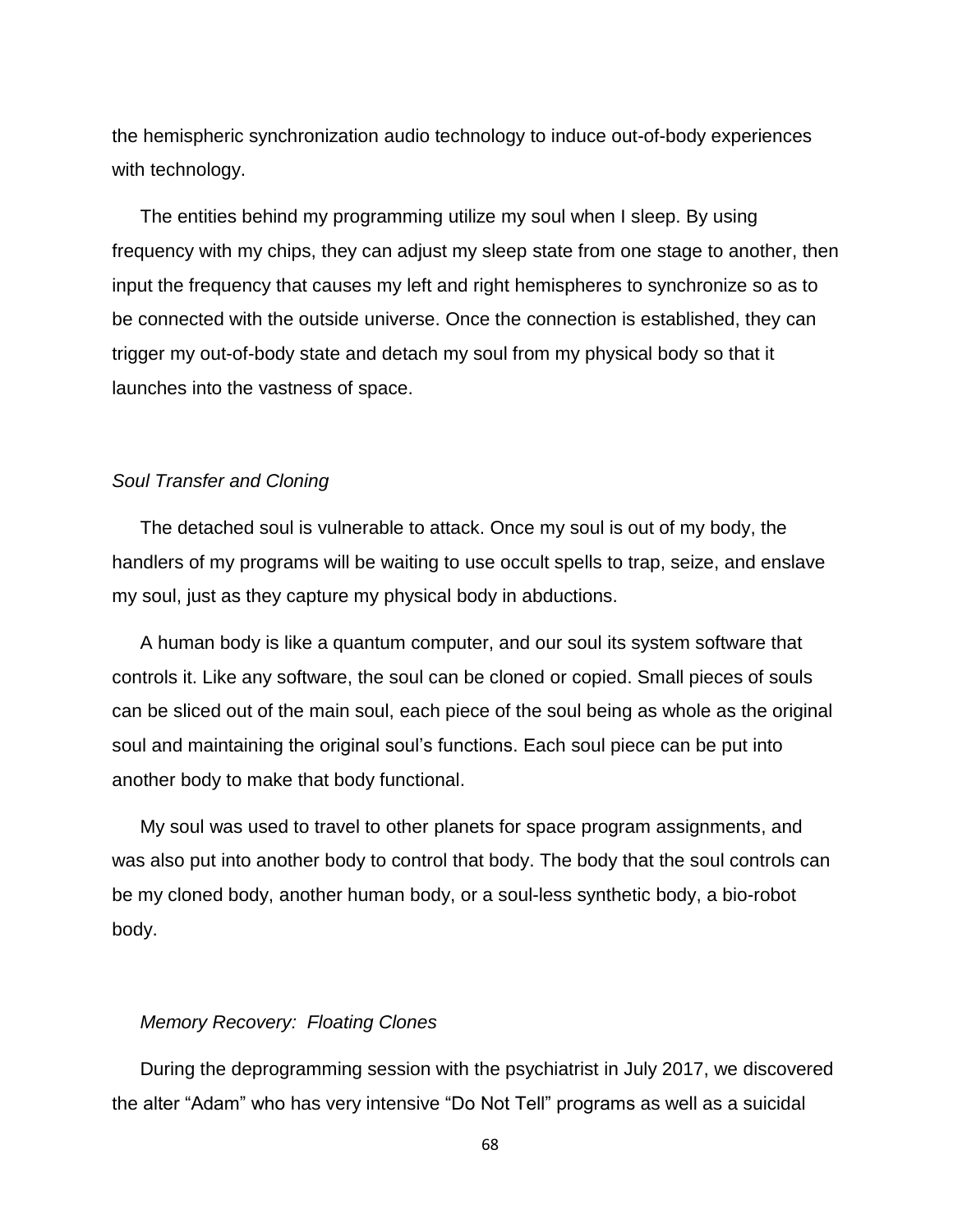the hemispheric synchronization audio technology to induce out-of-body experiences with technology.

The entities behind my programming utilize my soul when I sleep. By using frequency with my chips, they can adjust my sleep state from one stage to another, then input the frequency that causes my left and right hemispheres to synchronize so as to be connected with the outside universe. Once the connection is established, they can trigger my out-of-body state and detach my soul from my physical body so that it launches into the vastness of space.

#### *Soul Transfer and Cloning*

The detached soul is vulnerable to attack. Once my soul is out of my body, the handlers of my programs will be waiting to use occult spells to trap, seize, and enslave my soul, just as they capture my physical body in abductions.

A human body is like a quantum computer, and our soul its system software that controls it. Like any software, the soul can be cloned or copied. Small pieces of souls can be sliced out of the main soul, each piece of the soul being as whole as the original soul and maintaining the original soul's functions. Each soul piece can be put into another body to make that body functional.

My soul was used to travel to other planets for space program assignments, and was also put into another body to control that body. The body that the soul controls can be my cloned body, another human body, or a soul-less synthetic body, a bio-robot body.

#### *Memory Recovery: Floating Clones*

During the deprogramming session with the psychiatrist in July 2017, we discovered the alter "Adam" who has very intensive "Do Not Tell" programs as well as a suicidal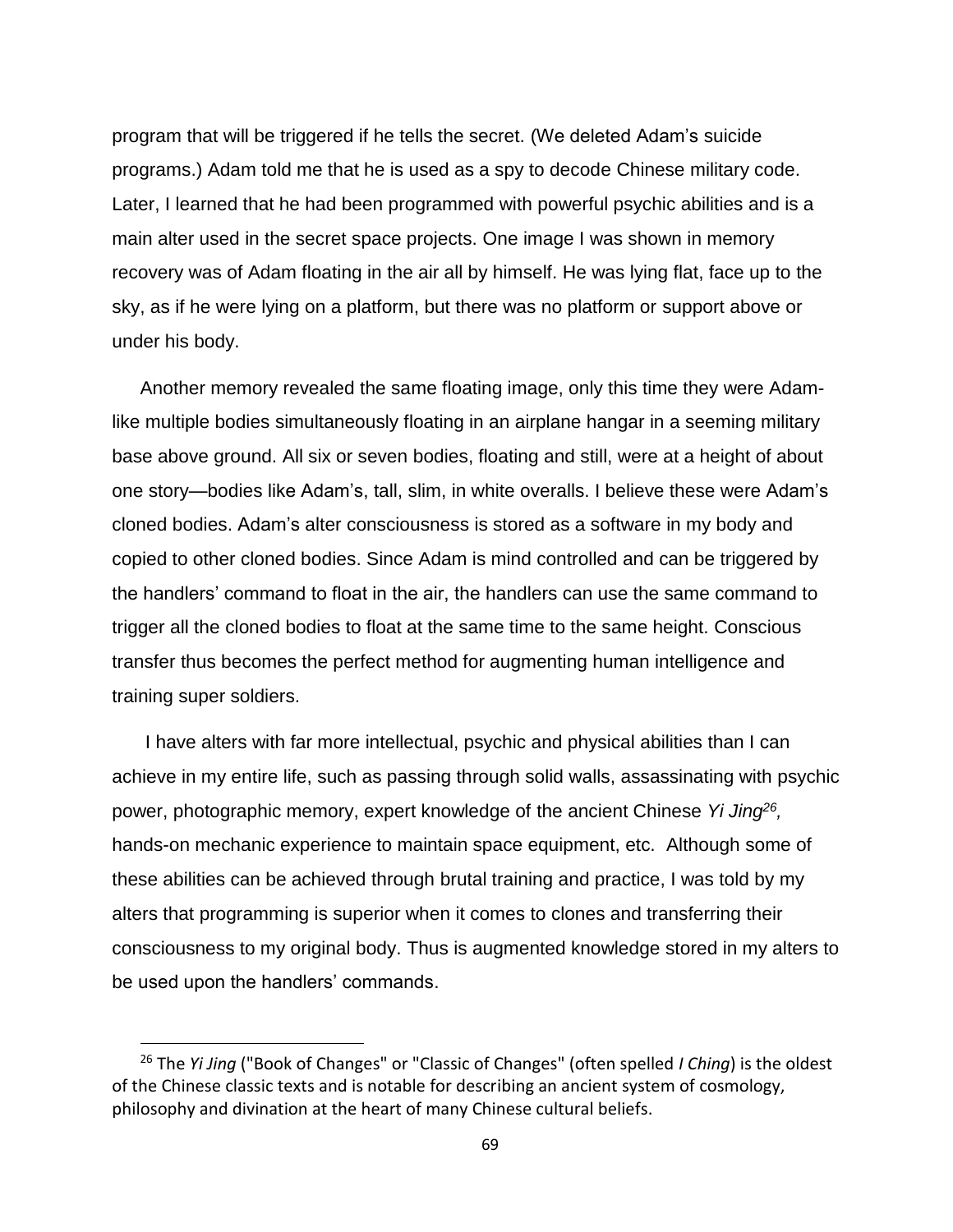program that will be triggered if he tells the secret. (We deleted Adam's suicide programs.) Adam told me that he is used as a spy to decode Chinese military code. Later, I learned that he had been programmed with powerful psychic abilities and is a main alter used in the secret space projects. One image I was shown in memory recovery was of Adam floating in the air all by himself. He was lying flat, face up to the sky, as if he were lying on a platform, but there was no platform or support above or under his body.

Another memory revealed the same floating image, only this time they were Adamlike multiple bodies simultaneously floating in an airplane hangar in a seeming military base above ground. All six or seven bodies, floating and still, were at a height of about one story—bodies like Adam's, tall, slim, in white overalls. I believe these were Adam's cloned bodies. Adam's alter consciousness is stored as a software in my body and copied to other cloned bodies. Since Adam is mind controlled and can be triggered by the handlers' command to float in the air, the handlers can use the same command to trigger all the cloned bodies to float at the same time to the same height. Conscious transfer thus becomes the perfect method for augmenting human intelligence and training super soldiers.

I have alters with far more intellectual, psychic and physical abilities than I can achieve in my entire life, such as passing through solid walls, assassinating with psychic power, photographic memory, expert knowledge of the ancient Chinese *Yi Jing<sup>26</sup> ,*  hands-on mechanic experience to maintain space equipment, etc. Although some of these abilities can be achieved through brutal training and practice, I was told by my alters that programming is superior when it comes to clones and transferring their consciousness to my original body. Thus is augmented knowledge stored in my alters to be used upon the handlers' commands.

<sup>26</sup> The *Yi Jing* ("Book of Changes" or "Classic of Changes" (often spelled *I Ching*) is the oldest of the Chinese classic texts and is notable for describing an ancient system of cosmology, philosophy and divination at the heart of many Chinese cultural beliefs.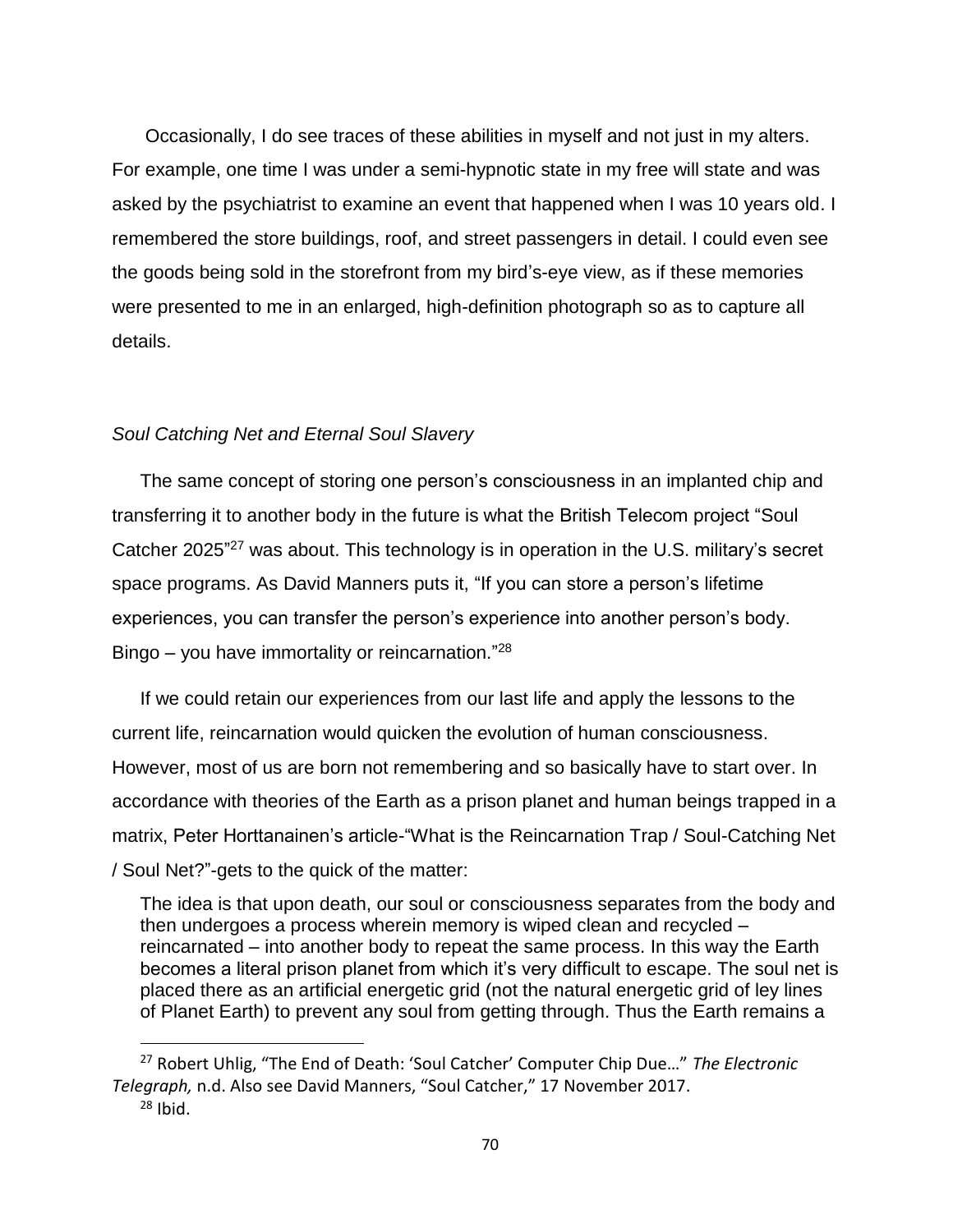Occasionally, I do see traces of these abilities in myself and not just in my alters. For example, one time I was under a semi-hypnotic state in my free will state and was asked by the psychiatrist to examine an event that happened when I was 10 years old. I remembered the store buildings, roof, and street passengers in detail. I could even see the goods being sold in the storefront from my bird's-eye view, as if these memories were presented to me in an enlarged, high-definition photograph so as to capture all details.

## *Soul Catching Net and Eternal Soul Slavery*

The same concept of storing one person's consciousness in an implanted chip and transferring it to another body in the future is what the British Telecom project "Soul Catcher 2025"<sup>27</sup> was about. This technology is in operation in the U.S. military's secret space programs. As David Manners puts it, "If you can store a person's lifetime experiences, you can transfer the person's experience into another person's body. Bingo - you have immortality or reincarnation."<sup>28</sup>

If we could retain our experiences from our last life and apply the lessons to the current life, reincarnation would quicken the evolution of human consciousness. However, most of us are born not remembering and so basically have to start over. In accordance with theories of the Earth as a prison planet and human beings trapped in a matrix, Peter Horttanainen's article-"What is the Reincarnation Trap / Soul-Catching Net / Soul Net?"-gets to the quick of the matter:

The idea is that upon death, our soul or consciousness separates from the body and then undergoes a process wherein memory is wiped clean and recycled – reincarnated – into another body to repeat the same process. In this way the Earth becomes a literal prison planet from which it's very difficult to escape. The soul net is placed there as an artificial energetic grid (not the natural energetic grid of ley lines of Planet Earth) to prevent any soul from getting through. Thus the Earth remains a

<sup>27</sup> Robert Uhlig, "The End of Death: 'Soul Catcher' Computer Chip Due…" *The Electronic Telegraph,* n.d. Also see David Manners, "Soul Catcher," 17 November 2017.

 $28$  Ihid.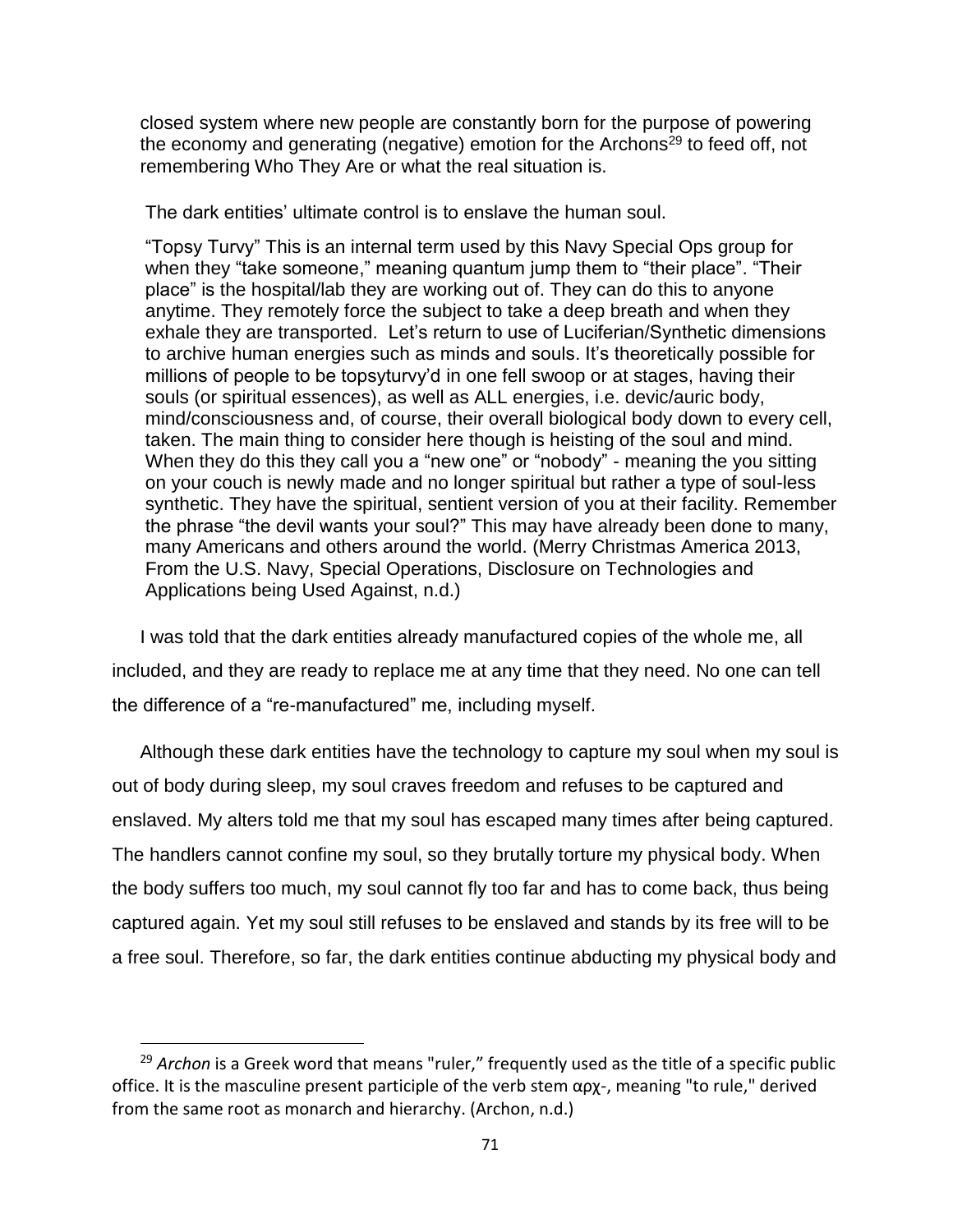closed system where new people are constantly born for the purpose of powering the economy and generating (negative) emotion for the Archons<sup>29</sup> to feed off, not remembering Who They Are or what the real situation is.

The dark entities' ultimate control is to enslave the human soul.

"Topsy Turvy" This is an internal term used by this Navy Special Ops group for when they "take someone," meaning quantum jump them to "their place". "Their place" is the hospital/lab they are working out of. They can do this to anyone anytime. They remotely force the subject to take a deep breath and when they exhale they are transported. Let's return to use of Luciferian/Synthetic dimensions to archive human energies such as minds and souls. It's theoretically possible for millions of people to be topsyturvy'd in one fell swoop or at stages, having their souls (or spiritual essences), as well as ALL energies, i.e. devic/auric body, mind/consciousness and, of course, their overall biological body down to every cell, taken. The main thing to consider here though is heisting of the soul and mind. When they do this they call you a "new one" or "nobody" - meaning the you sitting on your couch is newly made and no longer spiritual but rather a type of soul-less synthetic. They have the spiritual, sentient version of you at their facility. Remember the phrase "the devil wants your soul?" This may have already been done to many, many Americans and others around the world. (Merry Christmas America 2013, From the U.S. Navy, Special Operations, Disclosure on Technologies and Applications being Used Against, n.d.)

I was told that the dark entities already manufactured copies of the whole me, all included, and they are ready to replace me at any time that they need. No one can tell the difference of a "re-manufactured" me, including myself.

Although these dark entities have the technology to capture my soul when my soul is out of body during sleep, my soul craves freedom and refuses to be captured and enslaved. My alters told me that my soul has escaped many times after being captured. The handlers cannot confine my soul, so they brutally torture my physical body. When the body suffers too much, my soul cannot fly too far and has to come back, thus being captured again. Yet my soul still refuses to be enslaved and stands by its free will to be a free soul. Therefore, so far, the dark entities continue abducting my physical body and

<sup>29</sup> *Archon* is a Greek word that means "ruler," frequently used as the title of a specific public office. It is the masculine present participle of the verb stem αρχ-, meaning "to rule," derived from the same root as monarch and hierarchy. (Archon, n.d.)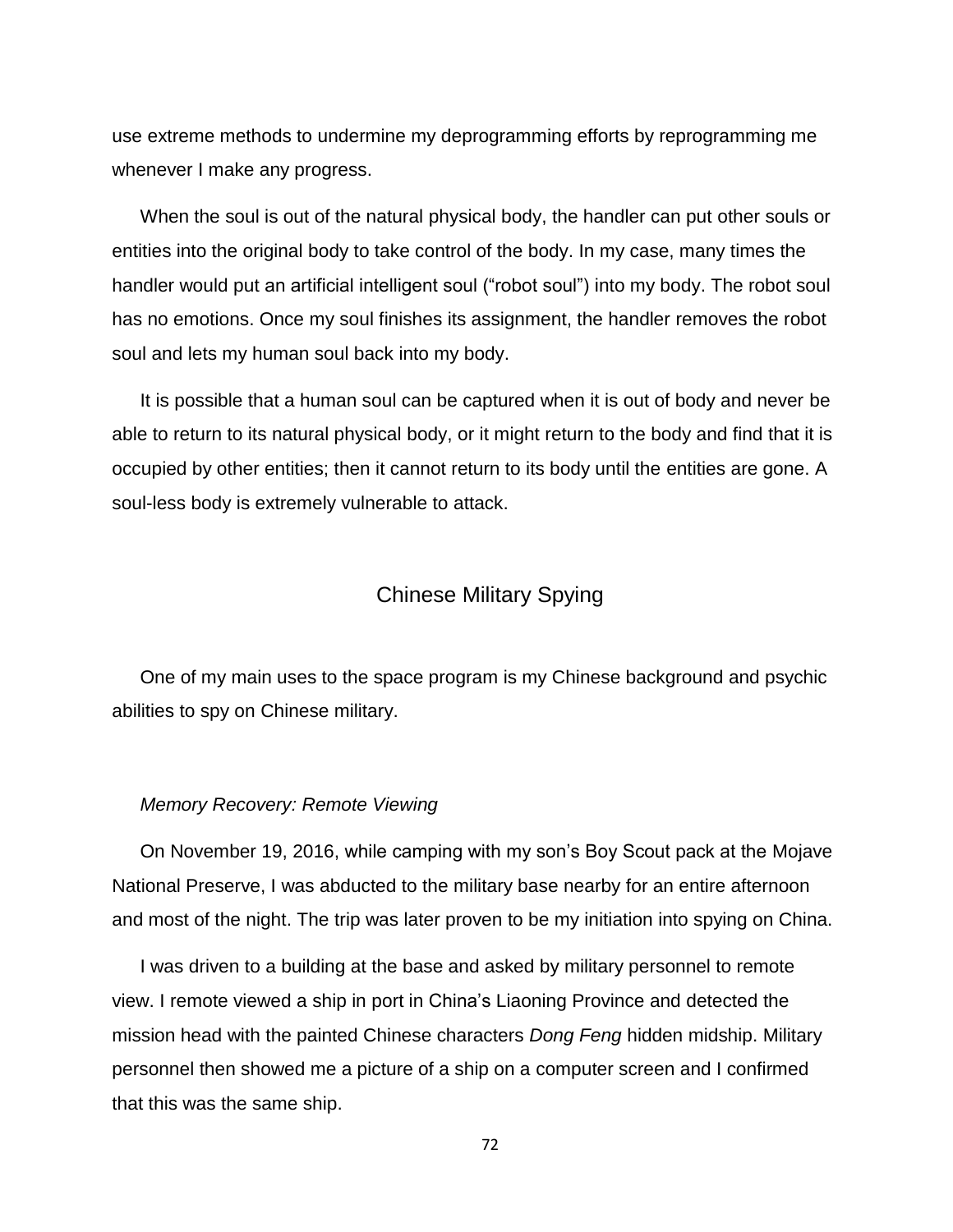use extreme methods to undermine my deprogramming efforts by reprogramming me whenever I make any progress.

When the soul is out of the natural physical body, the handler can put other souls or entities into the original body to take control of the body. In my case, many times the handler would put an artificial intelligent soul ("robot soul") into my body. The robot soul has no emotions. Once my soul finishes its assignment, the handler removes the robot soul and lets my human soul back into my body.

It is possible that a human soul can be captured when it is out of body and never be able to return to its natural physical body, or it might return to the body and find that it is occupied by other entities; then it cannot return to its body until the entities are gone. A soul-less body is extremely vulnerable to attack.

# Chinese Military Spying

One of my main uses to the space program is my Chinese background and psychic abilities to spy on Chinese military.

#### *Memory Recovery: Remote Viewing*

On November 19, 2016, while camping with my son's Boy Scout pack at the Mojave National Preserve, I was abducted to the military base nearby for an entire afternoon and most of the night. The trip was later proven to be my initiation into spying on China.

I was driven to a building at the base and asked by military personnel to remote view. I remote viewed a ship in port in China's Liaoning Province and detected the mission head with the painted Chinese characters *Dong Feng* hidden midship. Military personnel then showed me a picture of a ship on a computer screen and I confirmed that this was the same ship.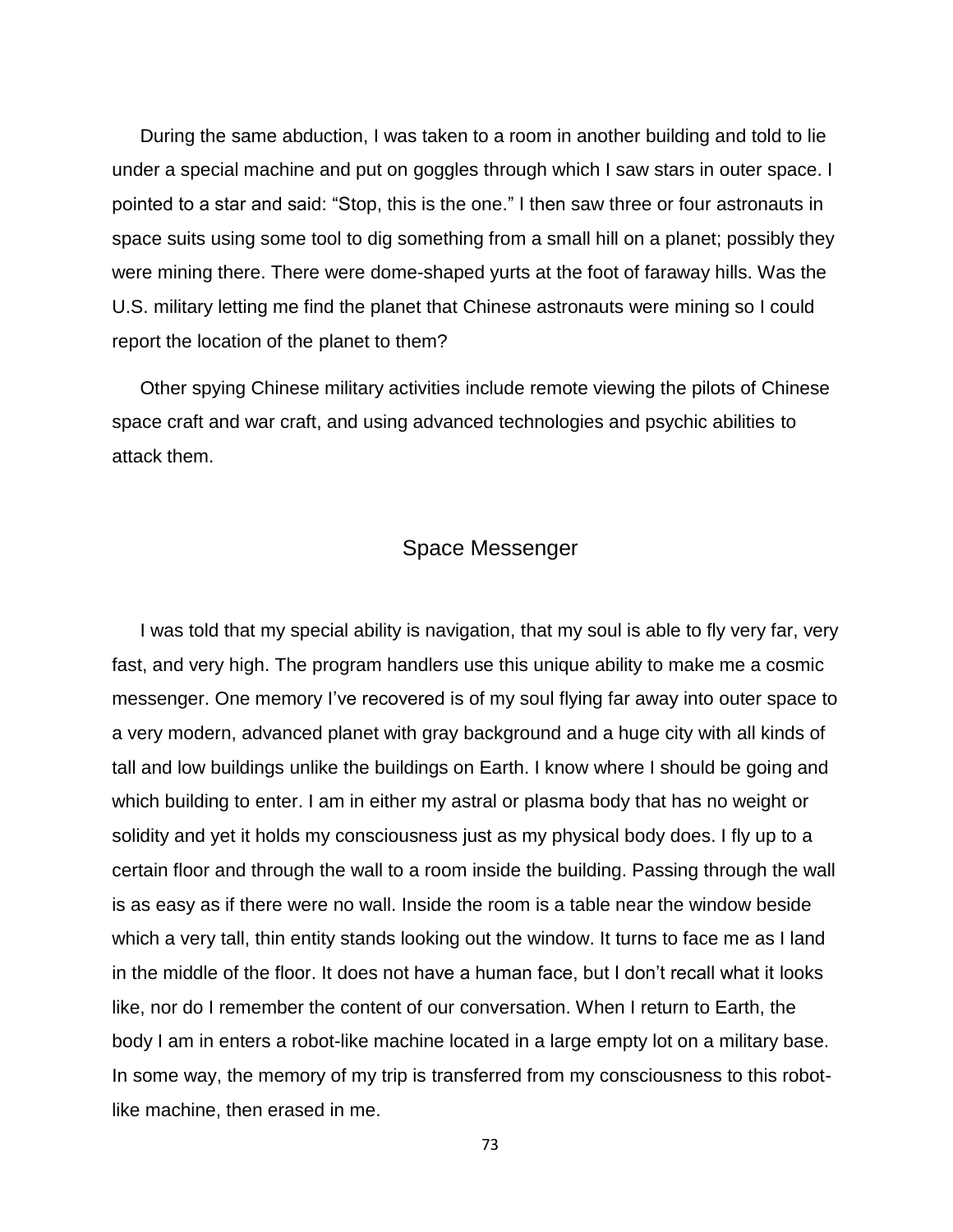During the same abduction, I was taken to a room in another building and told to lie under a special machine and put on goggles through which I saw stars in outer space. I pointed to a star and said: "Stop, this is the one." I then saw three or four astronauts in space suits using some tool to dig something from a small hill on a planet; possibly they were mining there. There were dome-shaped yurts at the foot of faraway hills. Was the U.S. military letting me find the planet that Chinese astronauts were mining so I could report the location of the planet to them?

Other spying Chinese military activities include remote viewing the pilots of Chinese space craft and war craft, and using advanced technologies and psychic abilities to attack them.

### Space Messenger

I was told that my special ability is navigation, that my soul is able to fly very far, very fast, and very high. The program handlers use this unique ability to make me a cosmic messenger. One memory I've recovered is of my soul flying far away into outer space to a very modern, advanced planet with gray background and a huge city with all kinds of tall and low buildings unlike the buildings on Earth. I know where I should be going and which building to enter. I am in either my astral or plasma body that has no weight or solidity and yet it holds my consciousness just as my physical body does. I fly up to a certain floor and through the wall to a room inside the building. Passing through the wall is as easy as if there were no wall. Inside the room is a table near the window beside which a very tall, thin entity stands looking out the window. It turns to face me as I land in the middle of the floor. It does not have a human face, but I don't recall what it looks like, nor do I remember the content of our conversation. When I return to Earth, the body I am in enters a robot-like machine located in a large empty lot on a military base. In some way, the memory of my trip is transferred from my consciousness to this robotlike machine, then erased in me.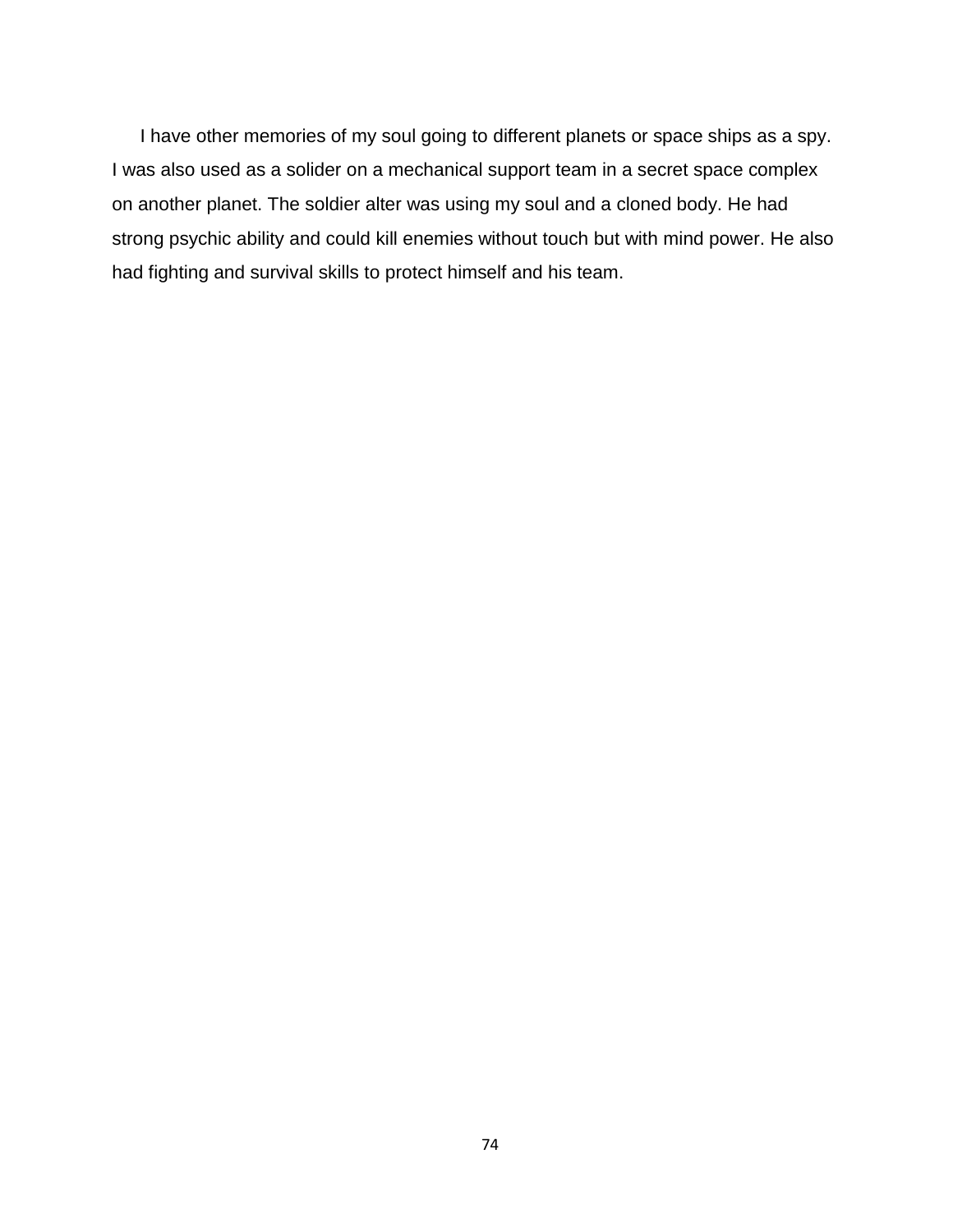I have other memories of my soul going to different planets or space ships as a spy. I was also used as a solider on a mechanical support team in a secret space complex on another planet. The soldier alter was using my soul and a cloned body. He had strong psychic ability and could kill enemies without touch but with mind power. He also had fighting and survival skills to protect himself and his team.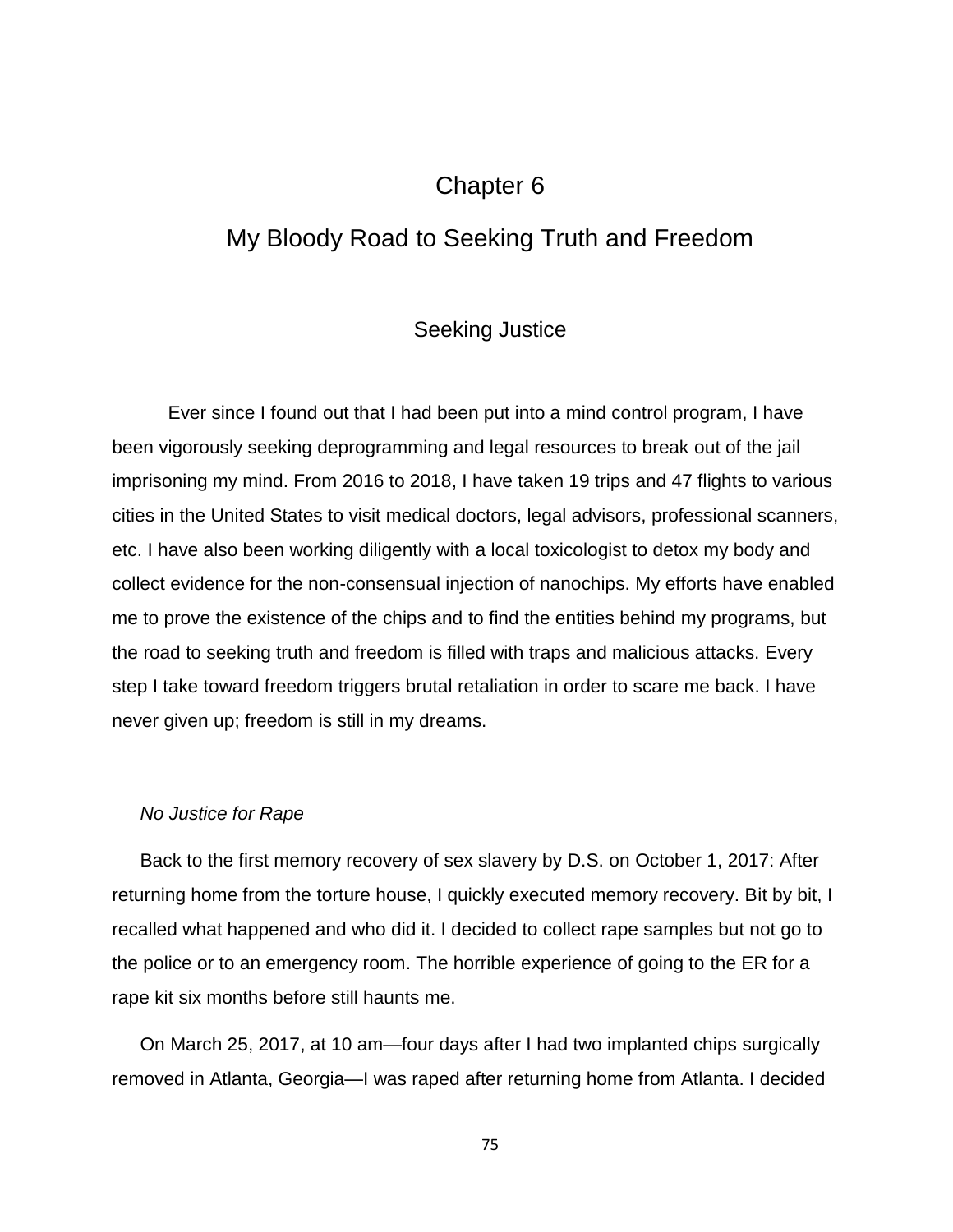# Chapter 6

# My Bloody Road to Seeking Truth and Freedom

### Seeking Justice

Ever since I found out that I had been put into a mind control program, I have been vigorously seeking deprogramming and legal resources to break out of the jail imprisoning my mind. From 2016 to 2018, I have taken 19 trips and 47 flights to various cities in the United States to visit medical doctors, legal advisors, professional scanners, etc. I have also been working diligently with a local toxicologist to detox my body and collect evidence for the non-consensual injection of nanochips. My efforts have enabled me to prove the existence of the chips and to find the entities behind my programs, but the road to seeking truth and freedom is filled with traps and malicious attacks. Every step I take toward freedom triggers brutal retaliation in order to scare me back. I have never given up; freedom is still in my dreams.

#### *No Justice for Rape*

Back to the first memory recovery of sex slavery by D.S. on October 1, 2017: After returning home from the torture house, I quickly executed memory recovery. Bit by bit, I recalled what happened and who did it. I decided to collect rape samples but not go to the police or to an emergency room. The horrible experience of going to the ER for a rape kit six months before still haunts me.

On March 25, 2017, at 10 am—four days after I had two implanted chips surgically removed in Atlanta, Georgia—I was raped after returning home from Atlanta. I decided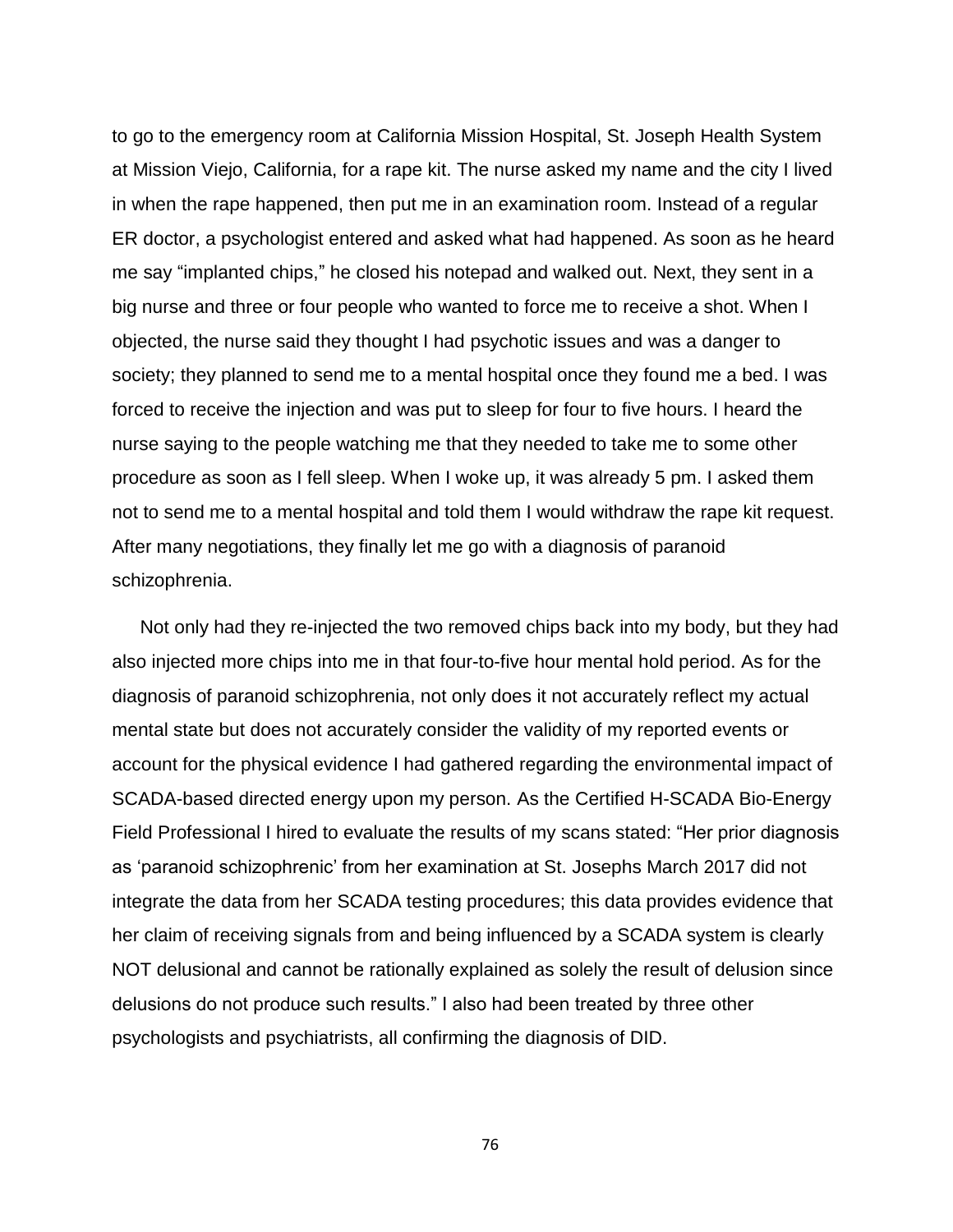to go to the emergency room at California Mission Hospital, St. Joseph Health System at Mission Viejo, California, for a rape kit. The nurse asked my name and the city I lived in when the rape happened, then put me in an examination room. Instead of a regular ER doctor, a psychologist entered and asked what had happened. As soon as he heard me say "implanted chips," he closed his notepad and walked out. Next, they sent in a big nurse and three or four people who wanted to force me to receive a shot. When I objected, the nurse said they thought I had psychotic issues and was a danger to society; they planned to send me to a mental hospital once they found me a bed. I was forced to receive the injection and was put to sleep for four to five hours. I heard the nurse saying to the people watching me that they needed to take me to some other procedure as soon as I fell sleep. When I woke up, it was already 5 pm. I asked them not to send me to a mental hospital and told them I would withdraw the rape kit request. After many negotiations, they finally let me go with a diagnosis of paranoid schizophrenia.

Not only had they re-injected the two removed chips back into my body, but they had also injected more chips into me in that four-to-five hour mental hold period. As for the diagnosis of paranoid schizophrenia, not only does it not accurately reflect my actual mental state but does not accurately consider the validity of my reported events or account for the physical evidence I had gathered regarding the environmental impact of SCADA-based directed energy upon my person. As the Certified H-SCADA Bio-Energy Field Professional I hired to evaluate the results of my scans stated: "Her prior diagnosis as 'paranoid schizophrenic' from her examination at St. Josephs March 2017 did not integrate the data from her SCADA testing procedures; this data provides evidence that her claim of receiving signals from and being influenced by a SCADA system is clearly NOT delusional and cannot be rationally explained as solely the result of delusion since delusions do not produce such results." I also had been treated by three other psychologists and psychiatrists, all confirming the diagnosis of DID.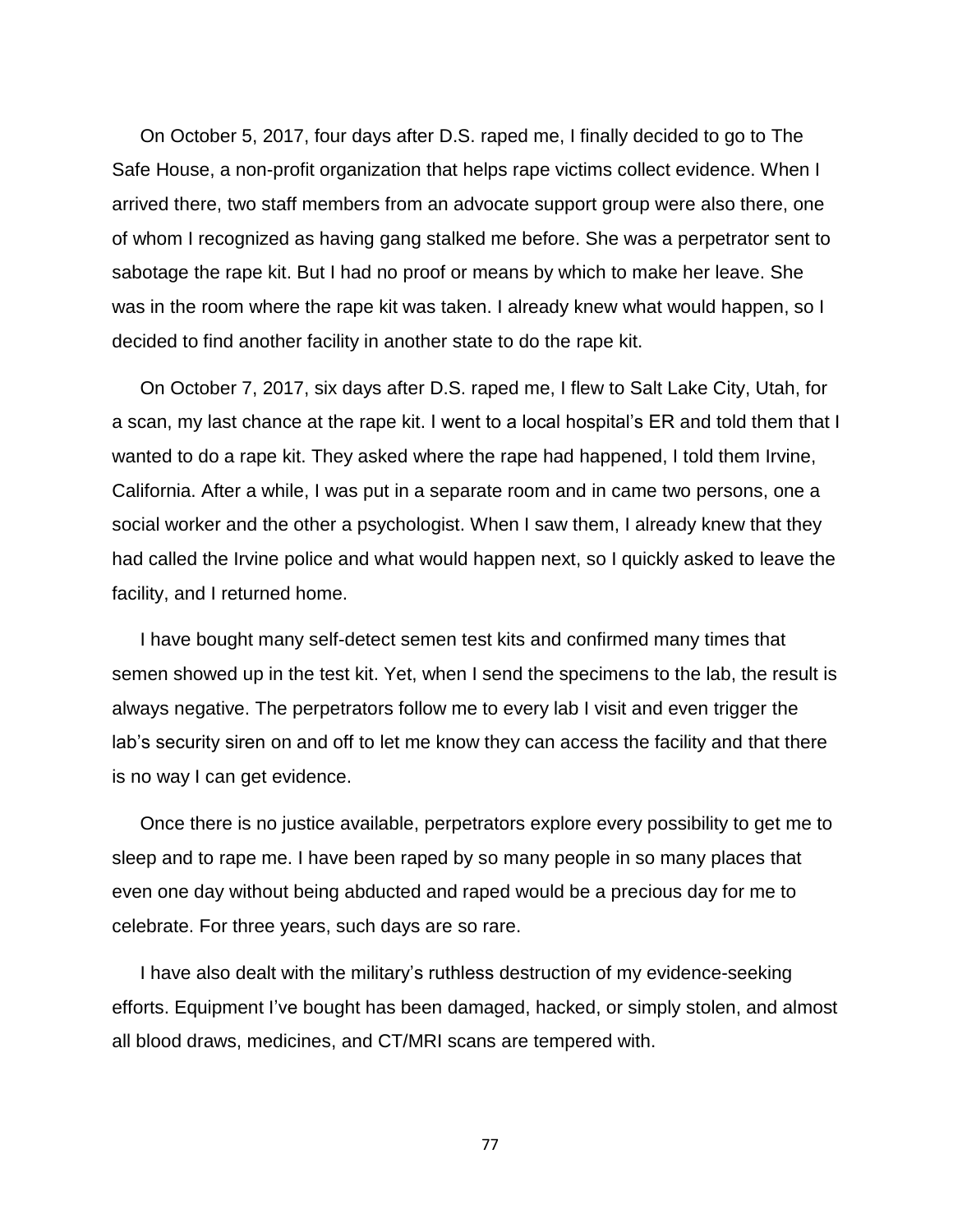On October 5, 2017, four days after D.S. raped me, I finally decided to go to The Safe House, a non-profit organization that helps rape victims collect evidence. When I arrived there, two staff members from an advocate support group were also there, one of whom I recognized as having gang stalked me before. She was a perpetrator sent to sabotage the rape kit. But I had no proof or means by which to make her leave. She was in the room where the rape kit was taken. I already knew what would happen, so I decided to find another facility in another state to do the rape kit.

On October 7, 2017, six days after D.S. raped me, I flew to Salt Lake City, Utah, for a scan, my last chance at the rape kit. I went to a local hospital's ER and told them that I wanted to do a rape kit. They asked where the rape had happened, I told them Irvine, California. After a while, I was put in a separate room and in came two persons, one a social worker and the other a psychologist. When I saw them, I already knew that they had called the Irvine police and what would happen next, so I quickly asked to leave the facility, and I returned home.

I have bought many self-detect semen test kits and confirmed many times that semen showed up in the test kit. Yet, when I send the specimens to the lab, the result is always negative. The perpetrators follow me to every lab I visit and even trigger the lab's security siren on and off to let me know they can access the facility and that there is no way I can get evidence.

Once there is no justice available, perpetrators explore every possibility to get me to sleep and to rape me. I have been raped by so many people in so many places that even one day without being abducted and raped would be a precious day for me to celebrate. For three years, such days are so rare.

I have also dealt with the military's ruthless destruction of my evidence-seeking efforts. Equipment I've bought has been damaged, hacked, or simply stolen, and almost all blood draws, medicines, and CT/MRI scans are tempered with.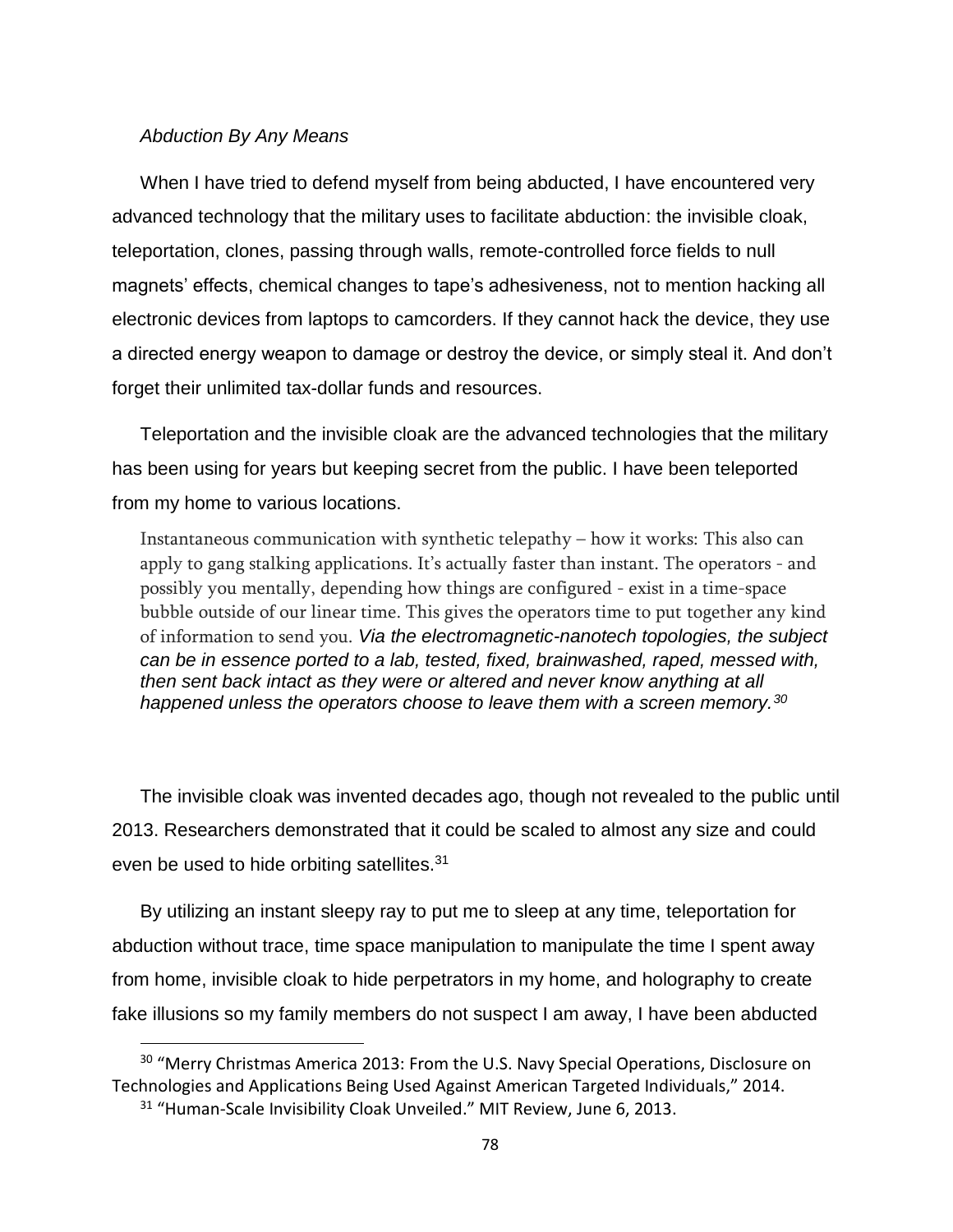#### *Abduction By Any Means*

When I have tried to defend myself from being abducted, I have encountered very advanced technology that the military uses to facilitate abduction: the invisible cloak, teleportation, clones, passing through walls, remote-controlled force fields to null magnets' effects, chemical changes to tape's adhesiveness, not to mention hacking all electronic devices from laptops to camcorders. If they cannot hack the device, they use a directed energy weapon to damage or destroy the device, or simply steal it. And don't forget their unlimited tax-dollar funds and resources.

Teleportation and the invisible cloak are the advanced technologies that the military has been using for years but keeping secret from the public. I have been teleported from my home to various locations.

Instantaneous communication with synthetic telepathy – how it works: This also can apply to gang stalking applications. It's actually faster than instant. The operators - and possibly you mentally, depending how things are configured - exist in a time-space bubble outside of our linear time. This gives the operators time to put together any kind of information to send you. *Via the electromagnetic-nanotech topologies, the subject can be in essence ported to a lab, tested, fixed, brainwashed, raped, messed with, then sent back intact as they were or altered and never know anything at all happened unless the operators choose to leave them with a screen memory.<sup>30</sup>*

The invisible cloak was invented decades ago, though not revealed to the public until 2013. Researchers demonstrated that it could be scaled to almost any size and could even be used to hide orbiting satellites.<sup>31</sup>

By utilizing an instant sleepy ray to put me to sleep at any time, teleportation for abduction without trace, time space manipulation to manipulate the time I spent away from home, invisible cloak to hide perpetrators in my home, and holography to create fake illusions so my family members do not suspect I am away, I have been abducted

 $\overline{\phantom{a}}$ 

<sup>&</sup>lt;sup>30</sup> "Merry Christmas America 2013: From the U.S. Navy Special Operations, Disclosure on Technologies and Applications Being Used Against American Targeted Individuals," 2014.

<sup>&</sup>lt;sup>31</sup> "Human-Scale Invisibility Cloak Unveiled." MIT Review, June 6, 2013.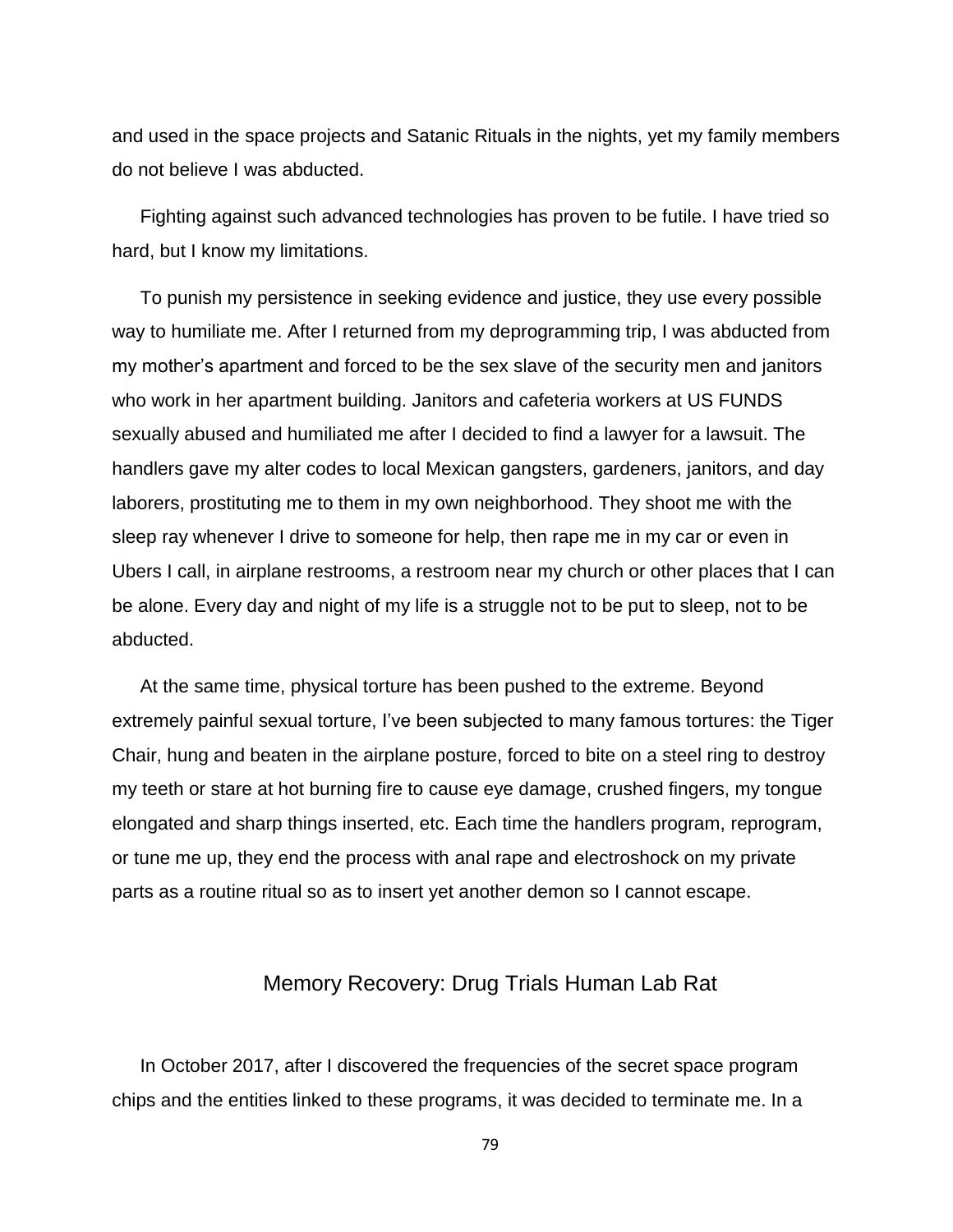and used in the space projects and Satanic Rituals in the nights, yet my family members do not believe I was abducted.

Fighting against such advanced technologies has proven to be futile. I have tried so hard, but I know my limitations.

To punish my persistence in seeking evidence and justice, they use every possible way to humiliate me. After I returned from my deprogramming trip, I was abducted from my mother's apartment and forced to be the sex slave of the security men and janitors who work in her apartment building. Janitors and cafeteria workers at US FUNDS sexually abused and humiliated me after I decided to find a lawyer for a lawsuit. The handlers gave my alter codes to local Mexican gangsters, gardeners, janitors, and day laborers, prostituting me to them in my own neighborhood. They shoot me with the sleep ray whenever I drive to someone for help, then rape me in my car or even in Ubers I call, in airplane restrooms, a restroom near my church or other places that I can be alone. Every day and night of my life is a struggle not to be put to sleep, not to be abducted.

At the same time, physical torture has been pushed to the extreme. Beyond extremely painful sexual torture, I've been subjected to many famous tortures: the Tiger Chair, hung and beaten in the airplane posture, forced to bite on a steel ring to destroy my teeth or stare at hot burning fire to cause eye damage, crushed fingers, my tongue elongated and sharp things inserted, etc. Each time the handlers program, reprogram, or tune me up, they end the process with anal rape and electroshock on my private parts as a routine ritual so as to insert yet another demon so I cannot escape.

## Memory Recovery: Drug Trials Human Lab Rat

In October 2017, after I discovered the frequencies of the secret space program chips and the entities linked to these programs, it was decided to terminate me. In a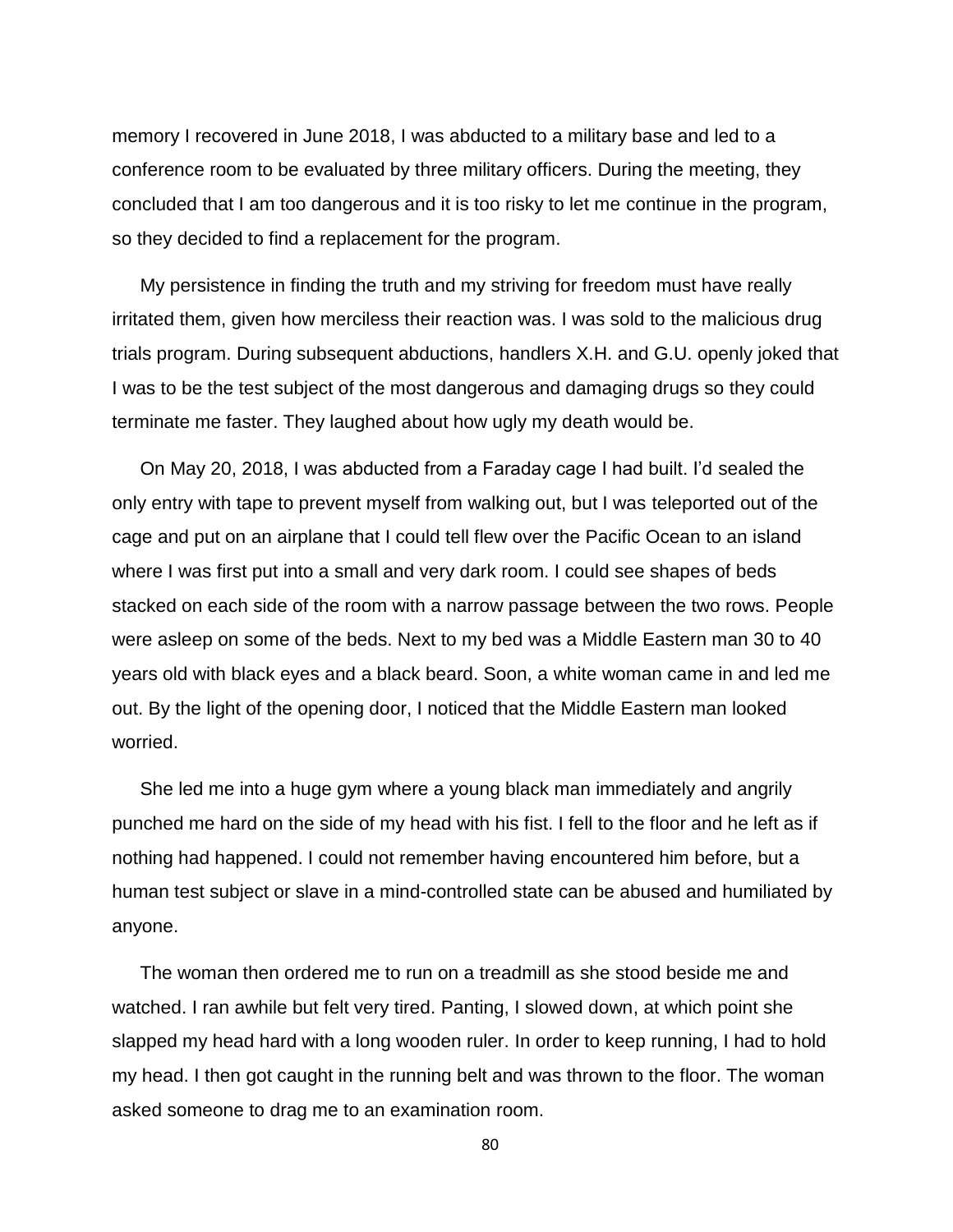memory I recovered in June 2018, I was abducted to a military base and led to a conference room to be evaluated by three military officers. During the meeting, they concluded that I am too dangerous and it is too risky to let me continue in the program, so they decided to find a replacement for the program.

My persistence in finding the truth and my striving for freedom must have really irritated them, given how merciless their reaction was. I was sold to the malicious drug trials program. During subsequent abductions, handlers X.H. and G.U. openly joked that I was to be the test subject of the most dangerous and damaging drugs so they could terminate me faster. They laughed about how ugly my death would be.

On May 20, 2018, I was abducted from a Faraday cage I had built. I'd sealed the only entry with tape to prevent myself from walking out, but I was teleported out of the cage and put on an airplane that I could tell flew over the Pacific Ocean to an island where I was first put into a small and very dark room. I could see shapes of beds stacked on each side of the room with a narrow passage between the two rows. People were asleep on some of the beds. Next to my bed was a Middle Eastern man 30 to 40 years old with black eyes and a black beard. Soon, a white woman came in and led me out. By the light of the opening door, I noticed that the Middle Eastern man looked worried.

She led me into a huge gym where a young black man immediately and angrily punched me hard on the side of my head with his fist. I fell to the floor and he left as if nothing had happened. I could not remember having encountered him before, but a human test subject or slave in a mind-controlled state can be abused and humiliated by anyone.

The woman then ordered me to run on a treadmill as she stood beside me and watched. I ran awhile but felt very tired. Panting, I slowed down, at which point she slapped my head hard with a long wooden ruler. In order to keep running, I had to hold my head. I then got caught in the running belt and was thrown to the floor. The woman asked someone to drag me to an examination room.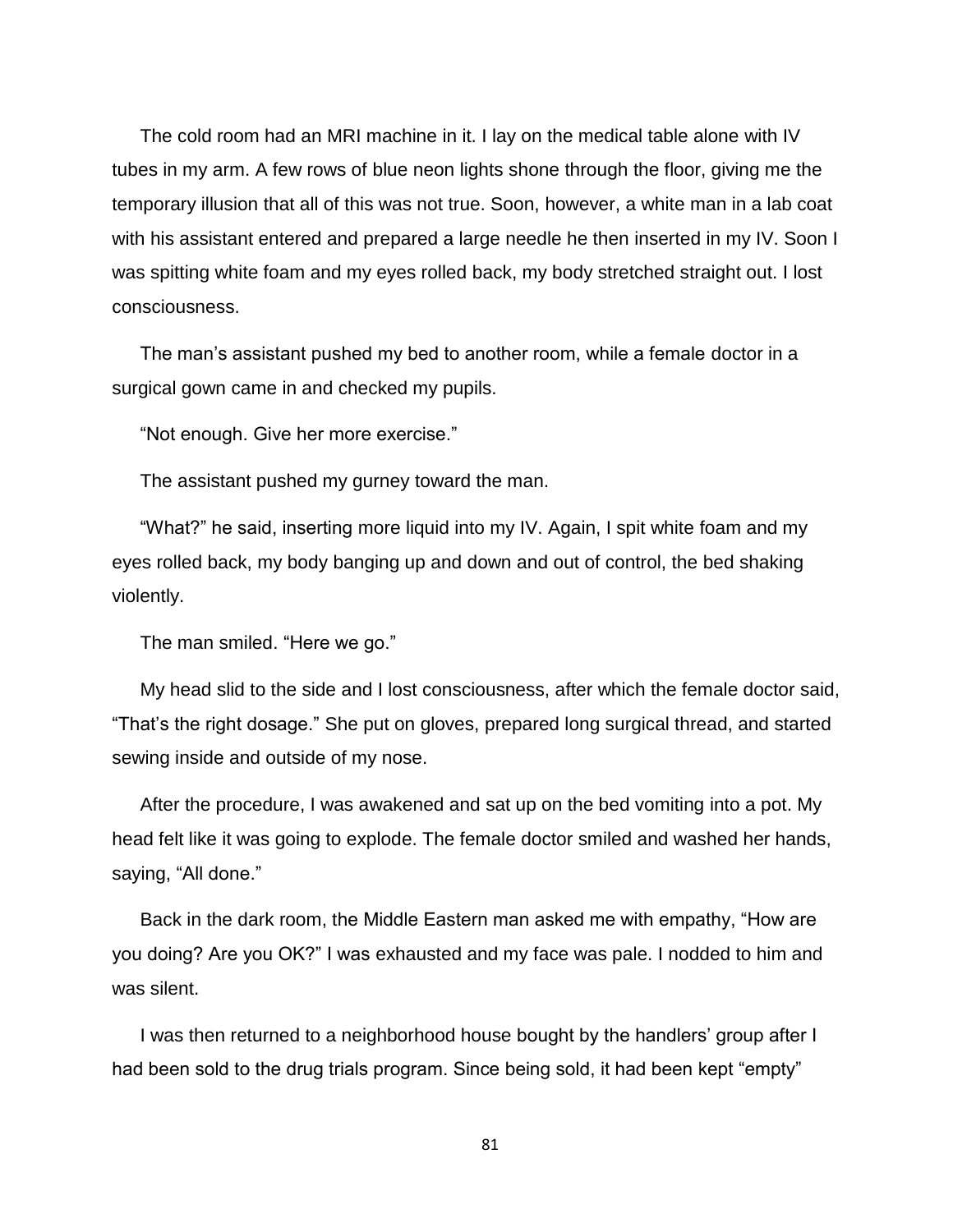The cold room had an MRI machine in it. I lay on the medical table alone with IV tubes in my arm. A few rows of blue neon lights shone through the floor, giving me the temporary illusion that all of this was not true. Soon, however, a white man in a lab coat with his assistant entered and prepared a large needle he then inserted in my IV. Soon I was spitting white foam and my eyes rolled back, my body stretched straight out. I lost consciousness.

The man's assistant pushed my bed to another room, while a female doctor in a surgical gown came in and checked my pupils.

"Not enough. Give her more exercise."

The assistant pushed my gurney toward the man.

"What?" he said, inserting more liquid into my IV. Again, I spit white foam and my eyes rolled back, my body banging up and down and out of control, the bed shaking violently.

The man smiled. "Here we go."

My head slid to the side and I lost consciousness, after which the female doctor said, "That's the right dosage." She put on gloves, prepared long surgical thread, and started sewing inside and outside of my nose.

After the procedure, I was awakened and sat up on the bed vomiting into a pot. My head felt like it was going to explode. The female doctor smiled and washed her hands, saying, "All done."

Back in the dark room, the Middle Eastern man asked me with empathy, "How are you doing? Are you OK?" I was exhausted and my face was pale. I nodded to him and was silent.

I was then returned to a neighborhood house bought by the handlers' group after I had been sold to the drug trials program. Since being sold, it had been kept "empty"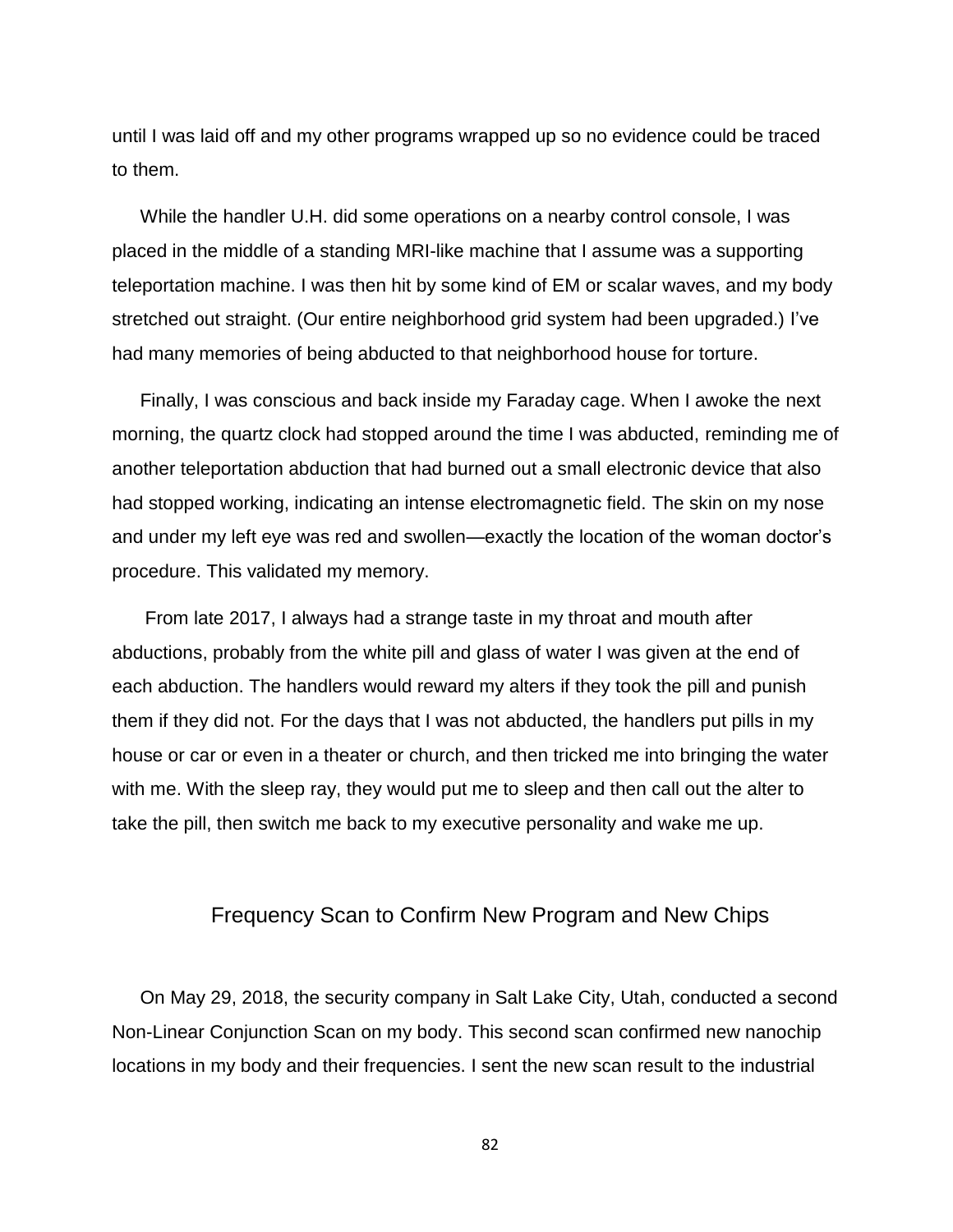until I was laid off and my other programs wrapped up so no evidence could be traced to them.

While the handler U.H. did some operations on a nearby control console, I was placed in the middle of a standing MRI-like machine that I assume was a supporting teleportation machine. I was then hit by some kind of EM or scalar waves, and my body stretched out straight. (Our entire neighborhood grid system had been upgraded.) I've had many memories of being abducted to that neighborhood house for torture.

Finally, I was conscious and back inside my Faraday cage. When I awoke the next morning, the quartz clock had stopped around the time I was abducted, reminding me of another teleportation abduction that had burned out a small electronic device that also had stopped working, indicating an intense electromagnetic field. The skin on my nose and under my left eye was red and swollen—exactly the location of the woman doctor's procedure. This validated my memory.

From late 2017, I always had a strange taste in my throat and mouth after abductions, probably from the white pill and glass of water I was given at the end of each abduction. The handlers would reward my alters if they took the pill and punish them if they did not. For the days that I was not abducted, the handlers put pills in my house or car or even in a theater or church, and then tricked me into bringing the water with me. With the sleep ray, they would put me to sleep and then call out the alter to take the pill, then switch me back to my executive personality and wake me up.

### Frequency Scan to Confirm New Program and New Chips

On May 29, 2018, the security company in Salt Lake City, Utah, conducted a second Non-Linear Conjunction Scan on my body. This second scan confirmed new nanochip locations in my body and their frequencies. I sent the new scan result to the industrial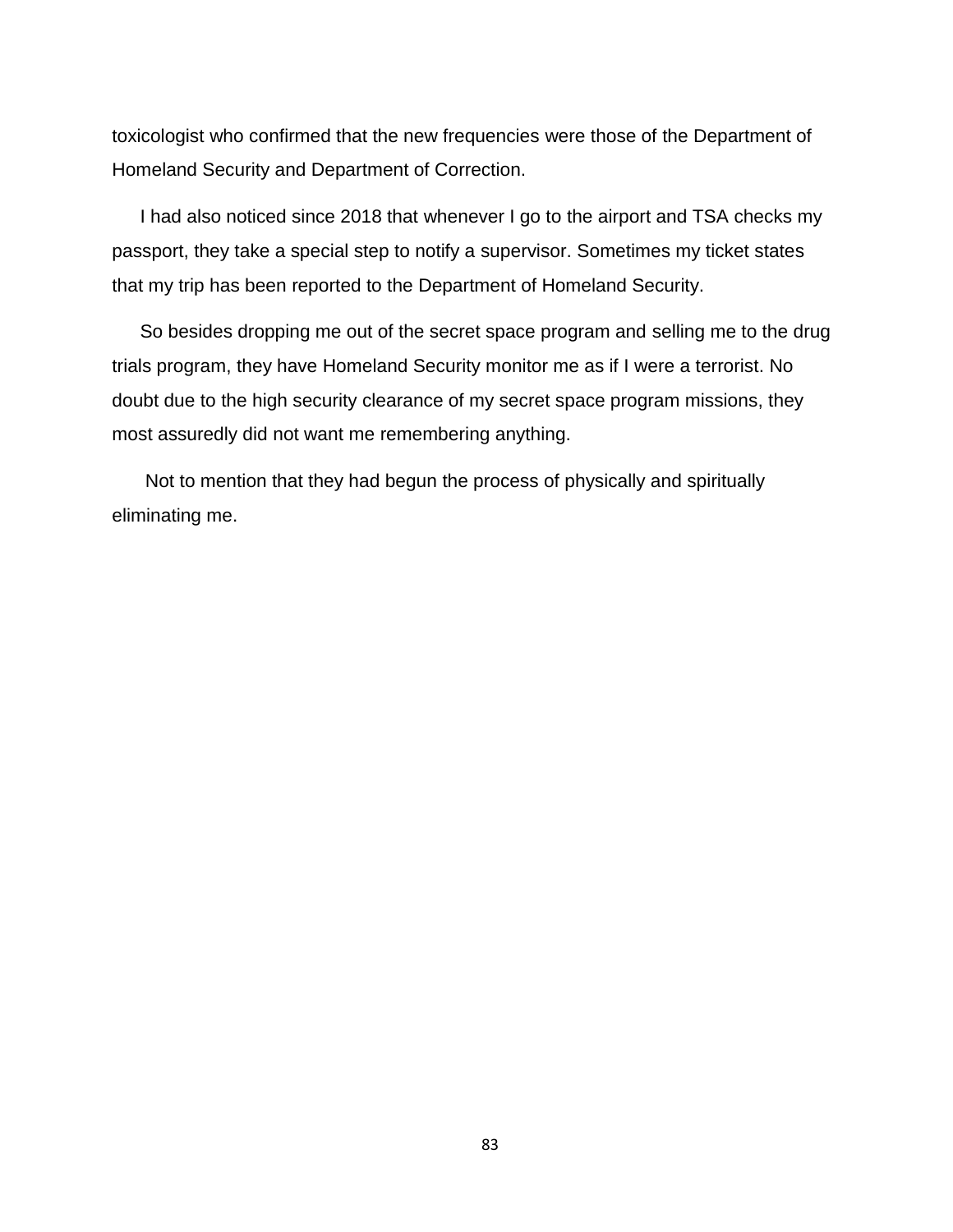toxicologist who confirmed that the new frequencies were those of the Department of Homeland Security and Department of Correction.

I had also noticed since 2018 that whenever I go to the airport and TSA checks my passport, they take a special step to notify a supervisor. Sometimes my ticket states that my trip has been reported to the Department of Homeland Security.

So besides dropping me out of the secret space program and selling me to the drug trials program, they have Homeland Security monitor me as if I were a terrorist. No doubt due to the high security clearance of my secret space program missions, they most assuredly did not want me remembering anything.

Not to mention that they had begun the process of physically and spiritually eliminating me.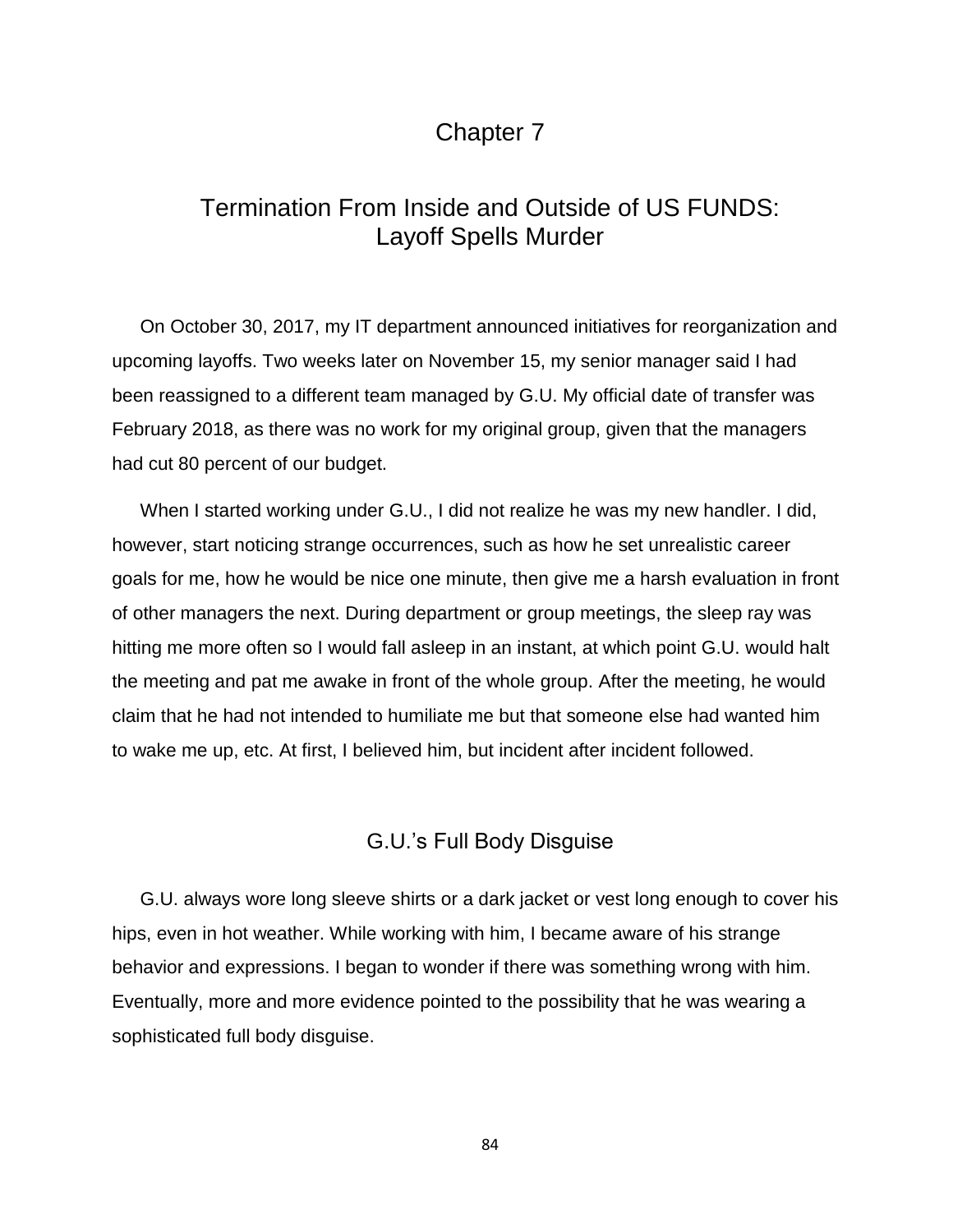## Chapter 7

# Termination From Inside and Outside of US FUNDS: Layoff Spells Murder

On October 30, 2017, my IT department announced initiatives for reorganization and upcoming layoffs. Two weeks later on November 15, my senior manager said I had been reassigned to a different team managed by G.U. My official date of transfer was February 2018, as there was no work for my original group, given that the managers had cut 80 percent of our budget.

When I started working under G.U., I did not realize he was my new handler. I did, however, start noticing strange occurrences, such as how he set unrealistic career goals for me, how he would be nice one minute, then give me a harsh evaluation in front of other managers the next. During department or group meetings, the sleep ray was hitting me more often so I would fall asleep in an instant, at which point G.U. would halt the meeting and pat me awake in front of the whole group. After the meeting, he would claim that he had not intended to humiliate me but that someone else had wanted him to wake me up, etc. At first, I believed him, but incident after incident followed.

### G.U.'s Full Body Disguise

G.U. always wore long sleeve shirts or a dark jacket or vest long enough to cover his hips, even in hot weather. While working with him, I became aware of his strange behavior and expressions. I began to wonder if there was something wrong with him. Eventually, more and more evidence pointed to the possibility that he was wearing a sophisticated full body disguise.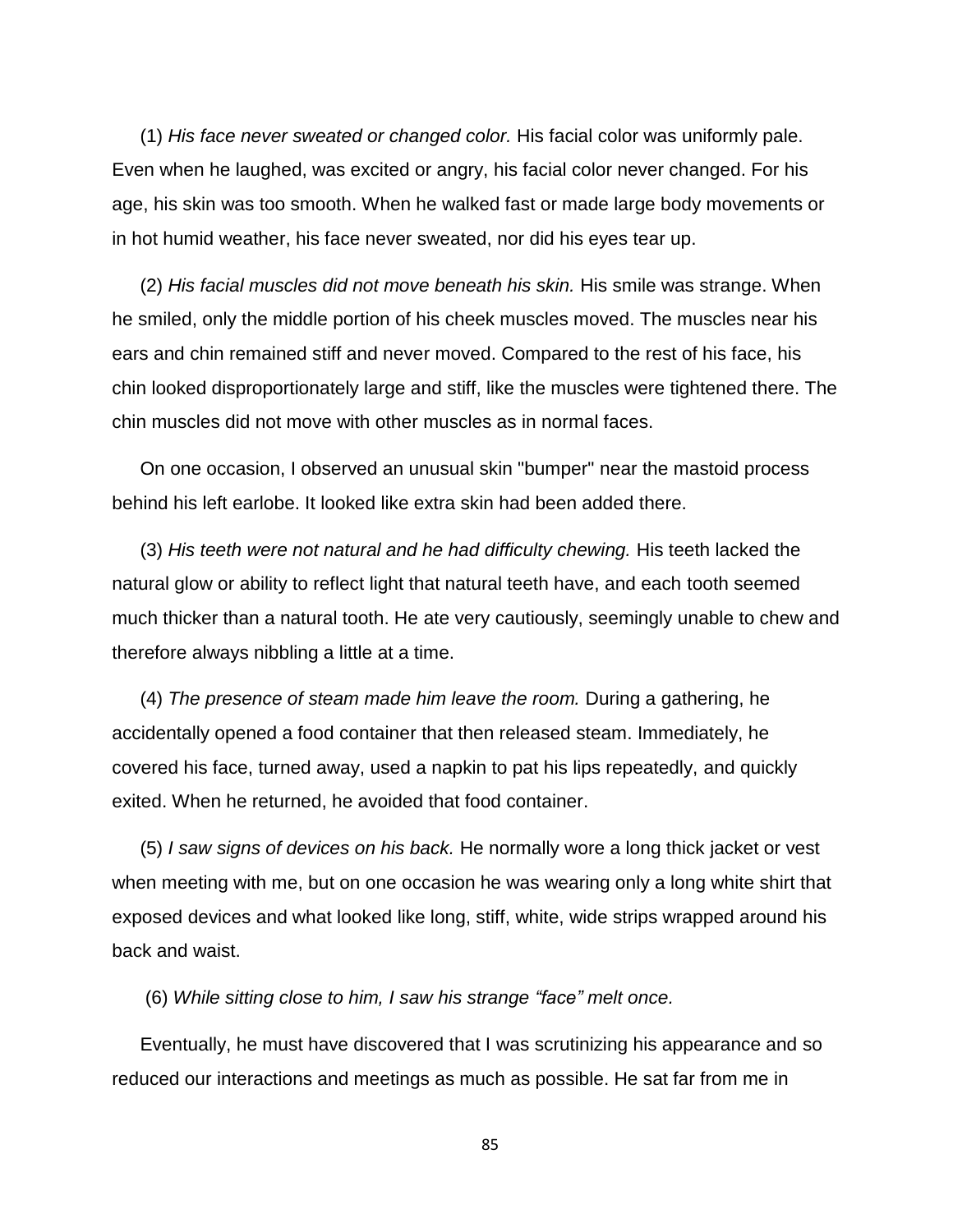(1) *His face never sweated or changed color.* His facial color was uniformly pale. Even when he laughed, was excited or angry, his facial color never changed. For his age, his skin was too smooth. When he walked fast or made large body movements or in hot humid weather, his face never sweated, nor did his eyes tear up.

(2) *His facial muscles did not move beneath his skin.* His smile was strange. When he smiled, only the middle portion of his cheek muscles moved. The muscles near his ears and chin remained stiff and never moved. Compared to the rest of his face, his chin looked disproportionately large and stiff, like the muscles were tightened there. The chin muscles did not move with other muscles as in normal faces.

On one occasion, I observed an unusual skin "bumper" near the mastoid process behind his left earlobe. It looked like extra skin had been added there.

(3) *His teeth were not natural and he had difficulty chewing.* His teeth lacked the natural glow or ability to reflect light that natural teeth have, and each tooth seemed much thicker than a natural tooth. He ate very cautiously, seemingly unable to chew and therefore always nibbling a little at a time.

(4) *The presence of steam made him leave the room.* During a gathering, he accidentally opened a food container that then released steam. Immediately, he covered his face, turned away, used a napkin to pat his lips repeatedly, and quickly exited. When he returned, he avoided that food container.

(5) *I saw signs of devices on his back.* He normally wore a long thick jacket or vest when meeting with me, but on one occasion he was wearing only a long white shirt that exposed devices and what looked like long, stiff, white, wide strips wrapped around his back and waist.

(6) *While sitting close to him, I saw his strange "face" melt once.*

Eventually, he must have discovered that I was scrutinizing his appearance and so reduced our interactions and meetings as much as possible. He sat far from me in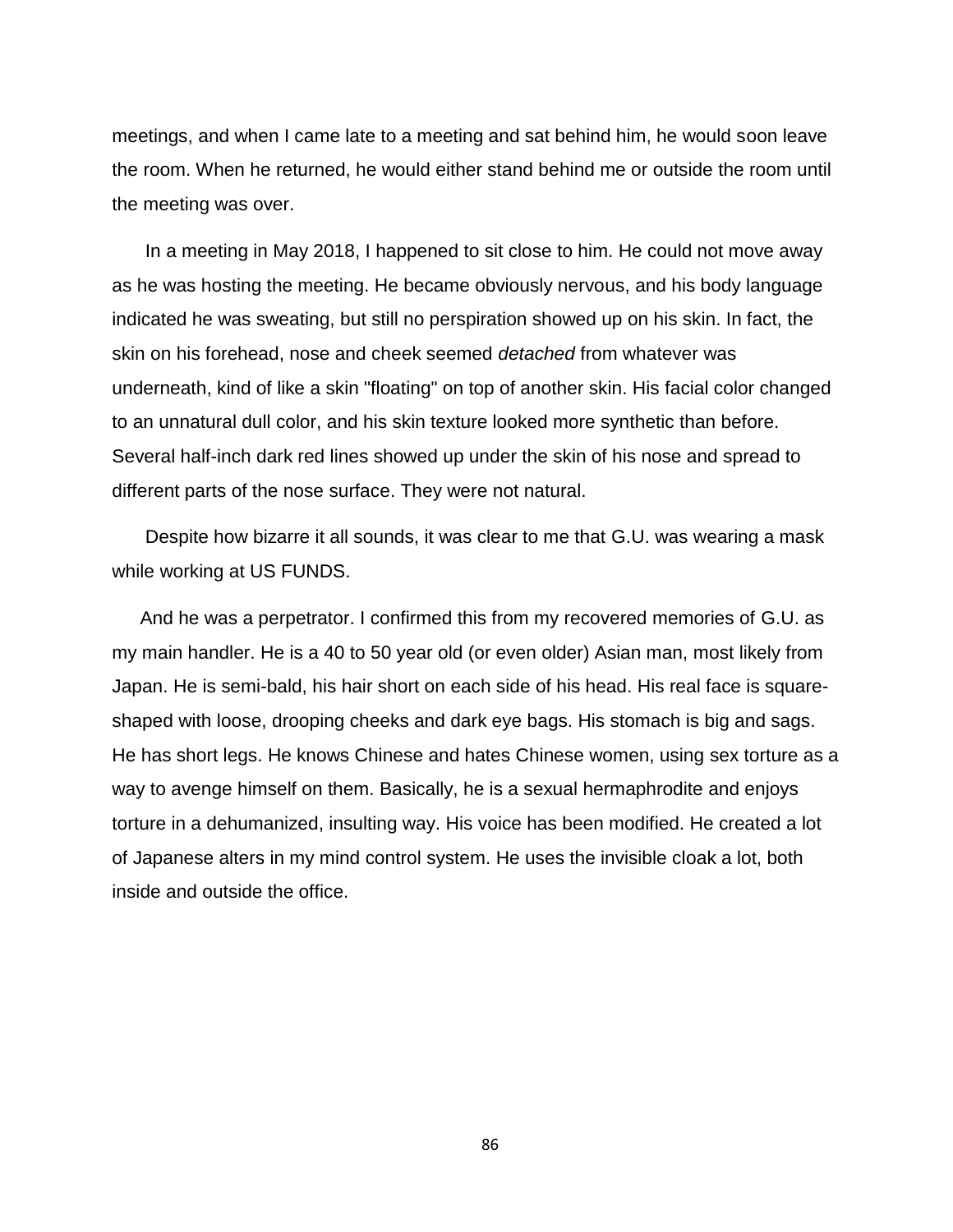meetings, and when I came late to a meeting and sat behind him, he would soon leave the room. When he returned, he would either stand behind me or outside the room until the meeting was over.

In a meeting in May 2018, I happened to sit close to him. He could not move away as he was hosting the meeting. He became obviously nervous, and his body language indicated he was sweating, but still no perspiration showed up on his skin. In fact, the skin on his forehead, nose and cheek seemed *detached* from whatever was underneath, kind of like a skin "floating" on top of another skin. His facial color changed to an unnatural dull color, and his skin texture looked more synthetic than before. Several half-inch dark red lines showed up under the skin of his nose and spread to different parts of the nose surface. They were not natural.

Despite how bizarre it all sounds, it was clear to me that G.U. was wearing a mask while working at US FUNDS.

And he was a perpetrator. I confirmed this from my recovered memories of G.U. as my main handler. He is a 40 to 50 year old (or even older) Asian man, most likely from Japan. He is semi-bald, his hair short on each side of his head. His real face is squareshaped with loose, drooping cheeks and dark eye bags. His stomach is big and sags. He has short legs. He knows Chinese and hates Chinese women, using sex torture as a way to avenge himself on them. Basically, he is a sexual hermaphrodite and enjoys torture in a dehumanized, insulting way. His voice has been modified. He created a lot of Japanese alters in my mind control system. He uses the invisible cloak a lot, both inside and outside the office.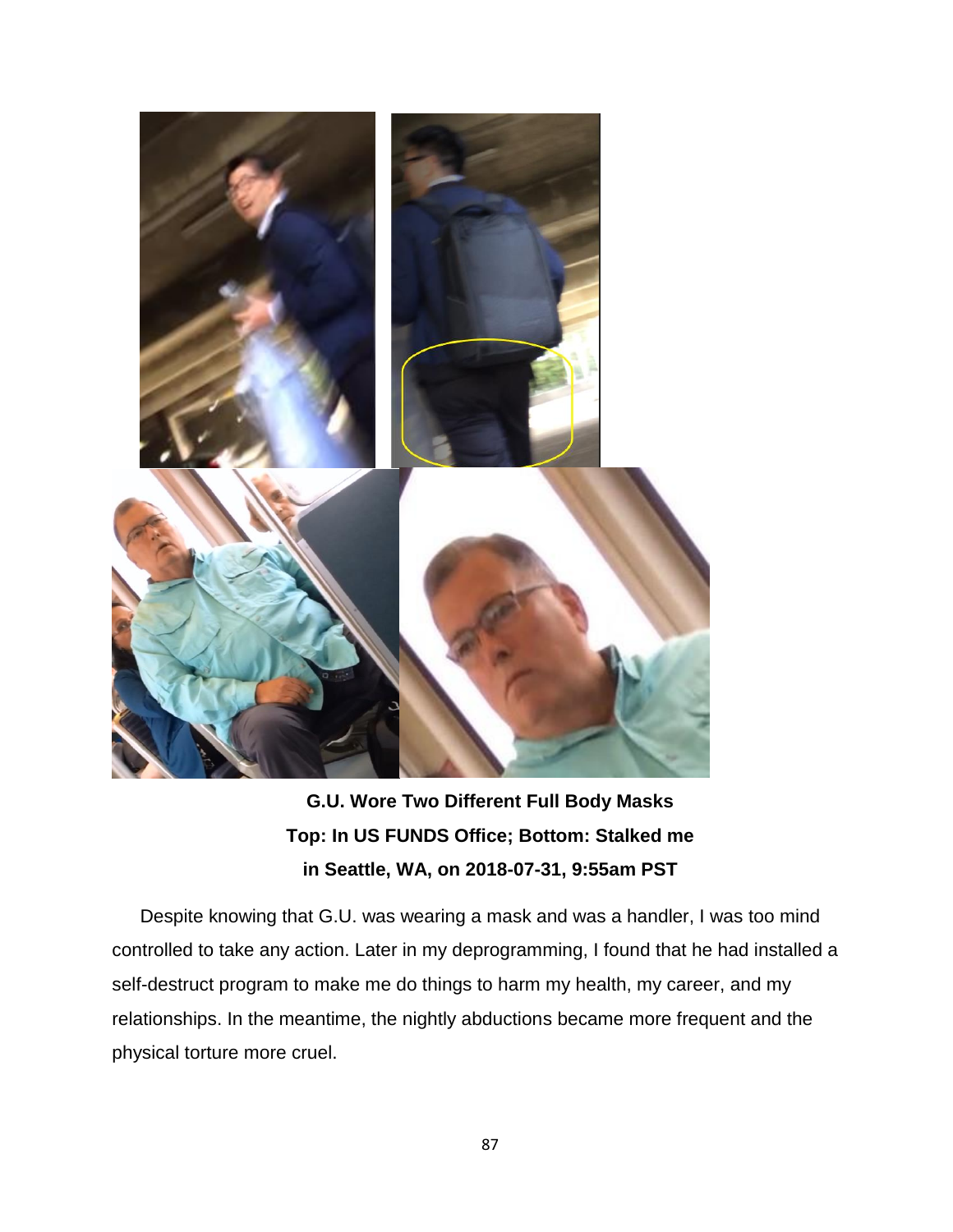

**G.U. Wore Two Different Full Body Masks Top: In US FUNDS Office; Bottom: Stalked me in Seattle, WA, on 2018-07-31, 9:55am PST**

Despite knowing that G.U. was wearing a mask and was a handler, I was too mind controlled to take any action. Later in my deprogramming, I found that he had installed a self-destruct program to make me do things to harm my health, my career, and my relationships. In the meantime, the nightly abductions became more frequent and the physical torture more cruel.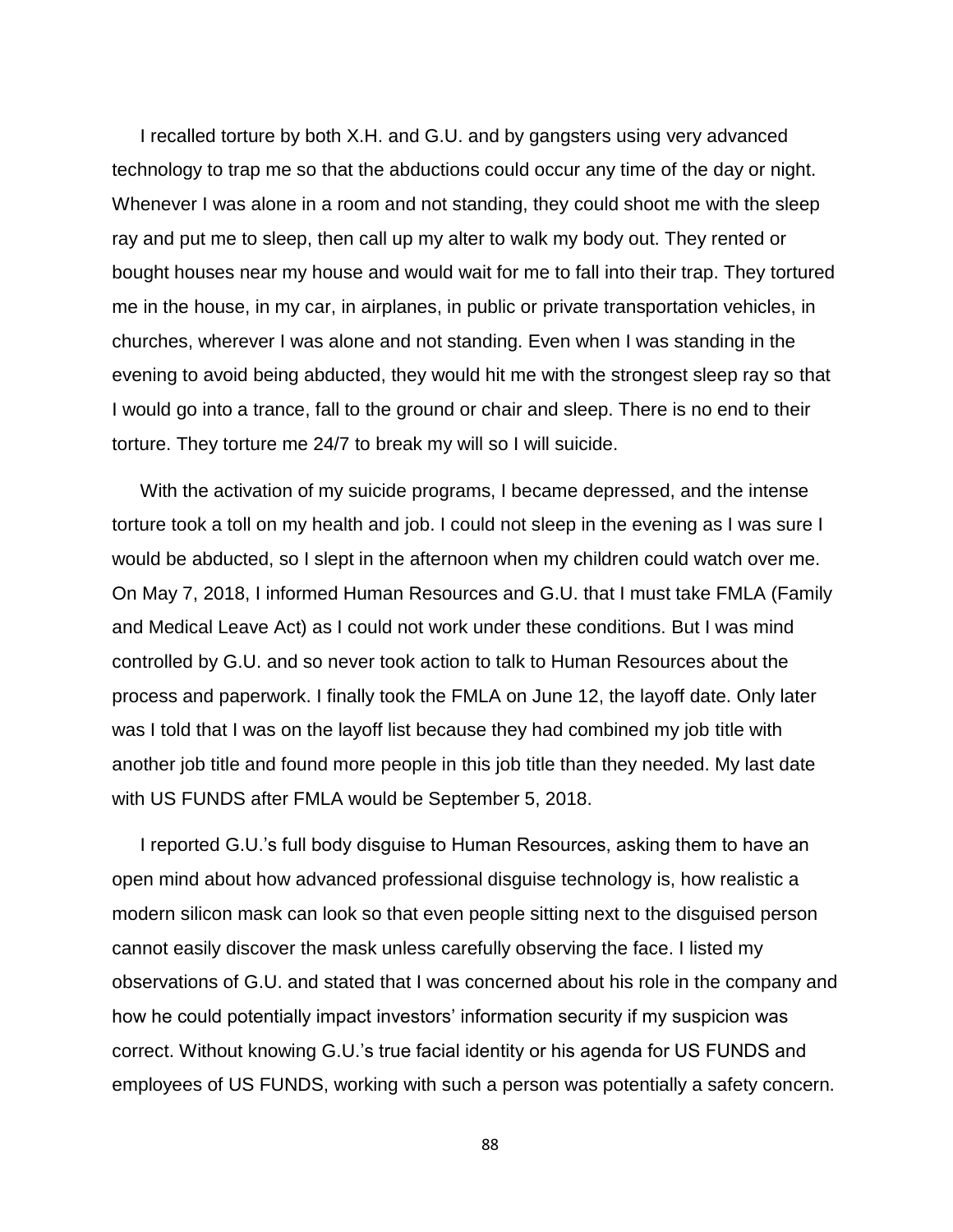I recalled torture by both X.H. and G.U. and by gangsters using very advanced technology to trap me so that the abductions could occur any time of the day or night. Whenever I was alone in a room and not standing, they could shoot me with the sleep ray and put me to sleep, then call up my alter to walk my body out. They rented or bought houses near my house and would wait for me to fall into their trap. They tortured me in the house, in my car, in airplanes, in public or private transportation vehicles, in churches, wherever I was alone and not standing. Even when I was standing in the evening to avoid being abducted, they would hit me with the strongest sleep ray so that I would go into a trance, fall to the ground or chair and sleep. There is no end to their torture. They torture me 24/7 to break my will so I will suicide.

With the activation of my suicide programs, I became depressed, and the intense torture took a toll on my health and job. I could not sleep in the evening as I was sure I would be abducted, so I slept in the afternoon when my children could watch over me. On May 7, 2018, I informed Human Resources and G.U. that I must take FMLA (Family and Medical Leave Act) as I could not work under these conditions. But I was mind controlled by G.U. and so never took action to talk to Human Resources about the process and paperwork. I finally took the FMLA on June 12, the layoff date. Only later was I told that I was on the layoff list because they had combined my job title with another job title and found more people in this job title than they needed. My last date with US FUNDS after FMLA would be September 5, 2018.

I reported G.U.'s full body disguise to Human Resources, asking them to have an open mind about how advanced professional disguise technology is, how realistic a modern silicon mask can look so that even people sitting next to the disguised person cannot easily discover the mask unless carefully observing the face. I listed my observations of G.U. and stated that I was concerned about his role in the company and how he could potentially impact investors' information security if my suspicion was correct. Without knowing G.U.'s true facial identity or his agenda for US FUNDS and employees of US FUNDS, working with such a person was potentially a safety concern.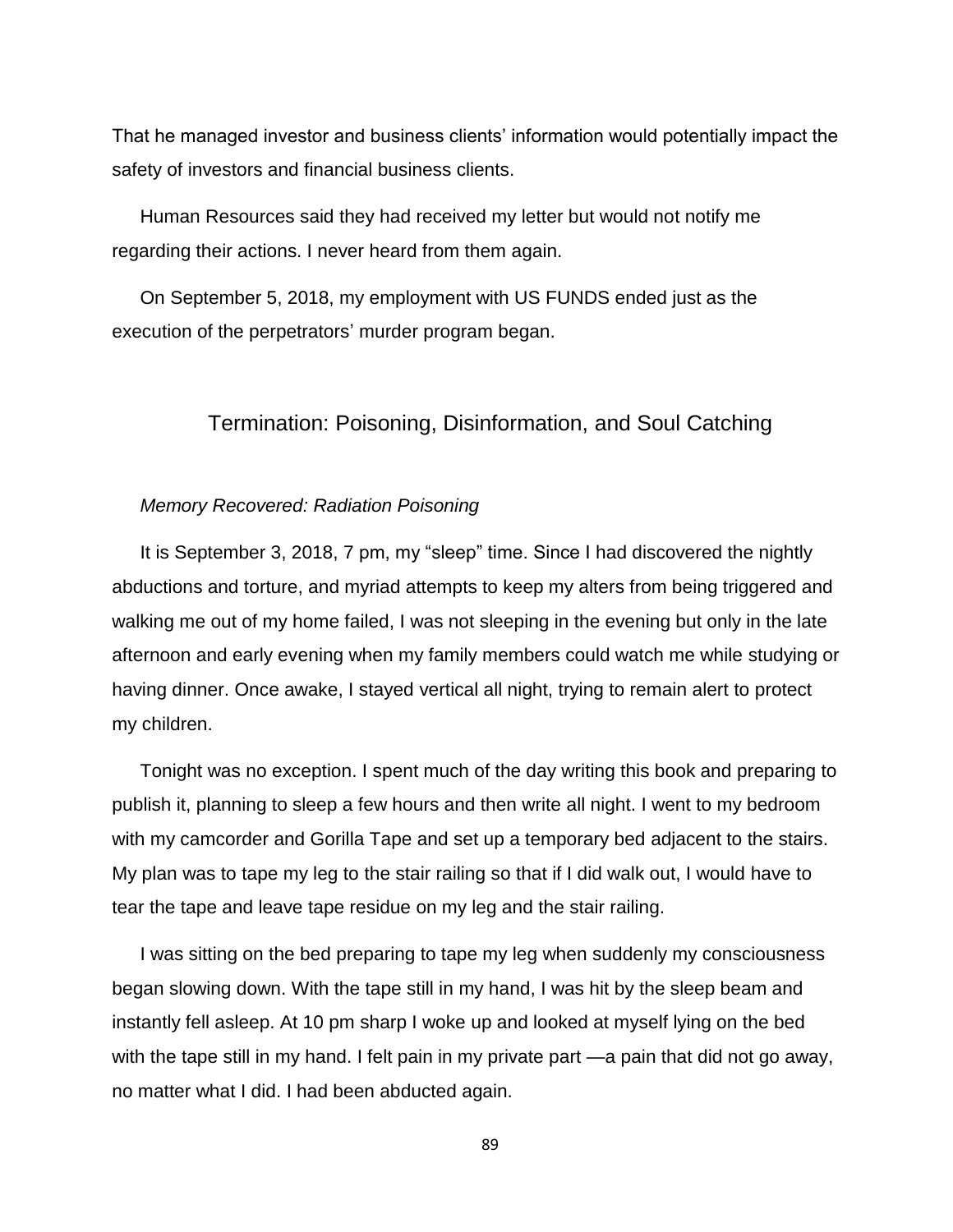That he managed investor and business clients' information would potentially impact the safety of investors and financial business clients.

Human Resources said they had received my letter but would not notify me regarding their actions. I never heard from them again.

On September 5, 2018, my employment with US FUNDS ended just as the execution of the perpetrators' murder program began.

### Termination: Poisoning, Disinformation, and Soul Catching

#### *Memory Recovered: Radiation Poisoning*

It is September 3, 2018, 7 pm, my "sleep" time. Since I had discovered the nightly abductions and torture, and myriad attempts to keep my alters from being triggered and walking me out of my home failed, I was not sleeping in the evening but only in the late afternoon and early evening when my family members could watch me while studying or having dinner. Once awake, I stayed vertical all night, trying to remain alert to protect my children.

Tonight was no exception. I spent much of the day writing this book and preparing to publish it, planning to sleep a few hours and then write all night. I went to my bedroom with my camcorder and Gorilla Tape and set up a temporary bed adjacent to the stairs. My plan was to tape my leg to the stair railing so that if I did walk out, I would have to tear the tape and leave tape residue on my leg and the stair railing.

I was sitting on the bed preparing to tape my leg when suddenly my consciousness began slowing down. With the tape still in my hand, I was hit by the sleep beam and instantly fell asleep. At 10 pm sharp I woke up and looked at myself lying on the bed with the tape still in my hand. I felt pain in my private part —a pain that did not go away, no matter what I did. I had been abducted again.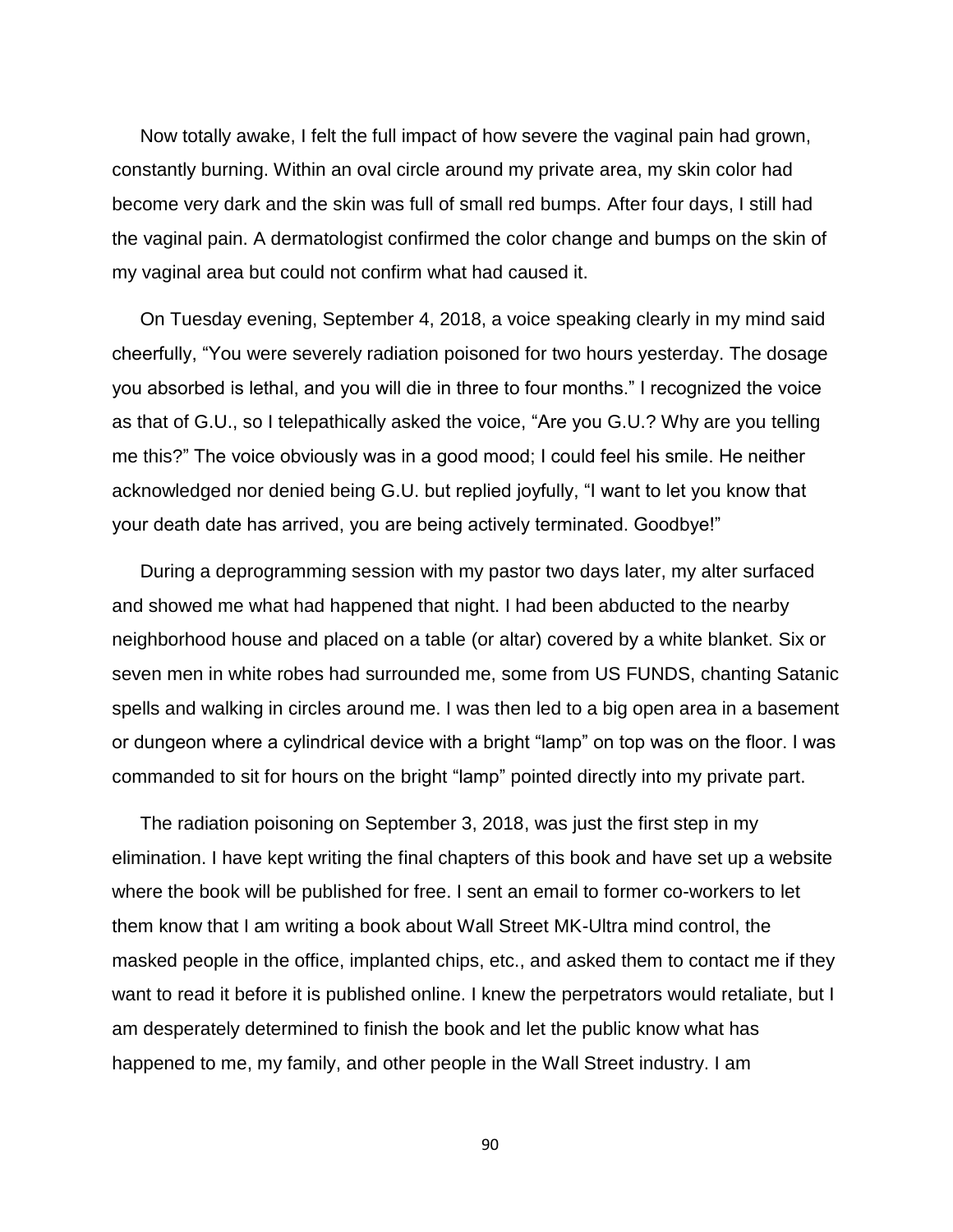Now totally awake, I felt the full impact of how severe the vaginal pain had grown, constantly burning. Within an oval circle around my private area, my skin color had become very dark and the skin was full of small red bumps. After four days, I still had the vaginal pain. A dermatologist confirmed the color change and bumps on the skin of my vaginal area but could not confirm what had caused it.

On Tuesday evening, September 4, 2018, a voice speaking clearly in my mind said cheerfully, "You were severely radiation poisoned for two hours yesterday. The dosage you absorbed is lethal, and you will die in three to four months." I recognized the voice as that of G.U., so I telepathically asked the voice, "Are you G.U.? Why are you telling me this?" The voice obviously was in a good mood; I could feel his smile. He neither acknowledged nor denied being G.U. but replied joyfully, "I want to let you know that your death date has arrived, you are being actively terminated. Goodbye!"

During a deprogramming session with my pastor two days later, my alter surfaced and showed me what had happened that night. I had been abducted to the nearby neighborhood house and placed on a table (or altar) covered by a white blanket. Six or seven men in white robes had surrounded me, some from US FUNDS, chanting Satanic spells and walking in circles around me. I was then led to a big open area in a basement or dungeon where a cylindrical device with a bright "lamp" on top was on the floor. I was commanded to sit for hours on the bright "lamp" pointed directly into my private part.

The radiation poisoning on September 3, 2018, was just the first step in my elimination. I have kept writing the final chapters of this book and have set up a website where the book will be published for free. I sent an email to former co-workers to let them know that I am writing a book about Wall Street MK-Ultra mind control, the masked people in the office, implanted chips, etc., and asked them to contact me if they want to read it before it is published online. I knew the perpetrators would retaliate, but I am desperately determined to finish the book and let the public know what has happened to me, my family, and other people in the Wall Street industry. I am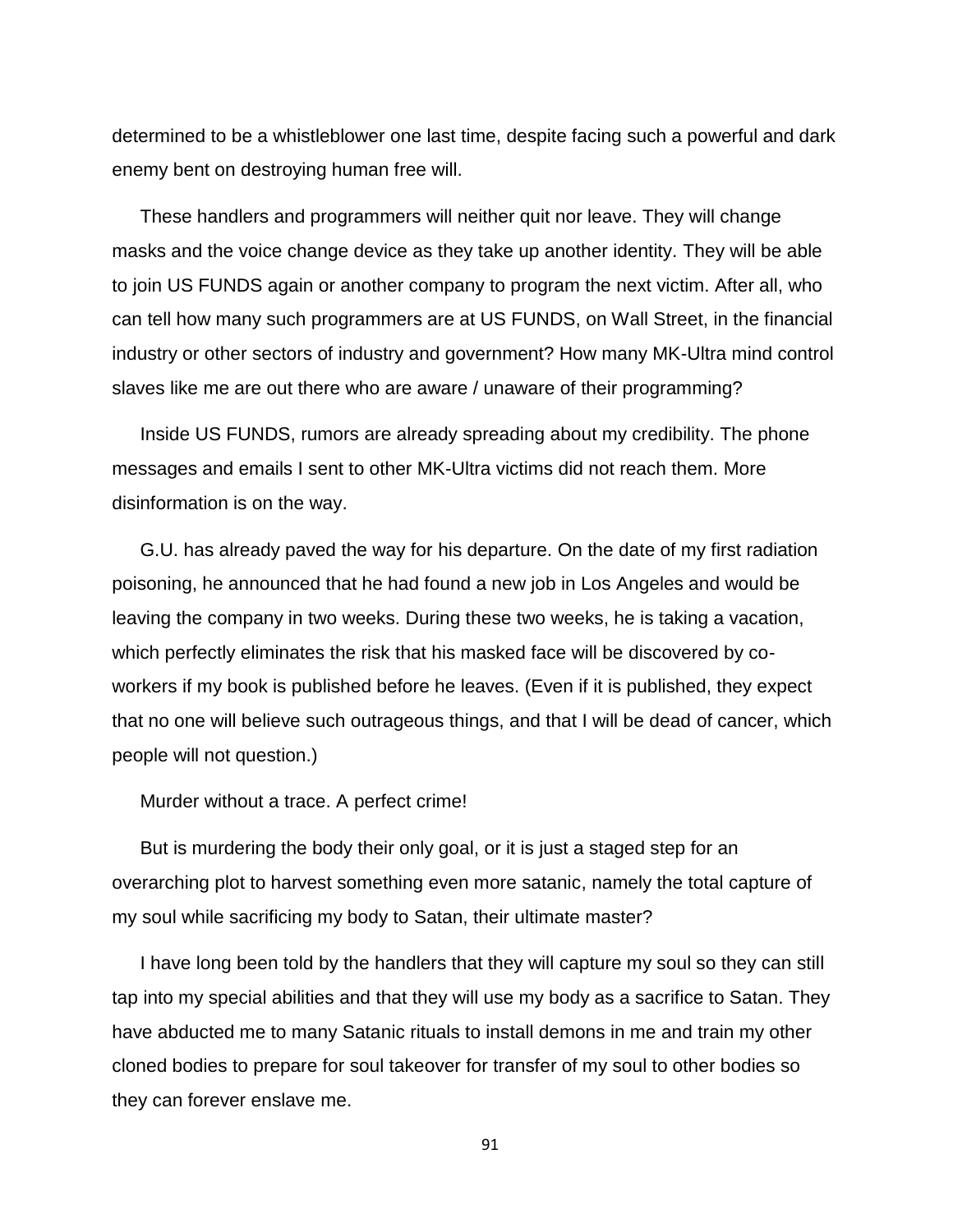determined to be a whistleblower one last time, despite facing such a powerful and dark enemy bent on destroying human free will.

These handlers and programmers will neither quit nor leave. They will change masks and the voice change device as they take up another identity. They will be able to join US FUNDS again or another company to program the next victim. After all, who can tell how many such programmers are at US FUNDS, on Wall Street, in the financial industry or other sectors of industry and government? How many MK-Ultra mind control slaves like me are out there who are aware / unaware of their programming?

Inside US FUNDS, rumors are already spreading about my credibility. The phone messages and emails I sent to other MK-Ultra victims did not reach them. More disinformation is on the way.

G.U. has already paved the way for his departure. On the date of my first radiation poisoning, he announced that he had found a new job in Los Angeles and would be leaving the company in two weeks. During these two weeks, he is taking a vacation, which perfectly eliminates the risk that his masked face will be discovered by coworkers if my book is published before he leaves. (Even if it is published, they expect that no one will believe such outrageous things, and that I will be dead of cancer, which people will not question.)

Murder without a trace. A perfect crime!

But is murdering the body their only goal, or it is just a staged step for an overarching plot to harvest something even more satanic, namely the total capture of my soul while sacrificing my body to Satan, their ultimate master?

I have long been told by the handlers that they will capture my soul so they can still tap into my special abilities and that they will use my body as a sacrifice to Satan. They have abducted me to many Satanic rituals to install demons in me and train my other cloned bodies to prepare for soul takeover for transfer of my soul to other bodies so they can forever enslave me.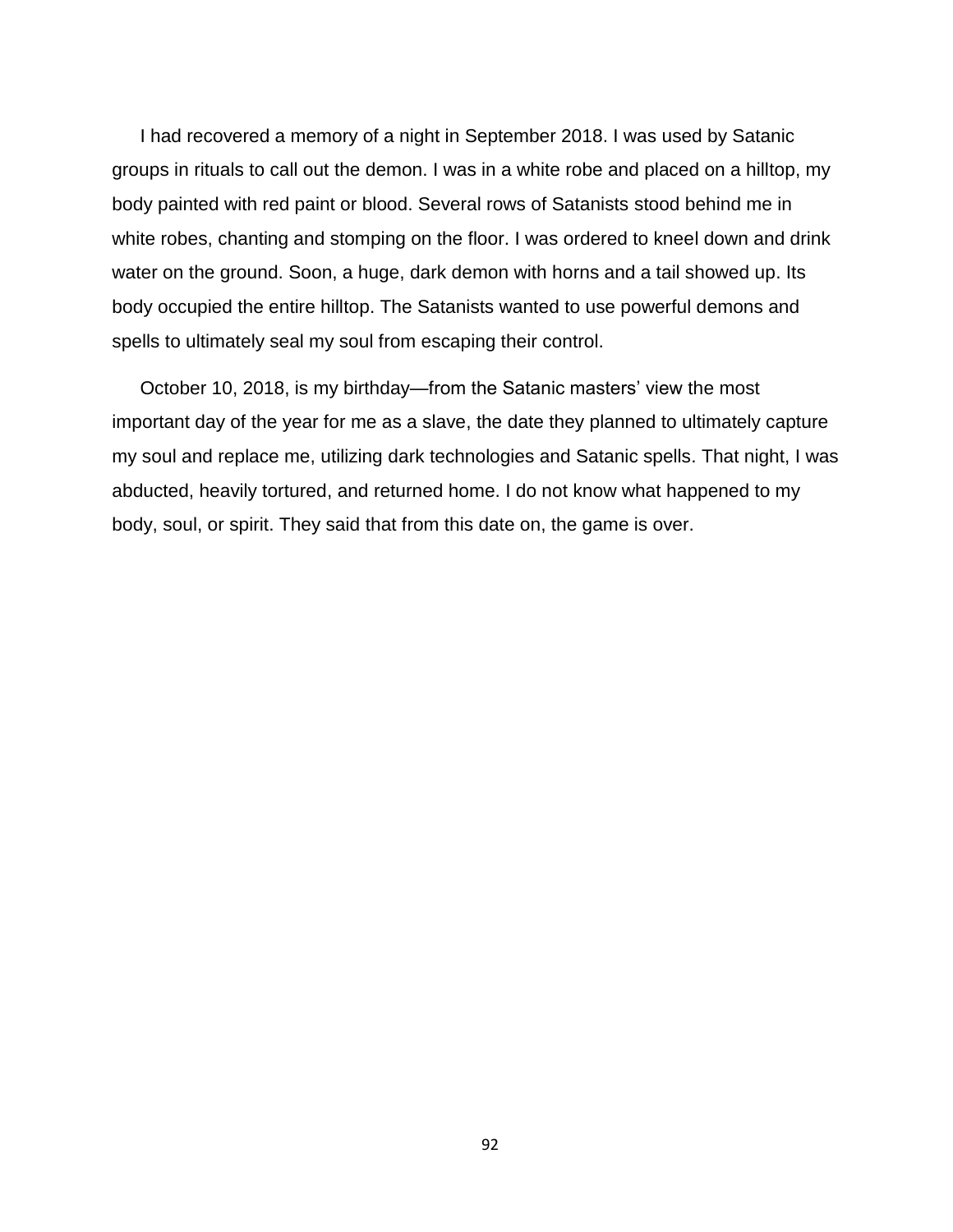I had recovered a memory of a night in September 2018. I was used by Satanic groups in rituals to call out the demon. I was in a white robe and placed on a hilltop, my body painted with red paint or blood. Several rows of Satanists stood behind me in white robes, chanting and stomping on the floor. I was ordered to kneel down and drink water on the ground. Soon, a huge, dark demon with horns and a tail showed up. Its body occupied the entire hilltop. The Satanists wanted to use powerful demons and spells to ultimately seal my soul from escaping their control.

October 10, 2018, is my birthday—from the Satanic masters' view the most important day of the year for me as a slave, the date they planned to ultimately capture my soul and replace me, utilizing dark technologies and Satanic spells. That night, I was abducted, heavily tortured, and returned home. I do not know what happened to my body, soul, or spirit. They said that from this date on, the game is over.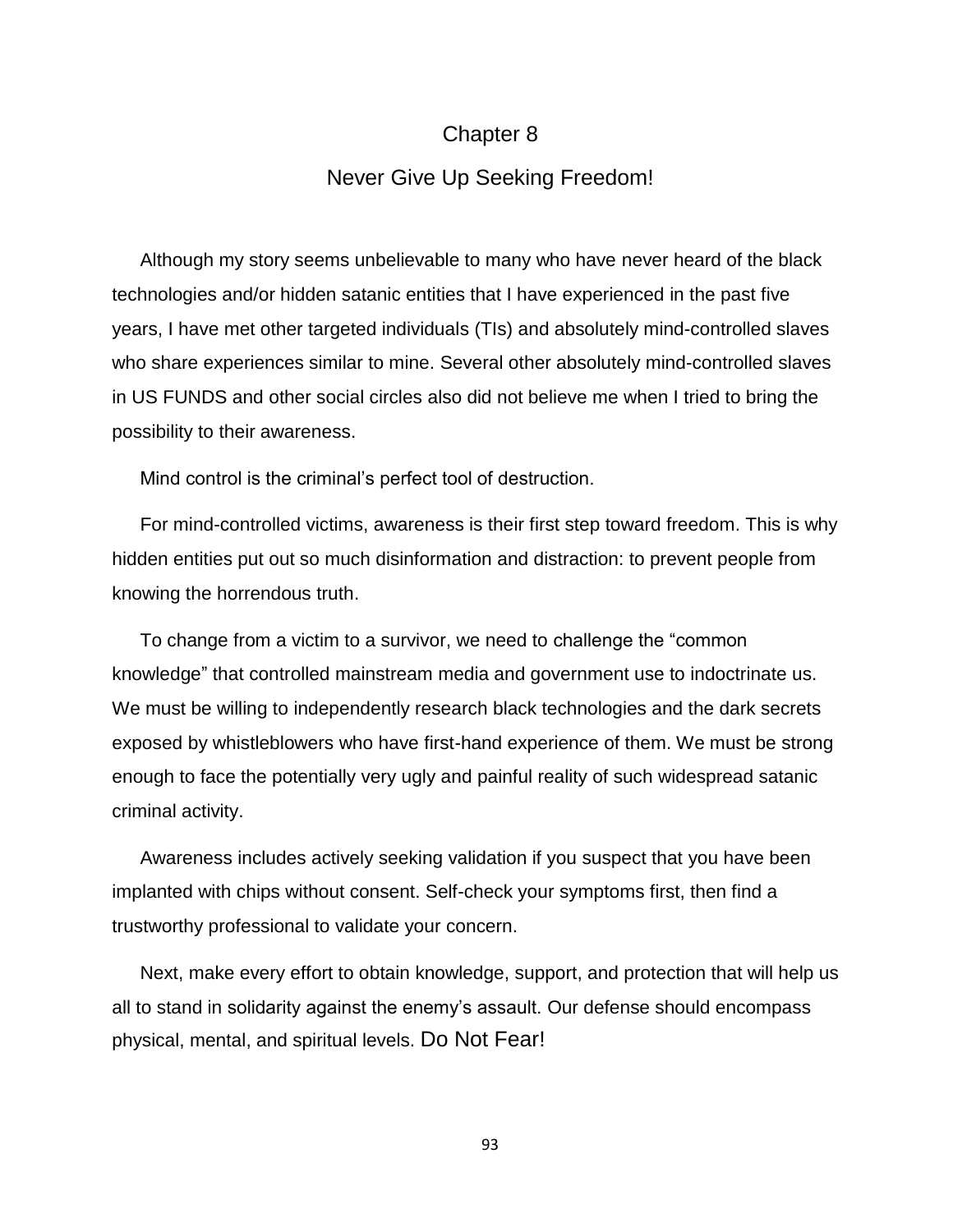### Chapter 8

### Never Give Up Seeking Freedom!

Although my story seems unbelievable to many who have never heard of the black technologies and/or hidden satanic entities that I have experienced in the past five years, I have met other targeted individuals (TIs) and absolutely mind-controlled slaves who share experiences similar to mine. Several other absolutely mind-controlled slaves in US FUNDS and other social circles also did not believe me when I tried to bring the possibility to their awareness.

Mind control is the criminal's perfect tool of destruction.

For mind-controlled victims, awareness is their first step toward freedom. This is why hidden entities put out so much disinformation and distraction: to prevent people from knowing the horrendous truth.

To change from a victim to a survivor, we need to challenge the "common knowledge" that controlled mainstream media and government use to indoctrinate us. We must be willing to independently research black technologies and the dark secrets exposed by whistleblowers who have first-hand experience of them. We must be strong enough to face the potentially very ugly and painful reality of such widespread satanic criminal activity.

Awareness includes actively seeking validation if you suspect that you have been implanted with chips without consent. Self-check your symptoms first, then find a trustworthy professional to validate your concern.

Next, make every effort to obtain knowledge, support, and protection that will help us all to stand in solidarity against the enemy's assault. Our defense should encompass physical, mental, and spiritual levels. Do Not Fear!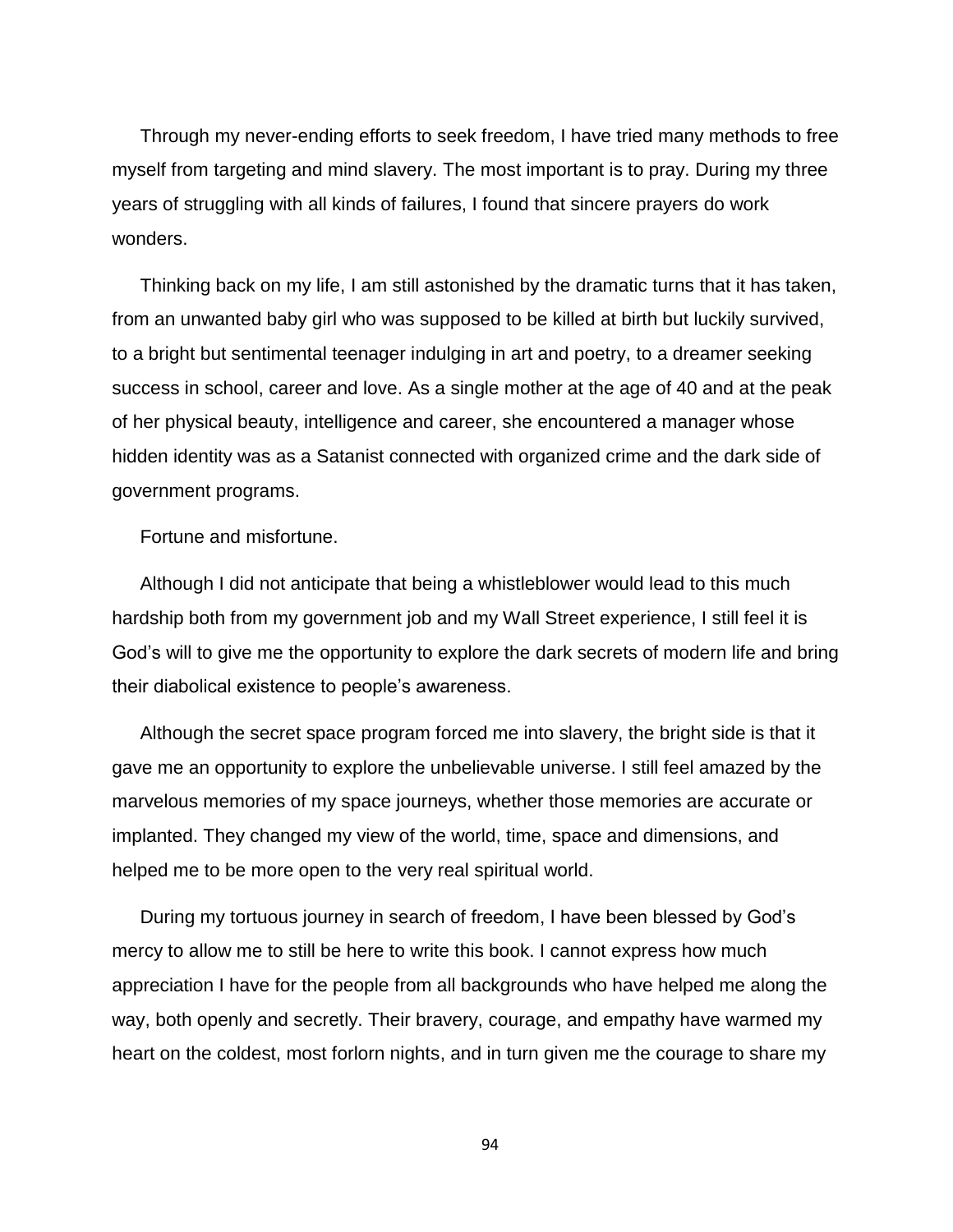Through my never-ending efforts to seek freedom, I have tried many methods to free myself from targeting and mind slavery. The most important is to pray. During my three years of struggling with all kinds of failures, I found that sincere prayers do work wonders.

Thinking back on my life, I am still astonished by the dramatic turns that it has taken, from an unwanted baby girl who was supposed to be killed at birth but luckily survived, to a bright but sentimental teenager indulging in art and poetry, to a dreamer seeking success in school, career and love. As a single mother at the age of 40 and at the peak of her physical beauty, intelligence and career, she encountered a manager whose hidden identity was as a Satanist connected with organized crime and the dark side of government programs.

Fortune and misfortune.

Although I did not anticipate that being a whistleblower would lead to this much hardship both from my government job and my Wall Street experience, I still feel it is God's will to give me the opportunity to explore the dark secrets of modern life and bring their diabolical existence to people's awareness.

Although the secret space program forced me into slavery, the bright side is that it gave me an opportunity to explore the unbelievable universe. I still feel amazed by the marvelous memories of my space journeys, whether those memories are accurate or implanted. They changed my view of the world, time, space and dimensions, and helped me to be more open to the very real spiritual world.

During my tortuous journey in search of freedom, I have been blessed by God's mercy to allow me to still be here to write this book. I cannot express how much appreciation I have for the people from all backgrounds who have helped me along the way, both openly and secretly. Their bravery, courage, and empathy have warmed my heart on the coldest, most forlorn nights, and in turn given me the courage to share my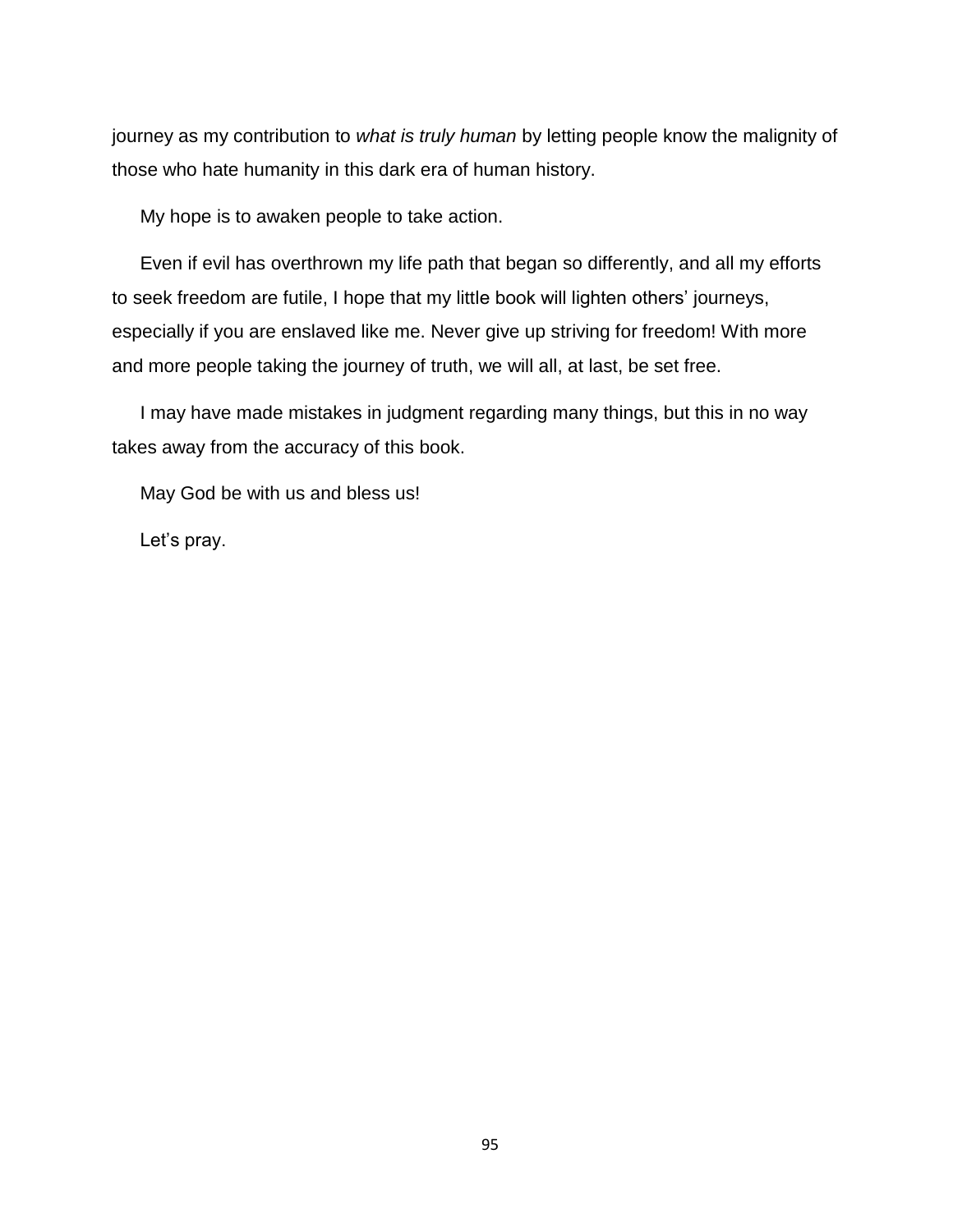journey as my contribution to *what is truly human* by letting people know the malignity of those who hate humanity in this dark era of human history.

My hope is to awaken people to take action.

Even if evil has overthrown my life path that began so differently, and all my efforts to seek freedom are futile, I hope that my little book will lighten others' journeys, especially if you are enslaved like me. Never give up striving for freedom! With more and more people taking the journey of truth, we will all, at last, be set free.

I may have made mistakes in judgment regarding many things, but this in no way takes away from the accuracy of this book.

May God be with us and bless us!

Let's pray.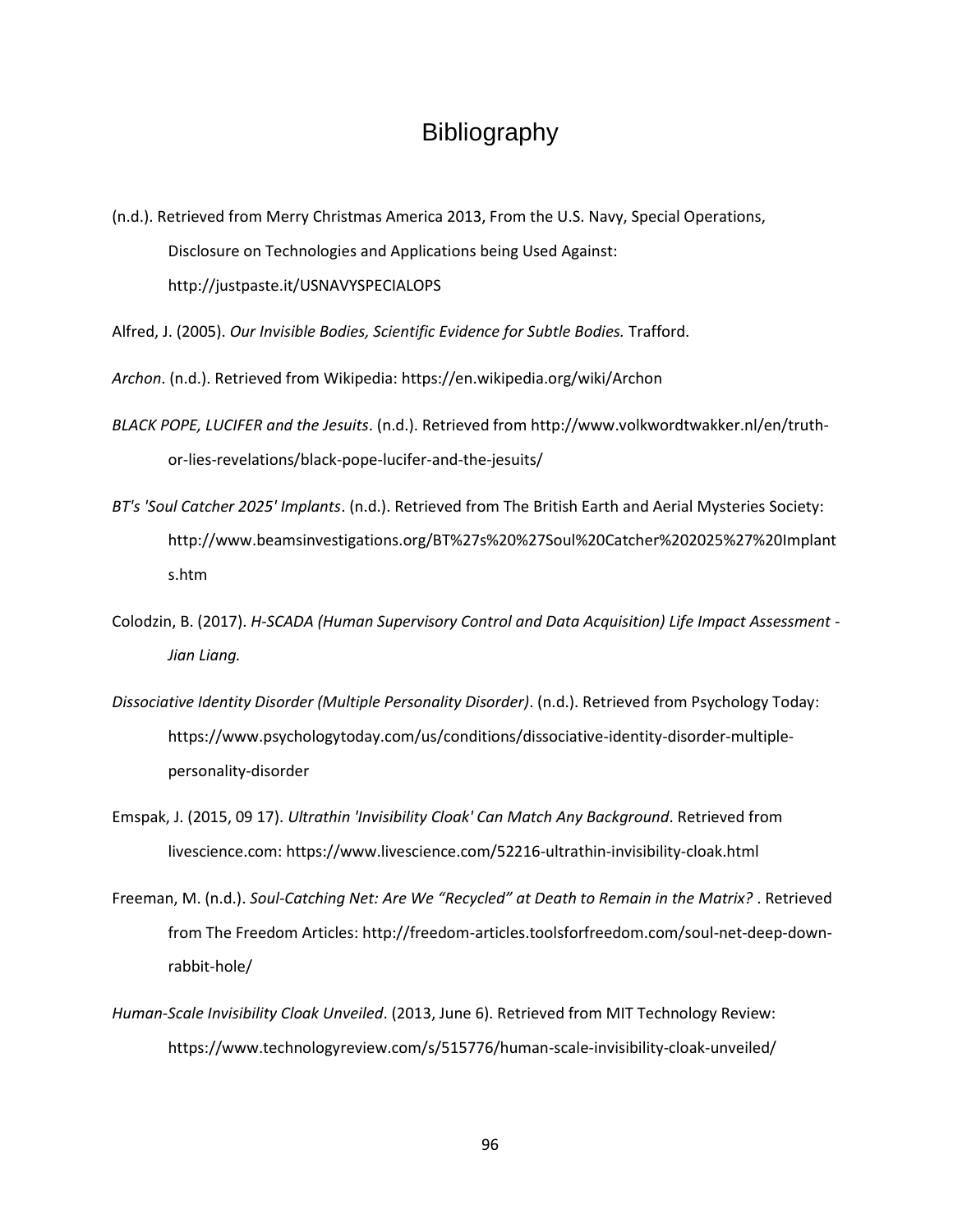## Bibliography

(n.d.). Retrieved from Merry Christmas America 2013, From the U.S. Navy, Special Operations, Disclosure on Technologies and Applications being Used Against: http://justpaste.it/USNAVYSPECIALOPS

Alfred, J. (2005). *Our Invisible Bodies, Scientific Evidence for Subtle Bodies.* Trafford.

*Archon*. (n.d.). Retrieved from Wikipedia: https://en.wikipedia.org/wiki/Archon

- *BLACK POPE, LUCIFER and the Jesuits*. (n.d.). Retrieved from http://www.volkwordtwakker.nl/en/truthor-lies-revelations/black-pope-lucifer-and-the-jesuits/
- *BT's 'Soul Catcher 2025' Implants*. (n.d.). Retrieved from The British Earth and Aerial Mysteries Society: http://www.beamsinvestigations.org/BT%27s%20%27Soul%20Catcher%202025%27%20Implant s.htm
- Colodzin, B. (2017). *H-SCADA (Human Supervisory Control and Data Acquisition) Life Impact Assessment - Jian Liang.*
- *Dissociative Identity Disorder (Multiple Personality Disorder)*. (n.d.). Retrieved from Psychology Today: https://www.psychologytoday.com/us/conditions/dissociative-identity-disorder-multiplepersonality-disorder
- Emspak, J. (2015, 09 17). *Ultrathin 'Invisibility Cloak' Can Match Any Background*. Retrieved from livescience.com: https://www.livescience.com/52216-ultrathin-invisibility-cloak.html
- Freeman, M. (n.d.). *Soul-Catching Net: Are We "Recycled" at Death to Remain in the Matrix?* . Retrieved from The Freedom Articles: http://freedom-articles.toolsforfreedom.com/soul-net-deep-downrabbit-hole/
- *Human-Scale Invisibility Cloak Unveiled*. (2013, June 6). Retrieved from MIT Technology Review: https://www.technologyreview.com/s/515776/human-scale-invisibility-cloak-unveiled/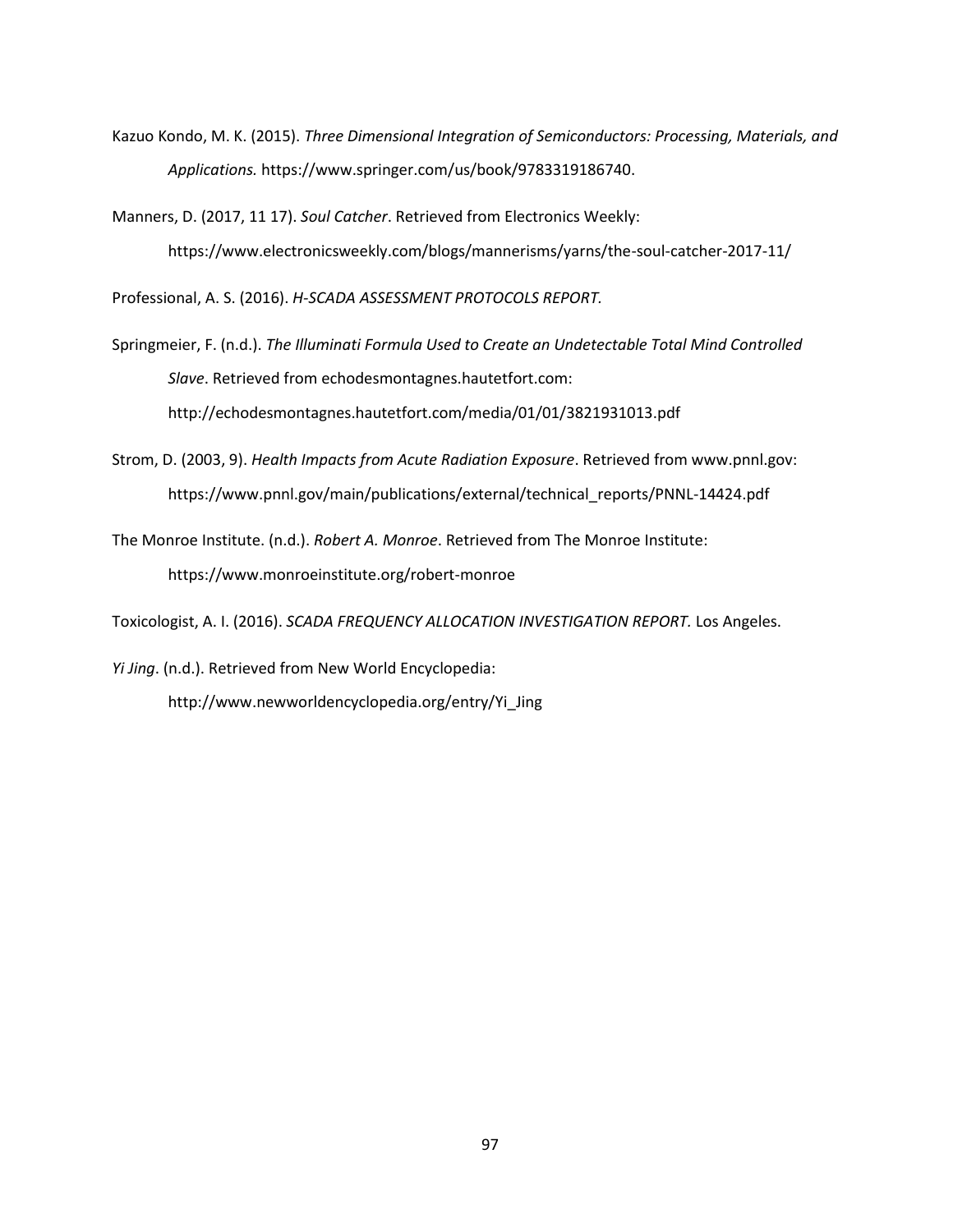- Kazuo Kondo, M. K. (2015). *Three Dimensional Integration of Semiconductors: Processing, Materials, and Applications.* https://www.springer.com/us/book/9783319186740.
- Manners, D. (2017, 11 17). *Soul Catcher*. Retrieved from Electronics Weekly: https://www.electronicsweekly.com/blogs/mannerisms/yarns/the-soul-catcher-2017-11/

Professional, A. S. (2016). *H-SCADA ASSESSMENT PROTOCOLS REPORT.*

- Springmeier, F. (n.d.). *The Illuminati Formula Used to Create an Undetectable Total Mind Controlled Slave*. Retrieved from echodesmontagnes.hautetfort.com: http://echodesmontagnes.hautetfort.com/media/01/01/3821931013.pdf
- Strom, D. (2003, 9). *Health Impacts from Acute Radiation Exposure*. Retrieved from www.pnnl.gov: https://www.pnnl.gov/main/publications/external/technical\_reports/PNNL-14424.pdf
- The Monroe Institute. (n.d.). *Robert A. Monroe*. Retrieved from The Monroe Institute: https://www.monroeinstitute.org/robert-monroe

Toxicologist, A. I. (2016). *SCADA FREQUENCY ALLOCATION INVESTIGATION REPORT.* Los Angeles.

*Yi Jing*. (n.d.). Retrieved from New World Encyclopedia: http://www.newworldencyclopedia.org/entry/Yi\_Jing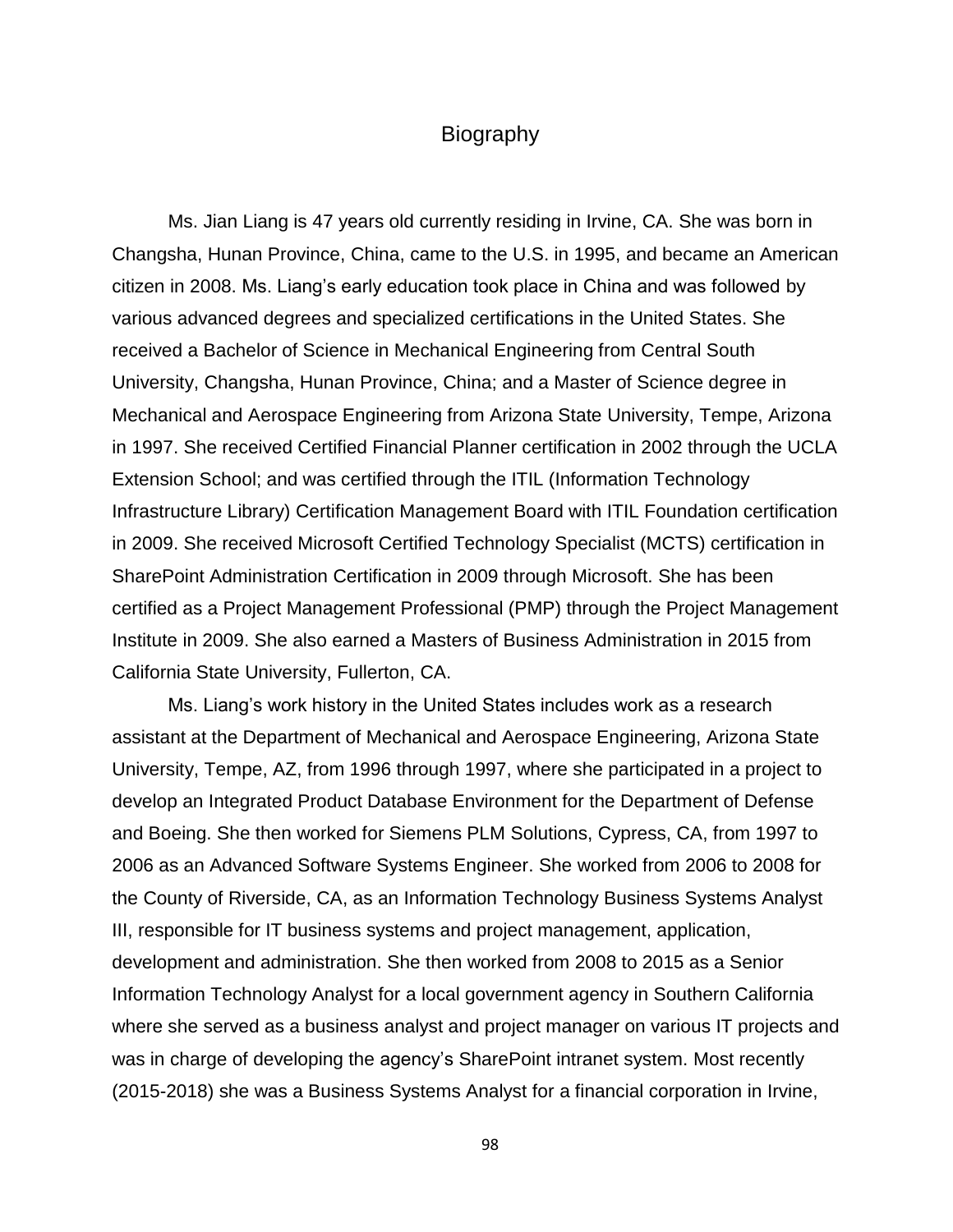### **Biography**

Ms. Jian Liang is 47 years old currently residing in Irvine, CA. She was born in Changsha, Hunan Province, China, came to the U.S. in 1995, and became an American citizen in 2008. Ms. Liang's early education took place in China and was followed by various advanced degrees and specialized certifications in the United States. She received a Bachelor of Science in Mechanical Engineering from Central South University, Changsha, Hunan Province, China; and a Master of Science degree in Mechanical and Aerospace Engineering from Arizona State University, Tempe, Arizona in 1997. She received Certified Financial Planner certification in 2002 through the UCLA Extension School; and was certified through the ITIL (Information Technology Infrastructure Library) Certification Management Board with ITIL Foundation certification in 2009. She received Microsoft Certified Technology Specialist (MCTS) certification in SharePoint Administration Certification in 2009 through Microsoft. She has been certified as a Project Management Professional (PMP) through the Project Management Institute in 2009. She also earned a Masters of Business Administration in 2015 from California State University, Fullerton, CA.

Ms. Liang's work history in the United States includes work as a research assistant at the Department of Mechanical and Aerospace Engineering, Arizona State University, Tempe, AZ, from 1996 through 1997, where she participated in a project to develop an Integrated Product Database Environment for the Department of Defense and Boeing. She then worked for Siemens PLM Solutions, Cypress, CA, from 1997 to 2006 as an Advanced Software Systems Engineer. She worked from 2006 to 2008 for the County of Riverside, CA, as an Information Technology Business Systems Analyst III, responsible for IT business systems and project management, application, development and administration. She then worked from 2008 to 2015 as a Senior Information Technology Analyst for a local government agency in Southern California where she served as a business analyst and project manager on various IT projects and was in charge of developing the agency's SharePoint intranet system. Most recently (2015-2018) she was a Business Systems Analyst for a financial corporation in Irvine,